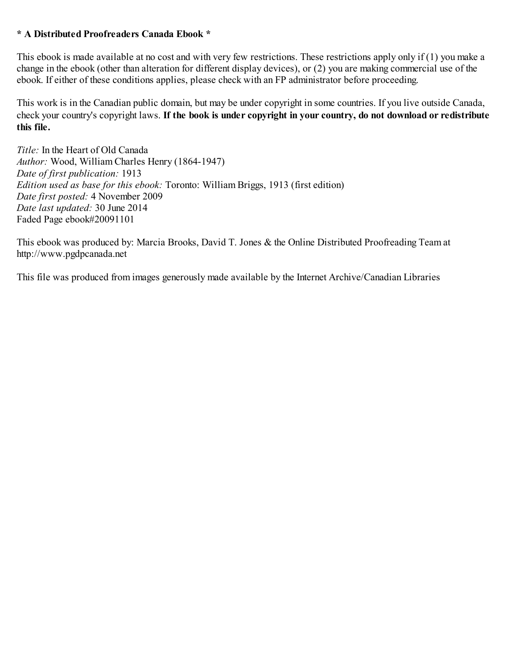# **\* A Distributed Proofreaders Canada Ebook \***

This ebook is made available at no cost and with very few restrictions. These restrictions apply only if (1) you make a change in the ebook (other than alteration for different display devices), or (2) you are making commercial use of the ebook. If either of these conditions applies, please check with an FP administrator before proceeding.

This work is in the Canadian public domain, but may be under copyright in some countries. If you live outside Canada, check your country's copyright laws. **If the book is under copyright in your country, do not download or redistribute this file.**

*Title:* In the Heart of Old Canada *Author:* Wood, William Charles Henry (1864-1947) *Date of first publication:* 1913 *Edition used as base for this ebook:* Toronto: William Briggs, 1913 (first edition) *Date first posted:* 4 November 2009 *Date last updated:* 30 June 2014 Faded Page ebook#20091101

This ebook was produced by: Marcia Brooks, David T. Jones & the Online Distributed Proofreading Team at http://www.pgdpcanada.net

This file was produced from images generously made available by the Internet Archive/Canadian Libraries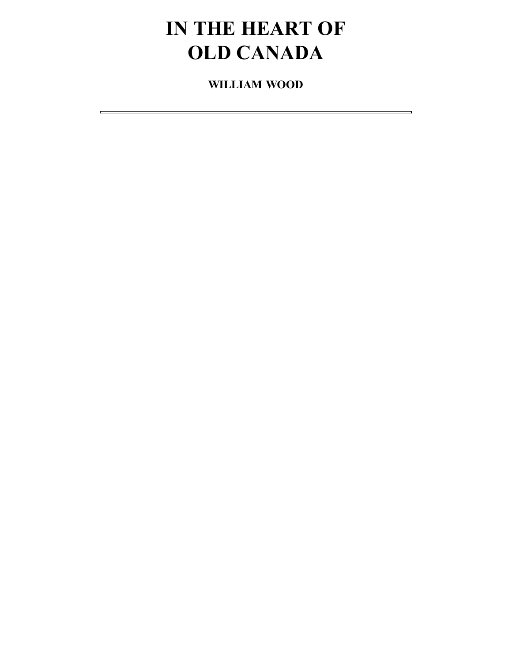# **IN THE HEART OF OLD CANADA**

**WILLIAM WOOD**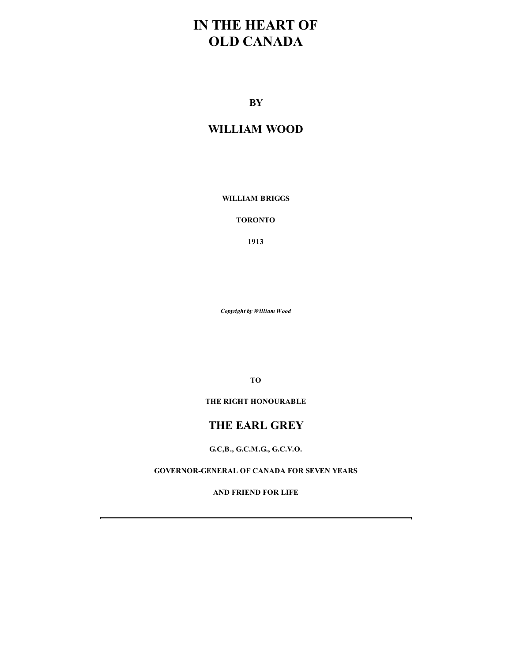# **IN THE HEART OF OLD CANADA**

**BY**

# **WILLIAM WOOD**

**WILLIAM BRIGGS**

**TORONTO**

**1913**

*Copyright by William Wood*

**TO**

**THE RIGHT HONOURABLE**

# **THE EARL GREY**

**G.C,B., G.C.M.G., G.C.V.O.**

**GOVERNOR-GENERAL OF CANADA FOR SEVEN YEARS**

**AND FRIEND FOR LIFE**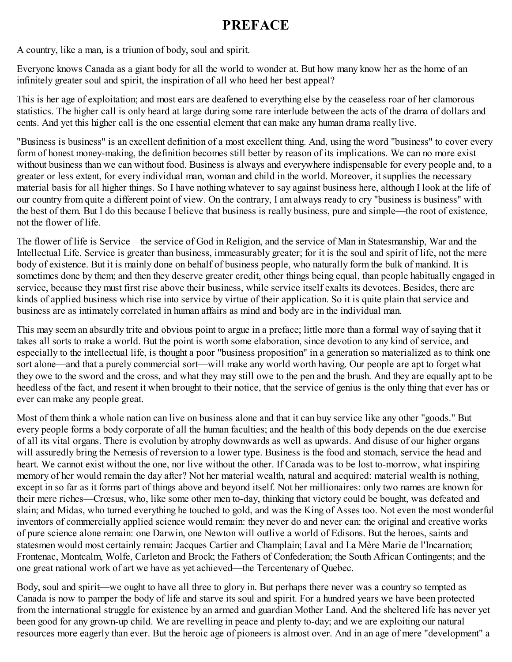# **PREFACE**

<span id="page-3-0"></span>A country, like a man, is a triunion of body, soul and spirit.

Everyone knows Canada as a giant body for all the world to wonder at. But how many know her as the home of an infinitely greater soul and spirit, the inspiration of all who heed her best appeal?

This is her age of exploitation; and most ears are deafened to everything else by the ceaseless roar of her clamorous statistics. The higher call is only heard at large during some rare interlude between the acts of the drama of dollars and cents. And yet this higher call is the one essential element that can make any human drama really live.

"Business is business" is an excellent definition of a most excellent thing. And, using the word "business" to cover every form of honest money-making, the definition becomes still better by reason of its implications. We can no more exist without business than we can without food. Business is always and everywhere indispensable for every people and, to a greater or less extent, for every individual man, woman and child in the world. Moreover, it supplies the necessary material basis for all higher things. So I have nothing whatever to say against business here, although I look at the life of our country from quite a different point of view. On the contrary, I am always ready to cry "business is business" with the best of them. But I do this because I believe that business is really business, pure and simple—the root of existence, not the flower of life.

The flower of life is Service—the service of God in Religion, and the service of Man in Statesmanship, War and the Intellectual Life. Service is greater than business, immeasurably greater; for it is the soul and spirit of life, not the mere body of existence. But it is mainly done on behalf of business people, who naturally form the bulk of mankind. It is sometimes done by them; and then they deserve greater credit, other things being equal, than people habitually engaged in service, because they must first rise above their business, while service itself exalts its devotees. Besides, there are kinds of applied business which rise into service by virtue of their application. So it is quite plain that service and business are as intimately correlated in human affairs as mind and body are in the individual man.

This may seem an absurdly trite and obvious point to argue in a preface; little more than a formal way of saying that it takes all sorts to make a world. But the point is worth some elaboration, since devotion to any kind of service, and especially to the intellectual life, is thought a poor "business proposition" in a generation so materialized as to think one sort alone—and that a purely commercial sort—will make any world worth having. Our people are apt to forget what they owe to the sword and the cross, and what they may still owe to the pen and the brush. And they are equally apt to be heedless of the fact, and resent it when brought to their notice, that the service of genius is the only thing that ever has or ever can make any people great.

Most of them think a whole nation can live on business alone and that it can buy service like any other "goods." But every people forms a body corporate of all the human faculties; and the health of this body depends on the due exercise of all its vital organs. There is evolution by atrophy downwards as well as upwards. And disuse of our higher organs will assuredly bring the Nemesis of reversion to a lower type. Business is the food and stomach, service the head and heart. We cannot exist without the one, nor live without the other. If Canada was to be lost to-morrow, what inspiring memory of her would remain the day after? Not her material wealth, natural and acquired: material wealth is nothing, except in so far as it forms part of things above and beyond itself. Not her millionaires: only two names are known for their mere riches—Crœsus, who, like some other men to-day, thinking that victory could be bought, was defeated and slain; and Midas, who turned everything he touched to gold, and was the King of Asses too. Not even the most wonderful inventors of commercially applied science would remain: they never do and never can: the original and creative works of pure science alone remain: one Darwin, one Newton will outlive a world of Edisons. But the heroes, saints and statesmen would most certainly remain: Jacques Cartier and Champlain; Laval and La Mère Marie de l'Incarnation; Frontenac, Montcalm, Wolfe, Carleton and Brock; the Fathers of Confederation; the South African Contingents; and the one great national work of art we have as yet achieved—the Tercentenary of Quebec.

Body, soul and spirit—we ought to have all three to glory in. But perhaps there never was a country so tempted as Canada is now to pamper the body of life and starve its soul and spirit. For a hundred years we have been protected from the international struggle for existence by an armed and guardian Mother Land. And the sheltered life has never yet been good for any grown-up child. We are revelling in peace and plenty to-day; and we are exploiting our natural resources more eagerly than ever. But the heroic age of pioneers is almost over. And in an age of mere "development" a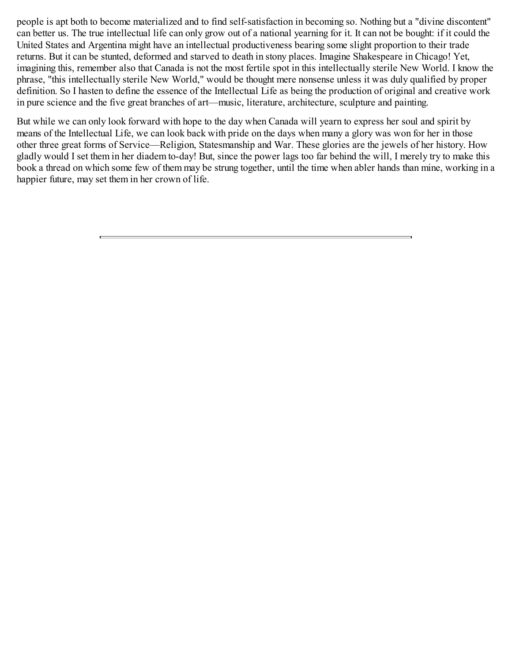people is apt both to become materialized and to find self-satisfaction in becoming so. Nothing but a "divine discontent" can better us. The true intellectual life can only grow out of a national yearning for it. It can not be bought: if it could the United States and Argentina might have an intellectual productiveness bearing some slight proportion to their trade returns. But it can be stunted, deformed and starved to death in stony places. Imagine Shakespeare in Chicago! Yet, imagining this, remember also that Canada is not the most fertile spot in this intellectually sterile New World. I know the phrase, "this intellectually sterile New World," would be thought mere nonsense unless it was duly qualified by proper definition. So I hasten to define the essence of the Intellectual Life as being the production of original and creative work in pure science and the five great branches of art—music, literature, architecture, sculpture and painting.

But while we can only look forward with hope to the day when Canada will yearn to express her soul and spirit by means of the Intellectual Life, we can look back with pride on the days when many a glory was won for her in those other three great forms of Service—Religion, Statesmanship and War. These glories are the jewels of her history. How gladly would I set them in her diadem to-day! But, since the power lags too far behind the will, I merely try to make this book a thread on which some few of them may be strung together, until the time when abler hands than mine, working in a happier future, may set them in her crown of life.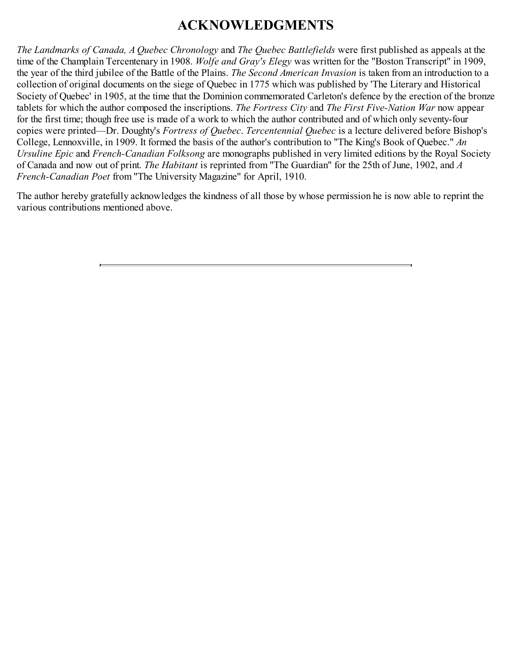# **ACKNOWLEDGMENTS**

<span id="page-5-0"></span>*The Landmarks of Canada, A Quebec Chronology* and *The Quebec Battlefields* were first published as appeals at the time of the Champlain Tercentenary in 1908. *Wolfe and Gray's Elegy* was written for the "Boston Transcript" in 1909, the year of the third jubilee of the Battle of the Plains. *The Second American Invasion* is taken from an introduction to a collection of original documents on the siege of Quebec in 1775 which was published by 'The Literary and Historical Society of Quebec' in 1905, at the time that the Dominion commemorated Carleton's defence by the erection of the bronze tablets for which the author composed the inscriptions. *The Fortress City* and *The First Five-Nation War* now appear for the first time; though free use is made of a work to which the author contributed and of which only seventy-four copies were printed—Dr. Doughty's *Fortress of Quebec*. *Tercentennial Quebec* is a lecture delivered before Bishop's College, Lennoxville, in 1909. It formed the basis of the author's contribution to "The King's Book of Quebec." *An Ursuline Epic* and *French-Canadian Folksong* are monographs published in very limited editions by the Royal Society of Canada and now out of print. *The Habitant* is reprinted from "The Guardian" for the 25th of June, 1902, and *A French-Canadian Poet* from "The University Magazine" for April, 1910.

The author hereby gratefully acknowledges the kindness of all those by whose permission he is now able to reprint the various contributions mentioned above.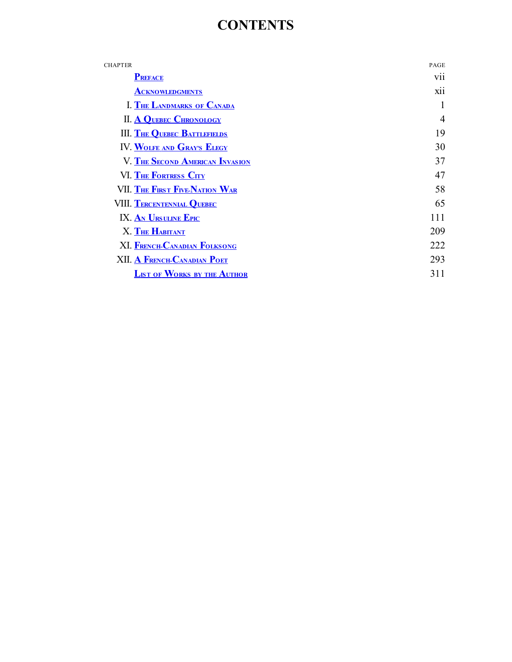# **CONTENTS**

| <b>CHAPTER</b>                         | PAGE           |
|----------------------------------------|----------------|
| <b>PREFACE</b>                         | V11            |
| <b>ACKNOWLEDGMENTS</b>                 | <b>X11</b>     |
| <b>I. THE LANDMARKS OF CANADA</b>      |                |
| <b>II. A QUEBEC CHRONOLOGY</b>         | $\overline{4}$ |
| <b>III. THE QUEBEC BATTLEFIELDS</b>    | 19             |
| IV. WOLFE AND GRAY'S ELEGY             | 30             |
| <b>V. THE SECOND AMERICAN INVASION</b> | 37             |
| VI. THE FORTRESS CITY                  | 47             |
| VII. THE FIRST FIVE-NATION WAR         | 58             |
| VIII. TERCENTENNIAL QUEBEC             | 65             |
| IX. AN URSULINE EPIC                   | 111            |
| X. THE HABITANT                        | 209            |
| <b>XI. FRENCH-CANADIAN FOLKSONG</b>    | 222            |
| XII. A FRENCH-CANADIAN POET            | 293            |
| <b>LIST OF WORKS BY THE AUTHOR</b>     | 311            |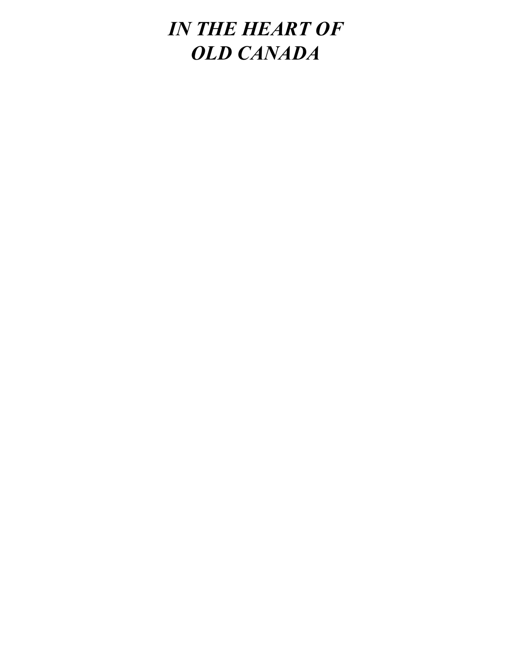# *IN THE HEART OF OLD CANADA*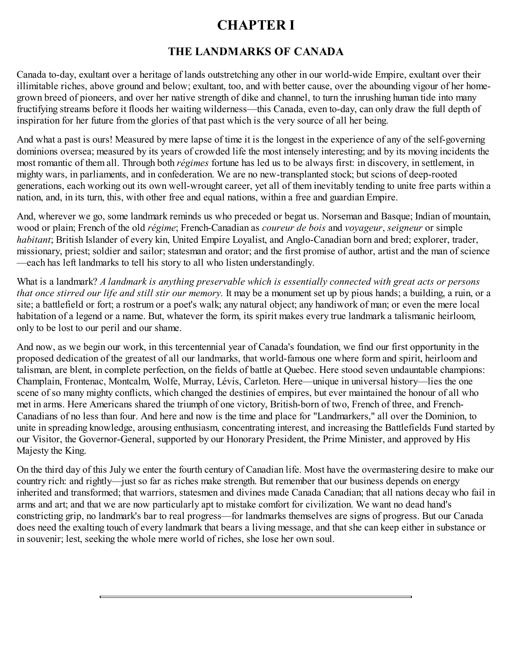# **CHAPTER I**

# **THE LANDMARKS OF CANADA**

<span id="page-8-0"></span>Canada to-day, exultant over a heritage of lands outstretching any other in our world-wide Empire, exultant over their illimitable riches, above ground and below; exultant, too, and with better cause, over the abounding vigour of her homegrown breed of pioneers, and over her native strength of dike and channel, to turn the inrushing human tide into many fructifying streams before it floods her waiting wilderness—this Canada, even to-day, can only draw the full depth of inspiration for her future from the glories of that past which is the very source of all her being.

And what a past is ours! Measured by mere lapse of time it is the longest in the experience of any of the self-governing dominions oversea; measured by its years of crowded life the most intensely interesting; and by its moving incidents the most romantic of them all. Through both *régimes* fortune has led us to be always first: in discovery, in settlement, in mighty wars, in parliaments, and in confederation. We are no new-transplanted stock; but scions of deep-rooted generations, each working out its own well-wrought career, yet all of them inevitably tending to unite free parts within a nation, and, in its turn, this, with other free and equal nations, within a free and guardian Empire.

And, wherever we go, some landmark reminds us who preceded or begat us. Norseman and Basque; Indian of mountain, wood or plain; French of the old *régime*; French-Canadian as *coureur de bois* and *voyageur*, *seigneur* or simple *habitant*; British Islander of every kin, United Empire Loyalist, and Anglo-Canadian born and bred; explorer, trader, missionary, priest; soldier and sailor; statesman and orator; and the first promise of author, artist and the man of science —each has left landmarks to tell his story to all who listen understandingly.

What is a landmark? *A landmark is anything preservable which is essentially connected with great acts or persons that once stirred our life and still stir our memory.* It may be a monument set up by pious hands; a building, a ruin, or a site; a battlefield or fort; a rostrum or a poet's walk; any natural object; any handiwork of man; or even the mere local habitation of a legend or a name. But, whatever the form, its spirit makes every true landmark a talismanic heirloom, only to be lost to our peril and our shame.

And now, as we begin our work, in this tercentennial year of Canada's foundation, we find our first opportunity in the proposed dedication of the greatest of all our landmarks, that world-famous one where form and spirit, heirloom and talisman, are blent, in complete perfection, on the fields of battle at Quebec. Here stood seven undauntable champions: Champlain, Frontenac, Montcalm, Wolfe, Murray, Lévis, Carleton. Here—unique in universal history—lies the one scene of so many mighty conflicts, which changed the destinies of empires, but ever maintained the honour of all who met in arms. Here Americans shared the triumph of one victory, British-born of two, French of three, and French-Canadians of no less than four. And here and now is the time and place for "Landmarkers," all over the Dominion, to unite in spreading knowledge, arousing enthusiasm, concentrating interest, and increasing the Battlefields Fund started by our Visitor, the Governor-General, supported by our Honorary President, the Prime Minister, and approved by His Majesty the King.

On the third day of this July we enter the fourth century of Canadian life. Most have the overmastering desire to make our country rich: and rightly—just so far as riches make strength. But remember that our business depends on energy inherited and transformed; that warriors, statesmen and divines made Canada Canadian; that all nations decay who fail in arms and art; and that we are now particularly apt to mistake comfort for civilization. We want no dead hand's constricting grip, no landmark's bar to real progress—for landmarks themselves are signs of progress. But our Canada does need the exalting touch of every landmark that bears a living message, and that she can keep either in substance or in souvenir; lest, seeking the whole mere world of riches, she lose her own soul.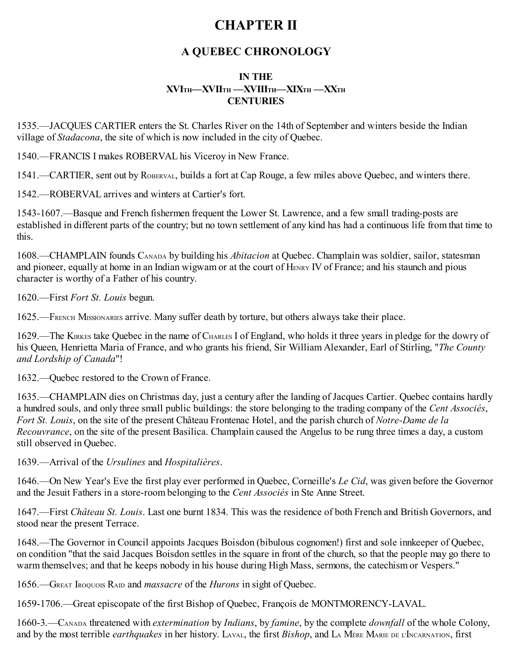# **CHAPTER II**

# **A QUEBEC CHRONOLOGY**

# **IN THE**  $\frac{X}{Y}$ **VIIITH**  $\frac{X}{Y}$ **WIIITH**  $\frac{X}{Y}$ **CENTURIES**

<span id="page-9-0"></span>1535.—JACQUES CARTIER enters the St. Charles River on the 14th of September and winters beside the Indian village of *Stadacona*, the site of which is now included in the city of Quebec.

1540.—FRANCIS I makes ROBERVAL his Viceroy in New France.

1541.—CARTIER, sent out by ROBERVAL, builds a fort at Cap Rouge, a few miles above Quebec, and winters there.

1542.—ROBERVAL arrives and winters at Cartier's fort.

1543-1607.—Basque and French fishermen frequent the Lower St. Lawrence, and a few small trading-posts are established in different parts of the country; but no town settlement of any kind has had a continuous life from that time to this.

1608.—CHAMPLAIN founds CANADA by building his *Abitacion* at Quebec. Champlain was soldier, sailor, statesman and pioneer, equally at home in an Indian wigwam or at the court of HENRY IV of France; and his staunch and pious character is worthy of a Father of his country.

1620.—First *Fort St. Louis* begun.

1625.—FRENCH MISSIONARIES arrive. Many suffer death by torture, but others always take their place.

1629.—The KIRKES take Quebec in the name of CHARLES I of England, who holds it three years in pledge for the dowry of his Queen, Henrietta Maria of France, and who grants his friend, Sir William Alexander, Earl of Stirling, "*The County and Lordship of Canada*"!

1632.—Quebec restored to the Crown of France.

1635.—CHAMPLAIN dies on Christmas day, just a century after the landing of Jacques Cartier. Quebec contains hardly a hundred souls, and only three small public buildings: the store belonging to the trading company of the *Cent Associés*, *Fort St. Louis*, on the site of the present Château Frontenac Hotel, and the parish church of *Notre-Dame de la Recouvrance*, on the site of the present Basilica. Champlain caused the Angelus to be rung three times a day, a custom still observed in Quebec.

1639.—Arrival of the *Ursulines* and *Hospitalières*.

1646.—On New Year's Eve the first play ever performed in Quebec, Corneille's *Le Cid*, was given before the Governor and the Jesuit Fathers in a store-room belonging to the *Cent Associés* in Ste Anne Street.

1647.—First *Château St. Louis*. Last one burnt 1834. This was the residence of both French and British Governors, and stood near the present Terrace.

1648.—The Governor in Council appoints Jacques Boisdon (bibulous cognomen!) first and sole innkeeper of Quebec, on condition "that the said Jacques Boisdon settles in the square in front of the church, so that the people may go there to warm themselves; and that he keeps nobody in his house during High Mass, sermons, the catechism or Vespers."

1656.—GREAT IROQUOIS RAID and *massacre* of the *Hurons* in sight of Quebec.

1659-1706.—Great episcopate of the first Bishop of Quebec, François de MONTMORENCY-LAVAL.

1660-3.—CANADA threatened with *extermination* by *Indians*, by *famine*, by the complete *downfall* of the whole Colony, and by the most terrible *earthquakes* in her history. LAVAL, the first *Bishop*, and L<sup>A</sup> MÈRE MARIE DE L'INCARNATION, first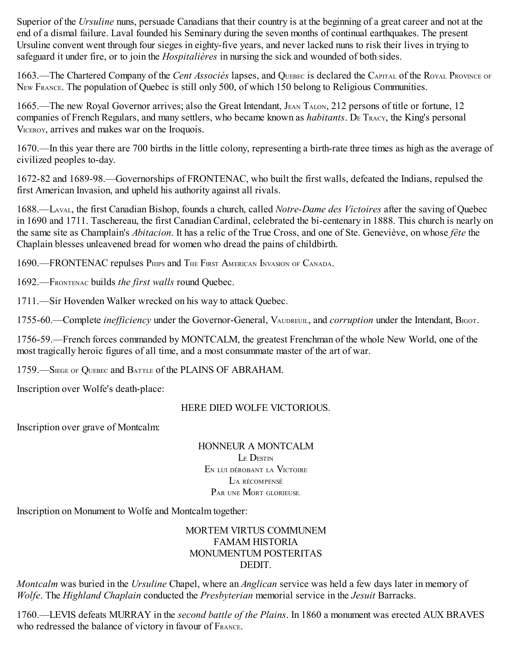Superior of the *Ursuline* nuns, persuade Canadians that their country is at the beginning of a great career and not at the end of a dismal failure. Laval founded his Seminary during the seven months of continual earthquakes. The present Ursuline convent went through four sieges in eighty-five years, and never lacked nuns to risk their lives in trying to safeguard it under fire, or to join the *Hospitalières* in nursing the sick and wounded of both sides.

1663.—The Chartered Company of the *Cent Associés* lapses, and QUEBEC is declared the CAPITAL of the ROYAL PROVINCE OF NEW FRANCE. The population of Quebec is still only 500, of which 150 belong to Religious Communities.

1665.—The new Royal Governor arrives; also the Great Intendant, JEAN TALON, 212 persons of title or fortune, 12 companies of French Regulars, and many settlers, who became known as *habitants*. De TRACY, the King's personal VICEROY, arrives and makes war on the Iroquois.

1670.—In this year there are 700 births in the little colony, representing a birth-rate three times as high as the average of civilized peoples to-day.

1672-82 and 1689-98.—Governorships of FRONTENAC, who built the first walls, defeated the Indians, repulsed the first American Invasion, and upheld his authority against all rivals.

1688.—LAVAL, the first Canadian Bishop, founds a church, called *Notre-Dame des Victoires* after the saving of Quebec in 1690 and 1711. Taschereau, the first Canadian Cardinal, celebrated the bi-centenary in 1888. This church is nearly on the same site as Champlain's *Abitacion*. It has a relic of the True Cross, and one of Ste. Geneviève, on whose *fête* the Chaplain blesses unleavened bread for women who dread the pains of childbirth.

1690.—FRONTENAC repulses PHIPS and THE FIRST AMERICAN INVASION OF CANADA.

1692.—FRONTENAC builds *the first walls* round Quebec.

1711.—Sir Hovenden Walker wrecked on his way to attack Quebec.

1755-60.—Complete *inefficiency* under the Governor-General, VAUDREUIL, and *corruption* under the Intendant, BIGOT.

1756-59.—French forces commanded by MONTCALM, the greatest Frenchman of the whole New World, one of the most tragically heroic figures of all time, and a most consummate master of the art of war.

1759.—SIEGE OF QUEBEC and BATTLE of the PLAINS OF ABRAHAM.

Inscription over Wolfe's death-place:

# HERE DIED WOLFE VICTORIOUS.

Inscription over grave of Montcalm:

HONNEUR A MONTCALM LE DESTIN E<sup>N</sup> LUI DÉROBANT LA VICTOIRE L'A RÉCOMPENSÉ PAR UNE MORT GLORIEUSE.

Inscription on Monument to Wolfe and Montcalm together:

# MORTEM VIRTUS COMMUNEM FAMAM HISTORIA MONUMENTUM POSTERITAS **DEDIT.**

*Montcalm* was buried in the *Ursuline* Chapel, where an *Anglican* service was held a few days later in memory of *Wolfe*. The *Highland Chaplain* conducted the *Presbyterian* memorial service in the *Jesuit* Barracks.

1760.—LEVIS defeats MURRAY in the *second battle of the Plains*. In 1860 a monument was erected AUX BRAVES who redressed the balance of victory in favour of FRANCE.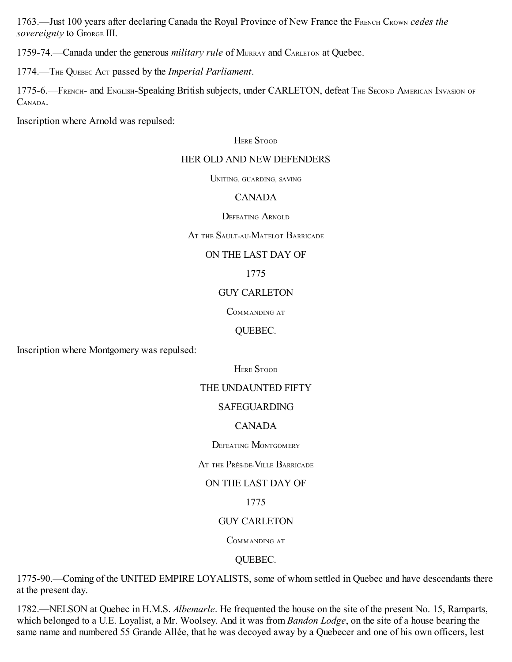1763.—Just 100 years after declaring Canada the Royal Province of New France the FRENCH CROWN *cedes the sovereignty* to GEORGE III.

1759-74.—Canada under the generous *military rule* of MURRAY and CARLETON at Quebec.

1774.—THE QUEBEC ACT passed by the *Imperial Parliament*.

1775-6.—FRENCH- and ENGLISH-Speaking British subjects, under CARLETON, defeat THE SECOND AMERICAN INVASION OF CANADA.

Inscription where Arnold was repulsed:

### **HERE STOOD**

### HER OLD AND NEW DEFENDERS

UNITING, GUARDING, SAVING

# CANADA

DEFEATING ARNOLD

### AT THE SAULT-AU-MATELOT BARRICADE

# ON THE LAST DAY OF

1775

# GUY CARLETON

COMMANDING AT

# QUEBEC.

Inscription where Montgomery was repulsed:

HERE STOOD

# THE UNDAUNTED FIFTY

# SAFEGUARDING

# CANADA

DEFEATING MONTGOMERY

AT THE PRÈS-DE-VILLE BARRICADE

# ON THE LAST DAY OF

1775

# GUY CARLETON

COMMANDING AT

# QUEBEC.

1775-90.—Coming of the UNITED EMPIRE LOYALISTS, some of whom settled in Quebec and have descendants there at the present day.

1782.—NELSON at Quebec in H.M.S. *Albemarle*. He frequented the house on the site of the present No. 15, Ramparts, which belonged to a U.E. Loyalist, a Mr. Woolsey. And it was from *Bandon Lodge*, on the site of a house bearing the same name and numbered 55 Grande Allée, that he was decoyed away by a Quebecer and one of his own officers, lest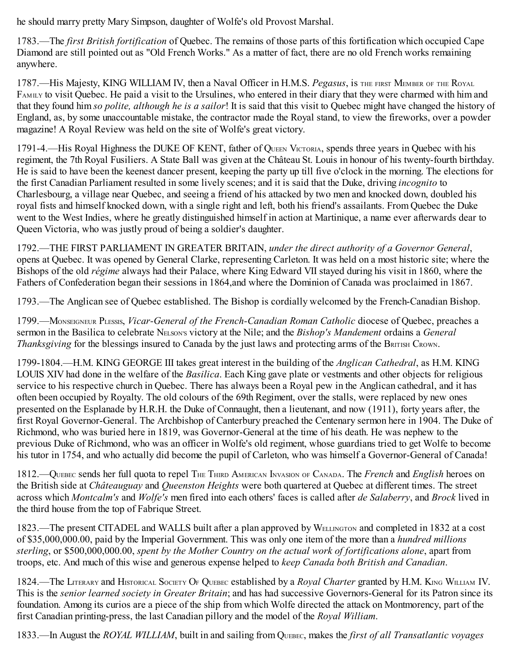he should marry pretty Mary Simpson, daughter of Wolfe's old Provost Marshal.

1783.—The *first British fortification* of Quebec. The remains of those parts of this fortification which occupied Cape Diamond are still pointed out as "Old French Works." As a matter of fact, there are no old French works remaining anywhere.

1787.—His Majesty, KING WILLIAM IV, then a Naval Officer in H.M.S. *Pegasus*, is THE FIRST MEMBER OF THE ROYAL FAMILY to visit Quebec. He paid a visit to the Ursulines, who entered in their diary that they were charmed with him and that they found him *so polite, although he is a sailor*! It is said that this visit to Quebec might have changed the history of England, as, by some unaccountable mistake, the contractor made the Royal stand, to view the fireworks, over a powder magazine! A Royal Review was held on the site of Wolfe's great victory.

1791-4.—His Royal Highness the DUKE OF KENT, father of QUEEN VICTORIA, spends three years in Quebec with his regiment, the 7th Royal Fusiliers. A State Ball was given at the Château St. Louis in honour of his twenty-fourth birthday. He is said to have been the keenest dancer present, keeping the party up till five o'clock in the morning. The elections for the first Canadian Parliament resulted in some lively scenes; and it is said that the Duke, driving *incognito* to Charlesbourg, a village near Quebec, and seeing a friend of his attacked by two men and knocked down, doubled his royal fists and himself knocked down, with a single right and left, both his friend's assailants. From Quebec the Duke went to the West Indies, where he greatly distinguished himself in action at Martinique, a name ever afterwards dear to Queen Victoria, who was justly proud of being a soldier's daughter.

1792.—THE FIRST PARLIAMENT IN GREATER BRITAIN, *under the direct authority of a Governor General*, opens at Quebec. It was opened by General Clarke, representing Carleton. It was held on a most historic site; where the Bishops of the old *régime* always had their Palace, where King Edward VII stayed during his visit in 1860, where the Fathers of Confederation began their sessions in 1864,and where the Dominion of Canada was proclaimed in 1867.

1793.—The Anglican see of Quebec established. The Bishop is cordially welcomed by the French-Canadian Bishop.

1799.—MONSEIGNEUR PLESSIS, *Vicar-General of the French-Canadian Roman Catholic* diocese of Quebec, preaches a sermon in the Basilica to celebrate NELSON'S victory at the Nile; and the *Bishop's Mandement* ordains a *General Thanksgiving* for the blessings insured to Canada by the just laws and protecting arms of the BRITISH CROWN.

1799-1804.—H.M. KING GEORGE III takes great interest in the building of the *Anglican Cathedral*, as H.M. KING LOUIS XIV had done in the welfare of the *Basilica*. Each King gave plate or vestments and other objects for religious service to his respective church in Quebec. There has always been a Royal pew in the Anglican cathedral, and it has often been occupied by Royalty. The old colours of the 69th Regiment, over the stalls, were replaced by new ones presented on the Esplanade by H.R.H. the Duke of Connaught, then a lieutenant, and now (1911), forty years after, the first Royal Governor-General. The Archbishop of Canterbury preached the Centenary sermon here in 1904. The Duke of Richmond, who was buried here in 1819, was Governor-General at the time of his death. He was nephew to the previous Duke of Richmond, who was an officer in Wolfe's old regiment, whose guardians tried to get Wolfe to become his tutor in 1754, and who actually did become the pupil of Carleton, who was himself a Governor-General of Canada!

1812.—QUEBEC sends her full quota to repel THE THIRD AMERICAN INVASION OF CANADA. The *French* and *English* heroes on the British side at *Châteauguay* and *Queenston Heights* were both quartered at Quebec at different times. The street across which *Montcalm's* and *Wolfe's* men fired into each others' faces is called after *de Salaberry*, and *Brock* lived in the third house from the top of Fabrique Street.

1823.—The present CITADEL and WALLS built after a plan approved by WELLINGTON and completed in 1832 at a cost of \$35,000,000.00, paid by the Imperial Government. This was only one item of the more than a *hundred millions sterling*, or \$500,000,000.00, *spent by the Mother Country on the actual work of fortifications alone*, apart from troops, etc. And much of this wise and generous expense helped to *keep Canada both British and Canadian*.

1824.—The LITERARY and HISTORICAL SOCIETY O<sup>F</sup> QUEBEC established by a *Royal Charter* granted by H.M. KING WILLIAM IV. This is the *senior learned society in Greater Britain*; and has had successive Governors-General for its Patron since its foundation. Among its curios are a piece of the ship from which Wolfe directed the attack on Montmorency, part of the first Canadian printing-press, the last Canadian pillory and the model of the *Royal William*.

1833.—In August the *ROYAL WILLIAM*, built in and sailing from QUEBEC, makes the *first of all Transatlantic voyages*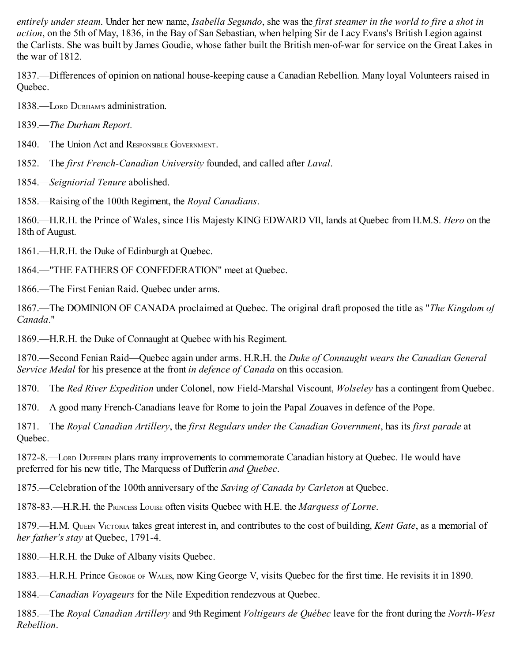*entirely under steam*. Under her new name, *Isabella Segundo*, she was the *first steamer in the world to fire a shot in action*, on the 5th of May, 1836, in the Bay of San Sebastian, when helping Sir de Lacy Evans's British Legion against the Carlists. She was built by James Goudie, whose father built the British men-of-war for service on the Great Lakes in the war of 1812.

1837.—Differences of opinion on national house-keeping cause a Canadian Rebellion. Many loyal Volunteers raised in Quebec.

1838.—LORD DURHAM'S administration.

1839.—*The Durham Report.*

1840 —The Union Act and RESPONSIBLE GOVERNMENT

1852.—The *first French-Canadian University* founded, and called after *Laval*.

1854.—*Seigniorial Tenure* abolished.

1858.—Raising of the 100th Regiment, the *Royal Canadians*.

1860.—H.R.H. the Prince of Wales, since His Majesty KING EDWARD VII, lands at Quebec from H.M.S. *Hero* on the 18th of August.

1861.—H.R.H. the Duke of Edinburgh at Quebec.

1864.—"THE FATHERS OF CONFEDERATION" meet at Quebec.

1866.—The First Fenian Raid. Quebec under arms.

1867.—The DOMINION OF CANADA proclaimed at Quebec. The original draft proposed the title as "*The Kingdom of Canada*."

1869.—H.R.H. the Duke of Connaught at Quebec with his Regiment.

1870.—Second Fenian Raid—Quebec again under arms. H.R.H. the *Duke of Connaught wears the Canadian General Service Medal* for his presence at the front *in defence of Canada* on this occasion.

1870.—The *Red River Expedition* under Colonel, now Field-Marshal Viscount, *Wolseley* has a contingent from Quebec.

1870.—A good many French-Canadians leave for Rome to join the Papal Zouaves in defence of the Pope.

1871.—The *Royal Canadian Artillery*, the *first Regulars under the Canadian Government*, has its *first parade* at Quebec.

1872-8.—LORD DUFFERIN plans many improvements to commemorate Canadian history at Quebec. He would have preferred for his new title, The Marquess of Dufferin *and Quebec*.

1875.—Celebration of the 100th anniversary of the *Saving of Canada by Carleton* at Quebec.

1878-83.—H.R.H. the PRINCESS LOUISE often visits Quebec with H.E. the *Marquess of Lorne*.

1879.—H.M. QUEEN VICTORIA takes great interest in, and contributes to the cost of building, *Kent Gate*, as a memorial of *her father's stay* at Quebec, 1791-4.

1880.—H.R.H. the Duke of Albany visits Quebec.

1883.—H.R.H. Prince GEORGE OF WALES, now King George V, visits Quebec for the first time. He revisits it in 1890.

1884.—*Canadian Voyageurs* for the Nile Expedition rendezvous at Quebec.

1885.—The *Royal Canadian Artillery* and 9th Regiment *Voltigeurs de Québec* leave for the front during the *North-West Rebellion*.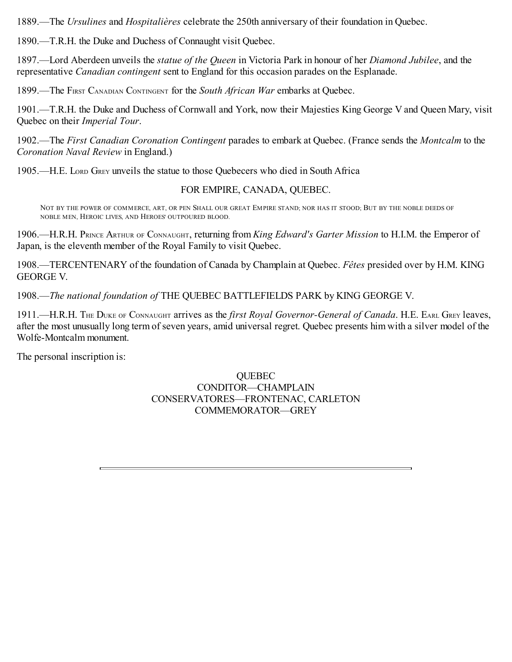1889.—The *Ursulines* and *Hospitalières* celebrate the 250th anniversary of their foundation in Quebec.

1890.—T.R.H. the Duke and Duchess of Connaught visit Quebec.

1897.—Lord Aberdeen unveils the *statue of the Queen* in Victoria Park in honour of her *Diamond Jubilee*, and the representative *Canadian contingent* sent to England for this occasion parades on the Esplanade.

1899.—The FIRST CANADIAN CONTINGENT for the *South African War* embarks at Quebec.

1901.—T.R.H. the Duke and Duchess of Cornwall and York, now their Majesties King George V and Queen Mary, visit Quebec on their *Imperial Tour*.

1902.—The *First Canadian Coronation Contingent* parades to embark at Quebec. (France sends the *Montcalm* to the *Coronation Naval Review* in England.)

1905.—H.E. LORD GREY unveils the statue to those Quebecers who died in South Africa

# FOR EMPIRE, CANADA, QUEBEC.

NOT BY THE POWER OF COMMERCE, ART, OR PEN SHALL OUR GREAT EMPIRE STAND; NOR HAS IT STOOD; BUT BY THE NOBLE DEEDS OF NOBLE MEN, HEROIC LIVES, AND HEROES' OUTPOURED BLOOD.

1906.—H.R.H. PRINCE ARTHUR OF CONNAUGHT, returning from *King Edward's Garter Mission* to H.I.M. the Emperor of Japan, is the eleventh member of the Royal Family to visit Quebec.

1908.—TERCENTENARY of the foundation of Canada by Champlain at Quebec. *Fêtes* presided over by H.M. KING GEORGE V.

1908.—*The national foundation of* THE QUEBEC BATTLEFIELDS PARK by KING GEORGE V.

1911.—H.R.H. THE DUKE OF CONNAUGHT arrives as the *first Royal Governor-General of Canada*. H.E. EARL GREY leaves, after the most unusually long term of seven years, amid universal regret. Quebec presents him with a silver model of the Wolfe-Montcalm monument.

The personal inscription is:

### QUEBEC CONDITOR—CHAMPLAIN CONSERVATORES—FRONTENAC, CARLETON COMMEMORATOR—GREY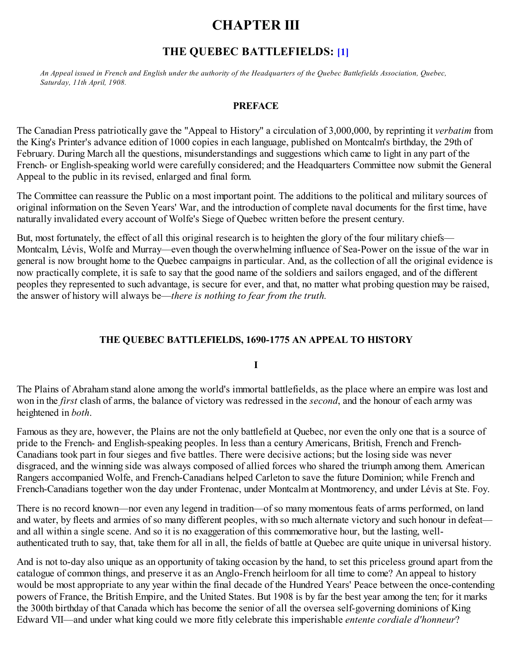# **CHAPTER III**

# **THE QUEBEC BATTLEFIELDS: [\[1\]](#page-120-1)**

<span id="page-15-0"></span>An Appeal issued in French and English under the authority of the Headquarters of the Quebec Battlefields Association, Quebec, *Saturday, 11th April, 1908.*

### **PREFACE**

The Canadian Press patriotically gave the "Appeal to History" a circulation of 3,000,000, by reprinting it *verbatim* from the King's Printer's advance edition of 1000 copies in each language, published on Montcalm's birthday, the 29th of February. During March all the questions, misunderstandings and suggestions which came to light in any part of the French- or English-speaking world were carefully considered; and the Headquarters Committee now submit the General Appeal to the public in its revised, enlarged and final form.

The Committee can reassure the Public on a most important point. The additions to the political and military sources of original information on the Seven Years' War, and the introduction of complete naval documents for the first time, have naturally invalidated every account of Wolfe's Siege of Quebec written before the present century.

But, most fortunately, the effect of all this original research is to heighten the glory of the four military chiefs— Montcalm, Lévis, Wolfe and Murray—even though the overwhelming influence of Sea-Power on the issue of the war in general is now brought home to the Quebec campaigns in particular. And, as the collection of all the original evidence is now practically complete, it is safe to say that the good name of the soldiers and sailors engaged, and of the different peoples they represented to such advantage, is secure for ever, and that, no matter what probing question may be raised, the answer of history will always be—*there is nothing to fear from the truth.*

# **THE QUEBEC BATTLEFIELDS, 1690-1775 AN APPEAL TO HISTORY**

**I**

The Plains of Abraham stand alone among the world's immortal battlefields, as the place where an empire was lost and won in the *first* clash of arms, the balance of victory was redressed in the *second*, and the honour of each army was heightened in *both*.

Famous as they are, however, the Plains are not the only battlefield at Quebec, nor even the only one that is a source of pride to the French- and English-speaking peoples. In less than a century Americans, British, French and French-Canadians took part in four sieges and five battles. There were decisive actions; but the losing side was never disgraced, and the winning side was always composed of allied forces who shared the triumph among them. American Rangers accompanied Wolfe, and French-Canadians helped Carleton to save the future Dominion; while French and French-Canadians together won the day under Frontenac, under Montcalm at Montmorency, and under Lévis at Ste. Foy.

There is no record known—nor even any legend in tradition—of so many momentous feats of arms performed, on land and water, by fleets and armies of so many different peoples, with so much alternate victory and such honour in defeat and all within a single scene. And so it is no exaggeration of this commemorative hour, but the lasting, wellauthenticated truth to say, that, take them for all in all, the fields of battle at Quebec are quite unique in universal history.

And is not to-day also unique as an opportunity of taking occasion by the hand, to set this priceless ground apart from the catalogue of common things, and preserve it as an Anglo-French heirloom for all time to come? An appeal to history would be most appropriate to any year within the final decade of the Hundred Years' Peace between the once-contending powers of France, the British Empire, and the United States. But 1908 is by far the best year among the ten; for it marks the 300th birthday of that Canada which has become the senior of all the oversea self-governing dominions of King Edward VII—and under what king could we more fitly celebrate this imperishable *entente cordiale d'honneur*?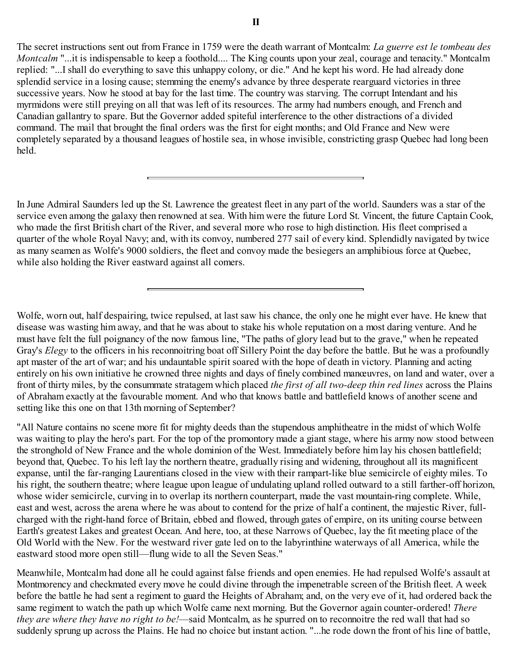The secret instructions sent out from France in 1759 were the death warrant of Montcalm: *La guerre est le tombeau des Montcalm* "...it is indispensable to keep a foothold.... The King counts upon your zeal, courage and tenacity." Montcalm replied: "...I shall do everything to save this unhappy colony, or die." And he kept his word. He had already done splendid service in a losing cause; stemming the enemy's advance by three desperate rearguard victories in three successive years. Now he stood at bay for the last time. The country was starving. The corrupt Intendant and his myrmidons were still preying on all that was left of its resources. The army had numbers enough, and French and Canadian gallantry to spare. But the Governor added spiteful interference to the other distractions of a divided command. The mail that brought the final orders was the first for eight months; and Old France and New were completely separated by a thousand leagues of hostile sea, in whose invisible, constricting grasp Quebec had long been held.

In June Admiral Saunders led up the St. Lawrence the greatest fleet in any part of the world. Saunders was a star of the service even among the galaxy then renowned at sea. With him were the future Lord St. Vincent, the future Captain Cook, who made the first British chart of the River, and several more who rose to high distinction. His fleet comprised a quarter of the whole Royal Navy; and, with its convoy, numbered 277 sail of every kind. Splendidly navigated by twice as many seamen as Wolfe's 9000 soldiers, the fleet and convoy made the besiegers an amphibious force at Quebec, while also holding the River eastward against all comers.

Wolfe, worn out, half despairing, twice repulsed, at last saw his chance, the only one he might ever have. He knew that disease was wasting him away, and that he was about to stake his whole reputation on a most daring venture. And he must have felt the full poignancy of the now famous line, "The paths of glory lead but to the grave," when he repeated Gray's *Elegy* to the officers in his reconnoitring boat off Sillery Point the day before the battle. But he was a profoundly apt master of the art of war; and his undauntable spirit soared with the hope of death in victory. Planning and acting entirely on his own initiative he crowned three nights and days of finely combined manœuvres, on land and water, over a front of thirty miles, by the consummate stratagem which placed *the first of all two-deep thin red lines* across the Plains of Abraham exactly at the favourable moment. And who that knows battle and battlefield knows of another scene and setting like this one on that 13th morning of September?

"All Nature contains no scene more fit for mighty deeds than the stupendous amphitheatre in the midst of which Wolfe was waiting to play the hero's part. For the top of the promontory made a giant stage, where his army now stood between the stronghold of New France and the whole dominion of the West. Immediately before him lay his chosen battlefield; beyond that, Quebec. To his left lay the northern theatre, gradually rising and widening, throughout all its magnificent expanse, until the far-ranging Laurentians closed in the view with their rampart-like blue semicircle of eighty miles. To his right, the southern theatre; where league upon league of undulating upland rolled outward to a still farther-off horizon, whose wider semicircle, curving in to overlap its northern counterpart, made the vast mountain-ring complete. While, east and west, across the arena where he was about to contend for the prize of half a continent, the majestic River, fullcharged with the right-hand force of Britain, ebbed and flowed, through gates of empire, on its uniting course between Earth's greatest Lakes and greatest Ocean. And here, too, at these Narrows of Quebec, lay the fit meeting place of the Old World with the New. For the westward river gate led on to the labyrinthine waterways of all America, while the eastward stood more open still—flung wide to all the Seven Seas."

Meanwhile, Montcalm had done all he could against false friends and open enemies. He had repulsed Wolfe's assault at Montmorency and checkmated every move he could divine through the impenetrable screen of the British fleet. A week before the battle he had sent a regiment to guard the Heights of Abraham; and, on the very eve of it, had ordered back the same regiment to watch the path up which Wolfe came next morning. But the Governor again counter-ordered! *There they are where they have no right to be!*—said Montcalm, as he spurred on to reconnoitre the red wall that had so suddenly sprung up across the Plains. He had no choice but instant action. "...he rode down the front of his line of battle,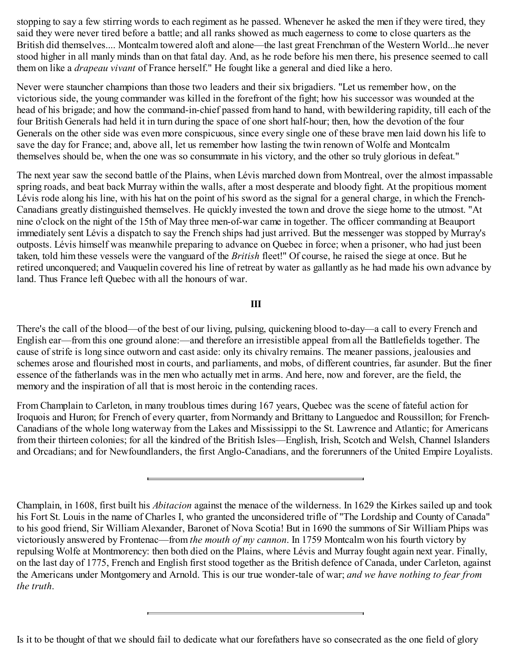stopping to say a few stirring words to each regiment as he passed. Whenever he asked the men if they were tired, they said they were never tired before a battle; and all ranks showed as much eagerness to come to close quarters as the British did themselves.... Montcalm towered aloft and alone—the last great Frenchman of the Western World...he never stood higher in all manly minds than on that fatal day. And, as he rode before his men there, his presence seemed to call them on like a *drapeau vivant* of France herself." He fought like a general and died like a hero.

Never were stauncher champions than those two leaders and their six brigadiers. "Let us remember how, on the victorious side, the young commander was killed in the forefront of the fight; how his successor was wounded at the head of his brigade; and how the command-in-chief passed from hand to hand, with bewildering rapidity, till each of the four British Generals had held it in turn during the space of one short half-hour; then, how the devotion of the four Generals on the other side was even more conspicuous, since every single one of these brave men laid down his life to save the day for France; and, above all, let us remember how lasting the twin renown of Wolfe and Montcalm themselves should be, when the one was so consummate in his victory, and the other so truly glorious in defeat."

The next year saw the second battle of the Plains, when Lévis marched down from Montreal, over the almost impassable spring roads, and beat back Murray within the walls, after a most desperate and bloody fight. At the propitious moment Lévis rode along his line, with his hat on the point of his sword as the signal for a general charge, in which the French-Canadians greatly distinguished themselves. He quickly invested the town and drove the siege home to the utmost. "At nine o'clock on the night of the 15th of May three men-of-war came in together. The officer commanding at Beauport immediately sent Lévis a dispatch to say the French ships had just arrived. But the messenger was stopped by Murray's outposts. Lévis himself was meanwhile preparing to advance on Quebec in force; when a prisoner, who had just been taken, told him these vessels were the vanguard of the *British* fleet!" Of course, he raised the siege at once. But he retired unconquered; and Vauquelin covered his line of retreat by water as gallantly as he had made his own advance by land. Thus France left Quebec with all the honours of war.

### **III**

There's the call of the blood—of the best of our living, pulsing, quickening blood to-day—a call to every French and English ear—from this one ground alone:—and therefore an irresistible appeal from all the Battlefields together. The cause of strife is long since outworn and cast aside: only its chivalry remains. The meaner passions, jealousies and schemes arose and flourished most in courts, and parliaments, and mobs, of different countries, far asunder. But the finer essence of the fatherlands was in the men who actually met in arms. And here, now and forever, are the field, the memory and the inspiration of all that is most heroic in the contending races.

From Champlain to Carleton, in many troublous times during 167 years, Quebec was the scene of fateful action for Iroquois and Huron; for French of every quarter, from Normandy and Brittany to Languedoc and Roussillon; for French-Canadians of the whole long waterway from the Lakes and Mississippi to the St. Lawrence and Atlantic; for Americans from their thirteen colonies; for all the kindred of the British Isles—English, Irish, Scotch and Welsh, Channel Islanders and Orcadians; and for Newfoundlanders, the first Anglo-Canadians, and the forerunners of the United Empire Loyalists.

Is it to be thought of that we should fail to dedicate what our forefathers have so consecrated as the one field of glory

Champlain, in 1608, first built his *Abitacion* against the menace of the wilderness. In 1629 the Kirkes sailed up and took his Fort St. Louis in the name of Charles I, who granted the unconsidered trifle of "The Lordship and County of Canada" to his good friend, Sir William Alexander, Baronet of Nova Scotia! But in 1690 the summons of Sir William Phips was victoriously answered by Frontenac—from *the mouth of my cannon*. In 1759 Montcalm won his fourth victory by repulsing Wolfe at Montmorency: then both died on the Plains, where Lévis and Murray fought again next year. Finally, on the last day of 1775, French and English first stood together as the British defence of Canada, under Carleton, against the Americans under Montgomery and Arnold. This is our true wonder-tale of war; *and we have nothing to fear from the truth*.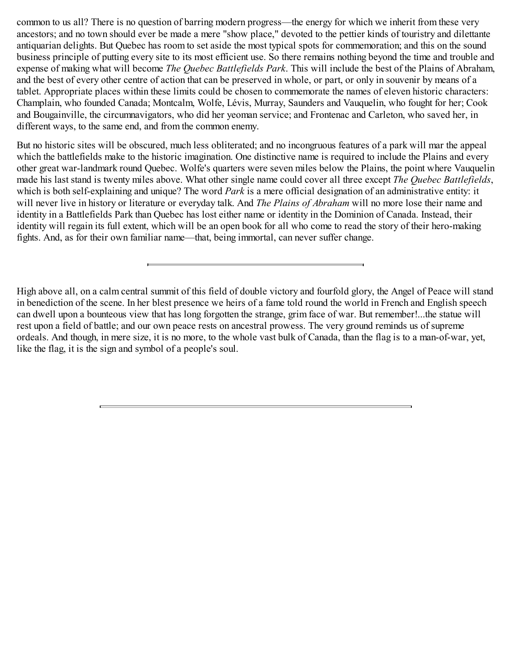common to us all? There is no question of barring modern progress—the energy for which we inherit from these very ancestors; and no town should ever be made a mere "show place," devoted to the pettier kinds of touristry and dilettante antiquarian delights. But Quebec has room to set aside the most typical spots for commemoration; and this on the sound business principle of putting every site to its most efficient use. So there remains nothing beyond the time and trouble and expense of making what will become *The Quebec Battlefields Park*. This will include the best of the Plains of Abraham, and the best of every other centre of action that can be preserved in whole, or part, or only in souvenir by means of a tablet. Appropriate places within these limits could be chosen to commemorate the names of eleven historic characters: Champlain, who founded Canada; Montcalm, Wolfe, Lévis, Murray, Saunders and Vauquelin, who fought for her; Cook and Bougainville, the circumnavigators, who did her yeoman service; and Frontenac and Carleton, who saved her, in different ways, to the same end, and from the common enemy.

But no historic sites will be obscured, much less obliterated; and no incongruous features of a park will mar the appeal which the battlefields make to the historic imagination. One distinctive name is required to include the Plains and every other great war-landmark round Quebec. Wolfe's quarters were seven miles below the Plains, the point where Vauquelin made his last stand is twenty miles above. What other single name could cover all three except *The Quebec Battlefields*, which is both self-explaining and unique? The word *Park* is a mere official designation of an administrative entity: it will never live in history or literature or everyday talk. And *The Plains of Abraham* will no more lose their name and identity in a Battlefields Park than Quebec has lost either name or identity in the Dominion of Canada. Instead, their identity will regain its full extent, which will be an open book for all who come to read the story of their hero-making fights. And, as for their own familiar name—that, being immortal, can never suffer change.

High above all, on a calm central summit of this field of double victory and fourfold glory, the Angel of Peace will stand in benediction of the scene. In her blest presence we heirs of a fame told round the world in French and English speech can dwell upon a bounteous view that has long forgotten the strange, grim face of war. But remember!...the statue will rest upon a field of battle; and our own peace rests on ancestral prowess. The very ground reminds us of supreme ordeals. And though, in mere size, it is no more, to the whole vast bulk of Canada, than the flag is to a man-of-war, yet, like the flag, it is the sign and symbol of a people's soul.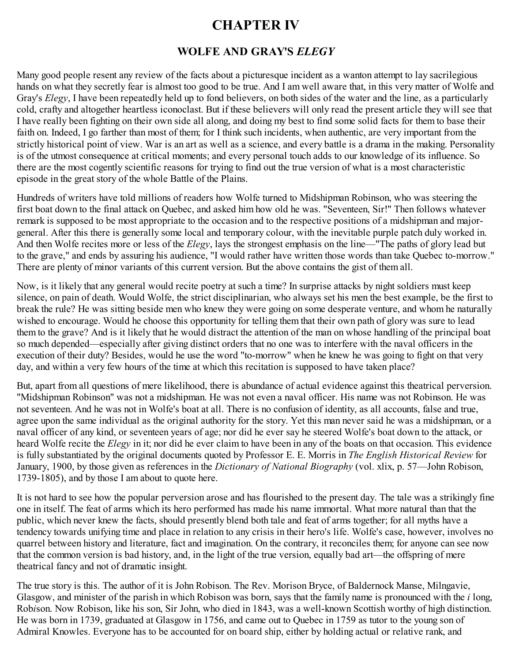# **CHAPTER IV**

# **WOLFE AND GRAY'S** *ELEGY*

<span id="page-19-0"></span>Many good people resent any review of the facts about a picturesque incident as a wanton attempt to lay sacrilegious hands on what they secretly fear is almost too good to be true. And I am well aware that, in this very matter of Wolfe and Gray's *Elegy*, I have been repeatedly held up to fond believers, on both sides of the water and the line, as a particularly cold, crafty and altogether heartless iconoclast. But if these believers will only read the present article they will see that I have really been fighting on their own side all along, and doing my best to find some solid facts for them to base their faith on. Indeed, I go farther than most of them; for I think such incidents, when authentic, are very important from the strictly historical point of view. War is an art as well as a science, and every battle is a drama in the making. Personality is of the utmost consequence at critical moments; and every personal touch adds to our knowledge of its influence. So there are the most cogently scientific reasons for trying to find out the true version of what is a most characteristic episode in the great story of the whole Battle of the Plains.

Hundreds of writers have told millions of readers how Wolfe turned to Midshipman Robinson, who was steering the first boat down to the final attack on Quebec, and asked him how old he was. "Seventeen, Sir!" Then follows whatever remark is supposed to be most appropriate to the occasion and to the respective positions of a midshipman and majorgeneral. After this there is generally some local and temporary colour, with the inevitable purple patch duly worked in. And then Wolfe recites more or less of the *Elegy*, lays the strongest emphasis on the line—"The paths of glory lead but to the grave," and ends by assuring his audience, "I would rather have written those words than take Quebec to-morrow." There are plenty of minor variants of this current version. But the above contains the gist of them all.

Now, is it likely that any general would recite poetry at such a time? In surprise attacks by night soldiers must keep silence, on pain of death. Would Wolfe, the strict disciplinarian, who always set his men the best example, be the first to break the rule? He was sitting beside men who knew they were going on some desperate venture, and whom he naturally wished to encourage. Would he choose this opportunity for telling them that their own path of glory was sure to lead them to the grave? And is it likely that he would distract the attention of the man on whose handling of the principal boat so much depended—especially after giving distinct orders that no one was to interfere with the naval officers in the execution of their duty? Besides, would he use the word "to-morrow" when he knew he was going to fight on that very day, and within a very few hours of the time at which this recitation is supposed to have taken place?

But, apart from all questions of mere likelihood, there is abundance of actual evidence against this theatrical perversion. "Midshipman Robinson" was not a midshipman. He was not even a naval officer. His name was not Robinson. He was not seventeen. And he was not in Wolfe's boat at all. There is no confusion of identity, as all accounts, false and true, agree upon the same individual as the original authority for the story. Yet this man never said he was a midshipman, or a naval officer of any kind, or seventeen years of age; nor did he ever say he steered Wolfe's boat down to the attack, or heard Wolfe recite the *Elegy* in it; nor did he ever claim to have been in any of the boats on that occasion. This evidence is fully substantiated by the original documents quoted by Professor E. E. Morris in *The English Historical Review* for January, 1900, by those given as references in the *Dictionary of National Biography* (vol. xlix, p. 57—John Robison, 1739-1805), and by those I am about to quote here.

It is not hard to see how the popular perversion arose and has flourished to the present day. The tale was a strikingly fine one in itself. The feat of arms which its hero performed has made his name immortal. What more natural than that the public, which never knew the facts, should presently blend both tale and feat of arms together; for all myths have a tendency towards unifying time and place in relation to any crisis in their hero's life. Wolfe's case, however, involves no quarrel between history and literature, fact and imagination. On the contrary, it reconciles them; for anyone can see now that the common version is bad history, and, in the light of the true version, equally bad art—the offspring of mere theatrical fancy and not of dramatic insight.

The true story is this. The author of it is John Robison. The Rev. Morison Bryce, of Baldernock Manse, Milngavie, Glasgow, and minister of the parish in which Robison was born, says that the family name is pronounced with the *i* long, Rob*i*son. Now Robison, like his son, Sir John, who died in 1843, was a well-known Scottish worthy of high distinction. He was born in 1739, graduated at Glasgow in 1756, and came out to Quebec in 1759 as tutor to the young son of Admiral Knowles. Everyone has to be accounted for on board ship, either by holding actual or relative rank, and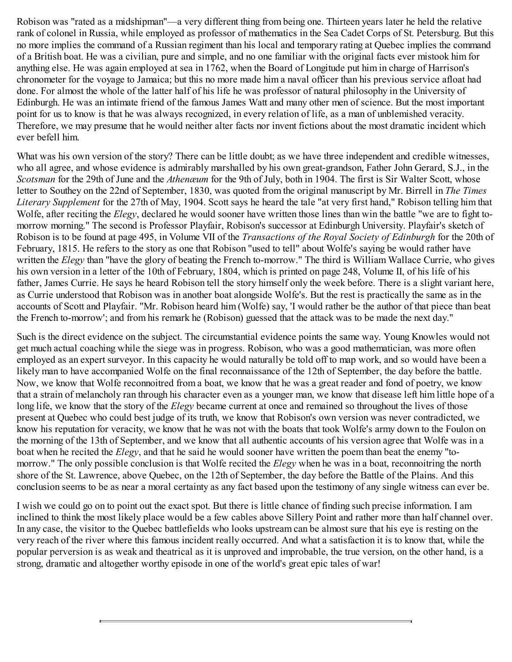Robison was "rated as a midshipman"—a very different thing from being one. Thirteen years later he held the relative rank of colonel in Russia, while employed as professor of mathematics in the Sea Cadet Corps of St. Petersburg. But this no more implies the command of a Russian regiment than his local and temporary rating at Quebec implies the command of a British boat. He was a civilian, pure and simple, and no one familiar with the original facts ever mistook him for anything else. He was again employed at sea in 1762, when the Board of Longitude put him in charge of Harrison's chronometer for the voyage to Jamaica; but this no more made him a naval officer than his previous service afloat had done. For almost the whole of the latter half of his life he was professor of natural philosophy in the University of Edinburgh. He was an intimate friend of the famous James Watt and many other men of science. But the most important point for us to know is that he was always recognized, in every relation of life, as a man of unblemished veracity. Therefore, we may presume that he would neither alter facts nor invent fictions about the most dramatic incident which ever befell him.

What was his own version of the story? There can be little doubt; as we have three independent and credible witnesses, who all agree, and whose evidence is admirably marshalled by his own great-grandson, Father John Gerard, S.J., in the *Scotsman* for the 29th of June and the *Athenæum* for the 9th of July, both in 1904. The first is Sir Walter Scott, whose letter to Southey on the 22nd of September, 1830, was quoted from the original manuscript by Mr. Birrell in *The Times Literary Supplement* for the 27th of May, 1904. Scott says he heard the tale "at very first hand," Robison telling him that Wolfe, after reciting the *Elegy*, declared he would sooner have written those lines than win the battle "we are to fight tomorrow morning." The second is Professor Playfair, Robison's successor at Edinburgh University. Playfair's sketch of Robison is to be found at page 495, in Volume VII of the *Transactions of the Royal Society of Edinburgh* for the 20th of February, 1815. He refers to the story as one that Robison "used to tell" about Wolfe's saying be would rather have written the *Elegy* than "have the glory of beating the French to-morrow." The third is William Wallace Currie, who gives his own version in a letter of the 10th of February, 1804, which is printed on page 248, Volume II, of his life of his father, James Currie. He says he heard Robison tell the story himself only the week before. There is a slight variant here, as Currie understood that Robison was in another boat alongside Wolfe's. But the rest is practically the same as in the accounts of Scott and Playfair. "Mr. Robison heard him (Wolfe) say, 'I would rather be the author of that piece than beat the French to-morrow'; and from his remark he (Robison) guessed that the attack was to be made the next day."

Such is the direct evidence on the subject. The circumstantial evidence points the same way. Young Knowles would not get much actual coaching while the siege was in progress. Robison, who was a good mathematician, was more often employed as an expert surveyor. In this capacity he would naturally be told off to map work, and so would have been a likely man to have accompanied Wolfe on the final reconnaissance of the 12th of September, the day before the battle. Now, we know that Wolfe reconnoitred from a boat, we know that he was a great reader and fond of poetry, we know that a strain of melancholy ran through his character even as a younger man, we know that disease left him little hope of a long life, we know that the story of the *Elegy* became current at once and remained so throughout the lives of those present at Quebec who could best judge of its truth, we know that Robison's own version was never contradicted, we know his reputation for veracity, we know that he was not with the boats that took Wolfe's army down to the Foulon on the morning of the 13th of September, and we know that all authentic accounts of his version agree that Wolfe was in a boat when he recited the *Elegy*, and that he said he would sooner have written the poem than beat the enemy "tomorrow." The only possible conclusion is that Wolfe recited the *Elegy* when he was in a boat, reconnoitring the north shore of the St. Lawrence, above Quebec, on the 12th of September, the day before the Battle of the Plains. And this conclusion seems to be as near a moral certainty as any fact based upon the testimony of any single witness can ever be.

I wish we could go on to point out the exact spot. But there is little chance of finding such precise information. I am inclined to think the most likely place would be a few cables above Sillery Point and rather more than half channel over. In any case, the visitor to the Quebec battlefields who looks upstream can be almost sure that his eye is resting on the very reach of the river where this famous incident really occurred. And what a satisfaction it is to know that, while the popular perversion is as weak and theatrical as it is unproved and improbable, the true version, on the other hand, is a strong, dramatic and altogether worthy episode in one of the world's great epic tales of war!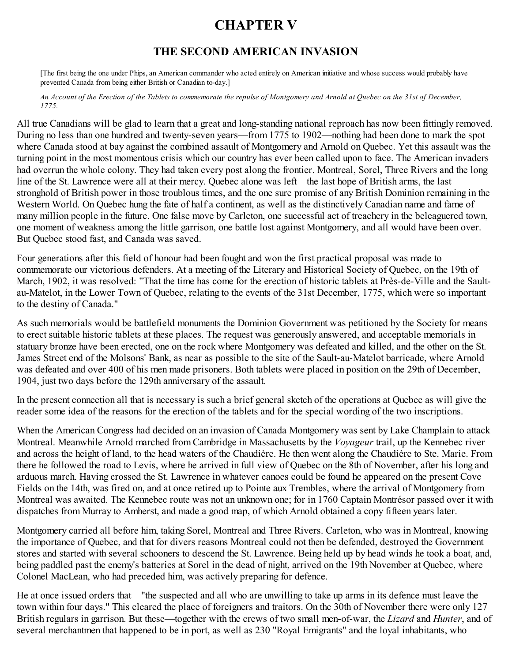# **CHAPTER V**

# **THE SECOND AMERICAN INVASION**

<span id="page-21-0"></span>[The first being the one under Phips, an American commander who acted entirely on American initiative and whose success would probably have prevented Canada from being either British or Canadian to-day.]

An Account of the Erection of the Tablets to commemorate the repulse of Montgomery and Arnold at Quebec on the 31st of December, *1775.*

All true Canadians will be glad to learn that a great and long-standing national reproach has now been fittingly removed. During no less than one hundred and twenty-seven years—from 1775 to 1902—nothing had been done to mark the spot where Canada stood at bay against the combined assault of Montgomery and Arnold on Quebec. Yet this assault was the turning point in the most momentous crisis which our country has ever been called upon to face. The American invaders had overrun the whole colony. They had taken every post along the frontier. Montreal, Sorel, Three Rivers and the long line of the St. Lawrence were all at their mercy. Quebec alone was left—the last hope of British arms, the last stronghold of British power in those troublous times, and the one sure promise of any British Dominion remaining in the Western World. On Quebec hung the fate of half a continent, as well as the distinctively Canadian name and fame of many million people in the future. One false move by Carleton, one successful act of treachery in the beleaguered town, one moment of weakness among the little garrison, one battle lost against Montgomery, and all would have been over. But Quebec stood fast, and Canada was saved.

Four generations after this field of honour had been fought and won the first practical proposal was made to commemorate our victorious defenders. At a meeting of the Literary and Historical Society of Quebec, on the 19th of March, 1902, it was resolved: "That the time has come for the erection of historic tablets at Près-de-Ville and the Saultau-Matelot, in the Lower Town of Quebec, relating to the events of the 31st December, 1775, which were so important to the destiny of Canada."

As such memorials would be battlefield monuments the Dominion Government was petitioned by the Society for means to erect suitable historic tablets at these places. The request was generously answered, and acceptable memorials in statuary bronze have been erected, one on the rock where Montgomery was defeated and killed, and the other on the St. James Street end of the Molsons' Bank, as near as possible to the site of the Sault-au-Matelot barricade, where Arnold was defeated and over 400 of his men made prisoners. Both tablets were placed in position on the 29th of December, 1904, just two days before the 129th anniversary of the assault.

In the present connection all that is necessary is such a brief general sketch of the operations at Quebec as will give the reader some idea of the reasons for the erection of the tablets and for the special wording of the two inscriptions.

When the American Congress had decided on an invasion of Canada Montgomery was sent by Lake Champlain to attack Montreal. Meanwhile Arnold marched from Cambridge in Massachusetts by the *Voyageur* trail, up the Kennebec river and across the height of land, to the head waters of the Chaudière. He then went along the Chaudière to Ste. Marie. From there he followed the road to Levis, where he arrived in full view of Quebec on the 8th of November, after his long and arduous march. Having crossed the St. Lawrence in whatever canoes could be found he appeared on the present Cove Fields on the 14th, was fired on, and at once retired up to Pointe aux Trembles, where the arrival of Montgomery from Montreal was awaited. The Kennebec route was not an unknown one; for in 1760 Captain Montrésor passed over it with dispatches from Murray to Amherst, and made a good map, of which Arnold obtained a copy fifteen years later.

Montgomery carried all before him, taking Sorel, Montreal and Three Rivers. Carleton, who was in Montreal, knowing the importance of Quebec, and that for divers reasons Montreal could not then be defended, destroyed the Government stores and started with several schooners to descend the St. Lawrence. Being held up by head winds he took a boat, and, being paddled past the enemy's batteries at Sorel in the dead of night, arrived on the 19th November at Quebec, where Colonel MacLean, who had preceded him, was actively preparing for defence.

He at once issued orders that—"the suspected and all who are unwilling to take up arms in its defence must leave the town within four days." This cleared the place of foreigners and traitors. On the 30th of November there were only 127 British regulars in garrison. But these—together with the crews of two small men-of-war, the *Lizard* and *Hunter*, and of several merchantmen that happened to be in port, as well as 230 "Royal Emigrants" and the loyal inhabitants, who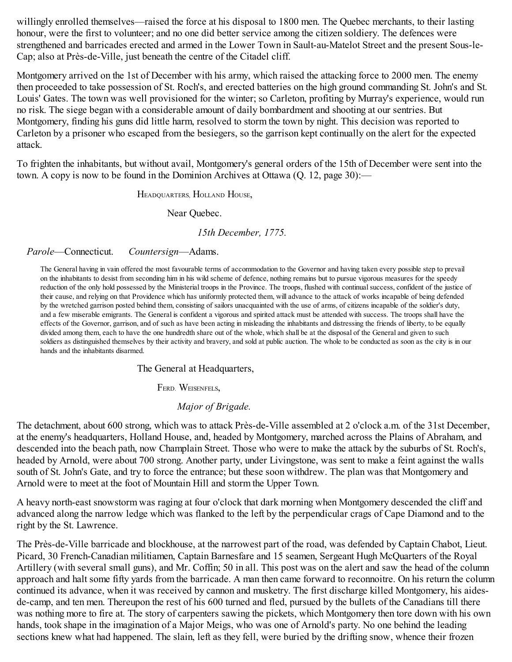willingly enrolled themselves—raised the force at his disposal to 1800 men. The Quebec merchants, to their lasting honour, were the first to volunteer; and no one did better service among the citizen soldiery. The defences were strengthened and barricades erected and armed in the Lower Town in Sault-au-Matelot Street and the present Sous-le-Cap; also at Près-de-Ville, just beneath the centre of the Citadel cliff.

Montgomery arrived on the 1st of December with his army, which raised the attacking force to 2000 men. The enemy then proceeded to take possession of St. Roch's, and erected batteries on the high ground commanding St. John's and St. Louis' Gates. The town was well provisioned for the winter; so Carleton, profiting by Murray's experience, would run no risk. The siege began with a considerable amount of daily bombardment and shooting at our sentries. But Montgomery, finding his guns did little harm, resolved to storm the town by night. This decision was reported to Carleton by a prisoner who escaped from the besiegers, so the garrison kept continually on the alert for the expected attack.

To frighten the inhabitants, but without avail, Montgomery's general orders of the 15th of December were sent into the town. A copy is now to be found in the Dominion Archives at Ottawa  $(Q, 12, page 30)$ :

HEADQUARTERS, HOLLAND HOUSE,

Near Quebec.

*15th December, 1775.*

#### *Parole*—Connecticut. *Countersign*—Adams.

The General having in vain offered the most favourable terms of accommodation to the Governor and having taken every possible step to prevail on the inhabitants to desist from seconding him in his wild scheme of defence, nothing remains but to pursue vigorous measures for the speedy reduction of the only hold possessed by the Ministerial troops in the Province. The troops, flushed with continualsuccess, confident of the justice of their cause, and relying on that Providence which has uniformly protected them, will advance to the attack of works incapable of being defended by the wretched garrison posted behind them, consisting of sailors unacquainted with the use of arms, of citizens incapable of the soldier's duty, and a few miserable emigrants. The General is confident a vigorous and spirited attack must be attended with success. The troops shall have the effects of the Governor, garrison, and of such as have been acting in misleading the inhabitants and distressing the friends of liberty, to be equally divided among them, each to have the one hundredth share out of the whole, which shall be at the disposal of the General and given to such soldiers as distinguished themselves by their activity and bravery, and sold at public auction. The whole to be conducted as soon as the city is in our hands and the inhabitants disarmed.

The General at Headquarters,

FERD. WEISENFELS,

#### *Major of Brigade.*

The detachment, about 600 strong, which was to attack Près-de-Ville assembled at 2 o'clock a.m. of the 31st December, at the enemy's headquarters, Holland House, and, headed by Montgomery, marched across the Plains of Abraham, and descended into the beach path, now Champlain Street. Those who were to make the attack by the suburbs of St. Roch's, headed by Arnold, were about 700 strong. Another party, under Livingstone, was sent to make a feint against the walls south of St. John's Gate, and try to force the entrance; but these soon withdrew. The plan was that Montgomery and Arnold were to meet at the foot of Mountain Hill and storm the Upper Town.

A heavy north-east snowstorm was raging at four o'clock that dark morning when Montgomery descended the cliff and advanced along the narrow ledge which was flanked to the left by the perpendicular crags of Cape Diamond and to the right by the St. Lawrence.

The Près-de-Ville barricade and blockhouse, at the narrowest part of the road, was defended by Captain Chabot, Lieut. Picard, 30 French-Canadian militiamen, Captain Barnesfare and 15 seamen, Sergeant Hugh McQuarters of the Royal Artillery (with several small guns), and Mr. Coffin; 50 in all. This post was on the alert and saw the head of the column approach and halt some fifty yards from the barricade. A man then came forward to reconnoitre. On his return the column continued its advance, when it was received by cannon and musketry. The first discharge killed Montgomery, his aidesde-camp, and ten men. Thereupon the rest of his 600 turned and fled, pursued by the bullets of the Canadians till there was nothing more to fire at. The story of carpenters sawing the pickets, which Montgomery then tore down with his own hands, took shape in the imagination of a Major Meigs, who was one of Arnold's party. No one behind the leading sections knew what had happened. The slain, left as they fell, were buried by the drifting snow, whence their frozen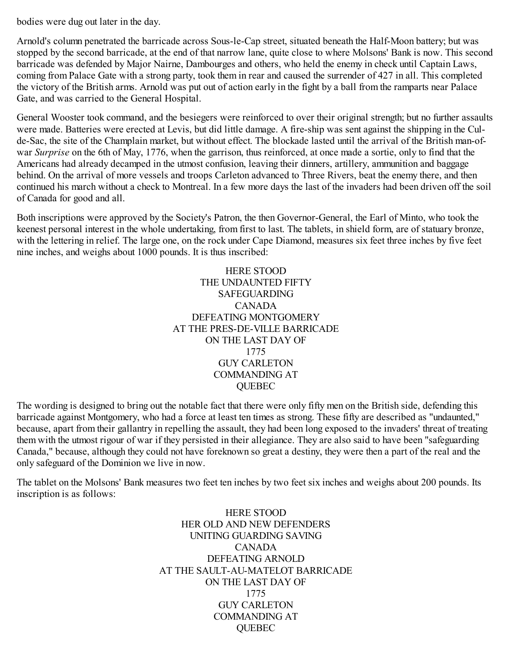bodies were dug out later in the day.

Arnold's column penetrated the barricade across Sous-le-Cap street, situated beneath the Half-Moon battery; but was stopped by the second barricade, at the end of that narrow lane, quite close to where Molsons' Bank is now. This second barricade was defended by Major Nairne, Dambourges and others, who held the enemy in check until Captain Laws, coming from Palace Gate with a strong party, took them in rear and caused the surrender of 427 in all. This completed the victory of the British arms. Arnold was put out of action early in the fight by a ball from the ramparts near Palace Gate, and was carried to the General Hospital.

General Wooster took command, and the besiegers were reinforced to over their original strength; but no further assaults were made. Batteries were erected at Levis, but did little damage. A fire-ship was sent against the shipping in the Culde-Sac, the site of the Champlain market, but without effect. The blockade lasted until the arrival of the British man-ofwar *Surprise* on the 6th of May, 1776, when the garrison, thus reinforced, at once made a sortie, only to find that the Americans had already decamped in the utmost confusion, leaving their dinners, artillery, ammunition and baggage behind. On the arrival of more vessels and troops Carleton advanced to Three Rivers, beat the enemy there, and then continued his march without a check to Montreal. In a few more days the last of the invaders had been driven off the soil of Canada for good and all.

Both inscriptions were approved by the Society's Patron, the then Governor-General, the Earl of Minto, who took the keenest personal interest in the whole undertaking, from first to last. The tablets, in shield form, are of statuary bronze, with the lettering in relief. The large one, on the rock under Cape Diamond, measures six feet three inches by five feet nine inches, and weighs about 1000 pounds. It is thus inscribed:

> HERE STOOD THE UNDAUNTED FIFTY SAFEGUARDING CANADA DEFEATING MONTGOMERY AT THE PRES-DE-VILLE BARRICADE ON THE LAST DAY OF 1775 GUY CARLETON COMMANDING AT QUEBEC

The wording is designed to bring out the notable fact that there were only fifty men on the British side, defending this barricade against Montgomery, who had a force at least ten times as strong. These fifty are described as "undaunted," because, apart from their gallantry in repelling the assault, they had been long exposed to the invaders' threat of treating them with the utmost rigour of war if they persisted in their allegiance. They are also said to have been "safeguarding Canada," because, although they could not have foreknown so great a destiny, they were then a part of the real and the only safeguard of the Dominion we live in now.

The tablet on the Molsons' Bank measures two feet ten inches by two feet six inches and weighs about 200 pounds. Its inscription is as follows:

> HERE STOOD HER OLD AND NEW DEFENDERS UNITING GUARDING SAVING CANADA DEFEATING ARNOLD AT THE SAULT-AU-MATELOT BARRICADE ON THE LAST DAY OF 1775 GUY CARLETON COMMANDING AT **QUEBEC**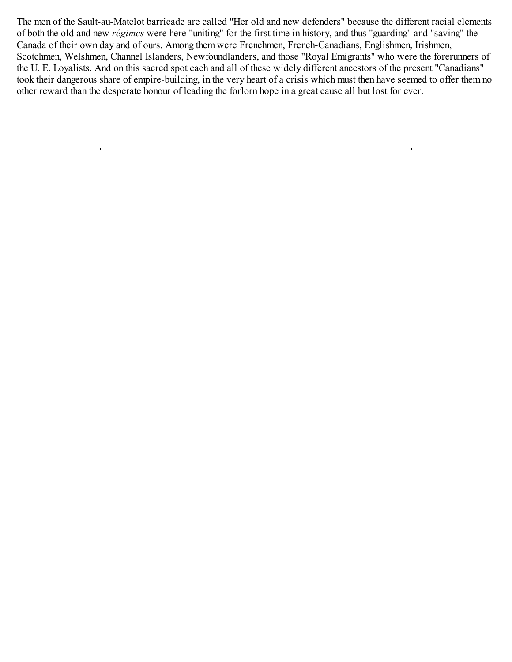The men of the Sault-au-Matelot barricade are called "Her old and new defenders" because the different racial elements of both the old and new *régimes* were here "uniting" for the first time in history, and thus "guarding" and "saving" the Canada of their own day and of ours. Among them were Frenchmen, French-Canadians, Englishmen, Irishmen, Scotchmen, Welshmen, Channel Islanders, Newfoundlanders, and those "Royal Emigrants" who were the forerunners of the U. E. Loyalists. And on this sacred spot each and all of these widely different ancestors of the present "Canadians" took their dangerous share of empire-building, in the very heart of a crisis which must then have seemed to offer them no other reward than the desperate honour of leading the forlorn hope in a great cause all but lost for ever.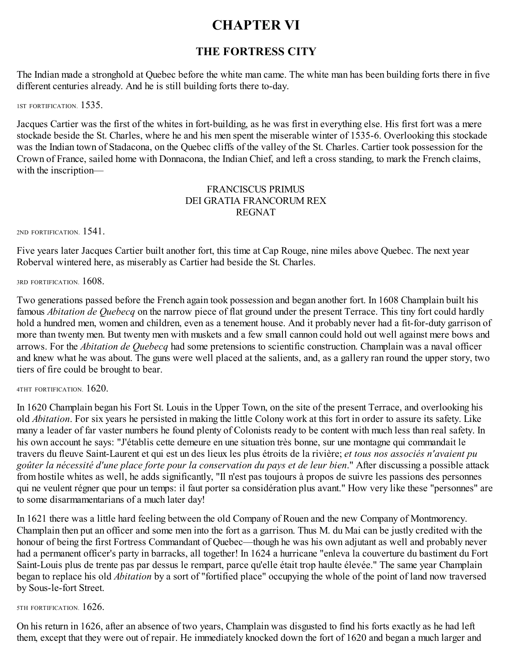# **CHAPTER VI**

# **THE FORTRESS CITY**

<span id="page-25-0"></span>The Indian made a stronghold at Quebec before the white man came. The white man has been building forts there in five different centuries already. And he is still building forts there to-day.

1ST FORTIFICATION. 1535.

Jacques Cartier was the first of the whites in fort-building, as he was first in everything else. His first fort was a mere stockade beside the St. Charles, where he and his men spent the miserable winter of 1535-6. Overlooking this stockade was the Indian town of Stadacona, on the Quebec cliffs of the valley of the St. Charles. Cartier took possession for the Crown of France, sailed home with Donnacona, the Indian Chief, and left a cross standing, to mark the French claims, with the inscription—

### FRANCISCUS PRIMUS DEI GRATIA FRANCORUM REX REGNAT

2ND FORTIFICATION. 1541.

Five years later Jacques Cartier built another fort, this time at Cap Rouge, nine miles above Quebec. The next year Roberval wintered here, as miserably as Cartier had beside the St. Charles.

3RD FORTIFICATION. 1608.

Two generations passed before the French again took possession and began another fort. In 1608 Champlain built his famous *Abitation de Quebecq* on the narrow piece of flat ground under the present Terrace. This tiny fort could hardly hold a hundred men, women and children, even as a tenement house. And it probably never had a fit-for-duty garrison of more than twenty men. But twenty men with muskets and a few small cannon could hold out well against mere bows and arrows. For the *Abitation de Quebecq* had some pretensions to scientific construction. Champlain was a naval officer and knew what he was about. The guns were well placed at the salients, and, as a gallery ran round the upper story, two tiers of fire could be brought to bear.

4THT FORTIFICATION. 1620.

In 1620 Champlain began his Fort St. Louis in the Upper Town, on the site of the present Terrace, and overlooking his old *Abitation*. For six years he persisted in making the little Colony work at this fort in order to assure its safety. Like many a leader of far vaster numbers he found plenty of Colonists ready to be content with much less than real safety. In his own account he says: "J'établis cette demeure en une situation très bonne, sur une montagne qui commandait le travers du fleuve Saint-Laurent et qui est un des lieux les plus étroits de la rivière; *et tous nos associés n'avaient pu goûter la nécessité d'une place forte pour la conservation du pays et de leur bien*." After discussing a possible attack from hostile whites as well, he adds significantly, "Il n'est pas toujours à propos de suivre les passions des personnes qui ne veulent régner que pour un temps: il faut porter sa considération plus avant." How very like these "personnes" are to some disarmamentarians of a much later day!

In 1621 there was a little hard feeling between the old Company of Rouen and the new Company of Montmorency. Champlain then put an officer and some men into the fort as a garrison. Thus M. du Mai can be justly credited with the honour of being the first Fortress Commandant of Quebec—though he was his own adjutant as well and probably never had a permanent officer's party in barracks, all together! In 1624 a hurricane "enleva la couverture du bastiment du Fort Saint-Louis plus de trente pas par dessus le rempart, parce qu'elle était trop haulte élevée." The same year Champlain began to replace his old *Abitation* by a sort of "fortified place" occupying the whole of the point of land now traversed by Sous-le-fort Street.

5TH FORTIFICATION. 1626.

On his return in 1626, after an absence of two years, Champlain was disgusted to find his forts exactly as he had left them, except that they were out of repair. He immediately knocked down the fort of 1620 and began a much larger and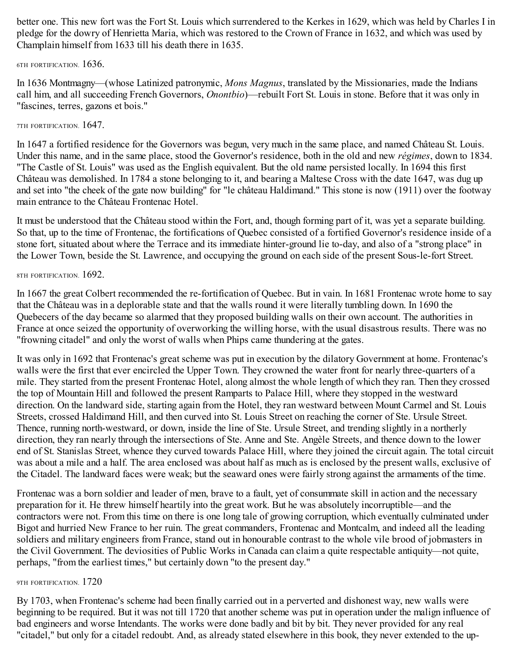better one. This new fort was the Fort St. Louis which surrendered to the Kerkes in 1629, which was held by Charles I in pledge for the dowry of Henrietta Maria, which was restored to the Crown of France in 1632, and which was used by Champlain himself from 1633 till his death there in 1635.

6TH FORTIFICATION. 1636.

In 1636 Montmagny—(whose Latinized patronymic, *Mons Magnus*, translated by the Missionaries, made the Indians call him, and all succeeding French Governors, *Onontbio*)—rebuilt Fort St. Louis in stone. Before that it was only in "fascines, terres, gazons et bois."

### 7TH FORTIFICATION. 1647.

In 1647 a fortified residence for the Governors was begun, very much in the same place, and named Château St. Louis. Under this name, and in the same place, stood the Governor's residence, both in the old and new *régimes*, down to 1834. "The Castle of St. Louis" was used as the English equivalent. But the old name persisted locally. In 1694 this first Château was demolished. In 1784 a stone belonging to it, and bearing a Maltese Cross with the date 1647, was dug up and set into "the cheek of the gate now building" for "le château Haldimand." This stone is now (1911) over the footway main entrance to the Château Frontenac Hotel.

It must be understood that the Château stood within the Fort, and, though forming part of it, was yet a separate building. So that, up to the time of Frontenac, the fortifications of Quebec consisted of a fortified Governor's residence inside of a stone fort, situated about where the Terrace and its immediate hinter-ground lie to-day, and also of a "strong place" in the Lower Town, beside the St. Lawrence, and occupying the ground on each side of the present Sous-le-fort Street.

#### 8TH FORTIFICATION. 1692.

In 1667 the great Colbert recommended the re-fortification of Quebec. But in vain. In 1681 Frontenac wrote home to say that the Château was in a deplorable state and that the walls round it were literally tumbling down. In 1690 the Quebecers of the day became so alarmed that they proposed building walls on their own account. The authorities in France at once seized the opportunity of overworking the willing horse, with the usual disastrous results. There was no "frowning citadel" and only the worst of walls when Phips came thundering at the gates.

It was only in 1692 that Frontenac's great scheme was put in execution by the dilatory Government at home. Frontenac's walls were the first that ever encircled the Upper Town. They crowned the water front for nearly three-quarters of a mile. They started from the present Frontenac Hotel, along almost the whole length of which they ran. Then they crossed the top of Mountain Hill and followed the present Ramparts to Palace Hill, where they stopped in the westward direction. On the landward side, starting again from the Hotel, they ran westward between Mount Carmel and St. Louis Streets, crossed Haldimand Hill, and then curved into St. Louis Street on reaching the corner of Ste. Ursule Street. Thence, running north-westward, or down, inside the line of Ste. Ursule Street, and trending slightly in a northerly direction, they ran nearly through the intersections of Ste. Anne and Ste. Angèle Streets, and thence down to the lower end of St. Stanislas Street, whence they curved towards Palace Hill, where they joined the circuit again. The total circuit was about a mile and a half. The area enclosed was about half as much as is enclosed by the present walls, exclusive of the Citadel. The landward faces were weak; but the seaward ones were fairly strong against the armaments of the time.

Frontenac was a born soldier and leader of men, brave to a fault, yet of consummate skill in action and the necessary preparation for it. He threw himself heartily into the great work. But he was absolutely incorruptible—and the contractors were not. From this time on there is one long tale of growing corruption, which eventually culminated under Bigot and hurried New France to her ruin. The great commanders, Frontenac and Montcalm, and indeed all the leading soldiers and military engineers from France, stand out in honourable contrast to the whole vile brood of jobmasters in the Civil Government. The deviosities of Public Works in Canada can claim a quite respectable antiquity—not quite, perhaps, "from the earliest times," but certainly down "to the present day."

#### 9TH FORTIFICATION. 1720

By 1703, when Frontenac's scheme had been finally carried out in a perverted and dishonest way, new walls were beginning to be required. But it was not till 1720 that another scheme was put in operation under the malign influence of bad engineers and worse Intendants. The works were done badly and bit by bit. They never provided for any real "citadel," but only for a citadel redoubt. And, as already stated elsewhere in this book, they never extended to the up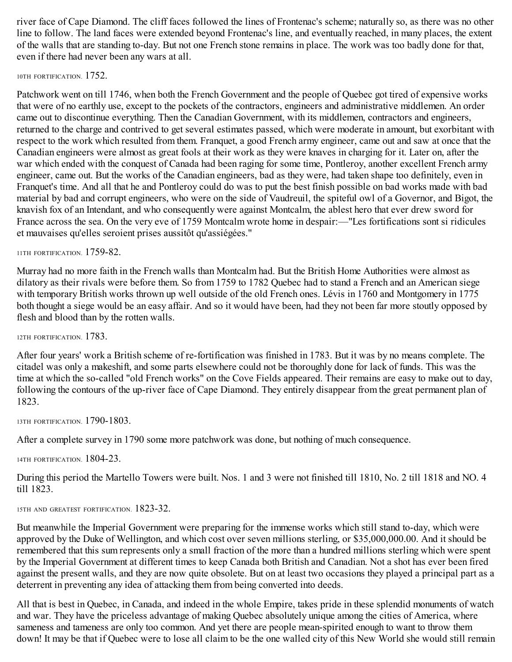river face of Cape Diamond. The cliff faces followed the lines of Frontenac's scheme; naturally so, as there was no other line to follow. The land faces were extended beyond Frontenac's line, and eventually reached, in many places, the extent of the walls that are standing to-day. But not one French stone remains in place. The work was too badly done for that, even if there had never been any wars at all.

#### 10TH FORTIFICATION. 1752.

Patchwork went on till 1746, when both the French Government and the people of Quebec got tired of expensive works that were of no earthly use, except to the pockets of the contractors, engineers and administrative middlemen. An order came out to discontinue everything. Then the Canadian Government, with its middlemen, contractors and engineers, returned to the charge and contrived to get several estimates passed, which were moderate in amount, but exorbitant with respect to the work which resulted from them. Franquet, a good French army engineer, came out and saw at once that the Canadian engineers were almost as great fools at their work as they were knaves in charging for it. Later on, after the war which ended with the conquest of Canada had been raging for some time, Pontleroy, another excellent French army engineer, came out. But the works of the Canadian engineers, bad as they were, had taken shape too definitely, even in Franquet's time. And all that he and Pontleroy could do was to put the best finish possible on bad works made with bad material by bad and corrupt engineers, who were on the side of Vaudreuil, the spiteful owl of a Governor, and Bigot, the knavish fox of an Intendant, and who consequently were against Montcalm, the ablest hero that ever drew sword for France across the sea. On the very eve of 1759 Montcalm wrote home in despair:—"Les fortifications sont si ridicules et mauvaises qu'elles seroient prises aussitôt qu'assiégées."

#### 11TH FORTIFICATION. 1759-82.

Murray had no more faith in the French walls than Montcalm had. But the British Home Authorities were almost as dilatory as their rivals were before them. So from 1759 to 1782 Quebec had to stand a French and an American siege with temporary British works thrown up well outside of the old French ones. Lévis in 1760 and Montgomery in 1775 both thought a siege would be an easy affair. And so it would have been, had they not been far more stoutly opposed by flesh and blood than by the rotten walls.

12TH FORTIFICATION. 1783.

After four years' work a British scheme of re-fortification was finished in 1783. But it was by no means complete. The citadel was only a makeshift, and some parts elsewhere could not be thoroughly done for lack of funds. This was the time at which the so-called "old French works" on the Cove Fields appeared. Their remains are easy to make out to day, following the contours of the up-river face of Cape Diamond. They entirely disappear from the great permanent plan of 1823.

13TH FORTIFICATION. 1790-1803.

After a complete survey in 1790 some more patchwork was done, but nothing of much consequence.

14TH FORTIFICATION. 1804-23.

During this period the Martello Towers were built. Nos. 1 and 3 were not finished till 1810, No. 2 till 1818 and NO. 4 till 1823.

#### 15TH AND GREATEST FORTIFICATION. 1823-32.

But meanwhile the Imperial Government were preparing for the immense works which still stand to-day, which were approved by the Duke of Wellington, and which cost over seven millions sterling, or \$35,000,000.00. And it should be remembered that this sum represents only a small fraction of the more than a hundred millions sterling which were spent by the Imperial Government at different times to keep Canada both British and Canadian. Not a shot has ever been fired against the present walls, and they are now quite obsolete. But on at least two occasions they played a principal part as a deterrent in preventing any idea of attacking them from being converted into deeds.

All that is best in Quebec, in Canada, and indeed in the whole Empire, takes pride in these splendid monuments of watch and war. They have the priceless advantage of making Quebec absolutely unique among the cities of America, where sameness and tameness are only too common. And yet there are people mean-spirited enough to want to throw them down! It may be that if Quebec were to lose all claim to be the one walled city of this New World she would still remain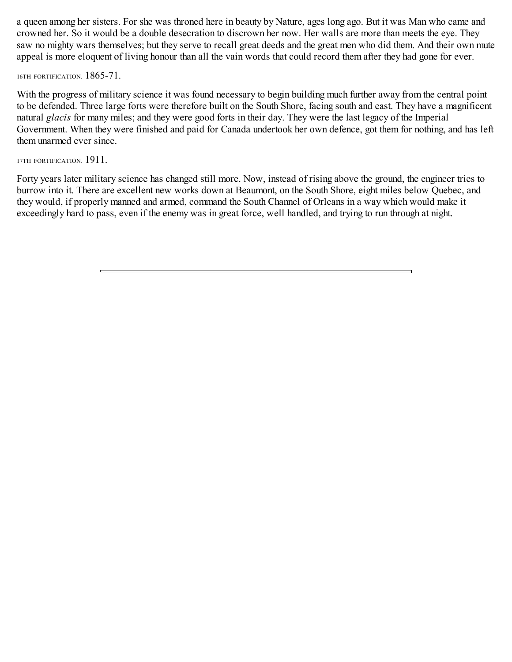a queen among her sisters. For she was throned here in beauty by Nature, ages long ago. But it was Man who came and crowned her. So it would be a double desecration to discrown her now. Her walls are more than meets the eye. They saw no mighty wars themselves; but they serve to recall great deeds and the great men who did them. And their own mute appeal is more eloquent of living honour than all the vain words that could record them after they had gone for ever.

16TH FORTIFICATION. 1865-71.

With the progress of military science it was found necessary to begin building much further away from the central point to be defended. Three large forts were therefore built on the South Shore, facing south and east. They have a magnificent natural *glacis* for many miles; and they were good forts in their day. They were the last legacy of the Imperial Government. When they were finished and paid for Canada undertook her own defence, got them for nothing, and has left them unarmed ever since.

17TH FORTIFICATION. 1911.

Forty years later military science has changed still more. Now, instead of rising above the ground, the engineer tries to burrow into it. There are excellent new works down at Beaumont, on the South Shore, eight miles below Quebec, and they would, if properly manned and armed, command the South Channel of Orleans in a way which would make it exceedingly hard to pass, even if the enemy was in great force, well handled, and trying to run through at night.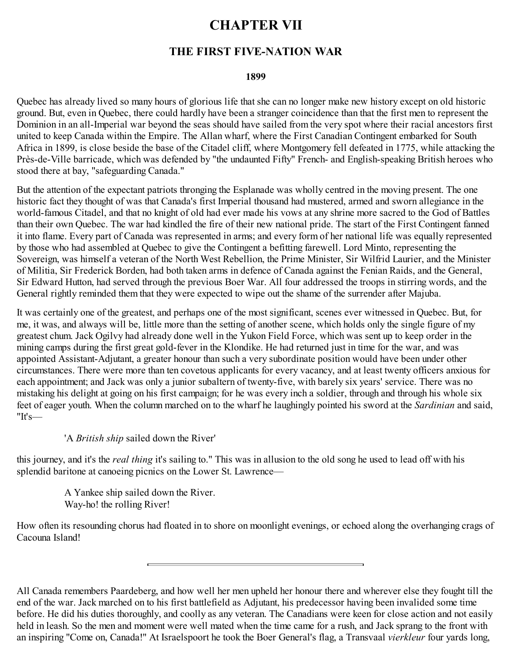# **CHAPTER VII**

# **THE FIRST FIVE-NATION WAR**

#### **1899**

<span id="page-29-0"></span>Quebec has already lived so many hours of glorious life that she can no longer make new history except on old historic ground. But, even in Quebec, there could hardly have been a stranger coincidence than that the first men to represent the Dominion in an all-Imperial war beyond the seas should have sailed from the very spot where their racial ancestors first united to keep Canada within the Empire. The Allan wharf, where the First Canadian Contingent embarked for South Africa in 1899, is close beside the base of the Citadel cliff, where Montgomery fell defeated in 1775, while attacking the Près-de-Ville barricade, which was defended by "the undaunted Fifty" French- and English-speaking British heroes who stood there at bay, "safeguarding Canada."

But the attention of the expectant patriots thronging the Esplanade was wholly centred in the moving present. The one historic fact they thought of was that Canada's first Imperial thousand had mustered, armed and sworn allegiance in the world-famous Citadel, and that no knight of old had ever made his vows at any shrine more sacred to the God of Battles than their own Quebec. The war had kindled the fire of their new national pride. The start of the First Contingent fanned it into flame. Every part of Canada was represented in arms; and every form of her national life was equally represented by those who had assembled at Quebec to give the Contingent a befitting farewell. Lord Minto, representing the Sovereign, was himself a veteran of the North West Rebellion, the Prime Minister, Sir Wilfrid Laurier, and the Minister of Militia, Sir Frederick Borden, had both taken arms in defence of Canada against the Fenian Raids, and the General, Sir Edward Hutton, had served through the previous Boer War. All four addressed the troops in stirring words, and the General rightly reminded them that they were expected to wipe out the shame of the surrender after Majuba.

It was certainly one of the greatest, and perhaps one of the most significant, scenes ever witnessed in Quebec. But, for me, it was, and always will be, little more than the setting of another scene, which holds only the single figure of my greatest chum. Jack Ogilvy had already done well in the Yukon Field Force, which was sent up to keep order in the mining camps during the first great gold-fever in the Klondike. He had returned just in time for the war, and was appointed Assistant-Adjutant, a greater honour than such a very subordinate position would have been under other circumstances. There were more than ten covetous applicants for every vacancy, and at least twenty officers anxious for each appointment; and Jack was only a junior subaltern of twenty-five, with barely six years' service. There was no mistaking his delight at going on his first campaign; for he was every inch a soldier, through and through his whole six feet of eager youth. When the column marched on to the wharf he laughingly pointed his sword at the *Sardinian* and said, "It's—

# 'A *British ship* sailed down the River'

this journey, and it's the *real thing* it's sailing to." This was in allusion to the old song he used to lead off with his splendid baritone at canoeing picnics on the Lower St. Lawrence—

> A Yankee ship sailed down the River. Way-ho! the rolling River!

How often its resounding chorus had floated in to shore on moonlight evenings, or echoed along the overhanging crags of Cacouna Island!

All Canada remembers Paardeberg, and how well her men upheld her honour there and wherever else they fought till the end of the war. Jack marched on to his first battlefield as Adjutant, his predecessor having been invalided some time before. He did his duties thoroughly, and coolly as any veteran. The Canadians were keen for close action and not easily held in leash. So the men and moment were well mated when the time came for a rush, and Jack sprang to the front with an inspiring "Come on, Canada!" At Israelspoort he took the Boer General's flag, a Transvaal *vierkleur* four yards long,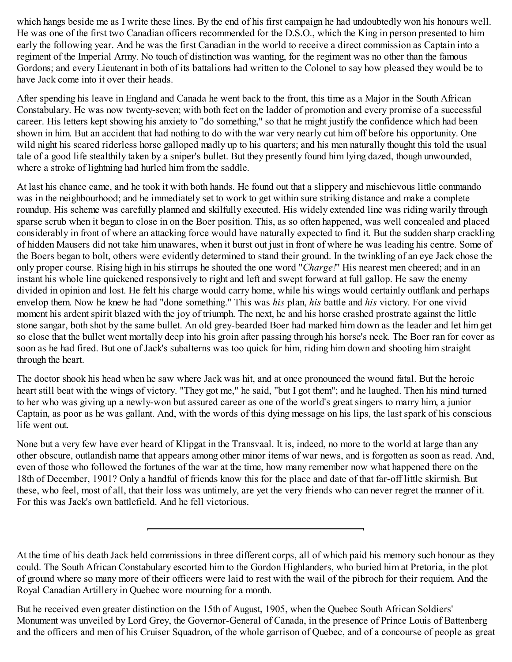which hangs beside me as I write these lines. By the end of his first campaign he had undoubtedly won his honours well. He was one of the first two Canadian officers recommended for the D.S.O., which the King in person presented to him early the following year. And he was the first Canadian in the world to receive a direct commission as Captain into a regiment of the Imperial Army. No touch of distinction was wanting, for the regiment was no other than the famous Gordons; and every Lieutenant in both of its battalions had written to the Colonel to say how pleased they would be to have Jack come into it over their heads.

After spending his leave in England and Canada he went back to the front, this time as a Major in the South African Constabulary. He was now twenty-seven; with both feet on the ladder of promotion and every promise of a successful career. His letters kept showing his anxiety to "do something," so that he might justify the confidence which had been shown in him. But an accident that had nothing to do with the war very nearly cut him off before his opportunity. One wild night his scared riderless horse galloped madly up to his quarters; and his men naturally thought this told the usual tale of a good life stealthily taken by a sniper's bullet. But they presently found him lying dazed, though unwounded, where a stroke of lightning had hurled him from the saddle.

At last his chance came, and he took it with both hands. He found out that a slippery and mischievous little commando was in the neighbourhood; and he immediately set to work to get within sure striking distance and make a complete roundup. His scheme was carefully planned and skilfully executed. His widely extended line was riding warily through sparse scrub when it began to close in on the Boer position. This, as so often happened, was well concealed and placed considerably in front of where an attacking force would have naturally expected to find it. But the sudden sharp crackling of hidden Mausers did not take him unawares, when it burst out just in front of where he was leading his centre. Some of the Boers began to bolt, others were evidently determined to stand their ground. In the twinkling of an eye Jack chose the only proper course. Rising high in his stirrups he shouted the one word "*Charge!*" His nearest men cheered; and in an instant his whole line quickened responsively to right and left and swept forward at full gallop. He saw the enemy divided in opinion and lost. He felt his charge would carry home, while his wings would certainly outflank and perhaps envelop them. Now he knew he had "done something." This was *his* plan, *his* battle and *his* victory. For one vivid moment his ardent spirit blazed with the joy of triumph. The next, he and his horse crashed prostrate against the little stone sangar, both shot by the same bullet. An old grey-bearded Boer had marked him down as the leader and let him get so close that the bullet went mortally deep into his groin after passing through his horse's neck. The Boer ran for cover as soon as he had fired. But one of Jack's subalterns was too quick for him, riding him down and shooting him straight through the heart.

The doctor shook his head when he saw where Jack was hit, and at once pronounced the wound fatal. But the heroic heart still beat with the wings of victory. "They got me," he said, "but I got them"; and he laughed. Then his mind turned to her who was giving up a newly-won but assured career as one of the world's great singers to marry him, a junior Captain, as poor as he was gallant. And, with the words of this dying message on his lips, the last spark of his conscious life went out.

None but a very few have ever heard of Klipgat in the Transvaal. It is, indeed, no more to the world at large than any other obscure, outlandish name that appears among other minor items of war news, and is forgotten as soon as read. And, even of those who followed the fortunes of the war at the time, how many remember now what happened there on the 18th of December, 1901? Only a handful of friends know this for the place and date of that far-off little skirmish. But these, who feel, most of all, that their loss was untimely, are yet the very friends who can never regret the manner of it. For this was Jack's own battlefield. And he fell victorious.

At the time of his death Jack held commissions in three different corps, all of which paid his memory such honour as they could. The South African Constabulary escorted him to the Gordon Highlanders, who buried him at Pretoria, in the plot of ground where so many more of their officers were laid to rest with the wail of the pibroch for their requiem. And the Royal Canadian Artillery in Quebec wore mourning for a month.

But he received even greater distinction on the 15th of August, 1905, when the Quebec South African Soldiers' Monument was unveiled by Lord Grey, the Governor-General of Canada, in the presence of Prince Louis of Battenberg and the officers and men of his Cruiser Squadron, of the whole garrison of Quebec, and of a concourse of people as great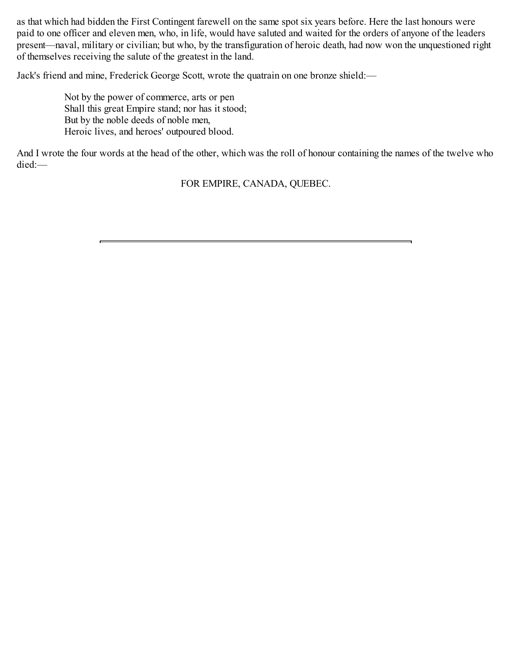as that which had bidden the First Contingent farewell on the same spot six years before. Here the last honours were paid to one officer and eleven men, who, in life, would have saluted and waited for the orders of anyone of the leaders present—naval, military or civilian; but who, by the transfiguration of heroic death, had now won the unquestioned right of themselves receiving the salute of the greatest in the land.

Jack's friend and mine, Frederick George Scott, wrote the quatrain on one bronze shield:—

Not by the power of commerce, arts or pen Shall this great Empire stand; nor has it stood; But by the noble deeds of noble men, Heroic lives, and heroes' outpoured blood.

And I wrote the four words at the head of the other, which was the roll of honour containing the names of the twelve who died:—

FOR EMPIRE, CANADA, QUEBEC.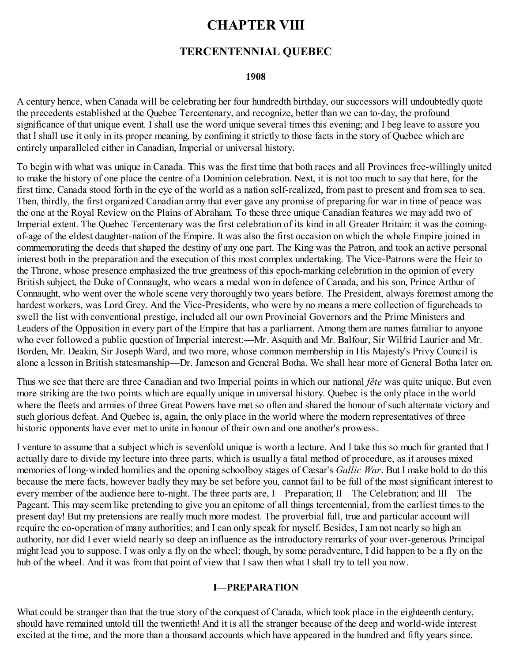# **CHAPTER VIII**

# **TERCENTENNIAL QUEBEC**

#### **1908**

<span id="page-32-0"></span>A century hence, when Canada will be celebrating her four hundredth birthday, our successors will undoubtedly quote the precedents established at the Quebec Tercentenary, and recognize, better than we can to-day, the profound significance of that unique event. I shall use the word unique several times this evening; and I beg leave to assure you that I shall use it only in its proper meaning, by confining it strictly to those facts in the story of Quebec which are entirely unparalleled either in Canadian, Imperial or universal history.

To begin with what was unique in Canada. This was the first time that both races and all Provinces free-willingly united to make the history of one place the centre of a Dominion celebration. Next, it is not too much to say that here, for the first time, Canada stood forth in the eye of the world as a nation self-realized, from past to present and from sea to sea. Then, thirdly, the first organized Canadian army that ever gave any promise of preparing for war in time of peace was the one at the Royal Review on the Plains of Abraham. To these three unique Canadian features we may add two of Imperial extent. The Quebec Tercentenary was the first celebration of its kind in all Greater Britain: it was the comingof-age of the eldest daughter-nation of the Empire. It was also the first occasion on which the whole Empire joined in commemorating the deeds that shaped the destiny of any one part. The King was the Patron, and took an active personal interest both in the preparation and the execution of this most complex undertaking. The Vice-Patrons were the Heir to the Throne, whose presence emphasized the true greatness of this epoch-marking celebration in the opinion of every British subject, the Duke of Connaught, who wears a medal won in defence of Canada, and his son, Prince Arthur of Connaught, who went over the whole scene very thoroughly two years before. The President, always foremost among the hardest workers, was Lord Grey. And the Vice-Presidents, who were by no means a mere collection of figureheads to swell the list with conventional prestige, included all our own Provincial Governors and the Prime Ministers and Leaders of the Opposition in every part of the Empire that has a parliament. Among them are names familiar to anyone who ever followed a public question of Imperial interest:—Mr. Asquith and Mr. Balfour, Sir Wilfrid Laurier and Mr. Borden, Mr. Deakin, Sir Joseph Ward, and two more, whose common membership in His Majesty's Privy Council is alone a lesson in British statesmanship—Dr. Jameson and General Botha. We shall hear more of General Botha later on.

Thus we see that there are three Canadian and two Imperial points in which our national *fête* was quite unique. But even more striking are the two points which are equally unique in universal history. Quebec is the only place in the world where the fleets and armies of three Great Powers have met so often and shared the honour of such alternate victory and such glorious defeat. And Quebec is, again, the only place in the world where the modern representatives of three historic opponents have ever met to unite in honour of their own and one another's prowess.

I venture to assume that a subject which is sevenfold unique is worth a lecture. And I take this so much for granted that I actually dare to divide my lecture into three parts, which is usually a fatal method of procedure, as it arouses mixed memories of long-winded homilies and the opening schoolboy stages of Cæsar's *Gallic War*. But I make bold to do this because the mere facts, however badly they may be set before you, cannot fail to be full of the most significant interest to every member of the audience here to-night. The three parts are, I—Preparation; II—The Celebration; and III—The Pageant. This may seem like pretending to give you an epitome of all things tercentennial, from the earliest times to the present day! But my pretensions are really much more modest. The proverbial full, true and particular account will require the co-operation of many authorities; and I can only speak for myself. Besides, I am not nearly so high an authority, nor did I ever wield nearly so deep an influence as the introductory remarks of your over-generous Principal might lead you to suppose. I was only a fly on the wheel; though, by some peradventure, I did happen to be a fly on the hub of the wheel. And it was from that point of view that I saw then what I shall try to tell you now.

#### **I—PREPARATION**

What could be stranger than that the true story of the conquest of Canada, which took place in the eighteenth century, should have remained untold till the twentieth! And it is all the stranger because of the deep and world-wide interest excited at the time, and the more than a thousand accounts which have appeared in the hundred and fifty years since.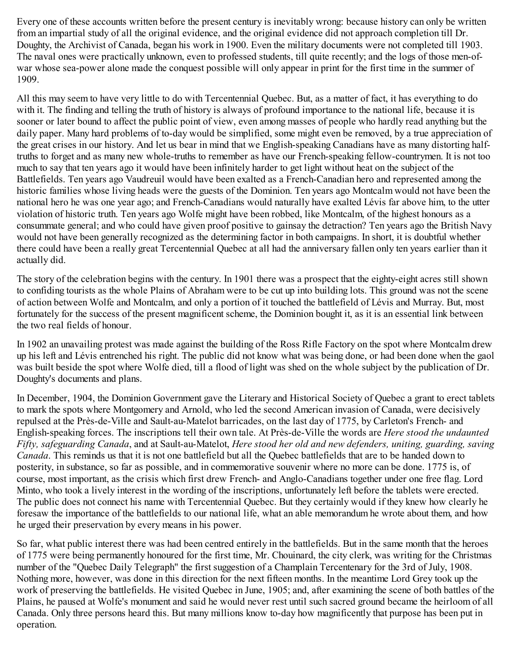Every one of these accounts written before the present century is inevitably wrong: because history can only be written from an impartial study of all the original evidence, and the original evidence did not approach completion till Dr. Doughty, the Archivist of Canada, began his work in 1900. Even the military documents were not completed till 1903. The naval ones were practically unknown, even to professed students, till quite recently; and the logs of those men-ofwar whose sea-power alone made the conquest possible will only appear in print for the first time in the summer of 1909.

All this may seem to have very little to do with Tercentennial Quebec. But, as a matter of fact, it has everything to do with it. The finding and telling the truth of history is always of profound importance to the national life, because it is sooner or later bound to affect the public point of view, even among masses of people who hardly read anything but the daily paper. Many hard problems of to-day would be simplified, some might even be removed, by a true appreciation of the great crises in our history. And let us bear in mind that we English-speaking Canadians have as many distorting halftruths to forget and as many new whole-truths to remember as have our French-speaking fellow-countrymen. It is not too much to say that ten years ago it would have been infinitely harder to get light without heat on the subject of the Battlefields. Ten years ago Vaudreuil would have been exalted as a French-Canadian hero and represented among the historic families whose living heads were the guests of the Dominion. Ten years ago Montcalm would not have been the national hero he was one year ago; and French-Canadians would naturally have exalted Lévis far above him, to the utter violation of historic truth. Ten years ago Wolfe might have been robbed, like Montcalm, of the highest honours as a consummate general; and who could have given proof positive to gainsay the detraction? Ten years ago the British Navy would not have been generally recognized as the determining factor in both campaigns. In short, it is doubtful whether there could have been a really great Tercentennial Quebec at all had the anniversary fallen only ten years earlier than it actually did.

The story of the celebration begins with the century. In 1901 there was a prospect that the eighty-eight acres still shown to confiding tourists as the whole Plains of Abraham were to be cut up into building lots. This ground was not the scene of action between Wolfe and Montcalm, and only a portion of it touched the battlefield of Lévis and Murray. But, most fortunately for the success of the present magnificent scheme, the Dominion bought it, as it is an essential link between the two real fields of honour.

In 1902 an unavailing protest was made against the building of the Ross Rifle Factory on the spot where Montcalm drew up his left and Lévis entrenched his right. The public did not know what was being done, or had been done when the gaol was built beside the spot where Wolfe died, till a flood of light was shed on the whole subject by the publication of Dr. Doughty's documents and plans.

In December, 1904, the Dominion Government gave the Literary and Historical Society of Quebec a grant to erect tablets to mark the spots where Montgomery and Arnold, who led the second American invasion of Canada, were decisively repulsed at the Près-de-Ville and Sault-au-Matelot barricades, on the last day of 1775, by Carleton's French- and English-speaking forces. The inscriptions tell their own tale. At Près-de-Ville the words are *Here stood the undaunted Fifty, safeguarding Canada*, and at Sault-au-Matelot, *Here stood her old and new defenders, uniting, guarding, saving Canada*. This reminds us that it is not one battlefield but all the Quebec battlefields that are to be handed down to posterity, in substance, so far as possible, and in commemorative souvenir where no more can be done. 1775 is, of course, most important, as the crisis which first drew French- and Anglo-Canadians together under one free flag. Lord Minto, who took a lively interest in the wording of the inscriptions, unfortunately left before the tablets were erected. The public does not connect his name with Tercentennial Quebec. But they certainly would if they knew how clearly he foresaw the importance of the battlefields to our national life, what an able memorandum he wrote about them, and how he urged their preservation by every means in his power.

So far, what public interest there was had been centred entirely in the battlefields. But in the same month that the heroes of 1775 were being permanently honoured for the first time, Mr. Chouinard, the city clerk, was writing for the Christmas number of the "Quebec Daily Telegraph" the first suggestion of a Champlain Tercentenary for the 3rd of July, 1908. Nothing more, however, was done in this direction for the next fifteen months. In the meantime Lord Grey took up the work of preserving the battlefields. He visited Quebec in June, 1905; and, after examining the scene of both battles of the Plains, he paused at Wolfe's monument and said he would never rest until such sacred ground became the heirloom of all Canada. Only three persons heard this. But many millions know to-day how magnificently that purpose has been put in operation.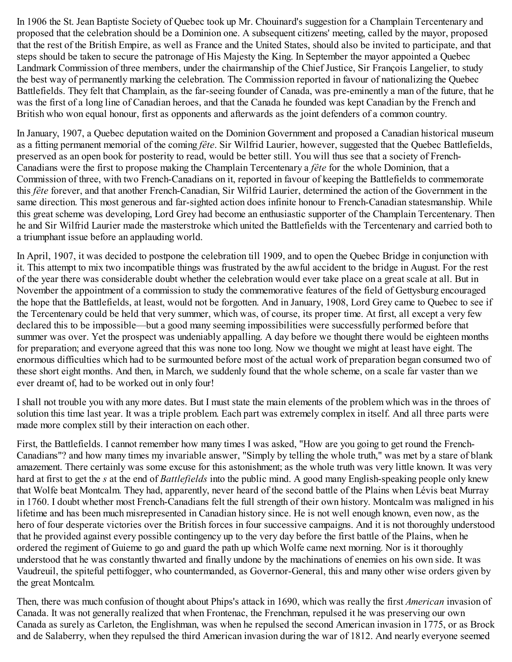In 1906 the St. Jean Baptiste Society of Quebec took up Mr. Chouinard's suggestion for a Champlain Tercentenary and proposed that the celebration should be a Dominion one. A subsequent citizens' meeting, called by the mayor, proposed that the rest of the British Empire, as well as France and the United States, should also be invited to participate, and that steps should be taken to secure the patronage of His Majesty the King. In September the mayor appointed a Quebec Landmark Commission of three members, under the chairmanship of the Chief Justice, Sir François Langelier, to study the best way of permanently marking the celebration. The Commission reported in favour of nationalizing the Quebec Battlefields. They felt that Champlain, as the far-seeing founder of Canada, was pre-eminently a man of the future, that he was the first of a long line of Canadian heroes, and that the Canada he founded was kept Canadian by the French and British who won equal honour, first as opponents and afterwards as the joint defenders of a common country.

In January, 1907, a Quebec deputation waited on the Dominion Government and proposed a Canadian historical museum as a fitting permanent memorial of the coming *fête*. Sir Wilfrid Laurier, however, suggested that the Quebec Battlefields, preserved as an open book for posterity to read, would be better still. You will thus see that a society of French-Canadians were the first to propose making the Champlain Tercentenary a *fête* for the whole Dominion, that a Commission of three, with two French-Canadians on it, reported in favour of keeping the Battlefields to commemorate this *fête* forever, and that another French-Canadian, Sir Wilfrid Laurier, determined the action of the Government in the same direction. This most generous and far-sighted action does infinite honour to French-Canadian statesmanship. While this great scheme was developing, Lord Grey had become an enthusiastic supporter of the Champlain Tercentenary. Then he and Sir Wilfrid Laurier made the masterstroke which united the Battlefields with the Tercentenary and carried both to a triumphant issue before an applauding world.

In April, 1907, it was decided to postpone the celebration till 1909, and to open the Quebec Bridge in conjunction with it. This attempt to mix two incompatible things was frustrated by the awful accident to the bridge in August. For the rest of the year there was considerable doubt whether the celebration would ever take place on a great scale at all. But in November the appointment of a commission to study the commemorative features of the field of Gettysburg encouraged the hope that the Battlefields, at least, would not be forgotten. And in January, 1908, Lord Grey came to Quebec to see if the Tercentenary could be held that very summer, which was, of course, its proper time. At first, all except a very few declared this to be impossible—but a good many seeming impossibilities were successfully performed before that summer was over. Yet the prospect was undeniably appalling. A day before we thought there would be eighteen months for preparation; and everyone agreed that this was none too long. Now we thought we might at least have eight. The enormous difficulties which had to be surmounted before most of the actual work of preparation began consumed two of these short eight months. And then, in March, we suddenly found that the whole scheme, on a scale far vaster than we ever dreamt of, had to be worked out in only four!

I shall not trouble you with any more dates. But I must state the main elements of the problem which was in the throes of solution this time last year. It was a triple problem. Each part was extremely complex in itself. And all three parts were made more complex still by their interaction on each other.

First, the Battlefields. I cannot remember how many times I was asked, "How are you going to get round the French-Canadians"? and how many times my invariable answer, "Simply by telling the whole truth," was met by a stare of blank amazement. There certainly was some excuse for this astonishment; as the whole truth was very little known. It was very hard at first to get the *s* at the end of *Battlefields* into the public mind. A good many English-speaking people only knew that Wolfe beat Montcalm. They had, apparently, never heard of the second battle of the Plains when Lévis beat Murray in 1760. I doubt whether most French-Canadians felt the full strength of their own history. Montcalm was maligned in his lifetime and has been much misrepresented in Canadian history since. He is not well enough known, even now, as the hero of four desperate victories over the British forces in four successive campaigns. And it is not thoroughly understood that he provided against every possible contingency up to the very day before the first battle of the Plains, when he ordered the regiment of Guieme to go and guard the path up which Wolfe came next morning. Nor is it thoroughly understood that he was constantly thwarted and finally undone by the machinations of enemies on his own side. It was Vaudreuil, the spiteful pettifogger, who countermanded, as Governor-General, this and many other wise orders given by the great Montcalm.

Then, there was much confusion of thought about Phips's attack in 1690, which was really the first *American* invasion of Canada. It was not generally realized that when Frontenac, the Frenchman, repulsed it he was preserving our own Canada as surely as Carleton, the Englishman, was when he repulsed the second American invasion in 1775, or as Brock and de Salaberry, when they repulsed the third American invasion during the war of 1812. And nearly everyone seemed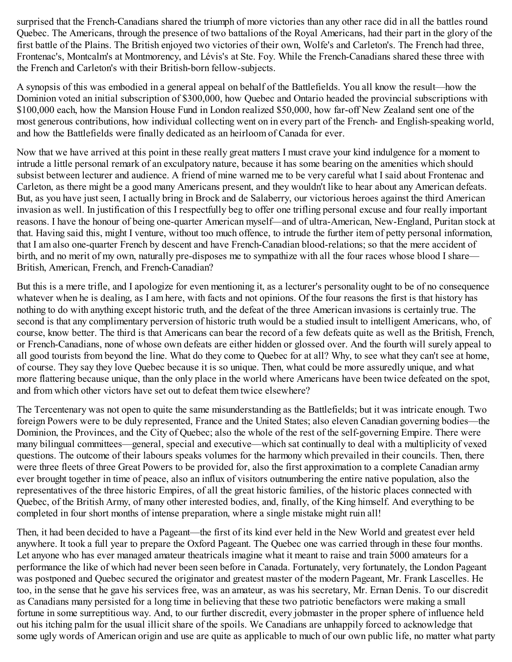surprised that the French-Canadians shared the triumph of more victories than any other race did in all the battles round Quebec. The Americans, through the presence of two battalions of the Royal Americans, had their part in the glory of the first battle of the Plains. The British enjoyed two victories of their own, Wolfe's and Carleton's. The French had three, Frontenac's, Montcalm's at Montmorency, and Lévis's at Ste. Foy. While the French-Canadians shared these three with the French and Carleton's with their British-born fellow-subjects.

A synopsis of this was embodied in a general appeal on behalf of the Battlefields. You all know the result—how the Dominion voted an initial subscription of \$300,000, how Quebec and Ontario headed the provincial subscriptions with \$100,000 each, how the Mansion House Fund in London realized \$50,000, how far-off New Zealand sent one of the most generous contributions, how individual collecting went on in every part of the French- and English-speaking world, and how the Battlefields were finally dedicated as an heirloom of Canada for ever.

Now that we have arrived at this point in these really great matters I must crave your kind indulgence for a moment to intrude a little personal remark of an exculpatory nature, because it has some bearing on the amenities which should subsist between lecturer and audience. A friend of mine warned me to be very careful what I said about Frontenac and Carleton, as there might be a good many Americans present, and they wouldn't like to hear about any American defeats. But, as you have just seen, I actually bring in Brock and de Salaberry, our victorious heroes against the third American invasion as well. In justification of this I respectfully beg to offer one trifling personal excuse and four really important reasons. I have the honour of being one-quarter American myself—and of ultra-American, New-England, Puritan stock at that. Having said this, might I venture, without too much offence, to intrude the further item of petty personal information, that I am also one-quarter French by descent and have French-Canadian blood-relations; so that the mere accident of birth, and no merit of my own, naturally pre-disposes me to sympathize with all the four races whose blood I share— British, American, French, and French-Canadian?

But this is a mere trifle, and I apologize for even mentioning it, as a lecturer's personality ought to be of no consequence whatever when he is dealing, as I am here, with facts and not opinions. Of the four reasons the first is that history has nothing to do with anything except historic truth, and the defeat of the three American invasions is certainly true. The second is that any complimentary perversion of historic truth would be a studied insult to intelligent Americans, who, of course, know better. The third is that Americans can bear the record of a few defeats quite as well as the British, French, or French-Canadians, none of whose own defeats are either hidden or glossed over. And the fourth will surely appeal to all good tourists from beyond the line. What do they come to Quebec for at all? Why, to see what they can't see at home, of course. They say they love Quebec because it is so unique. Then, what could be more assuredly unique, and what more flattering because unique, than the only place in the world where Americans have been twice defeated on the spot, and from which other victors have set out to defeat them twice elsewhere?

The Tercentenary was not open to quite the same misunderstanding as the Battlefields; but it was intricate enough. Two foreign Powers were to be duly represented, France and the United States; also eleven Canadian governing bodies—the Dominion, the Provinces, and the City of Quebec; also the whole of the rest of the self-governing Empire. There were many bilingual committees—general, special and executive—which sat continually to deal with a multiplicity of vexed questions. The outcome of their labours speaks volumes for the harmony which prevailed in their councils. Then, there were three fleets of three Great Powers to be provided for, also the first approximation to a complete Canadian army ever brought together in time of peace, also an influx of visitors outnumbering the entire native population, also the representatives of the three historic Empires, of all the great historic families, of the historic places connected with Quebec, of the British Army, of many other interested bodies, and, finally, of the King himself. And everything to be completed in four short months of intense preparation, where a single mistake might ruin all!

Then, it had been decided to have a Pageant—the first of its kind ever held in the New World and greatest ever held anywhere. It took a full year to prepare the Oxford Pageant. The Quebec one was carried through in these four months. Let anyone who has ever managed amateur theatricals imagine what it meant to raise and train 5000 amateurs for a performance the like of which had never been seen before in Canada. Fortunately, very fortunately, the London Pageant was postponed and Quebec secured the originator and greatest master of the modern Pageant, Mr. Frank Lascelles. He too, in the sense that he gave his services free, was an amateur, as was his secretary, Mr. Ernan Denis. To our discredit as Canadians many persisted for a long time in believing that these two patriotic benefactors were making a small fortune in some surreptitious way. And, to our further discredit, every jobmaster in the proper sphere of influence held out his itching palm for the usual illicit share of the spoils. We Canadians are unhappily forced to acknowledge that some ugly words of American origin and use are quite as applicable to much of our own public life, no matter what party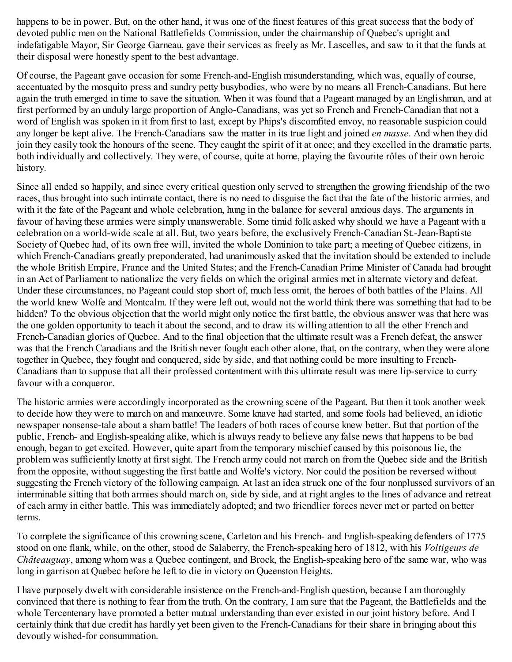happens to be in power. But, on the other hand, it was one of the finest features of this great success that the body of devoted public men on the National Battlefields Commission, under the chairmanship of Quebec's upright and indefatigable Mayor, Sir George Garneau, gave their services as freely as Mr. Lascelles, and saw to it that the funds at their disposal were honestly spent to the best advantage.

Of course, the Pageant gave occasion for some French-and-English misunderstanding, which was, equally of course, accentuated by the mosquito press and sundry petty busybodies, who were by no means all French-Canadians. But here again the truth emerged in time to save the situation. When it was found that a Pageant managed by an Englishman, and at first performed by an unduly large proportion of Anglo-Canadians, was yet so French and French-Canadian that not a word of English was spoken in it from first to last, except by Phips's discomfited envoy, no reasonable suspicion could any longer be kept alive. The French-Canadians saw the matter in its true light and joined *en masse*. And when they did join they easily took the honours of the scene. They caught the spirit of it at once; and they excelled in the dramatic parts, both individually and collectively. They were, of course, quite at home, playing the favourite rôles of their own heroic history.

Since all ended so happily, and since every critical question only served to strengthen the growing friendship of the two races, thus brought into such intimate contact, there is no need to disguise the fact that the fate of the historic armies, and with it the fate of the Pageant and whole celebration, hung in the balance for several anxious days. The arguments in favour of having these armies were simply unanswerable. Some timid folk asked why should we have a Pageant with a celebration on a world-wide scale at all. But, two years before, the exclusively French-Canadian St.-Jean-Baptiste Society of Quebec had, of its own free will, invited the whole Dominion to take part; a meeting of Quebec citizens, in which French-Canadians greatly preponderated, had unanimously asked that the invitation should be extended to include the whole British Empire, France and the United States; and the French-Canadian Prime Minister of Canada had brought in an Act of Parliament to nationalize the very fields on which the original armies met in alternate victory and defeat. Under these circumstances, no Pageant could stop short of, much less omit, the heroes of both battles of the Plains. All the world knew Wolfe and Montcalm. If they were left out, would not the world think there was something that had to be hidden? To the obvious objection that the world might only notice the first battle, the obvious answer was that here was the one golden opportunity to teach it about the second, and to draw its willing attention to all the other French and French-Canadian glories of Quebec. And to the final objection that the ultimate result was a French defeat, the answer was that the French Canadians and the British never fought each other alone, that, on the contrary, when they were alone together in Quebec, they fought and conquered, side by side, and that nothing could be more insulting to French-Canadians than to suppose that all their professed contentment with this ultimate result was mere lip-service to curry favour with a conqueror.

The historic armies were accordingly incorporated as the crowning scene of the Pageant. But then it took another week to decide how they were to march on and manœuvre. Some knave had started, and some fools had believed, an idiotic newspaper nonsense-tale about a sham battle! The leaders of both races of course knew better. But that portion of the public, French- and English-speaking alike, which is always ready to believe any false news that happens to be bad enough, began to get excited. However, quite apart from the temporary mischief caused by this poisonous lie, the problem was sufficiently knotty at first sight. The French army could not march on from the Quebec side and the British from the opposite, without suggesting the first battle and Wolfe's victory. Nor could the position be reversed without suggesting the French victory of the following campaign. At last an idea struck one of the four nonplussed survivors of an interminable sitting that both armies should march on, side by side, and at right angles to the lines of advance and retreat of each army in either battle. This was immediately adopted; and two friendlier forces never met or parted on better terms.

To complete the significance of this crowning scene, Carleton and his French- and English-speaking defenders of 1775 stood on one flank, while, on the other, stood de Salaberry, the French-speaking hero of 1812, with his *Voltigeurs de Châteauguay*, among whom was a Quebec contingent, and Brock, the English-speaking hero of the same war, who was long in garrison at Quebec before he left to die in victory on Queenston Heights.

I have purposely dwelt with considerable insistence on the French-and-English question, because I am thoroughly convinced that there is nothing to fear from the truth. On the contrary, I am sure that the Pageant, the Battlefields and the whole Tercentenary have promoted a better mutual understanding than ever existed in our joint history before. And I certainly think that due credit has hardly yet been given to the French-Canadians for their share in bringing about this devoutly wished-for consummation.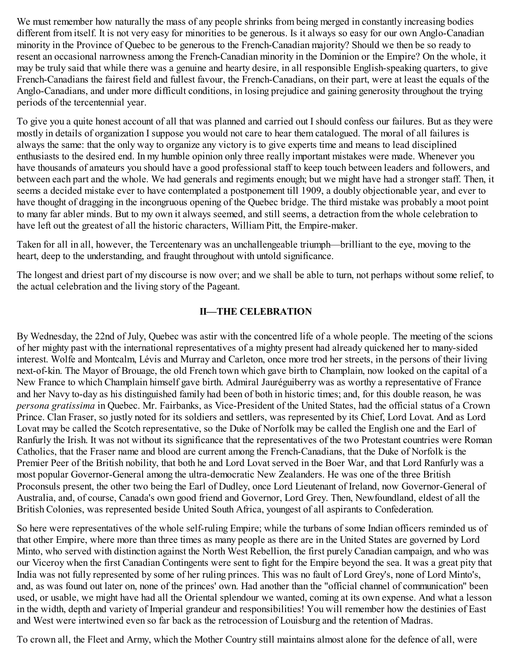We must remember how naturally the mass of any people shrinks from being merged in constantly increasing bodies different from itself. It is not very easy for minorities to be generous. Is it always so easy for our own Anglo-Canadian minority in the Province of Quebec to be generous to the French-Canadian majority? Should we then be so ready to resent an occasional narrowness among the French-Canadian minority in the Dominion or the Empire? On the whole, it may be truly said that while there was a genuine and hearty desire, in all responsible English-speaking quarters, to give French-Canadians the fairest field and fullest favour, the French-Canadians, on their part, were at least the equals of the Anglo-Canadians, and under more difficult conditions, in losing prejudice and gaining generosity throughout the trying periods of the tercentennial year.

To give you a quite honest account of all that was planned and carried out I should confess our failures. But as they were mostly in details of organization I suppose you would not care to hear them catalogued. The moral of all failures is always the same: that the only way to organize any victory is to give experts time and means to lead disciplined enthusiasts to the desired end. In my humble opinion only three really important mistakes were made. Whenever you have thousands of amateurs you should have a good professional staff to keep touch between leaders and followers, and between each part and the whole. We had generals and regiments enough; but we might have had a stronger staff. Then, it seems a decided mistake ever to have contemplated a postponement till 1909, a doubly objectionable year, and ever to have thought of dragging in the incongruous opening of the Quebec bridge. The third mistake was probably a moot point to many far abler minds. But to my own it always seemed, and still seems, a detraction from the whole celebration to have left out the greatest of all the historic characters, William Pitt, the Empire-maker.

Taken for all in all, however, the Tercentenary was an unchallengeable triumph—brilliant to the eye, moving to the heart, deep to the understanding, and fraught throughout with untold significance.

The longest and driest part of my discourse is now over; and we shall be able to turn, not perhaps without some relief, to the actual celebration and the living story of the Pageant.

# **II—THE CELEBRATION**

By Wednesday, the 22nd of July, Quebec was astir with the concentred life of a whole people. The meeting of the scions of her mighty past with the international representatives of a mighty present had already quickened her to many-sided interest. Wolfe and Montcalm, Lévis and Murray and Carleton, once more trod her streets, in the persons of their living next-of-kin. The Mayor of Brouage, the old French town which gave birth to Champlain, now looked on the capital of a New France to which Champlain himself gave birth. Admiral Jauréguiberry was as worthy a representative of France and her Navy to-day as his distinguished family had been of both in historic times; and, for this double reason, he was *persona gratissima* in Quebec. Mr. Fairbanks, as Vice-President of the United States, had the official status of a Crown Prince. Clan Fraser, so justly noted for its soldiers and settlers, was represented by its Chief, Lord Lovat. And as Lord Lovat may be called the Scotch representative, so the Duke of Norfolk may be called the English one and the Earl of Ranfurly the Irish. It was not without its significance that the representatives of the two Protestant countries were Roman Catholics, that the Fraser name and blood are current among the French-Canadians, that the Duke of Norfolk is the Premier Peer of the British nobility, that both he and Lord Lovat served in the Boer War, and that Lord Ranfurly was a most popular Governor-General among the ultra-democratic New Zealanders. He was one of the three British Proconsuls present, the other two being the Earl of Dudley, once Lord Lieutenant of Ireland, now Governor-General of Australia, and, of course, Canada's own good friend and Governor, Lord Grey. Then, Newfoundland, eldest of all the British Colonies, was represented beside United South Africa, youngest of all aspirants to Confederation.

So here were representatives of the whole self-ruling Empire; while the turbans of some Indian officers reminded us of that other Empire, where more than three times as many people as there are in the United States are governed by Lord Minto, who served with distinction against the North West Rebellion, the first purely Canadian campaign, and who was our Viceroy when the first Canadian Contingents were sent to fight for the Empire beyond the sea. It was a great pity that India was not fully represented by some of her ruling princes. This was no fault of Lord Grey's, none of Lord Minto's, and, as was found out later on, none of the princes' own. Had another than the "official channel of communication" been used, or usable, we might have had all the Oriental splendour we wanted, coming at its own expense. And what a lesson in the width, depth and variety of Imperial grandeur and responsibilities! You will remember how the destinies of East and West were intertwined even so far back as the retrocession of Louisburg and the retention of Madras.

To crown all, the Fleet and Army, which the Mother Country still maintains almost alone for the defence of all, were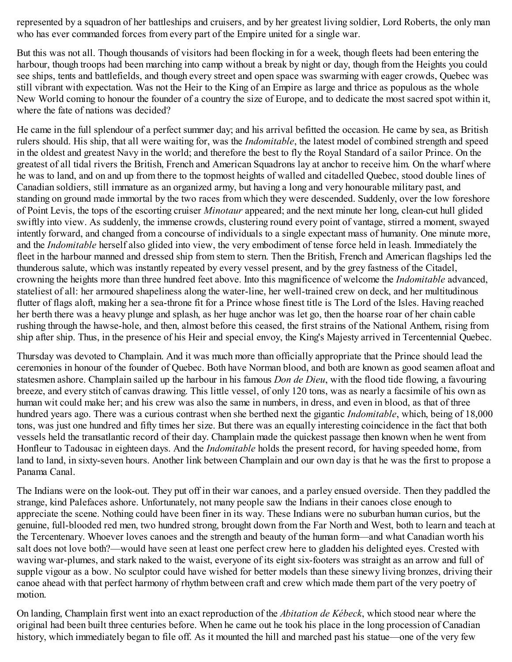represented by a squadron of her battleships and cruisers, and by her greatest living soldier, Lord Roberts, the only man who has ever commanded forces from every part of the Empire united for a single war.

But this was not all. Though thousands of visitors had been flocking in for a week, though fleets had been entering the harbour, though troops had been marching into camp without a break by night or day, though from the Heights you could see ships, tents and battlefields, and though every street and open space was swarming with eager crowds, Quebec was still vibrant with expectation. Was not the Heir to the King of an Empire as large and thrice as populous as the whole New World coming to honour the founder of a country the size of Europe, and to dedicate the most sacred spot within it, where the fate of nations was decided?

He came in the full splendour of a perfect summer day; and his arrival befitted the occasion. He came by sea, as British rulers should. His ship, that all were waiting for, was the *Indomitable*, the latest model of combined strength and speed in the oldest and greatest Navy in the world; and therefore the best to fly the Royal Standard of a sailor Prince. On the greatest of all tidal rivers the British, French and American Squadrons lay at anchor to receive him. On the wharf where he was to land, and on and up from there to the topmost heights of walled and citadelled Quebec, stood double lines of Canadian soldiers, still immature as an organized army, but having a long and very honourable military past, and standing on ground made immortal by the two races from which they were descended. Suddenly, over the low foreshore of Point Levis, the tops of the escorting cruiser *Minotaur* appeared; and the next minute her long, clean-cut hull glided swiftly into view. As suddenly, the immense crowds, clustering round every point of vantage, stirred a moment, swayed intently forward, and changed from a concourse of individuals to a single expectant mass of humanity. One minute more, and the *Indomitable* herself also glided into view, the very embodiment of tense force held in leash. Immediately the fleet in the harbour manned and dressed ship from stem to stern. Then the British, French and American flagships led the thunderous salute, which was instantly repeated by every vessel present, and by the grey fastness of the Citadel, crowning the heights more than three hundred feet above. Into this magnificence of welcome the *Indomitable* advanced, stateliest of all: her armoured shapeliness along the water-line, her well-trained crew on deck, and her multitudinous flutter of flags aloft, making her a sea-throne fit for a Prince whose finest title is The Lord of the Isles. Having reached her berth there was a heavy plunge and splash, as her huge anchor was let go, then the hoarse roar of her chain cable rushing through the hawse-hole, and then, almost before this ceased, the first strains of the National Anthem, rising from ship after ship. Thus, in the presence of his Heir and special envoy, the King's Majesty arrived in Tercentennial Quebec.

Thursday was devoted to Champlain. And it was much more than officially appropriate that the Prince should lead the ceremonies in honour of the founder of Quebec. Both have Norman blood, and both are known as good seamen afloat and statesmen ashore. Champlain sailed up the harbour in his famous *Don de Dieu*, with the flood tide flowing, a favouring breeze, and every stitch of canvas drawing. This little vessel, of only 120 tons, was as nearly a facsimile of his own as human wit could make her; and his crew was also the same in numbers, in dress, and even in blood, as that of three hundred years ago. There was a curious contrast when she berthed next the gigantic *Indomitable*, which, being of 18,000 tons, was just one hundred and fifty times her size. But there was an equally interesting coincidence in the fact that both vessels held the transatlantic record of their day. Champlain made the quickest passage then known when he went from Honfleur to Tadousac in eighteen days. And the *Indomitable* holds the present record, for having speeded home, from land to land, in sixty-seven hours. Another link between Champlain and our own day is that he was the first to propose a Panama Canal.

The Indians were on the look-out. They put off in their war canoes, and a parley ensued overside. Then they paddled the strange, kind Palefaces ashore. Unfortunately, not many people saw the Indians in their canoes close enough to appreciate the scene. Nothing could have been finer in its way. These Indians were no suburban human curios, but the genuine, full-blooded red men, two hundred strong, brought down from the Far North and West, both to learn and teach at the Tercentenary. Whoever loves canoes and the strength and beauty of the human form—and what Canadian worth his salt does not love both?—would have seen at least one perfect crew here to gladden his delighted eyes. Crested with waving war-plumes, and stark naked to the waist, everyone of its eight six-footers was straight as an arrow and full of supple vigour as a bow. No sculptor could have wished for better models than these sinewy living bronzes, driving their canoe ahead with that perfect harmony of rhythm between craft and crew which made them part of the very poetry of motion.

On landing, Champlain first went into an exact reproduction of the *Abitation de Kébeck*, which stood near where the original had been built three centuries before. When he came out he took his place in the long procession of Canadian history, which immediately began to file off. As it mounted the hill and marched past his statue—one of the very few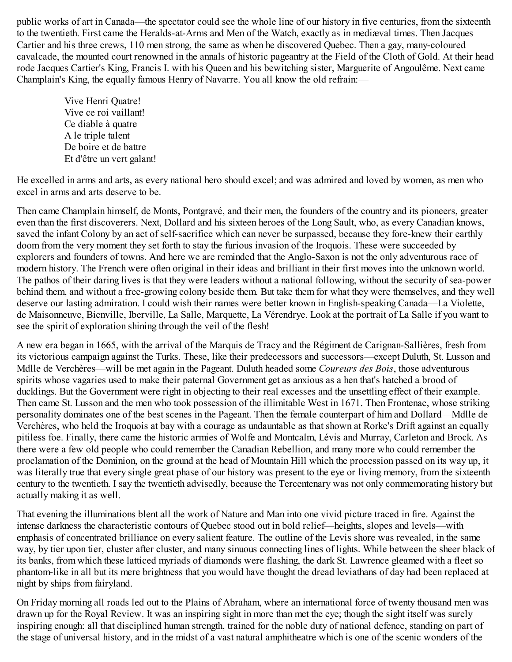public works of art in Canada—the spectator could see the whole line of our history in five centuries, from the sixteenth to the twentieth. First came the Heralds-at-Arms and Men of the Watch, exactly as in mediæval times. Then Jacques Cartier and his three crews, 110 men strong, the same as when he discovered Quebec. Then a gay, many-coloured cavalcade, the mounted court renowned in the annals of historic pageantry at the Field of the Cloth of Gold. At their head rode Jacques Cartier's King, Francis I. with his Queen and his bewitching sister, Marguerite of Angoulême. Next came Champlain's King, the equally famous Henry of Navarre. You all know the old refrain:—

Vive Henri Quatre! Vive ce roi vaillant! Ce diable à quatre A le triple talent De boire et de battre Et d'être un vert galant!

He excelled in arms and arts, as every national hero should excel; and was admired and loved by women, as men who excel in arms and arts deserve to be.

Then came Champlain himself, de Monts, Pontgravé, and their men, the founders of the country and its pioneers, greater even than the first discoverers. Next, Dollard and his sixteen heroes of the Long Sault, who, as every Canadian knows, saved the infant Colony by an act of self-sacrifice which can never be surpassed, because they fore-knew their earthly doom from the very moment they set forth to stay the furious invasion of the Iroquois. These were succeeded by explorers and founders of towns. And here we are reminded that the Anglo-Saxon is not the only adventurous race of modern history. The French were often original in their ideas and brilliant in their first moves into the unknown world. The pathos of their daring lives is that they were leaders without a national following, without the security of sea-power behind them, and without a free-growing colony beside them. But take them for what they were themselves, and they well deserve our lasting admiration. I could wish their names were better known in English-speaking Canada—La Violette, de Maisonneuve, Bienville, Iberville, La Salle, Marquette, La Vérendrye. Look at the portrait of La Salle if you want to see the spirit of exploration shining through the veil of the flesh!

A new era began in 1665, with the arrival of the Marquis de Tracy and the Régiment de Carignan-Sallières, fresh from its victorious campaign against the Turks. These, like their predecessors and successors—except Duluth, St. Lusson and Mdlle de Verchères—will be met again in the Pageant. Duluth headed some *Coureurs des Bois*, those adventurous spirits whose vagaries used to make their paternal Government get as anxious as a hen that's hatched a brood of ducklings. But the Government were right in objecting to their real excesses and the unsettling effect of their example. Then came St. Lusson and the men who took possession of the illimitable West in 1671. Then Frontenac, whose striking personality dominates one of the best scenes in the Pageant. Then the female counterpart of him and Dollard—Mdlle de Verchères, who held the Iroquois at bay with a courage as undauntable as that shown at Rorke's Drift against an equally pitiless foe. Finally, there came the historic armies of Wolfe and Montcalm, Lévis and Murray, Carleton and Brock. As there were a few old people who could remember the Canadian Rebellion, and many more who could remember the proclamation of the Dominion, on the ground at the head of Mountain Hill which the procession passed on its way up, it was literally true that every single great phase of our history was present to the eye or living memory, from the sixteenth century to the twentieth. I say the twentieth advisedly, because the Tercentenary was not only commemorating history but actually making it as well.

That evening the illuminations blent all the work of Nature and Man into one vivid picture traced in fire. Against the intense darkness the characteristic contours of Quebec stood out in bold relief—heights, slopes and levels—with emphasis of concentrated brilliance on every salient feature. The outline of the Levis shore was revealed, in the same way, by tier upon tier, cluster after cluster, and many sinuous connecting lines of lights. While between the sheer black of its banks, from which these latticed myriads of diamonds were flashing, the dark St. Lawrence gleamed with a fleet so phantom-like in all but its mere brightness that you would have thought the dread leviathans of day had been replaced at night by ships from fairyland.

On Friday morning all roads led out to the Plains of Abraham, where an international force of twenty thousand men was drawn up for the Royal Review. It was an inspiring sight in more than met the eye; though the sight itself was surely inspiring enough: all that disciplined human strength, trained for the noble duty of national defence, standing on part of the stage of universal history, and in the midst of a vast natural amphitheatre which is one of the scenic wonders of the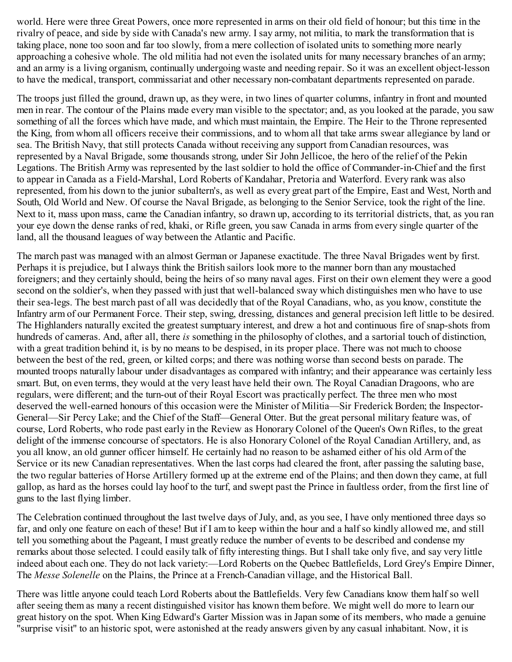world. Here were three Great Powers, once more represented in arms on their old field of honour; but this time in the rivalry of peace, and side by side with Canada's new army. I say army, not militia, to mark the transformation that is taking place, none too soon and far too slowly, from a mere collection of isolated units to something more nearly approaching a cohesive whole. The old militia had not even the isolated units for many necessary branches of an army; and an army is a living organism, continually undergoing waste and needing repair. So it was an excellent object-lesson to have the medical, transport, commissariat and other necessary non-combatant departments represented on parade.

The troops just filled the ground, drawn up, as they were, in two lines of quarter columns, infantry in front and mounted men in rear. The contour of the Plains made every man visible to the spectator; and, as you looked at the parade, you saw something of all the forces which have made, and which must maintain, the Empire. The Heir to the Throne represented the King, from whom all officers receive their commissions, and to whom all that take arms swear allegiance by land or sea. The British Navy, that still protects Canada without receiving any support from Canadian resources, was represented by a Naval Brigade, some thousands strong, under Sir John Jellicoe, the hero of the relief of the Pekin Legations. The British Army was represented by the last soldier to hold the office of Commander-in-Chief and the first to appear in Canada as a Field-Marshal, Lord Roberts of Kandahar, Pretoria and Waterford. Every rank was also represented, from his down to the junior subaltern's, as well as every great part of the Empire, East and West, North and South, Old World and New. Of course the Naval Brigade, as belonging to the Senior Service, took the right of the line. Next to it, mass upon mass, came the Canadian infantry, so drawn up, according to its territorial districts, that, as you ran your eye down the dense ranks of red, khaki, or Rifle green, you saw Canada in arms from every single quarter of the land, all the thousand leagues of way between the Atlantic and Pacific.

The march past was managed with an almost German or Japanese exactitude. The three Naval Brigades went by first. Perhaps it is prejudice, but I always think the British sailors look more to the manner born than any moustached foreigners; and they certainly should, being the heirs of so many naval ages. First on their own element they were a good second on the soldier's, when they passed with just that well-balanced sway which distinguishes men who have to use their sea-legs. The best march past of all was decidedly that of the Royal Canadians, who, as you know, constitute the Infantry arm of our Permanent Force. Their step, swing, dressing, distances and general precision left little to be desired. The Highlanders naturally excited the greatest sumptuary interest, and drew a hot and continuous fire of snap-shots from hundreds of cameras. And, after all, there *is* something in the philosophy of clothes, and a sartorial touch of distinction, with a great tradition behind it, is by no means to be despised, in its proper place. There was not much to choose between the best of the red, green, or kilted corps; and there was nothing worse than second bests on parade. The mounted troops naturally labour under disadvantages as compared with infantry; and their appearance was certainly less smart. But, on even terms, they would at the very least have held their own. The Royal Canadian Dragoons, who are regulars, were different; and the turn-out of their Royal Escort was practically perfect. The three men who most deserved the well-earned honours of this occasion were the Minister of Militia—Sir Frederick Borden; the Inspector-General—Sir Percy Lake; and the Chief of the Staff—General Otter. But the great personal military feature was, of course, Lord Roberts, who rode past early in the Review as Honorary Colonel of the Queen's Own Rifles, to the great delight of the immense concourse of spectators. He is also Honorary Colonel of the Royal Canadian Artillery, and, as you all know, an old gunner officer himself. He certainly had no reason to be ashamed either of his old Arm of the Service or its new Canadian representatives. When the last corps had cleared the front, after passing the saluting base, the two regular batteries of Horse Artillery formed up at the extreme end of the Plains; and then down they came, at full gallop, as hard as the horses could lay hoof to the turf, and swept past the Prince in faultless order, from the first line of guns to the last flying limber.

The Celebration continued throughout the last twelve days of July, and, as you see, I have only mentioned three days so far, and only one feature on each of these! But if I am to keep within the hour and a half so kindly allowed me, and still tell you something about the Pageant, I must greatly reduce the number of events to be described and condense my remarks about those selected. I could easily talk of fifty interesting things. But I shall take only five, and say very little indeed about each one. They do not lack variety:—Lord Roberts on the Quebec Battlefields, Lord Grey's Empire Dinner, The *Messe Solenelle* on the Plains, the Prince at a French-Canadian village, and the Historical Ball.

There was little anyone could teach Lord Roberts about the Battlefields. Very few Canadians know them half so well after seeing them as many a recent distinguished visitor has known them before. We might well do more to learn our great history on the spot. When King Edward's Garter Mission was in Japan some of its members, who made a genuine "surprise visit" to an historic spot, were astonished at the ready answers given by any casual inhabitant. Now, it is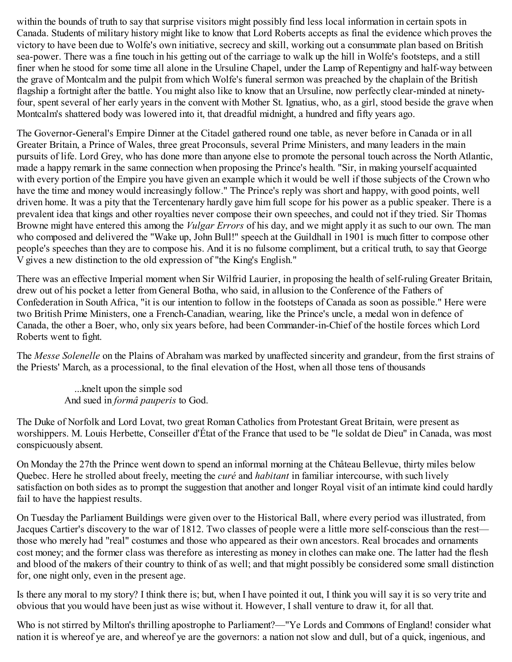within the bounds of truth to say that surprise visitors might possibly find less local information in certain spots in Canada. Students of military history might like to know that Lord Roberts accepts as final the evidence which proves the victory to have been due to Wolfe's own initiative, secrecy and skill, working out a consummate plan based on British sea-power. There was a fine touch in his getting out of the carriage to walk up the hill in Wolfe's footsteps, and a still finer when he stood for some time all alone in the Ursuline Chapel, under the Lamp of Repentigny and half-way between the grave of Montcalm and the pulpit from which Wolfe's funeral sermon was preached by the chaplain of the British flagship a fortnight after the battle. You might also like to know that an Ursuline, now perfectly clear-minded at ninetyfour, spent several of her early years in the convent with Mother St. Ignatius, who, as a girl, stood beside the grave when Montcalm's shattered body was lowered into it, that dreadful midnight, a hundred and fifty years ago.

The Governor-General's Empire Dinner at the Citadel gathered round one table, as never before in Canada or in all Greater Britain, a Prince of Wales, three great Proconsuls, several Prime Ministers, and many leaders in the main pursuits of life. Lord Grey, who has done more than anyone else to promote the personal touch across the North Atlantic, made a happy remark in the same connection when proposing the Prince's health. "Sir, in making yourself acquainted with every portion of the Empire you have given an example which it would be well if those subjects of the Crown who have the time and money would increasingly follow." The Prince's reply was short and happy, with good points, well driven home. It was a pity that the Tercentenary hardly gave him full scope for his power as a public speaker. There is a prevalent idea that kings and other royalties never compose their own speeches, and could not if they tried. Sir Thomas Browne might have entered this among the *Vulgar Errors* of his day, and we might apply it as such to our own. The man who composed and delivered the "Wake up, John Bull!" speech at the Guildhall in 1901 is much fitter to compose other people's speeches than they are to compose his. And it is no fulsome compliment, but a critical truth, to say that George V gives a new distinction to the old expression of "the King's English."

There was an effective Imperial moment when Sir Wilfrid Laurier, in proposing the health of self-ruling Greater Britain, drew out of his pocket a letter from General Botha, who said, in allusion to the Conference of the Fathers of Confederation in South Africa, "it is our intention to follow in the footsteps of Canada as soon as possible." Here were two British Prime Ministers, one a French-Canadian, wearing, like the Prince's uncle, a medal won in defence of Canada, the other a Boer, who, only six years before, had been Commander-in-Chief of the hostile forces which Lord Roberts went to fight.

The *Messe Solenelle* on the Plains of Abraham was marked by unaffected sincerity and grandeur, from the first strains of the Priests' March, as a processional, to the final elevation of the Host, when all those tens of thousands

...knelt upon the simple sod And sued in *formâ pauperis* to God.

The Duke of Norfolk and Lord Lovat, two great Roman Catholics from Protestant Great Britain, were present as worshippers. M. Louis Herbette, Conseiller d'État of the France that used to be "le soldat de Dieu" in Canada, was most conspicuously absent.

On Monday the 27th the Prince went down to spend an informal morning at the Château Bellevue, thirty miles below Quebec. Here he strolled about freely, meeting the *curé* and *habitant* in familiar intercourse, with such lively satisfaction on both sides as to prompt the suggestion that another and longer Royal visit of an intimate kind could hardly fail to have the happiest results.

On Tuesday the Parliament Buildings were given over to the Historical Ball, where every period was illustrated, from Jacques Cartier's discovery to the war of 1812. Two classes of people were a little more self-conscious than the rest those who merely had "real" costumes and those who appeared as their own ancestors. Real brocades and ornaments cost money; and the former class was therefore as interesting as money in clothes can make one. The latter had the flesh and blood of the makers of their country to think of as well; and that might possibly be considered some small distinction for, one night only, even in the present age.

Is there any moral to my story? I think there is; but, when I have pointed it out, I think you will say it is so very trite and obvious that you would have been just as wise without it. However, I shall venture to draw it, for all that.

Who is not stirred by Milton's thrilling apostrophe to Parliament?—"Ye Lords and Commons of England! consider what nation it is whereof ye are, and whereof ye are the governors: a nation not slow and dull, but of a quick, ingenious, and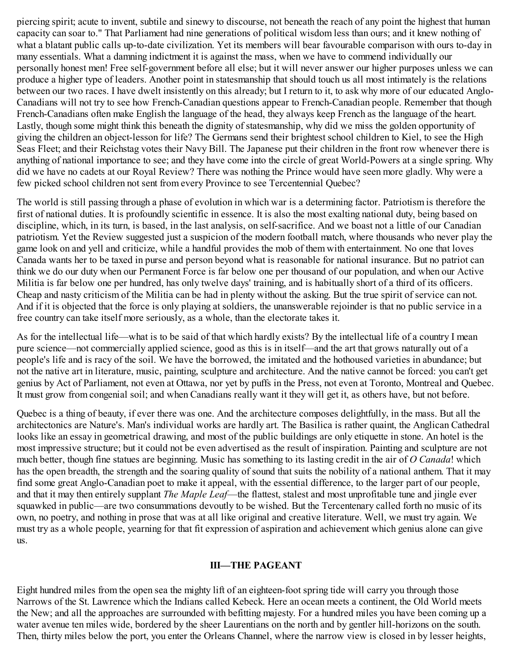piercing spirit; acute to invent, subtile and sinewy to discourse, not beneath the reach of any point the highest that human capacity can soar to." That Parliament had nine generations of political wisdom less than ours; and it knew nothing of what a blatant public calls up-to-date civilization. Yet its members will bear favourable comparison with ours to-day in many essentials. What a damning indictment it is against the mass, when we have to commend individually our personally honest men! Free self-government before all else; but it will never answer our higher purposes unless we can produce a higher type of leaders. Another point in statesmanship that should touch us all most intimately is the relations between our two races. I have dwelt insistently on this already; but I return to it, to ask why more of our educated Anglo-Canadians will not try to see how French-Canadian questions appear to French-Canadian people. Remember that though French-Canadians often make English the language of the head, they always keep French as the language of the heart. Lastly, though some might think this beneath the dignity of statesmanship, why did we miss the golden opportunity of giving the children an object-lesson for life? The Germans send their brightest school children to Kiel, to see the High Seas Fleet; and their Reichstag votes their Navy Bill. The Japanese put their children in the front row whenever there is anything of national importance to see; and they have come into the circle of great World-Powers at a single spring. Why did we have no cadets at our Royal Review? There was nothing the Prince would have seen more gladly. Why were a few picked school children not sent from every Province to see Tercentennial Quebec?

The world is still passing through a phase of evolution in which war is a determining factor. Patriotism is therefore the first of national duties. It is profoundly scientific in essence. It is also the most exalting national duty, being based on discipline, which, in its turn, is based, in the last analysis, on self-sacrifice. And we boast not a little of our Canadian patriotism. Yet the Review suggested just a suspicion of the modern football match, where thousands who never play the game look on and yell and criticize, while a handful provides the mob of them with entertainment. No one that loves Canada wants her to be taxed in purse and person beyond what is reasonable for national insurance. But no patriot can think we do our duty when our Permanent Force is far below one per thousand of our population, and when our Active Militia is far below one per hundred, has only twelve days' training, and is habitually short of a third of its officers. Cheap and nasty criticism of the Militia can be had in plenty without the asking. But the true spirit of service can not. And if it is objected that the force is only playing at soldiers, the unanswerable rejoinder is that no public service in a free country can take itself more seriously, as a whole, than the electorate takes it.

As for the intellectual life—what is to be said of that which hardly exists? By the intellectual life of a country I mean pure science—not commercially applied science, good as this is in itself—and the art that grows naturally out of a people's life and is racy of the soil. We have the borrowed, the imitated and the hothoused varieties in abundance; but not the native art in literature, music, painting, sculpture and architecture. And the native cannot be forced: you can't get genius by Act of Parliament, not even at Ottawa, nor yet by puffs in the Press, not even at Toronto, Montreal and Quebec. It must grow from congenial soil; and when Canadians really want it they will get it, as others have, but not before.

Quebec is a thing of beauty, if ever there was one. And the architecture composes delightfully, in the mass. But all the architectonics are Nature's. Man's individual works are hardly art. The Basilica is rather quaint, the Anglican Cathedral looks like an essay in geometrical drawing, and most of the public buildings are only etiquette in stone. An hotel is the most impressive structure; but it could not be even advertised as the result of inspiration. Painting and sculpture are not much better, though fine statues are beginning. Music has something to its lasting credit in the air of *O Canada*! which has the open breadth, the strength and the soaring quality of sound that suits the nobility of a national anthem. That it may find some great Anglo-Canadian poet to make it appeal, with the essential difference, to the larger part of our people, and that it may then entirely supplant *The Maple Leaf*—the flattest, stalest and most unprofitable tune and jingle ever squawked in public—are two consummations devoutly to be wished. But the Tercentenary called forth no music of its own, no poetry, and nothing in prose that was at all like original and creative literature. Well, we must try again. We must try as a whole people, yearning for that fit expression of aspiration and achievement which genius alone can give us.

## **III—THE PAGEANT**

Eight hundred miles from the open sea the mighty lift of an eighteen-foot spring tide will carry you through those Narrows of the St. Lawrence which the Indians called Kebeck. Here an ocean meets a continent, the Old World meets the New; and all the approaches are surrounded with befitting majesty. For a hundred miles you have been coming up a water avenue ten miles wide, bordered by the sheer Laurentians on the north and by gentler hill-horizons on the south. Then, thirty miles below the port, you enter the Orleans Channel, where the narrow view is closed in by lesser heights,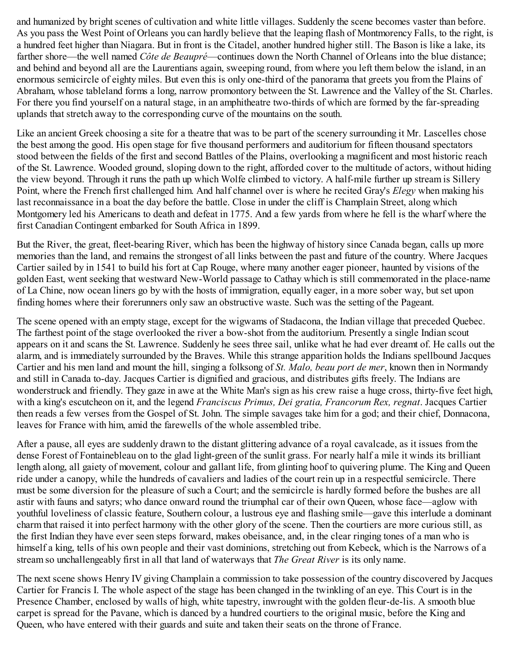and humanized by bright scenes of cultivation and white little villages. Suddenly the scene becomes vaster than before. As you pass the West Point of Orleans you can hardly believe that the leaping flash of Montmorency Falls, to the right, is a hundred feet higher than Niagara. But in front is the Citadel, another hundred higher still. The Bason is like a lake, its farther shore—the well named *Côte de Beaupré*—continues down the North Channel of Orleans into the blue distance; and behind and beyond all are the Laurentians again, sweeping round, from where you left them below the island, in an enormous semicircle of eighty miles. But even this is only one-third of the panorama that greets you from the Plains of Abraham, whose tableland forms a long, narrow promontory between the St. Lawrence and the Valley of the St. Charles. For there you find yourself on a natural stage, in an amphitheatre two-thirds of which are formed by the far-spreading uplands that stretch away to the corresponding curve of the mountains on the south.

Like an ancient Greek choosing a site for a theatre that was to be part of the scenery surrounding it Mr. Lascelles chose the best among the good. His open stage for five thousand performers and auditorium for fifteen thousand spectators stood between the fields of the first and second Battles of the Plains, overlooking a magnificent and most historic reach of the St. Lawrence. Wooded ground, sloping down to the right, afforded cover to the multitude of actors, without hiding the view beyond. Through it runs the path up which Wolfe climbed to victory. A half-mile further up stream is Sillery Point, where the French first challenged him. And half channel over is where he recited Gray's *Elegy* when making his last reconnaissance in a boat the day before the battle. Close in under the cliff is Champlain Street, along which Montgomery led his Americans to death and defeat in 1775. And a few yards from where he fell is the wharf where the first Canadian Contingent embarked for South Africa in 1899.

But the River, the great, fleet-bearing River, which has been the highway of history since Canada began, calls up more memories than the land, and remains the strongest of all links between the past and future of the country. Where Jacques Cartier sailed by in 1541 to build his fort at Cap Rouge, where many another eager pioneer, haunted by visions of the golden East, went seeking that westward New-World passage to Cathay which is still commemorated in the place-name of La Chine, now ocean liners go by with the hosts of immigration, equally eager, in a more sober way, but set upon finding homes where their forerunners only saw an obstructive waste. Such was the setting of the Pageant.

The scene opened with an empty stage, except for the wigwams of Stadacona, the Indian village that preceded Quebec. The farthest point of the stage overlooked the river a bow-shot from the auditorium. Presently a single Indian scout appears on it and scans the St. Lawrence. Suddenly he sees three sail, unlike what he had ever dreamt of. He calls out the alarm, and is immediately surrounded by the Braves. While this strange apparition holds the Indians spellbound Jacques Cartier and his men land and mount the hill, singing a folksong of *St. Malo, beau port de mer*, known then in Normandy and still in Canada to-day. Jacques Cartier is dignified and gracious, and distributes gifts freely. The Indians are wonderstruck and friendly. They gaze in awe at the White Man's sign as his crew raise a huge cross, thirty-five feet high, with a king's escutcheon on it, and the legend *Franciscus Primus, Dei gratia, Francorum Rex, regnat*. Jacques Cartier then reads a few verses from the Gospel of St. John. The simple savages take him for a god; and their chief, Donnacona, leaves for France with him, amid the farewells of the whole assembled tribe.

After a pause, all eyes are suddenly drawn to the distant glittering advance of a royal cavalcade, as it issues from the dense Forest of Fontainebleau on to the glad light-green of the sunlit grass. For nearly half a mile it winds its brilliant length along, all gaiety of movement, colour and gallant life, from glinting hoof to quivering plume. The King and Queen ride under a canopy, while the hundreds of cavaliers and ladies of the court rein up in a respectful semicircle. There must be some diversion for the pleasure of such a Court; and the semicircle is hardly formed before the bushes are all astir with fauns and satyrs; who dance onward round the triumphal car of their own Queen, whose face—aglow with youthful loveliness of classic feature, Southern colour, a lustrous eye and flashing smile—gave this interlude a dominant charm that raised it into perfect harmony with the other glory of the scene. Then the courtiers are more curious still, as the first Indian they have ever seen steps forward, makes obeisance, and, in the clear ringing tones of a man who is himself a king, tells of his own people and their vast dominions, stretching out from Kebeck, which is the Narrows of a stream so unchallengeably first in all that land of waterways that *The Great River* is its only name.

The next scene shows Henry IV giving Champlain a commission to take possession of the country discovered by Jacques Cartier for Francis I. The whole aspect of the stage has been changed in the twinkling of an eye. This Court is in the Presence Chamber, enclosed by walls of high, white tapestry, inwrought with the golden fleur-de-lis. A smooth blue carpet is spread for the Pavane, which is danced by a hundred courtiers to the original music, before the King and Queen, who have entered with their guards and suite and taken their seats on the throne of France.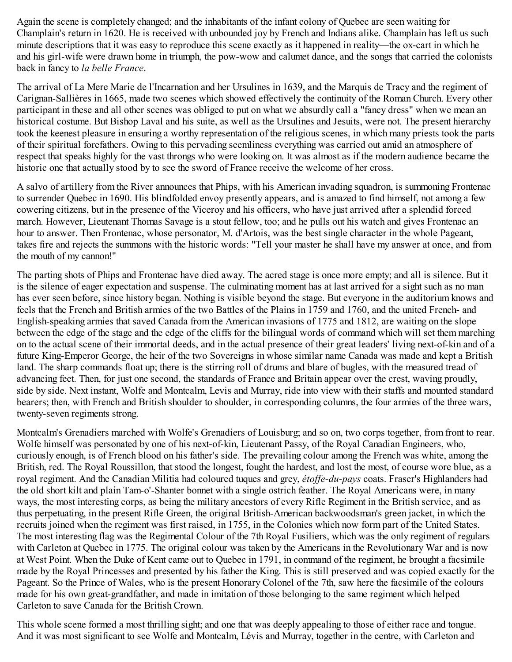Again the scene is completely changed; and the inhabitants of the infant colony of Quebec are seen waiting for Champlain's return in 1620. He is received with unbounded joy by French and Indians alike. Champlain has left us such minute descriptions that it was easy to reproduce this scene exactly as it happened in reality—the ox-cart in which he and his girl-wife were drawn home in triumph, the pow-wow and calumet dance, and the songs that carried the colonists back in fancy to *la belle France*.

The arrival of La Mere Marie de l'Incarnation and her Ursulines in 1639, and the Marquis de Tracy and the regiment of Carignan-Sallières in 1665, made two scenes which showed effectively the continuity of the Roman Church. Every other participant in these and all other scenes was obliged to put on what we absurdly call a "fancy dress" when we mean an historical costume. But Bishop Laval and his suite, as well as the Ursulines and Jesuits, were not. The present hierarchy took the keenest pleasure in ensuring a worthy representation of the religious scenes, in which many priests took the parts of their spiritual forefathers. Owing to this pervading seemliness everything was carried out amid an atmosphere of respect that speaks highly for the vast throngs who were looking on. It was almost as if the modern audience became the historic one that actually stood by to see the sword of France receive the welcome of her cross.

A salvo of artillery from the River announces that Phips, with his American invading squadron, is summoning Frontenac to surrender Quebec in 1690. His blindfolded envoy presently appears, and is amazed to find himself, not among a few cowering citizens, but in the presence of the Viceroy and his officers, who have just arrived after a splendid forced march. However, Lieutenant Thomas Savage is a stout fellow, too; and he pulls out his watch and gives Frontenac an hour to answer. Then Frontenac, whose personator, M. d'Artois, was the best single character in the whole Pageant, takes fire and rejects the summons with the historic words: "Tell your master he shall have my answer at once, and from the mouth of my cannon!"

The parting shots of Phips and Frontenac have died away. The acred stage is once more empty; and all is silence. But it is the silence of eager expectation and suspense. The culminating moment has at last arrived for a sight such as no man has ever seen before, since history began. Nothing is visible beyond the stage. But everyone in the auditorium knows and feels that the French and British armies of the two Battles of the Plains in 1759 and 1760, and the united French- and English-speaking armies that saved Canada from the American invasions of 1775 and 1812, are waiting on the slope between the edge of the stage and the edge of the cliffs for the bilingual words of command which will set them marching on to the actual scene of their immortal deeds, and in the actual presence of their great leaders' living next-of-kin and of a future King-Emperor George, the heir of the two Sovereigns in whose similar name Canada was made and kept a British land. The sharp commands float up; there is the stirring roll of drums and blare of bugles, with the measured tread of advancing feet. Then, for just one second, the standards of France and Britain appear over the crest, waving proudly, side by side. Next instant, Wolfe and Montcalm, Levis and Murray, ride into view with their staffs and mounted standard bearers; then, with French and British shoulder to shoulder, in corresponding columns, the four armies of the three wars, twenty-seven regiments strong.

Montcalm's Grenadiers marched with Wolfe's Grenadiers of Louisburg; and so on, two corps together, from front to rear. Wolfe himself was personated by one of his next-of-kin, Lieutenant Passy, of the Royal Canadian Engineers, who, curiously enough, is of French blood on his father's side. The prevailing colour among the French was white, among the British, red. The Royal Roussillon, that stood the longest, fought the hardest, and lost the most, of course wore blue, as a royal regiment. And the Canadian Militia had coloured tuques and grey, *étoffe-du-pays* coats. Fraser's Highlanders had the old short kilt and plain Tam-o'-Shanter bonnet with a single ostrich feather. The Royal Americans were, in many ways, the most interesting corps, as being the military ancestors of every Rifle Regiment in the British service, and as thus perpetuating, in the present Rifle Green, the original British-American backwoodsman's green jacket, in which the recruits joined when the regiment was first raised, in 1755, in the Colonies which now form part of the United States. The most interesting flag was the Regimental Colour of the 7th Royal Fusiliers, which was the only regiment of regulars with Carleton at Quebec in 1775. The original colour was taken by the Americans in the Revolutionary War and is now at West Point. When the Duke of Kent came out to Quebec in 1791, in command of the regiment, he brought a facsimile made by the Royal Princesses and presented by his father the King. This is still preserved and was copied exactly for the Pageant. So the Prince of Wales, who is the present Honorary Colonel of the 7th, saw here the facsimile of the colours made for his own great-grandfather, and made in imitation of those belonging to the same regiment which helped Carleton to save Canada for the British Crown.

This whole scene formed a most thrilling sight; and one that was deeply appealing to those of either race and tongue. And it was most significant to see Wolfe and Montcalm, Lévis and Murray, together in the centre, with Carleton and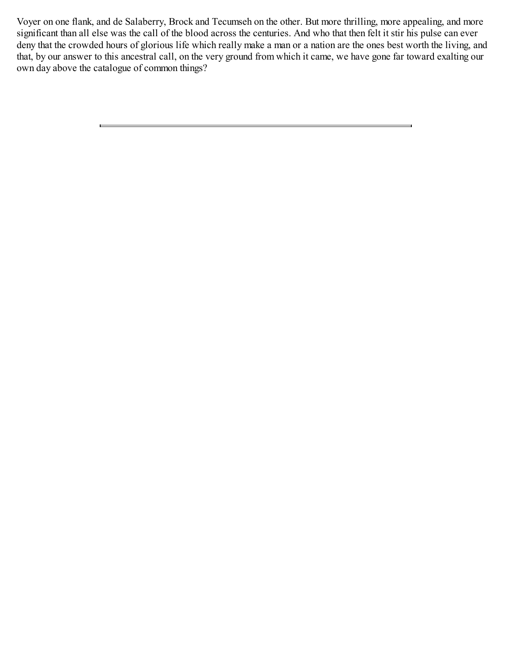Voyer on one flank, and de Salaberry, Brock and Tecumseh on the other. But more thrilling, more appealing, and more significant than all else was the call of the blood across the centuries. And who that then felt it stir his pulse can ever deny that the crowded hours of glorious life which really make a man or a nation are the ones best worth the living, and that, by our answer to this ancestral call, on the very ground from which it came, we have gone far toward exalting our own day above the catalogue of common things?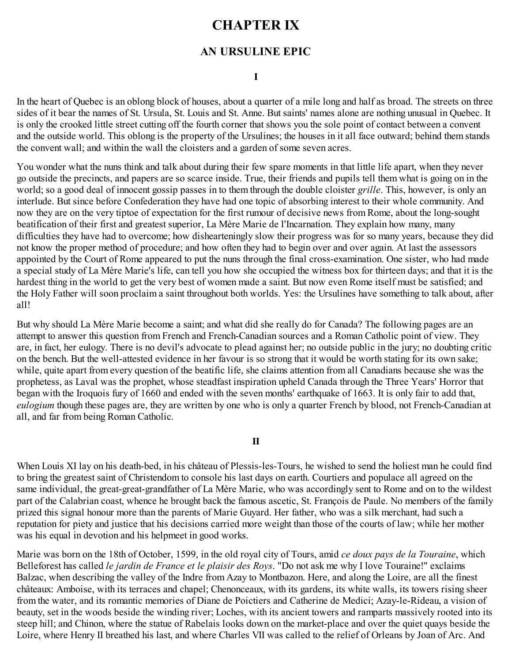# **CHAPTER IX**

## **AN URSULINE EPIC**

#### **I**

In the heart of Quebec is an oblong block of houses, about a quarter of a mile long and half as broad. The streets on three sides of it bear the names of St. Ursula, St. Louis and St. Anne. But saints' names alone are nothing unusual in Quebec. It is only the crooked little street cutting off the fourth corner that shows you the sole point of contact between a convent and the outside world. This oblong is the property of the Ursulines; the houses in it all face outward; behind them stands the convent wall; and within the wall the cloisters and a garden of some seven acres.

You wonder what the nuns think and talk about during their few spare moments in that little life apart, when they never go outside the precincts, and papers are so scarce inside. True, their friends and pupils tell them what is going on in the world; so a good deal of innocent gossip passes in to them through the double cloister *grille*. This, however, is only an interlude. But since before Confederation they have had one topic of absorbing interest to their whole community. And now they are on the very tiptoe of expectation for the first rumour of decisive news from Rome, about the long-sought beatification of their first and greatest superior, La Mère Marie de l'Incarnation. They explain how many, many difficulties they have had to overcome; how dishearteningly slow their progress was for so many years, because they did not know the proper method of procedure; and how often they had to begin over and over again. At last the assessors appointed by the Court of Rome appeared to put the nuns through the final cross-examination. One sister, who had made a special study of La Mère Marie's life, can tell you how she occupied the witness box for thirteen days; and that it is the hardest thing in the world to get the very best of women made a saint. But now even Rome itself must be satisfied; and the Holy Father will soon proclaim a saint throughout both worlds. Yes: the Ursulines have something to talk about, after all!

But why should La Mère Marie become a saint; and what did she really do for Canada? The following pages are an attempt to answer this question from French and French-Canadian sources and a Roman Catholic point of view. They are, in fact, her eulogy. There is no devil's advocate to plead against her; no outside public in the jury; no doubting critic on the bench. But the well-attested evidence in her favour is so strong that it would be worth stating for its own sake; while, quite apart from every question of the beatific life, she claims attention from all Canadians because she was the prophetess, as Laval was the prophet, whose steadfast inspiration upheld Canada through the Three Years' Horror that began with the Iroquois fury of 1660 and ended with the seven months' earthquake of 1663. It is only fair to add that, *eulogium* though these pages are, they are written by one who is only a quarter French by blood, not French-Canadian at all, and far from being Roman Catholic.

### **II**

When Louis XI lay on his death-bed, in his château of Plessis-les-Tours, he wished to send the holiest man he could find to bring the greatest saint of Christendom to console his last days on earth. Courtiers and populace all agreed on the same individual, the great-great-grandfather of La Mère Marie, who was accordingly sent to Rome and on to the wildest part of the Calabrian coast, whence he brought back the famous ascetic, St. François de Paule. No members of the family prized this signal honour more than the parents of Marie Guyard. Her father, who was a silk merchant, had such a reputation for piety and justice that his decisions carried more weight than those of the courts of law; while her mother was his equal in devotion and his helpmeet in good works.

Marie was born on the 18th of October, 1599, in the old royal city of Tours, amid *ce doux pays de la Touraine*, which Belleforest has called *le jardin de France et le plaisir des Roys*. "Do not ask me why I love Touraine!" exclaims Balzac, when describing the valley of the Indre from Azay to Montbazon. Here, and along the Loire, are all the finest châteaux: Amboise, with its terraces and chapel; Chenonceaux, with its gardens, its white walls, its towers rising sheer from the water, and its romantic memories of Diane de Poictiers and Catherine de Medici; Azay-le-Rideau, a vision of beauty, set in the woods beside the winding river; Loches, with its ancient towers and ramparts massively rooted into its steep hill; and Chinon, where the statue of Rabelais looks down on the market-place and over the quiet quays beside the Loire, where Henry II breathed his last, and where Charles VII was called to the relief of Orleans by Joan of Arc. And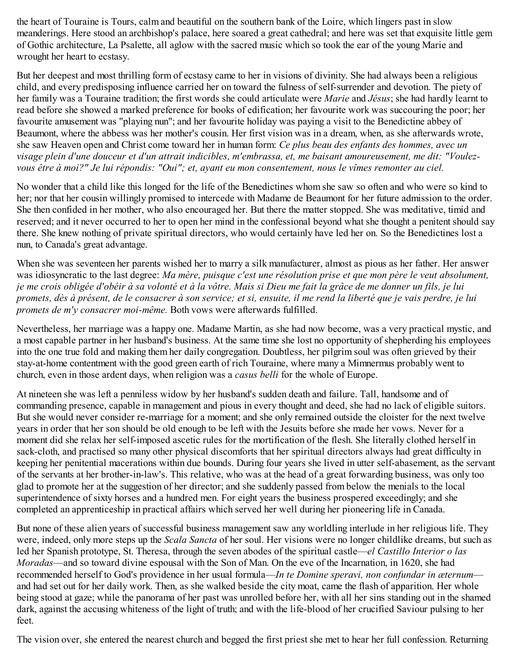the heart of Touraine is Tours, calm and beautiful on the southern bank of the Loire, which lingers past in slow meanderings. Here stood an archbishop's palace, here soared a great cathedral; and here was set that exquisite little gem of Gothic architecture, La Psalette, all aglow with the sacred music which so took the ear of the young Marie and wrought her heart to ecstasy.

But her deepest and most thrilling form of ecstasy came to her in visions of divinity. She had always been a religious child, and every predisposing influence carried her on toward the fulness of self-surrender and devotion. The piety of her family was a Touraine tradition; the first words she could articulate were *Marie* and *Jésus*; she had hardly learnt to read before she showed a marked preference for books of edification; her favourite work was succouring the poor; her favourite amusement was "playing nun"; and her favourite holiday was paying a visit to the Benedictine abbey of Beaumont, where the abbess was her mother's cousin. Her first vision was in a dream, when, as she afterwards wrote, she saw Heaven open and Christ come toward her in human form: *Ce plus beau des enfants des hommes, avec un* visage plein d'une douceur et d'un attrait indicibles, m'embrassa, et, me baisant amoureusement, me dit: "Voulezvous être à moi?" Je lui répondis: "Oui"; et, ayant eu mon consentement, nous le vîmes remonter au ciel.

No wonder that a child like this longed for the life of the Benedictines whom she saw so often and who were so kind to her; nor that her cousin willingly promised to intercede with Madame de Beaumont for her future admission to the order. She then confided in her mother, who also encouraged her. But there the matter stopped. She was meditative, timid and reserved; and it never occurred to her to open her mind in the confessional beyond what she thought a penitent should say there. She knew nothing of private spiritual directors, who would certainly have led her on. So the Benedictines lost a nun, to Canada's great advantage.

When she was seventeen her parents wished her to marry a silk manufacturer, almost as pious as her father. Her answer was idiosyncratic to the last degree: *Ma mère, puisque c'est une résolution prise et que mon père le veut absolument,* je me crois obligée d'obéir à sa volonté et à la vôtre. Mais si Dieu me fait la grâce de me donner un fils, je lui promets, dès à présent, de le consacrer à son service; et si, ensuite, il me rend la liberté que je vais perdre, je lui *promets de m'y consacrer moi-même.* Both vows were afterwards fulfilled.

Nevertheless, her marriage was a happy one. Madame Martin, as she had now become, was a very practical mystic, and a most capable partner in her husband's business. At the same time she lost no opportunity of shepherding his employees into the one true fold and making them her daily congregation. Doubtless, her pilgrim soul was often grieved by their stay-at-home contentment with the good green earth of rich Touraine, where many a Mimnermus probably went to church, even in those ardent days, when religion was a *casus belli* for the whole of Europe.

At nineteen she was left a penniless widow by her husband's sudden death and failure. Tall, handsome and of commanding presence, capable in management and pious in every thought and deed, she had no lack of eligible suitors. But she would never consider re-marriage for a moment; and she only remained outside the cloister for the next twelve years in order that her son should be old enough to be left with the Jesuits before she made her vows. Never for a moment did she relax her self-imposed ascetic rules for the mortification of the flesh. She literally clothed herself in sack-cloth, and practised so many other physical discomforts that her spiritual directors always had great difficulty in keeping her penitential macerations within due bounds. During four years she lived in utter self-abasement, as the servant of the servants at her brother-in-law's. This relative, who was at the head of a great forwarding business, was only too glad to promote her at the suggestion of her director; and she suddenly passed from below the menials to the local superintendence of sixty horses and a hundred men. For eight years the business prospered exceedingly; and she completed an apprenticeship in practical affairs which served her well during her pioneering life in Canada.

But none of these alien years of successful business management saw any worldling interlude in her religious life. They were, indeed, only more steps up the *Scala Sancta* of her soul. Her visions were no longer childlike dreams, but such as led her Spanish prototype, St. Theresa, through the seven abodes of the spiritual castle—*el Castillo Interior o las Moradas*—and so toward divine espousal with the Son of Man. On the eve of the Incarnation, in 1620, she had recommended herself to God's providence in her usual formula—*In te Domine speravi, non confundar in æternum* and had set out for her daily work. Then, as she walked beside the city moat, came the flash of apparition. Her whole being stood at gaze; while the panorama of her past was unrolled before her, with all her sins standing out in the shamed dark, against the accusing whiteness of the light of truth; and with the life-blood of her crucified Saviour pulsing to her feet.

The vision over, she entered the nearest church and begged the first priest she met to hear her full confession. Returning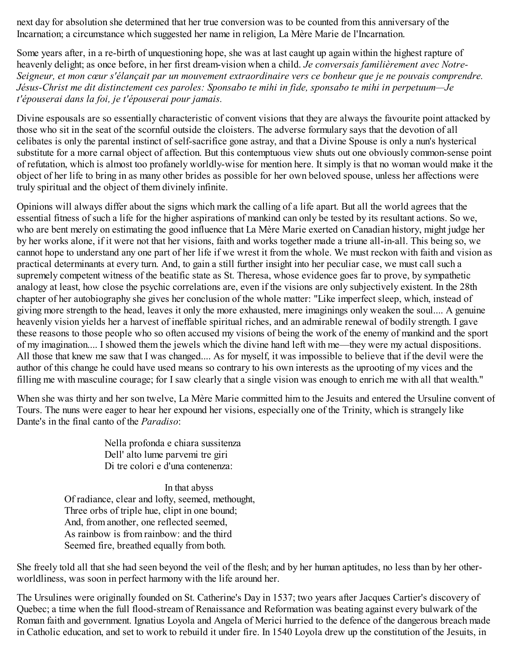next day for absolution she determined that her true conversion was to be counted from this anniversary of the Incarnation; a circumstance which suggested her name in religion, La Mère Marie de l'Incarnation.

Some years after, in a re-birth of unquestioning hope, she was at last caught up again within the highest rapture of heavenly delight; as once before, in her first dream-vision when a child. *Je conversais familièrement avec Notre-*Seigneur, et mon cœur s'élançait par un mouvement extraordinaire vers ce bonheur que je ne pouvais comprendre. *Jésus-Christ me dit distinctement ces paroles: Sponsabo te mihi in fide, sponsabo te mihi in perpetuum—Je t'épouserai dans la foi, je t'épouserai pour jamais.*

Divine espousals are so essentially characteristic of convent visions that they are always the favourite point attacked by those who sit in the seat of the scornful outside the cloisters. The adverse formulary says that the devotion of all celibates is only the parental instinct of self-sacrifice gone astray, and that a Divine Spouse is only a nun's hysterical substitute for a more carnal object of affection. But this contemptuous view shuts out one obviously common-sense point of refutation, which is almost too profanely worldly-wise for mention here. It simply is that no woman would make it the object of her life to bring in as many other brides as possible for her own beloved spouse, unless her affections were truly spiritual and the object of them divinely infinite.

Opinions will always differ about the signs which mark the calling of a life apart. But all the world agrees that the essential fitness of such a life for the higher aspirations of mankind can only be tested by its resultant actions. So we, who are bent merely on estimating the good influence that La Mère Marie exerted on Canadian history, might judge her by her works alone, if it were not that her visions, faith and works together made a triune all-in-all. This being so, we cannot hope to understand any one part of her life if we wrest it from the whole. We must reckon with faith and vision as practical determinants at every turn. And, to gain a still further insight into her peculiar case, we must call such a supremely competent witness of the beatific state as St. Theresa, whose evidence goes far to prove, by sympathetic analogy at least, how close the psychic correlations are, even if the visions are only subjectively existent. In the 28th chapter of her autobiography she gives her conclusion of the whole matter: "Like imperfect sleep, which, instead of giving more strength to the head, leaves it only the more exhausted, mere imaginings only weaken the soul.... A genuine heavenly vision yields her a harvest of ineffable spiritual riches, and an admirable renewal of bodily strength. I gave these reasons to those people who so often accused my visions of being the work of the enemy of mankind and the sport of my imagination.... I showed them the jewels which the divine hand left with me—they were my actual dispositions. All those that knew me saw that I was changed.... As for myself, it was impossible to believe that if the devil were the author of this change he could have used means so contrary to his own interests as the uprooting of my vices and the filling me with masculine courage; for I saw clearly that a single vision was enough to enrich me with all that wealth."

When she was thirty and her son twelve, La Mère Marie committed him to the Jesuits and entered the Ursuline convent of Tours. The nuns were eager to hear her expound her visions, especially one of the Trinity, which is strangely like Dante's in the final canto of the *Paradiso*:

> Nella profonda e chiara sussitenza Dell' alto lume parvemi tre giri Di tre colori e d'una contenenza:

In that abyss Of radiance, clear and lofty, seemed, methought, Three orbs of triple hue, clipt in one bound; And, from another, one reflected seemed, As rainbow is from rainbow: and the third Seemed fire, breathed equally from both.

She freely told all that she had seen beyond the veil of the flesh; and by her human aptitudes, no less than by her otherworldliness, was soon in perfect harmony with the life around her.

The Ursulines were originally founded on St. Catherine's Day in 1537; two years after Jacques Cartier's discovery of Quebec; a time when the full flood-stream of Renaissance and Reformation was beating against every bulwark of the Roman faith and government. Ignatius Loyola and Angela of Merici hurried to the defence of the dangerous breach made in Catholic education, and set to work to rebuild it under fire. In 1540 Loyola drew up the constitution of the Jesuits, in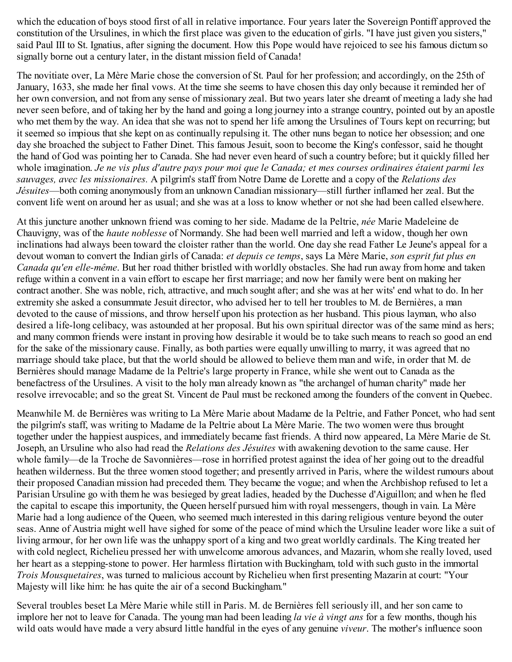which the education of boys stood first of all in relative importance. Four years later the Sovereign Pontiff approved the constitution of the Ursulines, in which the first place was given to the education of girls. "I have just given you sisters," said Paul III to St. Ignatius, after signing the document. How this Pope would have rejoiced to see his famous dictum so signally borne out a century later, in the distant mission field of Canada!

The novitiate over, La Mère Marie chose the conversion of St. Paul for her profession; and accordingly, on the 25th of January, 1633, she made her final vows. At the time she seems to have chosen this day only because it reminded her of her own conversion, and not from any sense of missionary zeal. But two years later she dreamt of meeting a lady she had never seen before, and of taking her by the hand and going a long journey into a strange country, pointed out by an apostle who met them by the way. An idea that she was not to spend her life among the Ursulines of Tours kept on recurring; but it seemed so impious that she kept on as continually repulsing it. The other nuns began to notice her obsession; and one day she broached the subject to Father Dinet. This famous Jesuit, soon to become the King's confessor, said he thought the hand of God was pointing her to Canada. She had never even heard of such a country before; but it quickly filled her whole imagination. Je ne vis plus d'autre pays pour moi que le Canada; et mes courses ordinaires étaient parmi les *sauvages, avec les missionaires.* A pilgrim's staff from Notre Dame de Lorette and a copy of the *Relations des Jésuites*—both coming anonymously from an unknown Canadian missionary—still further inflamed her zeal. But the convent life went on around her as usual; and she was at a loss to know whether or not she had been called elsewhere.

At this juncture another unknown friend was coming to her side. Madame de la Peltrie, *née* Marie Madeleine de Chauvigny, was of the *haute noblesse* of Normandy. She had been well married and left a widow, though her own inclinations had always been toward the cloister rather than the world. One day she read Father Le Jeune's appeal for a devout woman to convert the Indian girls of Canada: *et depuis ce temps*, says La Mère Marie, *son esprit fut plus en Canada qu'en elle-même*. But her road thither bristled with worldly obstacles. She had run away from home and taken refuge within a convent in a vain effort to escape her first marriage; and now her family were bent on making her contract another. She was noble, rich, attractive, and much sought after; and she was at her wits' end what to do. In her extremity she asked a consummate Jesuit director, who advised her to tell her troubles to M. de Bernières, a man devoted to the cause of missions, and throw herself upon his protection as her husband. This pious layman, who also desired a life-long celibacy, was astounded at her proposal. But his own spiritual director was of the same mind as hers; and many common friends were instant in proving how desirable it would be to take such means to reach so good an end for the sake of the missionary cause. Finally, as both parties were equally unwilling to marry, it was agreed that no marriage should take place, but that the world should be allowed to believe them man and wife, in order that M. de Bernières should manage Madame de la Peltrie's large property in France, while she went out to Canada as the benefactress of the Ursulines. A visit to the holy man already known as "the archangel of human charity" made her resolve irrevocable; and so the great St. Vincent de Paul must be reckoned among the founders of the convent in Quebec.

Meanwhile M. de Bernières was writing to La Mère Marie about Madame de la Peltrie, and Father Poncet, who had sent the pilgrim's staff, was writing to Madame de la Peltrie about La Mère Marie. The two women were thus brought together under the happiest auspices, and immediately became fast friends. A third now appeared, La Mère Marie de St. Joseph, an Ursuline who also had read the *Relations des Jésuites* with awakening devotion to the same cause. Her whole family—de la Troche de Savonnières—rose in horrified protest against the idea of her going out to the dreadful heathen wilderness. But the three women stood together; and presently arrived in Paris, where the wildest rumours about their proposed Canadian mission had preceded them. They became the vogue; and when the Archbishop refused to let a Parisian Ursuline go with them he was besieged by great ladies, headed by the Duchesse d'Aiguillon; and when he fled the capital to escape this importunity, the Queen herself pursued him with royal messengers, though in vain. La Mère Marie had a long audience of the Queen, who seemed much interested in this daring religious venture beyond the outer seas. Anne of Austria might well have sighed for some of the peace of mind which the Ursuline leader wore like a suit of living armour, for her own life was the unhappy sport of a king and two great worldly cardinals. The King treated her with cold neglect, Richelieu pressed her with unwelcome amorous advances, and Mazarin, whom she really loved, used her heart as a stepping-stone to power. Her harmless flirtation with Buckingham, told with such gusto in the immortal *Trois Mousquetaires*, was turned to malicious account by Richelieu when first presenting Mazarin at court: "Your Majesty will like him: he has quite the air of a second Buckingham."

Several troubles beset La Mère Marie while still in Paris. M. de Bernières fell seriously ill, and her son came to implore her not to leave for Canada. The young man had been leading *la vie à vingt ans* for a few months, though his wild oats would have made a very absurd little handful in the eyes of any genuine *viveur*. The mother's influence soon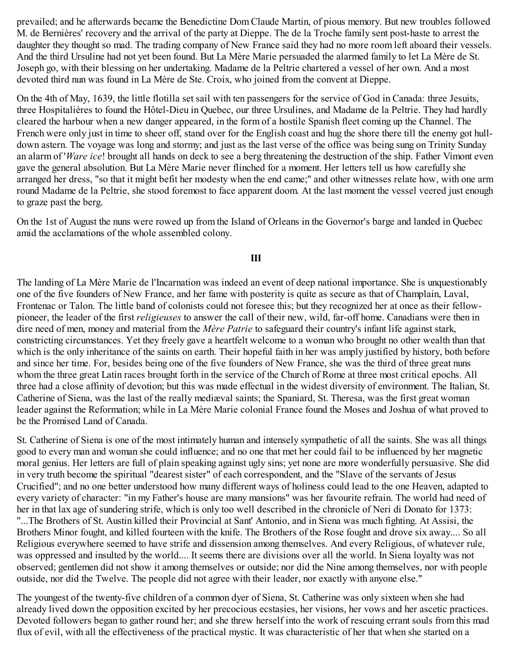prevailed; and he afterwards became the Benedictine Dom Claude Martin, of pious memory. But new troubles followed M. de Bernières' recovery and the arrival of the party at Dieppe. The de la Troche family sent post-haste to arrest the daughter they thought so mad. The trading company of New France said they had no more room left aboard their vessels. And the third Ursuline had not yet been found. But La Mère Marie persuaded the alarmed family to let La Mère de St. Joseph go, with their blessing on her undertaking. Madame de la Peltrie chartered a vessel of her own. And a most devoted third nun was found in La Mère de Ste. Croix, who joined from the convent at Dieppe.

On the 4th of May, 1639, the little flotilla set sail with ten passengers for the service of God in Canada: three Jesuits, three Hospitalières to found the Hôtel-Dieu in Quebec, our three Ursulines, and Madame de la Peltrie. They had hardly cleared the harbour when a new danger appeared, in the form of a hostile Spanish fleet coming up the Channel. The French were only just in time to sheer off, stand over for the English coast and hug the shore there till the enemy got hulldown astern. The voyage was long and stormy; and just as the last verse of the office was being sung on Trinity Sunday an alarm of '*Ware ice*! brought all hands on deck to see a berg threatening the destruction of the ship. Father Vimont even gave the general absolution. But La Mère Marie never flinched for a moment. Her letters tell us how carefully she arranged her dress, "so that it might befit her modesty when the end came;" and other witnesses relate how, with one arm round Madame de la Peltrie, she stood foremost to face apparent doom. At the last moment the vessel veered just enough to graze past the berg.

On the 1st of August the nuns were rowed up from the Island of Orleans in the Governor's barge and landed in Quebec amid the acclamations of the whole assembled colony.

### **III**

The landing of La Mère Marie de l'Incarnation was indeed an event of deep national importance. She is unquestionably one of the five founders of New France, and her fame with posterity is quite as secure as that of Champlain, Laval, Frontenac or Talon. The little band of colonists could not foresee this; but they recognized her at once as their fellowpioneer, the leader of the first *religieuses* to answer the call of their new, wild, far-off home. Canadians were then in dire need of men, money and material from the *Mère Patrie* to safeguard their country's infant life against stark, constricting circumstances. Yet they freely gave a heartfelt welcome to a woman who brought no other wealth than that which is the only inheritance of the saints on earth. Their hopeful faith in her was amply justified by history, both before and since her time. For, besides being one of the five founders of New France, she was the third of three great nuns whom the three great Latin races brought forth in the service of the Church of Rome at three most critical epochs. All three had a close affinity of devotion; but this was made effectual in the widest diversity of environment. The Italian, St. Catherine of Siena, was the last of the really mediæval saints; the Spaniard, St. Theresa, was the first great woman leader against the Reformation; while in La Mère Marie colonial France found the Moses and Joshua of what proved to be the Promised Land of Canada.

St. Catherine of Siena is one of the most intimately human and intensely sympathetic of all the saints. She was all things good to every man and woman she could influence; and no one that met her could fail to be influenced by her magnetic moral genius. Her letters are full of plain speaking against ugly sins; yet none are more wonderfully persuasive. She did in very truth become the spiritual "dearest sister" of each correspondent, and the "Slave of the servants of Jesus Crucified"; and no one better understood how many different ways of holiness could lead to the one Heaven, adapted to every variety of character: "in my Father's house are many mansions" was her favourite refrain. The world had need of her in that lax age of sundering strife, which is only too well described in the chronicle of Neri di Donato for 1373: "...The Brothers of St. Austin killed their Provincial at Sant' Antonio, and in Siena was much fighting. At Assisi, the Brothers Minor fought, and killed fourteen with the knife. The Brothers of the Rose fought and drove six away.... So all Religious everywhere seemed to have strife and dissension among themselves. And every Religious, of whatever rule, was oppressed and insulted by the world.... It seems there are divisions over all the world. In Siena loyalty was not observed; gentlemen did not show it among themselves or outside; nor did the Nine among themselves, nor with people outside, nor did the Twelve. The people did not agree with their leader, nor exactly with anyone else."

The youngest of the twenty-five children of a common dyer of Siena, St. Catherine was only sixteen when she had already lived down the opposition excited by her precocious ecstasies, her visions, her vows and her ascetic practices. Devoted followers began to gather round her; and she threw herself into the work of rescuing errant souls from this mad flux of evil, with all the effectiveness of the practical mystic. It was characteristic of her that when she started on a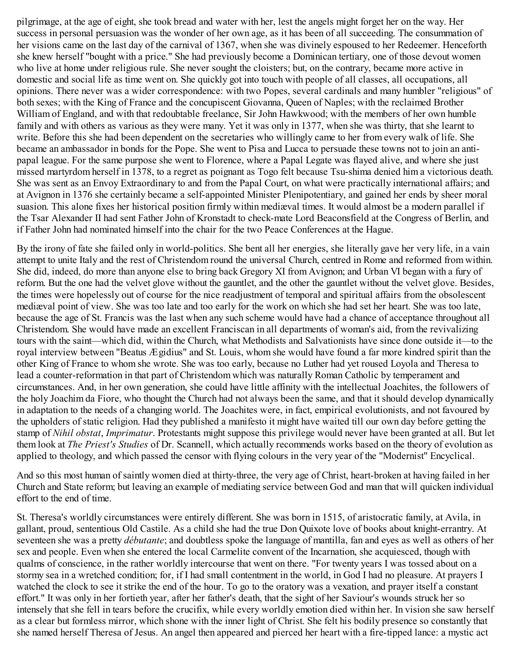pilgrimage, at the age of eight, she took bread and water with her, lest the angels might forget her on the way. Her success in personal persuasion was the wonder of her own age, as it has been of all succeeding. The consummation of her visions came on the last day of the carnival of 1367, when she was divinely espoused to her Redeemer. Henceforth she knew herself "bought with a price." She had previously become a Dominican tertiary, one of those devout women who live at home under religious rule. She never sought the cloisters; but, on the contrary, became more active in domestic and social life as time went on. She quickly got into touch with people of all classes, all occupations, all opinions. There never was a wider correspondence: with two Popes, several cardinals and many humbler "religious" of both sexes; with the King of France and the concupiscent Giovanna, Queen of Naples; with the reclaimed Brother William of England, and with that redoubtable freelance, Sir John Hawkwood; with the members of her own humble family and with others as various as they were many. Yet it was only in 1377, when she was thirty, that she learnt to write. Before this she had been dependent on the secretaries who willingly came to her from every walk of life. She became an ambassador in bonds for the Pope. She went to Pisa and Lucca to persuade these towns not to join an antipapal league. For the same purpose she went to Florence, where a Papal Legate was flayed alive, and where she just missed martyrdom herself in 1378, to a regret as poignant as Togo felt because Tsu-shima denied him a victorious death. She was sent as an Envoy Extraordinary to and from the Papal Court, on what were practically international affairs; and at Avignon in 1376 she certainly became a self-appointed Minister Plenipotentiary, and gained her ends by sheer moral suasion. This alone fixes her historical position firmly within mediæval times. It would almost be a modern parallel if the Tsar Alexander II had sent Father John of Kronstadt to check-mate Lord Beaconsfield at the Congress of Berlin, and if Father John had nominated himself into the chair for the two Peace Conferences at the Hague.

By the irony of fate she failed only in world-politics. She bent all her energies, she literally gave her very life, in a vain attempt to unite Italy and the rest of Christendom round the universal Church, centred in Rome and reformed from within. She did, indeed, do more than anyone else to bring back Gregory XI from Avignon; and Urban VI began with a fury of reform. But the one had the velvet glove without the gauntlet, and the other the gauntlet without the velvet glove. Besides, the times were hopelessly out of course for the nice readjustment of temporal and spiritual affairs from the obsolescent mediæval point of view. She was too late and too early for the work on which she had set her heart. She was too late, because the age of St. Francis was the last when any such scheme would have had a chance of acceptance throughout all Christendom. She would have made an excellent Franciscan in all departments of woman's aid, from the revivalizing tours with the saint—which did, within the Church, what Methodists and Salvationists have since done outside it—to the royal interview between "Beatus Ægidius" and St. Louis, whom she would have found a far more kindred spirit than the other King of France to whom she wrote. She was too early, because no Luther had yet roused Loyola and Theresa to lead a counter-reformation in that part of Christendom which was naturally Roman Catholic by temperament and circumstances. And, in her own generation, she could have little affinity with the intellectual Joachites, the followers of the holy Joachim da Fiore, who thought the Church had not always been the same, and that it should develop dynamically in adaptation to the needs of a changing world. The Joachites were, in fact, empirical evolutionists, and not favoured by the upholders of static religion. Had they published a manifesto it might have waited till our own day before getting the stamp of *Nihil obstat*, *Imprimatur*. Protestants might suppose this privilege would never have been granted at all. But let them look at *The Priest's Studies* of Dr. Scannell, which actually recommends works based on the theory of evolution as applied to theology, and which passed the censor with flying colours in the very year of the "Modernist" Encyclical.

And so this most human of saintly women died at thirty-three, the very age of Christ, heart-broken at having failed in her Church and State reform; but leaving an example of mediating service between God and man that will quicken individual effort to the end of time.

St. Theresa's worldly circumstances were entirely different. She was born in 1515, of aristocratic family, at Avila, in gallant, proud, sententious Old Castile. As a child she had the true Don Quixote love of books about knight-errantry. At seventeen she was a pretty *débutante*; and doubtless spoke the language of mantilla, fan and eyes as well as others of her sex and people. Even when she entered the local Carmelite convent of the Incarnation, she acquiesced, though with qualms of conscience, in the rather worldly intercourse that went on there. "For twenty years I was tossed about on a stormy sea in a wretched condition; for, if I had small contentment in the world, in God I had no pleasure. At prayers I watched the clock to see it strike the end of the hour. To go to the oratory was a vexation, and prayer itself a constant effort." It was only in her fortieth year, after her father's death, that the sight of her Saviour's wounds struck her so intensely that she fell in tears before the crucifix, while every worldly emotion died within her. In vision she saw herself as a clear but formless mirror, which shone with the inner light of Christ. She felt his bodily presence so constantly that she named herself Theresa of Jesus. An angel then appeared and pierced her heart with a fire-tipped lance: a mystic act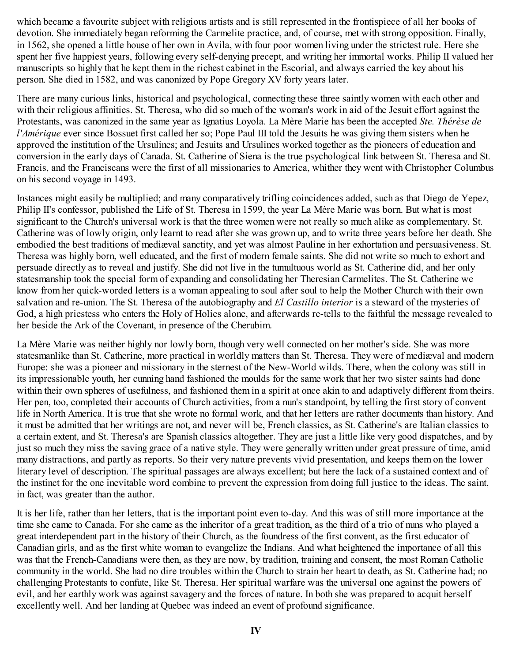which became a favourite subject with religious artists and is still represented in the frontispiece of all her books of devotion. She immediately began reforming the Carmelite practice, and, of course, met with strong opposition. Finally, in 1562, she opened a little house of her own in Avila, with four poor women living under the strictest rule. Here she spent her five happiest years, following every self-denying precept, and writing her immortal works. Philip II valued her manuscripts so highly that he kept them in the richest cabinet in the Escorial, and always carried the key about his person. She died in 1582, and was canonized by Pope Gregory XV forty years later.

There are many curious links, historical and psychological, connecting these three saintly women with each other and with their religious affinities. St. Theresa, who did so much of the woman's work in aid of the Jesuit effort against the Protestants, was canonized in the same year as Ignatius Loyola. La Mère Marie has been the accepted *Ste. Thérèse de l'Amérique* ever since Bossuet first called her so; Pope Paul III told the Jesuits he was giving them sisters when he approved the institution of the Ursulines; and Jesuits and Ursulines worked together as the pioneers of education and conversion in the early days of Canada. St. Catherine of Siena is the true psychological link between St. Theresa and St. Francis, and the Franciscans were the first of all missionaries to America, whither they went with Christopher Columbus on his second voyage in 1493.

Instances might easily be multiplied; and many comparatively trifling coincidences added, such as that Diego de Yepez, Philip II's confessor, published the Life of St. Theresa in 1599, the year La Mère Marie was born. But what is most significant to the Church's universal work is that the three women were not really so much alike as complementary. St. Catherine was of lowly origin, only learnt to read after she was grown up, and to write three years before her death. She embodied the best traditions of mediæval sanctity, and yet was almost Pauline in her exhortation and persuasiveness. St. Theresa was highly born, well educated, and the first of modern female saints. She did not write so much to exhort and persuade directly as to reveal and justify. She did not live in the tumultuous world as St. Catherine did, and her only statesmanship took the special form of expanding and consolidating her Theresian Carmelites. The St. Catherine we know from her quick-worded letters is a woman appealing to soul after soul to help the Mother Church with their own salvation and re-union. The St. Theresa of the autobiography and *El Castillo interior* is a steward of the mysteries of God, a high priestess who enters the Holy of Holies alone, and afterwards re-tells to the faithful the message revealed to her beside the Ark of the Covenant, in presence of the Cherubim.

La Mère Marie was neither highly nor lowly born, though very well connected on her mother's side. She was more statesmanlike than St. Catherine, more practical in worldly matters than St. Theresa. They were of mediæval and modern Europe: she was a pioneer and missionary in the sternest of the New-World wilds. There, when the colony was still in its impressionable youth, her cunning hand fashioned the moulds for the same work that her two sister saints had done within their own spheres of usefulness, and fashioned them in a spirit at once akin to and adaptively different from theirs. Her pen, too, completed their accounts of Church activities, from a nun's standpoint, by telling the first story of convent life in North America. It is true that she wrote no formal work, and that her letters are rather documents than history. And it must be admitted that her writings are not, and never will be, French classics, as St. Catherine's are Italian classics to a certain extent, and St. Theresa's are Spanish classics altogether. They are just a little like very good dispatches, and by just so much they miss the saving grace of a native style. They were generally written under great pressure of time, amid many distractions, and partly as reports. So their very nature prevents vivid presentation, and keeps them on the lower literary level of description. The spiritual passages are always excellent; but here the lack of a sustained context and of the instinct for the one inevitable word combine to prevent the expression from doing full justice to the ideas. The saint, in fact, was greater than the author.

It is her life, rather than her letters, that is the important point even to-day. And this was of still more importance at the time she came to Canada. For she came as the inheritor of a great tradition, as the third of a trio of nuns who played a great interdependent part in the history of their Church, as the foundress of the first convent, as the first educator of Canadian girls, and as the first white woman to evangelize the Indians. And what heightened the importance of all this was that the French-Canadians were then, as they are now, by tradition, training and consent, the most Roman Catholic community in the world. She had no dire troubles within the Church to strain her heart to death, as St. Catherine had; no challenging Protestants to confute, like St. Theresa. Her spiritual warfare was the universal one against the powers of evil, and her earthly work was against savagery and the forces of nature. In both she was prepared to acquit herself excellently well. And her landing at Quebec was indeed an event of profound significance.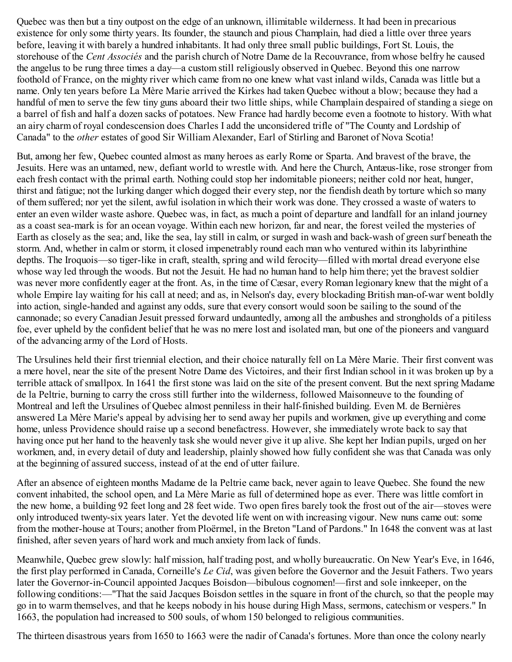Quebec was then but a tiny outpost on the edge of an unknown, illimitable wilderness. It had been in precarious existence for only some thirty years. Its founder, the staunch and pious Champlain, had died a little over three years before, leaving it with barely a hundred inhabitants. It had only three small public buildings, Fort St. Louis, the storehouse of the *Cent Associés* and the parish church of Notre Dame de la Recouvrance, from whose belfry he caused the angelus to be rung three times a day—a custom still religiously observed in Quebec. Beyond this one narrow foothold of France, on the mighty river which came from no one knew what vast inland wilds, Canada was little but a name. Only ten years before La Mère Marie arrived the Kirkes had taken Quebec without a blow; because they had a handful of men to serve the few tiny guns aboard their two little ships, while Champlain despaired of standing a siege on a barrel of fish and half a dozen sacks of potatoes. New France had hardly become even a footnote to history. With what an airy charm of royal condescension does Charles I add the unconsidered trifle of "The County and Lordship of Canada" to the *other* estates of good Sir William Alexander, Earl of Stirling and Baronet of Nova Scotia!

But, among her few, Quebec counted almost as many heroes as early Rome or Sparta. And bravest of the brave, the Jesuits. Here was an untamed, new, defiant world to wrestle with. And here the Church, Antæus-like, rose stronger from each fresh contact with the primal earth. Nothing could stop her indomitable pioneers; neither cold nor heat, hunger, thirst and fatigue; not the lurking danger which dogged their every step, nor the fiendish death by torture which so many of them suffered; nor yet the silent, awful isolation in which their work was done. They crossed a waste of waters to enter an even wilder waste ashore. Quebec was, in fact, as much a point of departure and landfall for an inland journey as a coast sea-mark is for an ocean voyage. Within each new horizon, far and near, the forest veiled the mysteries of Earth as closely as the sea; and, like the sea, lay still in calm, or surged in wash and back-wash of green surf beneath the storm. And, whether in calm or storm, it closed impenetrably round each man who ventured within its labyrinthine depths. The Iroquois—so tiger-like in craft, stealth, spring and wild ferocity—filled with mortal dread everyone else whose way led through the woods. But not the Jesuit. He had no human hand to help him there; yet the bravest soldier was never more confidently eager at the front. As, in the time of Cæsar, every Roman legionary knew that the might of a whole Empire lay waiting for his call at need; and as, in Nelson's day, every blockading British man-of-war went boldly into action, single-handed and against any odds, sure that every consort would soon be sailing to the sound of the cannonade; so every Canadian Jesuit pressed forward undauntedly, among all the ambushes and strongholds of a pitiless foe, ever upheld by the confident belief that he was no mere lost and isolated man, but one of the pioneers and vanguard of the advancing army of the Lord of Hosts.

The Ursulines held their first triennial election, and their choice naturally fell on La Mère Marie. Their first convent was a mere hovel, near the site of the present Notre Dame des Victoires, and their first Indian school in it was broken up by a terrible attack of smallpox. In 1641 the first stone was laid on the site of the present convent. But the next spring Madame de la Peltrie, burning to carry the cross still further into the wilderness, followed Maisonneuve to the founding of Montreal and left the Ursulines of Quebec almost penniless in their half-finished building. Even M. de Bernières answered La Mère Marie's appeal by advising her to send away her pupils and workmen, give up everything and come home, unless Providence should raise up a second benefactress. However, she immediately wrote back to say that having once put her hand to the heavenly task she would never give it up alive. She kept her Indian pupils, urged on her workmen, and, in every detail of duty and leadership, plainly showed how fully confident she was that Canada was only at the beginning of assured success, instead of at the end of utter failure.

After an absence of eighteen months Madame de la Peltrie came back, never again to leave Quebec. She found the new convent inhabited, the school open, and La Mère Marie as full of determined hope as ever. There was little comfort in the new home, a building 92 feet long and 28 feet wide. Two open fires barely took the frost out of the air—stoves were only introduced twenty-six years later. Yet the devoted life went on with increasing vigour. New nuns came out: some from the mother-house at Tours; another from Ploërmel, in the Breton "Land of Pardons." In 1648 the convent was at last finished, after seven years of hard work and much anxiety from lack of funds.

Meanwhile, Quebec grew slowly: half mission, half trading post, and wholly bureaucratic. On New Year's Eve, in 1646, the first play performed in Canada, Corneille's *Le Cid*, was given before the Governor and the Jesuit Fathers. Two years later the Governor-in-Council appointed Jacques Boisdon—bibulous cognomen!—first and sole innkeeper, on the following conditions:—"That the said Jacques Boisdon settles in the square in front of the church, so that the people may go in to warm themselves, and that he keeps nobody in his house during High Mass, sermons, catechism or vespers." In 1663, the population had increased to 500 souls, of whom 150 belonged to religious communities.

The thirteen disastrous years from 1650 to 1663 were the nadir of Canada's fortunes. More than once the colony nearly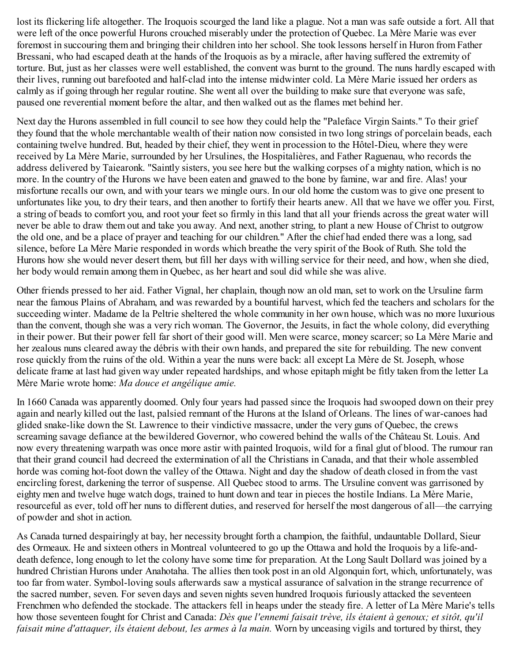lost its flickering life altogether. The Iroquois scourged the land like a plague. Not a man was safe outside a fort. All that were left of the once powerful Hurons crouched miserably under the protection of Quebec. La Mère Marie was ever foremost in succouring them and bringing their children into her school. She took lessons herself in Huron from Father Bressani, who had escaped death at the hands of the Iroquois as by a miracle, after having suffered the extremity of torture. But, just as her classes were well established, the convent was burnt to the ground. The nuns hardly escaped with their lives, running out barefooted and half-clad into the intense midwinter cold. La Mère Marie issued her orders as calmly as if going through her regular routine. She went all over the building to make sure that everyone was safe, paused one reverential moment before the altar, and then walked out as the flames met behind her.

Next day the Hurons assembled in full council to see how they could help the "Paleface Virgin Saints." To their grief they found that the whole merchantable wealth of their nation now consisted in two long strings of porcelain beads, each containing twelve hundred. But, headed by their chief, they went in procession to the Hôtel-Dieu, where they were received by La Mère Marie, surrounded by her Ursulines, the Hospitalières, and Father Raguenau, who records the address delivered by Taiearonk. "Saintly sisters, you see here but the walking corpses of a mighty nation, which is no more. In the country of the Hurons we have been eaten and gnawed to the bone by famine, war and fire. Alas! your misfortune recalls our own, and with your tears we mingle ours. In our old home the custom was to give one present to unfortunates like you, to dry their tears, and then another to fortify their hearts anew. All that we have we offer you. First, a string of beads to comfort you, and root your feet so firmly in this land that all your friends across the great water will never be able to draw them out and take you away. And next, another string, to plant a new House of Christ to outgrow the old one, and be a place of prayer and teaching for our children." After the chief had ended there was a long, sad silence, before La Mère Marie responded in words which breathe the very spirit of the Book of Ruth. She told the Hurons how she would never desert them, but fill her days with willing service for their need, and how, when she died, her body would remain among them in Quebec, as her heart and soul did while she was alive.

Other friends pressed to her aid. Father Vignal, her chaplain, though now an old man, set to work on the Ursuline farm near the famous Plains of Abraham, and was rewarded by a bountiful harvest, which fed the teachers and scholars for the succeeding winter. Madame de la Peltrie sheltered the whole community in her own house, which was no more luxurious than the convent, though she was a very rich woman. The Governor, the Jesuits, in fact the whole colony, did everything in their power. But their power fell far short of their good will. Men were scarce, money scarcer; so La Mère Marie and her zealous nuns cleared away the débris with their own hands, and prepared the site for rebuilding. The new convent rose quickly from the ruins of the old. Within a year the nuns were back: all except La Mère de St. Joseph, whose delicate frame at last had given way under repeated hardships, and whose epitaph might be fitly taken from the letter La Mère Marie wrote home: *Ma douce et angélique amie.*

In 1660 Canada was apparently doomed. Only four years had passed since the Iroquois had swooped down on their prey again and nearly killed out the last, palsied remnant of the Hurons at the Island of Orleans. The lines of war-canoes had glided snake-like down the St. Lawrence to their vindictive massacre, under the very guns of Quebec, the crews screaming savage defiance at the bewildered Governor, who cowered behind the walls of the Château St. Louis. And now every threatening warpath was once more astir with painted Iroquois, wild for a final glut of blood. The rumour ran that their grand council had decreed the extermination of all the Christians in Canada, and that their whole assembled horde was coming hot-foot down the valley of the Ottawa. Night and day the shadow of death closed in from the vast encircling forest, darkening the terror of suspense. All Quebec stood to arms. The Ursuline convent was garrisoned by eighty men and twelve huge watch dogs, trained to hunt down and tear in pieces the hostile Indians. La Mère Marie, resourceful as ever, told off her nuns to different duties, and reserved for herself the most dangerous of all—the carrying of powder and shot in action.

As Canada turned despairingly at bay, her necessity brought forth a champion, the faithful, undauntable Dollard, Sieur des Ormeaux. He and sixteen others in Montreal volunteered to go up the Ottawa and hold the Iroquois by a life-anddeath defence, long enough to let the colony have some time for preparation. At the Long Sault Dollard was joined by a hundred Christian Hurons under Anahotaha. The allies then took post in an old Algonquin fort, which, unfortunately, was too far from water. Symbol-loving souls afterwards saw a mystical assurance of salvation in the strange recurrence of the sacred number, seven. For seven days and seven nights seven hundred Iroquois furiously attacked the seventeen Frenchmen who defended the stockade. The attackers fell in heaps under the steady fire. A letter of La Mère Marie's tells how those seventeen fought for Christ and Canada: *Dès que l'ennemi faisait trève, ils étaient à genoux; et sitôt, qu'il faisait mine d'attaquer, ils étaient debout, les armes à la main.* Worn by unceasing vigils and tortured by thirst, they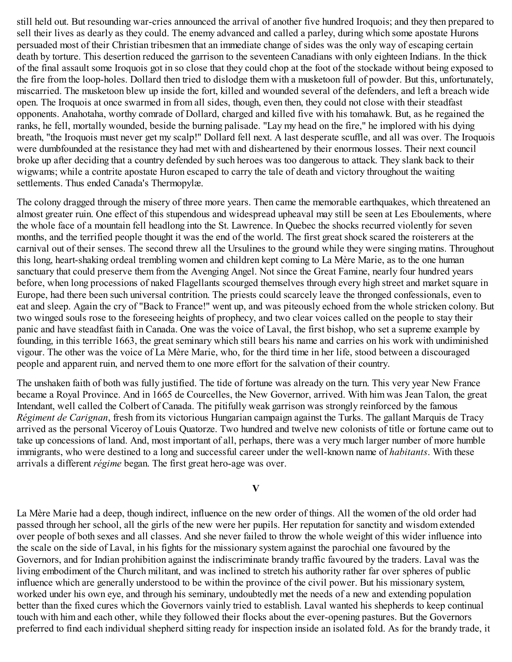still held out. But resounding war-cries announced the arrival of another five hundred Iroquois; and they then prepared to sell their lives as dearly as they could. The enemy advanced and called a parley, during which some apostate Hurons persuaded most of their Christian tribesmen that an immediate change of sides was the only way of escaping certain death by torture. This desertion reduced the garrison to the seventeen Canadians with only eighteen Indians. In the thick of the final assault some Iroquois got in so close that they could chop at the foot of the stockade without being exposed to the fire from the loop-holes. Dollard then tried to dislodge them with a musketoon full of powder. But this, unfortunately, miscarried. The musketoon blew up inside the fort, killed and wounded several of the defenders, and left a breach wide open. The Iroquois at once swarmed in from all sides, though, even then, they could not close with their steadfast opponents. Anahotaha, worthy comrade of Dollard, charged and killed five with his tomahawk. But, as he regained the ranks, he fell, mortally wounded, beside the burning palisade. "Lay my head on the fire," he implored with his dying breath, "the Iroquois must never get my scalp!" Dollard fell next. A last desperate scuffle, and all was over. The Iroquois were dumbfounded at the resistance they had met with and disheartened by their enormous losses. Their next council broke up after deciding that a country defended by such heroes was too dangerous to attack. They slank back to their wigwams; while a contrite apostate Huron escaped to carry the tale of death and victory throughout the waiting settlements. Thus ended Canada's Thermopylæ.

The colony dragged through the misery of three more years. Then came the memorable earthquakes, which threatened an almost greater ruin. One effect of this stupendous and widespread upheaval may still be seen at Les Eboulements, where the whole face of a mountain fell headlong into the St. Lawrence. In Quebec the shocks recurred violently for seven months, and the terrified people thought it was the end of the world. The first great shock scared the roisterers at the carnival out of their senses. The second threw all the Ursulines to the ground while they were singing matins. Throughout this long, heart-shaking ordeal trembling women and children kept coming to La Mère Marie, as to the one human sanctuary that could preserve them from the Avenging Angel. Not since the Great Famine, nearly four hundred years before, when long processions of naked Flagellants scourged themselves through every high street and market square in Europe, had there been such universal contrition. The priests could scarcely leave the thronged confessionals, even to eat and sleep. Again the cry of "Back to France!" went up, and was piteously echoed from the whole stricken colony. But two winged souls rose to the foreseeing heights of prophecy, and two clear voices called on the people to stay their panic and have steadfast faith in Canada. One was the voice of Laval, the first bishop, who set a supreme example by founding, in this terrible 1663, the great seminary which still bears his name and carries on his work with undiminished vigour. The other was the voice of La Mère Marie, who, for the third time in her life, stood between a discouraged people and apparent ruin, and nerved them to one more effort for the salvation of their country.

The unshaken faith of both was fully justified. The tide of fortune was already on the turn. This very year New France became a Royal Province. And in 1665 de Courcelles, the New Governor, arrived. With him was Jean Talon, the great Intendant, well called the Colbert of Canada. The pitifully weak garrison was strongly reinforced by the famous *Régiment de Carignan*, fresh from its victorious Hungarian campaign against the Turks. The gallant Marquis de Tracy arrived as the personal Viceroy of Louis Quatorze. Two hundred and twelve new colonists of title or fortune came out to take up concessions of land. And, most important of all, perhaps, there was a very much larger number of more humble immigrants, who were destined to a long and successful career under the well-known name of *habitants*. With these arrivals a different *régime* began. The first great hero-age was over.

#### **V**

La Mère Marie had a deep, though indirect, influence on the new order of things. All the women of the old order had passed through her school, all the girls of the new were her pupils. Her reputation for sanctity and wisdom extended over people of both sexes and all classes. And she never failed to throw the whole weight of this wider influence into the scale on the side of Laval, in his fights for the missionary system against the parochial one favoured by the Governors, and for Indian prohibition against the indiscriminate brandy traffic favoured by the traders. Laval was the living embodiment of the Church militant, and was inclined to stretch his authority rather far over spheres of public influence which are generally understood to be within the province of the civil power. But his missionary system, worked under his own eye, and through his seminary, undoubtedly met the needs of a new and extending population better than the fixed cures which the Governors vainly tried to establish. Laval wanted his shepherds to keep continual touch with him and each other, while they followed their flocks about the ever-opening pastures. But the Governors preferred to find each individual shepherd sitting ready for inspection inside an isolated fold. As for the brandy trade, it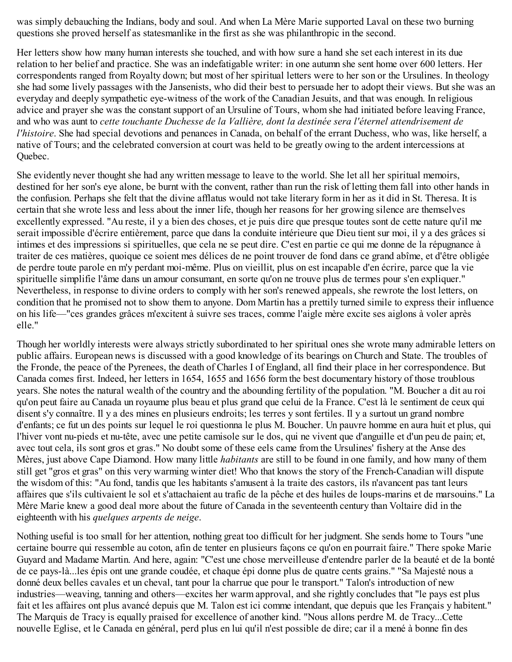was simply debauching the Indians, body and soul. And when La Mère Marie supported Laval on these two burning questions she proved herself as statesmanlike in the first as she was philanthropic in the second.

Her letters show how many human interests she touched, and with how sure a hand she set each interest in its due relation to her belief and practice. She was an indefatigable writer: in one autumn she sent home over 600 letters. Her correspondents ranged from Royalty down; but most of her spiritual letters were to her son or the Ursulines. In theology she had some lively passages with the Jansenists, who did their best to persuade her to adopt their views. But she was an everyday and deeply sympathetic eye-witness of the work of the Canadian Jesuits, and that was enough. In religious advice and prayer she was the constant support of an Ursuline of Tours, whom she had initiated before leaving France, and who was aunt to *cette touchante Duchesse de la Vallière, dont la destinée sera l'éternel attendrisement de l'histoire*. She had special devotions and penances in Canada, on behalf of the errant Duchess, who was, like herself, a native of Tours; and the celebrated conversion at court was held to be greatly owing to the ardent intercessions at Quebec.

She evidently never thought she had any written message to leave to the world. She let all her spiritual memoirs, destined for her son's eye alone, be burnt with the convent, rather than run the risk of letting them fall into other hands in the confusion. Perhaps she felt that the divine afflatus would not take literary form in her as it did in St. Theresa. It is certain that she wrote less and less about the inner life, though her reasons for her growing silence are themselves excellently expressed. "Au reste, il y a bien des choses, et je puis dire que presque toutes sont de cette nature qu'il me serait impossible d'écrire entièrement, parce que dans la conduite intérieure que Dieu tient sur moi, il y a des grâces si intimes et des impressions si spirituelles, que cela ne se peut dire. C'est en partie ce qui me donne de la répugnance à traiter de ces matières, quoique ce soient mes délices de ne point trouver de fond dans ce grand abîme, et d'être obligée de perdre toute parole en m'y perdant moi-même. Plus on vieillit, plus on est incapable d'en écrire, parce que la vie spirituelle simplifie l'âme dans un amour consumant, en sorte qu'on ne trouve plus de termes pour s'en expliquer." Nevertheless, in response to divine orders to comply with her son's renewed appeals, she rewrote the lost letters, on condition that he promised not to show them to anyone. Dom Martin has a prettily turned simile to express their influence on his life—"ces grandes grâces m'excitent à suivre ses traces, comme l'aigle mère excite ses aiglons à voler après elle."

Though her worldly interests were always strictly subordinated to her spiritual ones she wrote many admirable letters on public affairs. European news is discussed with a good knowledge of its bearings on Church and State. The troubles of the Fronde, the peace of the Pyrenees, the death of Charles I of England, all find their place in her correspondence. But Canada comes first. Indeed, her letters in 1654, 1655 and 1656 form the best documentary history of those troublous years. She notes the natural wealth of the country and the abounding fertility of the population. "M. Boucher a dit au roi qu'on peut faire au Canada un royaume plus beau et plus grand que celui de la France. C'est là le sentiment de ceux qui disent s'y connaître. Il y a des mines en plusieurs endroits; les terres y sont fertiles. Il y a surtout un grand nombre d'enfants; ce fut un des points sur lequel le roi questionna le plus M. Boucher. Un pauvre homme en aura huit et plus, qui l'hiver vont nu-pieds et nu-tête, avec une petite camisole sur le dos, qui ne vivent que d'anguille et d'un peu de pain; et, avec tout cela, ils sont gros et gras." No doubt some of these eels came from the Ursulines' fishery at the Anse des Mères, just above Cape Diamond. How many little *habitants* are still to be found in one family, and how many of them still get "gros et gras" on this very warming winter diet! Who that knows the story of the French-Canadian will dispute the wisdom of this: "Au fond, tandis que les habitants s'amusent à la traite des castors, ils n'avancent pas tant leurs affaires que s'ils cultivaient le sol et s'attachaient au trafic de la pêche et des huiles de loups-marins et de marsouins." La Mère Marie knew a good deal more about the future of Canada in the seventeenth century than Voltaire did in the eighteenth with his *quelques arpents de neige*.

Nothing useful is too small for her attention, nothing great too difficult for her judgment. She sends home to Tours "une certaine bourre qui ressemble au coton, afin de tenter en plusieurs façons ce qu'on en pourrait faire." There spoke Marie Guyard and Madame Martin. And here, again: "C'est une chose merveilleuse d'entendre parler de la beauté et de la bonté de ce pays-là...les épis ont une grande coudée, et chaque épi donne plus de quatre cents grains." "Sa Majesté nous a donné deux belles cavales et un cheval, tant pour la charrue que pour le transport." Talon's introduction of new industries—weaving, tanning and others—excites her warm approval, and she rightly concludes that "le pays est plus fait et les affaires ont plus avancé depuis que M. Talon est ici comme intendant, que depuis que les Français y habitent." The Marquis de Tracy is equally praised for excellence of another kind. "Nous allons perdre M. de Tracy...Cette nouvelle Eglise, et le Canada en général, perd plus en lui qu'il n'est possible de dire; car il a mené à bonne fin des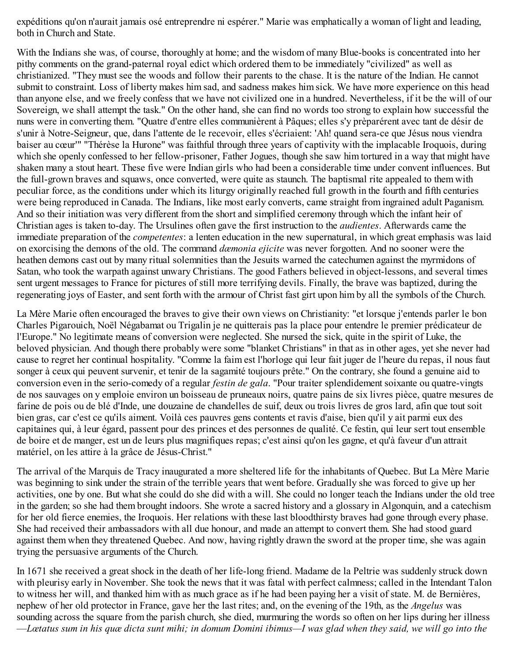expéditions qu'on n'aurait jamais osé entreprendre ni espérer." Marie was emphatically a woman of light and leading, both in Church and State.

With the Indians she was, of course, thoroughly at home; and the wisdom of many Blue-books is concentrated into her pithy comments on the grand-paternal royal edict which ordered them to be immediately "civilized" as well as christianized. "They must see the woods and follow their parents to the chase. It is the nature of the Indian. He cannot submit to constraint. Loss of liberty makes him sad, and sadness makes him sick. We have more experience on this head than anyone else, and we freely confess that we have not civilized one in a hundred. Nevertheless, if it be the will of our Sovereign, we shall attempt the task." On the other hand, she can find no words too strong to explain how successful the nuns were in converting them. "Quatre d'entre elles communièrent à Pâques; elles s'y prèparérent avec tant de désir de s'unir à Notre-Seigneur, que, dans l'attente de le recevoir, elles s'écriaient: 'Ah! quand sera-ce que Jésus nous viendra baiser au cœur'" "Thérèse la Hurone" was faithful through three years of captivity with the implacable Iroquois, during which she openly confessed to her fellow-prisoner, Father Jogues, though she saw him tortured in a way that might have shaken many a stout heart. These five were Indian girls who had been a considerable time under convent influences. But the full-grown braves and squaws, once converted, were quite as staunch. The baptismal rite appealed to them with peculiar force, as the conditions under which its liturgy originally reached full growth in the fourth and fifth centuries were being reproduced in Canada. The Indians, like most early converts, came straight from ingrained adult Paganism. And so their initiation was very different from the short and simplified ceremony through which the infant heir of Christian ages is taken to-day. The Ursulines often gave the first instruction to the *audientes*. Afterwards came the immediate preparation of the *competentes*: a lenten education in the new supernatural, in which great emphasis was laid on exorcising the demons of the old. The command *dæmonia ejicite* was never forgotten. And no sooner were the heathen demons cast out by many ritual solemnities than the Jesuits warned the catechumen against the myrmidons of Satan, who took the warpath against unwary Christians. The good Fathers believed in object-lessons, and several times sent urgent messages to France for pictures of still more terrifying devils. Finally, the brave was baptized, during the regenerating joys of Easter, and sent forth with the armour of Christ fast girt upon him by all the symbols of the Church.

La Mère Marie often encouraged the braves to give their own views on Christianity: "et lorsque j'entends parler le bon Charles Pigarouich, Noël Négabamat ou Trigalin je ne quitterais pas la place pour entendre le premier prédicateur de l'Europe." No legitimate means of conversion were neglected. She nursed the sick, quite in the spirit of Luke, the beloved physician. And though there probably were some "blanket Christians" in that as in other ages, yet she never had cause to regret her continual hospitality. "Comme la faim est l'horloge qui leur fait juger de l'heure du repas, il nous faut songer à ceux qui peuvent survenir, et tenir de la sagamité toujours prête." On the contrary, she found a genuine aid to conversion even in the serio-comedy of a regular *festin de gala*. "Pour traiter splendidement soixante ou quatre-vingts de nos sauvages on y emploie environ un boisseau de pruneaux noirs, quatre pains de six livres pièce, quatre mesures de farine de pois ou de blé d'Inde, une douzaine de chandelles de suif, deux ou trois livres de gros lard, afin que tout soit bien gras, car c'est ce qu'ils aiment. Voilà ces pauvres gens contents et ravis d'aise, bien qu'il y ait parmi eux des capitaines qui, à leur égard, passent pour des princes et des personnes de qualité. Ce festin, qui leur sert tout ensemble de boire et de manger, est un de leurs plus magnifiques repas; c'est ainsi qu'on les gagne, et qu'à faveur d'un attrait matériel, on les attire à la grâce de Jésus-Christ."

The arrival of the Marquis de Tracy inaugurated a more sheltered life for the inhabitants of Quebec. But La Mère Marie was beginning to sink under the strain of the terrible years that went before. Gradually she was forced to give up her activities, one by one. But what she could do she did with a will. She could no longer teach the Indians under the old tree in the garden; so she had them brought indoors. She wrote a sacred history and a glossary in Algonquin, and a catechism for her old fierce enemies, the Iroquois. Her relations with these last bloodthirsty braves had gone through every phase. She had received their ambassadors with all due honour, and made an attempt to convert them. She had stood guard against them when they threatened Quebec. And now, having rightly drawn the sword at the proper time, she was again trying the persuasive arguments of the Church.

In 1671 she received a great shock in the death of her life-long friend. Madame de la Peltrie was suddenly struck down with pleurisy early in November. She took the news that it was fatal with perfect calmness; called in the Intendant Talon to witness her will, and thanked him with as much grace as if he had been paying her a visit of state. M. de Bernières, nephew of her old protector in France, gave her the last rites; and, on the evening of the 19th, as the *Angelus* was sounding across the square from the parish church, she died, murmuring the words so often on her lips during her illness —Lœtatus sum in his quœ dicta sunt mihi; in domum Domini ibimus—I was glad when they said, we will go into the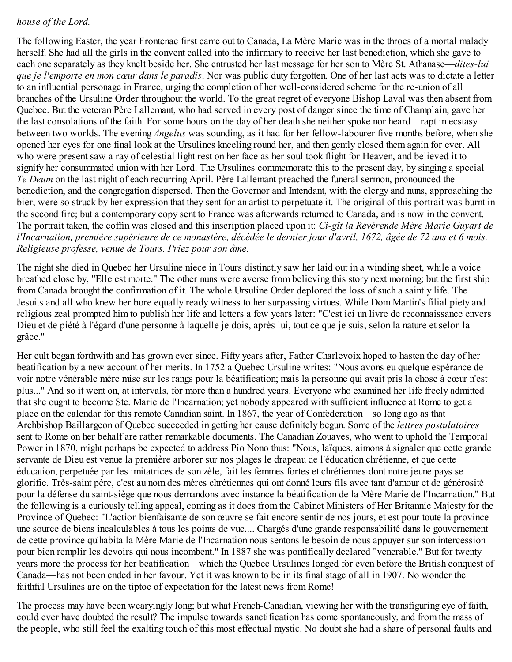## *house of the Lord.*

The following Easter, the year Frontenac first came out to Canada, La Mère Marie was in the throes of a mortal malady herself. She had all the girls in the convent called into the infirmary to receive her last benediction, which she gave to each one separately as they knelt beside her. She entrusted her last message for her son to Mère St. Athanase—*dites-lui que je l'emporte en mon cœur dans le paradis*. Nor was public duty forgotten. One of her last acts was to dictate a letter to an influential personage in France, urging the completion of her well-considered scheme for the re-union of all branches of the Ursuline Order throughout the world. To the great regret of everyone Bishop Laval was then absent from Quebec. But the veteran Père Lallemant, who had served in every post of danger since the time of Champlain, gave her the last consolations of the faith. For some hours on the day of her death she neither spoke nor heard—rapt in ecstasy between two worlds. The evening *Angelus* was sounding, as it had for her fellow-labourer five months before, when she opened her eyes for one final look at the Ursulines kneeling round her, and then gently closed them again for ever. All who were present saw a ray of celestial light rest on her face as her soul took flight for Heaven, and believed it to signify her consummated union with her Lord. The Ursulines commemorate this to the present day, by singing a special *Te Deum* on the last night of each recurring April. Père Lallemant preached the funeral sermon, pronounced the benediction, and the congregation dispersed. Then the Governor and Intendant, with the clergy and nuns, approaching the bier, were so struck by her expression that they sent for an artist to perpetuate it. The original of this portrait was burnt in the second fire; but a contemporary copy sent to France was afterwards returned to Canada, and is now in the convent. The portrait taken, the coffin was closed and this inscription placed upon it: *Ci-gît la Révérende Mère Marie Guyart de* l'Incarnation, première supérieure de ce monastère, décédée le dernier jour d'avril, 1672, âgée de 72 ans et 6 mois. *Religieuse professe, venue de Tours. Priez pour son âme.*

The night she died in Quebec her Ursuline niece in Tours distinctly saw her laid out in a winding sheet, while a voice breathed close by, "Elle est morte." The other nuns were averse from believing this story next morning; but the first ship from Canada brought the confirmation of it. The whole Ursuline Order deplored the loss of such a saintly life. The Jesuits and all who knew her bore equally ready witness to her surpassing virtues. While Dom Martin's filial piety and religious zeal prompted him to publish her life and letters a few years later: "C'est ici un livre de reconnaissance envers Dieu et de piété à l'égard d'une personne à laquelle je dois, après lui, tout ce que je suis, selon la nature et selon la grâce."

Her cult began forthwith and has grown ever since. Fifty years after, Father Charlevoix hoped to hasten the day of her beatification by a new account of her merits. In 1752 a Quebec Ursuline writes: "Nous avons eu quelque espérance de voir notre vénérable mère mise sur les rangs pour la béatification; mais la personne qui avait pris la chose à cœur n'est plus..." And so it went on, at intervals, for more than a hundred years. Everyone who examined her life freely admitted that she ought to become Ste. Marie de l'Incarnation; yet nobody appeared with sufficient influence at Rome to get a place on the calendar for this remote Canadian saint. In 1867, the year of Confederation—so long ago as that— Archbishop Baillargeon of Quebec succeeded in getting her cause definitely begun. Some of the *lettres postulatoires* sent to Rome on her behalf are rather remarkable documents. The Canadian Zouaves, who went to uphold the Temporal Power in 1870, might perhaps be expected to address Pio Nono thus: "Nous, laïques, aimons à signaler que cette grande servante de Dieu est venue la première arborer sur nos plages le drapeau de l'éducation chrétienne, et que cette éducation, perpetuée par les imitatrices de son zèle, fait les femmes fortes et chrétiennes dont notre jeune pays se glorifie. Très-saint père, c'est au nom des mères chrétiennes qui ont donné leurs fils avec tant d'amour et de générosité pour la défense du saint-siège que nous demandons avec instance la béatification de la Mère Marie de l'Incarnation." But the following is a curiously telling appeal, coming as it does from the Cabinet Ministers of Her Britannic Majesty for the Province of Quebec: "L'action bienfaisante de son œuvre se fait encore sentir de nos jours, et est pour toute la province une source de biens incalculables à tous les points de vue.... Chargés d'une grande responsabilité dans le gouvernement de cette province qu'habita la Mère Marie de l'Incarnation nous sentons le besoin de nous appuyer sur son intercession pour bien remplir les devoirs qui nous incombent." In 1887 she was pontifically declared "venerable." But for twenty years more the process for her beatification—which the Quebec Ursulines longed for even before the British conquest of Canada—has not been ended in her favour. Yet it was known to be in its final stage of all in 1907. No wonder the faithful Ursulines are on the tiptoe of expectation for the latest news from Rome!

The process may have been wearyingly long; but what French-Canadian, viewing her with the transfiguring eye of faith, could ever have doubted the result? The impulse towards sanctification has come spontaneously, and from the mass of the people, who still feel the exalting touch of this most effectual mystic. No doubt she had a share of personal faults and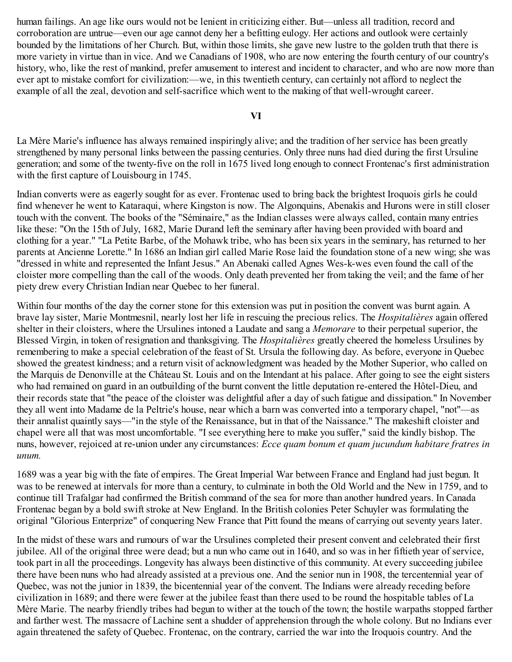human failings. An age like ours would not be lenient in criticizing either. But—unless all tradition, record and corroboration are untrue—even our age cannot deny her a befitting eulogy. Her actions and outlook were certainly bounded by the limitations of her Church. But, within those limits, she gave new lustre to the golden truth that there is more variety in virtue than in vice. And we Canadians of 1908, who are now entering the fourth century of our country's history, who, like the rest of mankind, prefer amusement to interest and incident to character, and who are now more than ever apt to mistake comfort for civilization:—we, in this twentieth century, can certainly not afford to neglect the example of all the zeal, devotion and self-sacrifice which went to the making of that well-wrought career.

**VI**

La Mère Marie's influence has always remained inspiringly alive; and the tradition of her service has been greatly strengthened by many personal links between the passing centuries. Only three nuns had died during the first Ursuline generation; and some of the twenty-five on the roll in 1675 lived long enough to connect Frontenac's first administration with the first capture of Louisbourg in 1745.

Indian converts were as eagerly sought for as ever. Frontenac used to bring back the brightest Iroquois girls he could find whenever he went to Kataraqui, where Kingston is now. The Algonquins, Abenakis and Hurons were in still closer touch with the convent. The books of the "Séminaire," as the Indian classes were always called, contain many entries like these: "On the 15th of July, 1682, Marie Durand left the seminary after having been provided with board and clothing for a year." "La Petite Barbe, of the Mohawk tribe, who has been six years in the seminary, has returned to her parents at Ancienne Lorette." In 1686 an Indian girl called Marie Rose laid the foundation stone of a new wing; she was "dressed in white and represented the Infant Jesus." An Abenaki called Agnes Wes-k-wes even found the call of the cloister more compelling than the call of the woods. Only death prevented her from taking the veil; and the fame of her piety drew every Christian Indian near Quebec to her funeral.

Within four months of the day the corner stone for this extension was put in position the convent was burnt again. A brave lay sister, Marie Montmesnil, nearly lost her life in rescuing the precious relics. The *Hospitalières* again offered shelter in their cloisters, where the Ursulines intoned a Laudate and sang a *Memorare* to their perpetual superior, the Blessed Virgin, in token of resignation and thanksgiving. The *Hospitalières* greatly cheered the homeless Ursulines by remembering to make a special celebration of the feast of St. Ursula the following day. As before, everyone in Quebec showed the greatest kindness; and a return visit of acknowledgment was headed by the Mother Superior, who called on the Marquis de Denonville at the Château St. Louis and on the Intendant at his palace. After going to see the eight sisters who had remained on guard in an outbuilding of the burnt convent the little deputation re-entered the Hôtel-Dieu, and their records state that "the peace of the cloister was delightful after a day of such fatigue and dissipation." In November they all went into Madame de la Peltrie's house, near which a barn was converted into a temporary chapel, "not"—as their annalist quaintly says—"in the style of the Renaissance, but in that of the Naissance." The makeshift cloister and chapel were all that was most uncomfortable. "I see everything here to make you suffer," said the kindly bishop. The nuns, however, rejoiced at re-union under any circumstances: *Ecce quam bonum et quam jucundum habitare fratres in unum.*

1689 was a year big with the fate of empires. The Great Imperial War between France and England had just begun. It was to be renewed at intervals for more than a century, to culminate in both the Old World and the New in 1759, and to continue till Trafalgar had confirmed the British command of the sea for more than another hundred years. In Canada Frontenac began by a bold swift stroke at New England. In the British colonies Peter Schuyler was formulating the original "Glorious Enterprize" of conquering New France that Pitt found the means of carrying out seventy years later.

In the midst of these wars and rumours of war the Ursulines completed their present convent and celebrated their first jubilee. All of the original three were dead; but a nun who came out in 1640, and so was in her fiftieth year of service, took part in all the proceedings. Longevity has always been distinctive of this community. At every succeeding jubilee there have been nuns who had already assisted at a previous one. And the senior nun in 1908, the tercentennial year of Quebec, was not the junior in 1839, the bicentennial year of the convent. The Indians were already receding before civilization in 1689; and there were fewer at the jubilee feast than there used to be round the hospitable tables of La Mère Marie. The nearby friendly tribes had begun to wither at the touch of the town; the hostile warpaths stopped farther and farther west. The massacre of Lachine sent a shudder of apprehension through the whole colony. But no Indians ever again threatened the safety of Quebec. Frontenac, on the contrary, carried the war into the Iroquois country. And the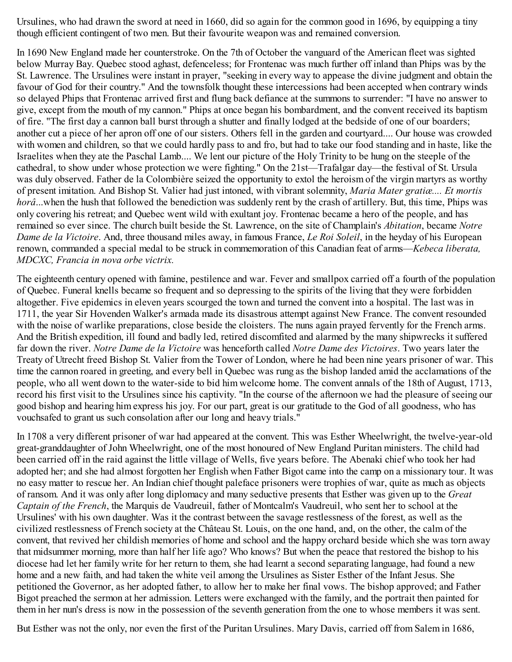Ursulines, who had drawn the sword at need in 1660, did so again for the common good in 1696, by equipping a tiny though efficient contingent of two men. But their favourite weapon was and remained conversion.

In 1690 New England made her counterstroke. On the 7th of October the vanguard of the American fleet was sighted below Murray Bay. Quebec stood aghast, defenceless; for Frontenac was much further off inland than Phips was by the St. Lawrence. The Ursulines were instant in prayer, "seeking in every way to appease the divine judgment and obtain the favour of God for their country." And the townsfolk thought these intercessions had been accepted when contrary winds so delayed Phips that Frontenac arrived first and flung back defiance at the summons to surrender: "I have no answer to give, except from the mouth of my cannon." Phips at once began his bombardment, and the convent received its baptism of fire. "The first day a cannon ball burst through a shutter and finally lodged at the bedside of one of our boarders; another cut a piece of her apron off one of our sisters. Others fell in the garden and courtyard.... Our house was crowded with women and children, so that we could hardly pass to and fro, but had to take our food standing and in haste, like the Israelites when they ate the Paschal Lamb.... We lent our picture of the Holy Trinity to be hung on the steeple of the cathedral, to show under whose protection we were fighting." On the 21st—Trafalgar day—the festival of St. Ursula was duly observed. Father de la Colombière seized the opportunity to extol the heroism of the virgin martyrs as worthy of present imitation. And Bishop St. Valier had just intoned, with vibrant solemnity, *Maria Mater gratiæ.... Et mortis horâ*...when the hush that followed the benediction was suddenly rent by the crash of artillery. But, this time, Phips was only covering his retreat; and Quebec went wild with exultant joy. Frontenac became a hero of the people, and has remained so ever since. The church built beside the St. Lawrence, on the site of Champlain's *Abitation*, became *Notre Dame de la Victoire*. And, three thousand miles away, in famous France, *Le Roi Soleil*, in the heyday of his European renown, commanded a special medal to be struck in commemoration of this Canadian feat of arms—*Kebeca liberata, MDCXC, Francia in nova orbe victrix.*

The eighteenth century opened with famine, pestilence and war. Fever and smallpox carried off a fourth of the population of Quebec. Funeral knells became so frequent and so depressing to the spirits of the living that they were forbidden altogether. Five epidemics in eleven years scourged the town and turned the convent into a hospital. The last was in 1711, the year Sir Hovenden Walker's armada made its disastrous attempt against New France. The convent resounded with the noise of warlike preparations, close beside the cloisters. The nuns again prayed fervently for the French arms. And the British expedition, ill found and badly led, retired discomfited and alarmed by the many shipwrecks it suffered far down the river. *Notre Dame de la Victoire* was henceforth called *Notre Dame des Victoires*. Two years later the Treaty of Utrecht freed Bishop St. Valier from the Tower of London, where he had been nine years prisoner of war. This time the cannon roared in greeting, and every bell in Quebec was rung as the bishop landed amid the acclamations of the people, who all went down to the water-side to bid him welcome home. The convent annals of the 18th of August, 1713, record his first visit to the Ursulines since his captivity. "In the course of the afternoon we had the pleasure of seeing our good bishop and hearing him express his joy. For our part, great is our gratitude to the God of all goodness, who has vouchsafed to grant us such consolation after our long and heavy trials."

In 1708 a very different prisoner of war had appeared at the convent. This was Esther Wheelwright, the twelve-year-old great-granddaughter of John Wheelwright, one of the most honoured of New England Puritan ministers. The child had been carried off in the raid against the little village of Wells, five years before. The Abenaki chief who took her had adopted her; and she had almost forgotten her English when Father Bigot came into the camp on a missionary tour. It was no easy matter to rescue her. An Indian chief thought paleface prisoners were trophies of war, quite as much as objects of ransom. And it was only after long diplomacy and many seductive presents that Esther was given up to the *Great Captain of the French*, the Marquis de Vaudreuil, father of Montcalm's Vaudreuil, who sent her to school at the Ursulines' with his own daughter. Was it the contrast between the savage restlessness of the forest, as well as the civilized restlessness of French society at the Château St. Louis, on the one hand, and, on the other, the calm of the convent, that revived her childish memories of home and school and the happy orchard beside which she was torn away that midsummer morning, more than half her life ago? Who knows? But when the peace that restored the bishop to his diocese had let her family write for her return to them, she had learnt a second separating language, had found a new home and a new faith, and had taken the white veil among the Ursulines as Sister Esther of the Infant Jesus. She petitioned the Governor, as her adopted father, to allow her to make her final vows. The bishop approved; and Father Bigot preached the sermon at her admission. Letters were exchanged with the family, and the portrait then painted for them in her nun's dress is now in the possession of the seventh generation from the one to whose members it was sent.

But Esther was not the only, nor even the first of the Puritan Ursulines. Mary Davis, carried off from Salem in 1686,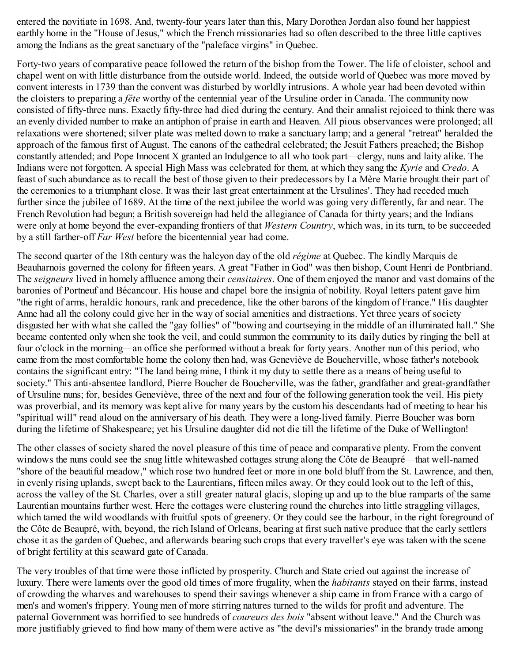entered the novitiate in 1698. And, twenty-four years later than this, Mary Dorothea Jordan also found her happiest earthly home in the "House of Jesus," which the French missionaries had so often described to the three little captives among the Indians as the great sanctuary of the "paleface virgins" in Quebec.

Forty-two years of comparative peace followed the return of the bishop from the Tower. The life of cloister, school and chapel went on with little disturbance from the outside world. Indeed, the outside world of Quebec was more moved by convent interests in 1739 than the convent was disturbed by worldly intrusions. A whole year had been devoted within the cloisters to preparing a *fête* worthy of the centennial year of the Ursuline order in Canada. The community now consisted of fifty-three nuns. Exactly fifty-three had died during the century. And their annalist rejoiced to think there was an evenly divided number to make an antiphon of praise in earth and Heaven. All pious observances were prolonged; all relaxations were shortened; silver plate was melted down to make a sanctuary lamp; and a general "retreat" heralded the approach of the famous first of August. The canons of the cathedral celebrated; the Jesuit Fathers preached; the Bishop constantly attended; and Pope Innocent X granted an Indulgence to all who took part—clergy, nuns and laity alike. The Indians were not forgotten. A special High Mass was celebrated for them, at which they sang the *Kyrie* and *Credo*. A feast of such abundance as to recall the best of those given to their predecessors by La Mère Marie brought their part of the ceremonies to a triumphant close. It was their last great entertainment at the Ursulines'. They had receded much further since the jubilee of 1689. At the time of the next jubilee the world was going very differently, far and near. The French Revolution had begun; a British sovereign had held the allegiance of Canada for thirty years; and the Indians were only at home beyond the ever-expanding frontiers of that *Western Country*, which was, in its turn, to be succeeded by a still farther-off *Far West* before the bicentennial year had come.

The second quarter of the 18th century was the halcyon day of the old *régime* at Quebec. The kindly Marquis de Beauharnois governed the colony for fifteen years. A great "Father in God" was then bishop, Count Henri de Pontbriand. The *seigneurs* lived in homely affluence among their *censitaires*. One of them enjoyed the manor and vast domains of the baronies of Portneuf and Bécancour. His house and chapel bore the insignia of nobility. Royal letters patent gave him "the right of arms, heraldic honours, rank and precedence, like the other barons of the kingdom of France." His daughter Anne had all the colony could give her in the way of social amenities and distractions. Yet three years of society disgusted her with what she called the "gay follies" of "bowing and courtseying in the middle of an illuminated hall." She became contented only when she took the veil, and could summon the community to its daily duties by ringing the bell at four o'clock in the morning—an office she performed without a break for forty years. Another nun of this period, who came from the most comfortable home the colony then had, was Geneviève de Boucherville, whose father's notebook contains the significant entry: "The land being mine, I think it my duty to settle there as a means of being useful to society." This anti-absentee landlord, Pierre Boucher de Boucherville, was the father, grandfather and great-grandfather of Ursuline nuns; for, besides Geneviève, three of the next and four of the following generation took the veil. His piety was proverbial, and its memory was kept alive for many years by the custom his descendants had of meeting to hear his "spiritual will" read aloud on the anniversary of his death. They were a long-lived family. Pierre Boucher was born during the lifetime of Shakespeare; yet his Ursuline daughter did not die till the lifetime of the Duke of Wellington!

The other classes of society shared the novel pleasure of this time of peace and comparative plenty. From the convent windows the nuns could see the snug little whitewashed cottages strung along the Côte de Beaupré—that well-named "shore of the beautiful meadow," which rose two hundred feet or more in one bold bluff from the St. Lawrence, and then, in evenly rising uplands, swept back to the Laurentians, fifteen miles away. Or they could look out to the left of this, across the valley of the St. Charles, over a still greater natural glacis, sloping up and up to the blue ramparts of the same Laurentian mountains further west. Here the cottages were clustering round the churches into little straggling villages, which tamed the wild woodlands with fruitful spots of greenery. Or they could see the harbour, in the right foreground of the Côte de Beaupré, with, beyond, the rich Island of Orleans, bearing at first such native produce that the early settlers chose it as the garden of Quebec, and afterwards bearing such crops that every traveller's eye was taken with the scene of bright fertility at this seaward gate of Canada.

The very troubles of that time were those inflicted by prosperity. Church and State cried out against the increase of luxury. There were laments over the good old times of more frugality, when the *habitants* stayed on their farms, instead of crowding the wharves and warehouses to spend their savings whenever a ship came in from France with a cargo of men's and women's frippery. Young men of more stirring natures turned to the wilds for profit and adventure. The paternal Government was horrified to see hundreds of *coureurs des bois* "absent without leave." And the Church was more justifiably grieved to find how many of them were active as "the devil's missionaries" in the brandy trade among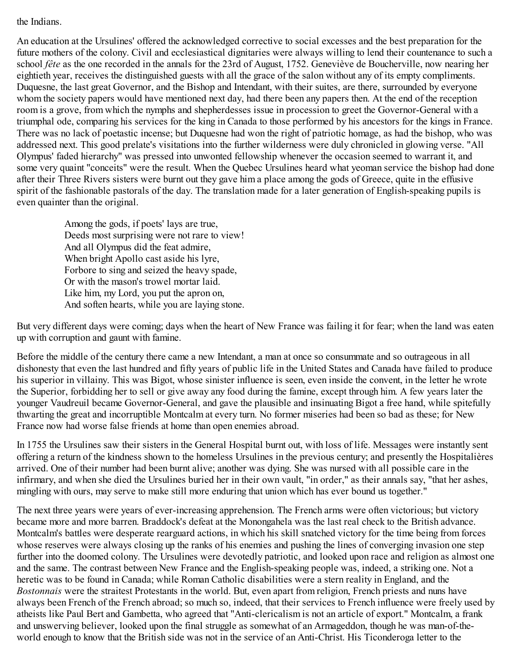the Indians.

An education at the Ursulines' offered the acknowledged corrective to social excesses and the best preparation for the future mothers of the colony. Civil and ecclesiastical dignitaries were always willing to lend their countenance to such a school *fête* as the one recorded in the annals for the 23rd of August, 1752. Geneviève de Boucherville, now nearing her eightieth year, receives the distinguished guests with all the grace of the salon without any of its empty compliments. Duquesne, the last great Governor, and the Bishop and Intendant, with their suites, are there, surrounded by everyone whom the society papers would have mentioned next day, had there been any papers then. At the end of the reception room is a grove, from which the nymphs and shepherdesses issue in procession to greet the Governor-General with a triumphal ode, comparing his services for the king in Canada to those performed by his ancestors for the kings in France. There was no lack of poetastic incense; but Duquesne had won the right of patriotic homage, as had the bishop, who was addressed next. This good prelate's visitations into the further wilderness were duly chronicled in glowing verse. "All Olympus' faded hierarchy" was pressed into unwonted fellowship whenever the occasion seemed to warrant it, and some very quaint "conceits" were the result. When the Quebec Ursulines heard what yeoman service the bishop had done after their Three Rivers sisters were burnt out they gave him a place among the gods of Greece, quite in the effusive spirit of the fashionable pastorals of the day. The translation made for a later generation of English-speaking pupils is even quainter than the original.

Among the gods, if poets' lays are true, Deeds most surprising were not rare to view! And all Olympus did the feat admire, When bright Apollo cast aside his lyre, Forbore to sing and seized the heavy spade, Or with the mason's trowel mortar laid. Like him, my Lord, you put the apron on, And soften hearts, while you are laying stone.

But very different days were coming; days when the heart of New France was failing it for fear; when the land was eaten up with corruption and gaunt with famine.

Before the middle of the century there came a new Intendant, a man at once so consummate and so outrageous in all dishonesty that even the last hundred and fifty years of public life in the United States and Canada have failed to produce his superior in villainy. This was Bigot, whose sinister influence is seen, even inside the convent, in the letter he wrote the Superior, forbidding her to sell or give away any food during the famine, except through him. A few years later the younger Vaudreuil became Governor-General, and gave the plausible and insinuating Bigot a free hand, while spitefully thwarting the great and incorruptible Montcalm at every turn. No former miseries had been so bad as these; for New France now had worse false friends at home than open enemies abroad.

In 1755 the Ursulines saw their sisters in the General Hospital burnt out, with loss of life. Messages were instantly sent offering a return of the kindness shown to the homeless Ursulines in the previous century; and presently the Hospitalières arrived. One of their number had been burnt alive; another was dying. She was nursed with all possible care in the infirmary, and when she died the Ursulines buried her in their own vault, "in order," as their annals say, "that her ashes, mingling with ours, may serve to make still more enduring that union which has ever bound us together."

The next three years were years of ever-increasing apprehension. The French arms were often victorious; but victory became more and more barren. Braddock's defeat at the Monongahela was the last real check to the British advance. Montcalm's battles were desperate rearguard actions, in which his skill snatched victory for the time being from forces whose reserves were always closing up the ranks of his enemies and pushing the lines of converging invasion one step further into the doomed colony. The Ursulines were devotedly patriotic, and looked upon race and religion as almost one and the same. The contrast between New France and the English-speaking people was, indeed, a striking one. Not a heretic was to be found in Canada; while Roman Catholic disabilities were a stern reality in England, and the *Bostonnais* were the straitest Protestants in the world. But, even apart from religion, French priests and nuns have always been French of the French abroad; so much so, indeed, that their services to French influence were freely used by atheists like Paul Bert and Gambetta, who agreed that "Anti-clericalism is not an article of export." Montcalm, a frank and unswerving believer, looked upon the final struggle as somewhat of an Armageddon, though he was man-of-theworld enough to know that the British side was not in the service of an Anti-Christ. His Ticonderoga letter to the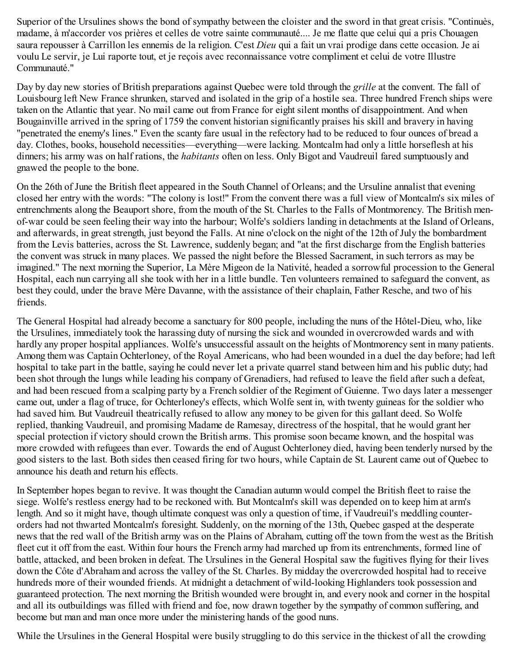Superior of the Ursulines shows the bond of sympathy between the cloister and the sword in that great crisis. "Continuès, madame, à m'accorder vos prières et celles de votre sainte communauté.... Je me flatte que celui qui a pris Chouagen saura repousser à Carrillon les ennemis de la religion. C'est *Dieu* qui a fait un vrai prodige dans cette occasion. Je ai voulu Le servir, je Lui raporte tout, et je reçois avec reconnaissance votre compliment et celui de votre Illustre Communauté."

Day by day new stories of British preparations against Quebec were told through the *grille* at the convent. The fall of Louisbourg left New France shrunken, starved and isolated in the grip of a hostile sea. Three hundred French ships were taken on the Atlantic that year. No mail came out from France for eight silent months of disappointment. And when Bougainville arrived in the spring of 1759 the convent historian significantly praises his skill and bravery in having "penetrated the enemy's lines." Even the scanty fare usual in the refectory had to be reduced to four ounces of bread a day. Clothes, books, household necessities—everything—were lacking. Montcalm had only a little horseflesh at his dinners; his army was on half rations, the *habitants* often on less. Only Bigot and Vaudreuil fared sumptuously and gnawed the people to the bone.

On the 26th of June the British fleet appeared in the South Channel of Orleans; and the Ursuline annalist that evening closed her entry with the words: "The colony is lost!" From the convent there was a full view of Montcalm's six miles of entrenchments along the Beauport shore, from the mouth of the St. Charles to the Falls of Montmorency. The British menof-war could be seen feeling their way into the harbour; Wolfe's soldiers landing in detachments at the Island of Orleans, and afterwards, in great strength, just beyond the Falls. At nine o'clock on the night of the 12th of July the bombardment from the Levis batteries, across the St. Lawrence, suddenly began; and "at the first discharge from the English batteries the convent was struck in many places. We passed the night before the Blessed Sacrament, in such terrors as may be imagined." The next morning the Superior, La Mère Migeon de la Nativité, headed a sorrowful procession to the General Hospital, each nun carrying all she took with her in a little bundle. Ten volunteers remained to safeguard the convent, as best they could, under the brave Mère Davanne, with the assistance of their chaplain, Father Resche, and two of his friends.

The General Hospital had already become a sanctuary for 800 people, including the nuns of the Hôtel-Dieu, who, like the Ursulines, immediately took the harassing duty of nursing the sick and wounded in overcrowded wards and with hardly any proper hospital appliances. Wolfe's unsuccessful assault on the heights of Montmorency sent in many patients. Among them was Captain Ochterloney, of the Royal Americans, who had been wounded in a duel the day before; had left hospital to take part in the battle, saying he could never let a private quarrel stand between him and his public duty; had been shot through the lungs while leading his company of Grenadiers, had refused to leave the field after such a defeat, and had been rescued from a scalping party by a French soldier of the Regiment of Guienne. Two days later a messenger came out, under a flag of truce, for Ochterloney's effects, which Wolfe sent in, with twenty guineas for the soldier who had saved him. But Vaudreuil theatrically refused to allow any money to be given for this gallant deed. So Wolfe replied, thanking Vaudreuil, and promising Madame de Ramesay, directress of the hospital, that he would grant her special protection if victory should crown the British arms. This promise soon became known, and the hospital was more crowded with refugees than ever. Towards the end of August Ochterloney died, having been tenderly nursed by the good sisters to the last. Both sides then ceased firing for two hours, while Captain de St. Laurent came out of Quebec to announce his death and return his effects.

In September hopes began to revive. It was thought the Canadian autumn would compel the British fleet to raise the siege. Wolfe's restless energy had to be reckoned with. But Montcalm's skill was depended on to keep him at arm's length. And so it might have, though ultimate conquest was only a question of time, if Vaudreuil's meddling counterorders had not thwarted Montcalm's foresight. Suddenly, on the morning of the 13th, Quebec gasped at the desperate news that the red wall of the British army was on the Plains of Abraham, cutting off the town from the west as the British fleet cut it off from the east. Within four hours the French army had marched up from its entrenchments, formed line of battle, attacked, and been broken in defeat. The Ursulines in the General Hospital saw the fugitives flying for their lives down the Côte d'Abraham and across the valley of the St. Charles. By midday the overcrowded hospital had to receive hundreds more of their wounded friends. At midnight a detachment of wild-looking Highlanders took possession and guaranteed protection. The next morning the British wounded were brought in, and every nook and corner in the hospital and all its outbuildings was filled with friend and foe, now drawn together by the sympathy of common suffering, and become but man and man once more under the ministering hands of the good nuns.

While the Ursulines in the General Hospital were busily struggling to do this service in the thickest of all the crowding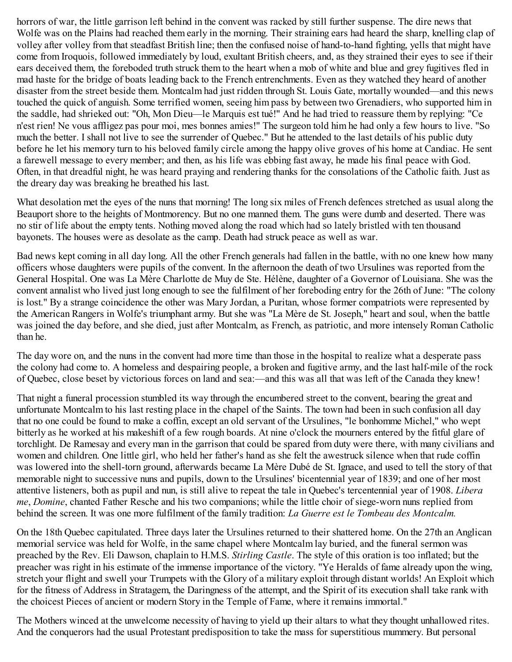horrors of war, the little garrison left behind in the convent was racked by still further suspense. The dire news that Wolfe was on the Plains had reached them early in the morning. Their straining ears had heard the sharp, knelling clap of volley after volley from that steadfast British line; then the confused noise of hand-to-hand fighting, yells that might have come from Iroquois, followed immediately by loud, exultant British cheers, and, as they strained their eyes to see if their ears deceived them, the foreboded truth struck them to the heart when a mob of white and blue and grey fugitives fled in mad haste for the bridge of boats leading back to the French entrenchments. Even as they watched they heard of another disaster from the street beside them. Montcalm had just ridden through St. Louis Gate, mortally wounded—and this news touched the quick of anguish. Some terrified women, seeing him pass by between two Grenadiers, who supported him in the saddle, had shrieked out: "Oh, Mon Dieu—le Marquis est tué!" And he had tried to reassure them by replying: "Ce n'est rien! Ne vous affligez pas pour moi, mes bonnes amies!" The surgeon told him he had only a few hours to live. "So much the better. I shall not live to see the surrender of Quebec." But he attended to the last details of his public duty before he let his memory turn to his beloved family circle among the happy olive groves of his home at Candiac. He sent a farewell message to every member; and then, as his life was ebbing fast away, he made his final peace with God. Often, in that dreadful night, he was heard praying and rendering thanks for the consolations of the Catholic faith. Just as the dreary day was breaking he breathed his last.

What desolation met the eyes of the nuns that morning! The long six miles of French defences stretched as usual along the Beauport shore to the heights of Montmorency. But no one manned them. The guns were dumb and deserted. There was no stir of life about the empty tents. Nothing moved along the road which had so lately bristled with ten thousand bayonets. The houses were as desolate as the camp. Death had struck peace as well as war.

Bad news kept coming in all day long. All the other French generals had fallen in the battle, with no one knew how many officers whose daughters were pupils of the convent. In the afternoon the death of two Ursulines was reported from the General Hospital. One was La Mère Charlotte de Muy de Ste. Hélène, daughter of a Governor of Louisiana. She was the convent annalist who lived just long enough to see the fulfilment of her foreboding entry for the 26th of June: "The colony is lost." By a strange coincidence the other was Mary Jordan, a Puritan, whose former compatriots were represented by the American Rangers in Wolfe's triumphant army. But she was "La Mère de St. Joseph," heart and soul, when the battle was joined the day before, and she died, just after Montcalm, as French, as patriotic, and more intensely Roman Catholic than he.

The day wore on, and the nuns in the convent had more time than those in the hospital to realize what a desperate pass the colony had come to. A homeless and despairing people, a broken and fugitive army, and the last half-mile of the rock of Quebec, close beset by victorious forces on land and sea:—and this was all that was left of the Canada they knew!

That night a funeral procession stumbled its way through the encumbered street to the convent, bearing the great and unfortunate Montcalm to his last resting place in the chapel of the Saints. The town had been in such confusion all day that no one could be found to make a coffin, except an old servant of the Ursulines, "le bonhomme Michel," who wept bitterly as he worked at his makeshift of a few rough boards. At nine o'clock the mourners entered by the fitful glare of torchlight. De Ramesay and every man in the garrison that could be spared from duty were there, with many civilians and women and children. One little girl, who held her father's hand as she felt the awestruck silence when that rude coffin was lowered into the shell-torn ground, afterwards became La Mère Dubé de St. Ignace, and used to tell the story of that memorable night to successive nuns and pupils, down to the Ursulines' bicentennial year of 1839; and one of her most attentive listeners, both as pupil and nun, is still alive to repeat the tale in Quebec's tercentennial year of 1908. *Libera me*, *Domine*, chanted Father Resche and his two companions; while the little choir of siege-worn nuns replied from behind the screen. It was one more fulfilment of the family tradition: *La Guerre est le Tombeau des Montcalm.*

On the 18th Quebec capitulated. Three days later the Ursulines returned to their shattered home. On the 27th an Anglican memorial service was held for Wolfe, in the same chapel where Montcalm lay buried, and the funeral sermon was preached by the Rev. Eli Dawson, chaplain to H.M.S. *Stirling Castle*. The style of this oration is too inflated; but the preacher was right in his estimate of the immense importance of the victory. "Ye Heralds of fame already upon the wing, stretch your flight and swell your Trumpets with the Glory of a military exploit through distant worlds! An Exploit which for the fitness of Address in Stratagem, the Daringness of the attempt, and the Spirit of its execution shall take rank with the choicest Pieces of ancient or modern Story in the Temple of Fame, where it remains immortal."

The Mothers winced at the unwelcome necessity of having to yield up their altars to what they thought unhallowed rites. And the conquerors had the usual Protestant predisposition to take the mass for superstitious mummery. But personal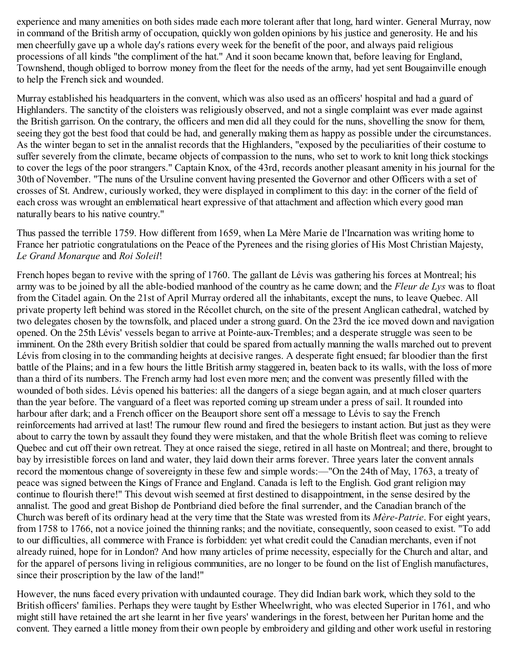experience and many amenities on both sides made each more tolerant after that long, hard winter. General Murray, now in command of the British army of occupation, quickly won golden opinions by his justice and generosity. He and his men cheerfully gave up a whole day's rations every week for the benefit of the poor, and always paid religious processions of all kinds "the compliment of the hat." And it soon became known that, before leaving for England, Townshend, though obliged to borrow money from the fleet for the needs of the army, had yet sent Bougainville enough to help the French sick and wounded.

Murray established his headquarters in the convent, which was also used as an officers' hospital and had a guard of Highlanders. The sanctity of the cloisters was religiously observed, and not a single complaint was ever made against the British garrison. On the contrary, the officers and men did all they could for the nuns, shovelling the snow for them, seeing they got the best food that could be had, and generally making them as happy as possible under the circumstances. As the winter began to set in the annalist records that the Highlanders, "exposed by the peculiarities of their costume to suffer severely from the climate, became objects of compassion to the nuns, who set to work to knit long thick stockings to cover the legs of the poor strangers." Captain Knox, of the 43rd, records another pleasant amenity in his journal for the 30th of November. "The nuns of the Ursuline convent having presented the Governor and other Officers with a set of crosses of St. Andrew, curiously worked, they were displayed in compliment to this day: in the corner of the field of each cross was wrought an emblematical heart expressive of that attachment and affection which every good man naturally bears to his native country."

Thus passed the terrible 1759. How different from 1659, when La Mère Marie de l'Incarnation was writing home to France her patriotic congratulations on the Peace of the Pyrenees and the rising glories of His Most Christian Majesty, *Le Grand Monarque* and *Roi Soleil*!

French hopes began to revive with the spring of 1760. The gallant de Lévis was gathering his forces at Montreal; his army was to be joined by all the able-bodied manhood of the country as he came down; and the *Fleur de Lys* was to float from the Citadel again. On the 21st of April Murray ordered all the inhabitants, except the nuns, to leave Quebec. All private property left behind was stored in the Récollet church, on the site of the present Anglican cathedral, watched by two delegates chosen by the townsfolk, and placed under a strong guard. On the 23rd the ice moved down and navigation opened. On the 25th Lévis' vessels began to arrive at Pointe-aux-Trembles; and a desperate struggle was seen to be imminent. On the 28th every British soldier that could be spared from actually manning the walls marched out to prevent Lévis from closing in to the commanding heights at decisive ranges. A desperate fight ensued; far bloodier than the first battle of the Plains; and in a few hours the little British army staggered in, beaten back to its walls, with the loss of more than a third of its numbers. The French army had lost even more men; and the convent was presently filled with the wounded of both sides. Lévis opened his batteries: all the dangers of a siege began again, and at much closer quarters than the year before. The vanguard of a fleet was reported coming up stream under a press of sail. It rounded into harbour after dark; and a French officer on the Beauport shore sent off a message to Lévis to say the French reinforcements had arrived at last! The rumour flew round and fired the besiegers to instant action. But just as they were about to carry the town by assault they found they were mistaken, and that the whole British fleet was coming to relieve Quebec and cut off their own retreat. They at once raised the siege, retired in all haste on Montreal; and there, brought to bay by irresistible forces on land and water, they laid down their arms forever. Three years later the convent annals record the momentous change of sovereignty in these few and simple words:—"On the 24th of May, 1763, a treaty of peace was signed between the Kings of France and England. Canada is left to the English. God grant religion may continue to flourish there!" This devout wish seemed at first destined to disappointment, in the sense desired by the annalist. The good and great Bishop de Pontbriand died before the final surrender, and the Canadian branch of the Church was bereft of its ordinary head at the very time that the State was wrested from its *Mère-Patrie*. For eight years, from 1758 to 1766, not a novice joined the thinning ranks; and the novitiate, consequently, soon ceased to exist. "To add to our difficulties, all commerce with France is forbidden: yet what credit could the Canadian merchants, even if not already ruined, hope for in London? And how many articles of prime necessity, especially for the Church and altar, and for the apparel of persons living in religious communities, are no longer to be found on the list of English manufactures, since their proscription by the law of the land!"

However, the nuns faced every privation with undaunted courage. They did Indian bark work, which they sold to the British officers' families. Perhaps they were taught by Esther Wheelwright, who was elected Superior in 1761, and who might still have retained the art she learnt in her five years' wanderings in the forest, between her Puritan home and the convent. They earned a little money from their own people by embroidery and gilding and other work useful in restoring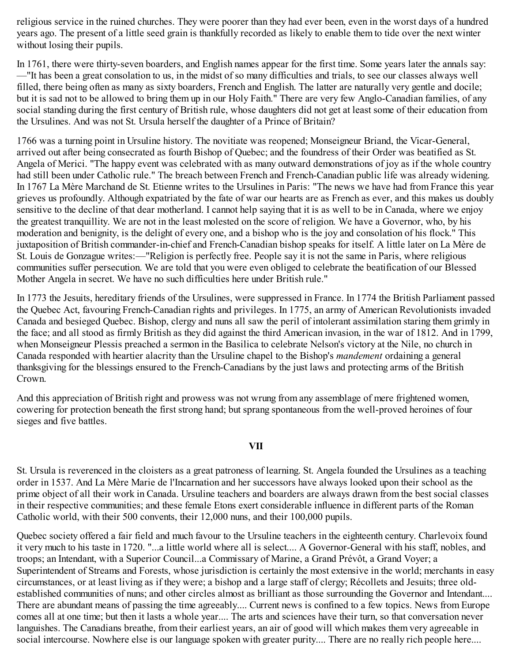religious service in the ruined churches. They were poorer than they had ever been, even in the worst days of a hundred years ago. The present of a little seed grain is thankfully recorded as likely to enable them to tide over the next winter without losing their pupils.

In 1761, there were thirty-seven boarders, and English names appear for the first time. Some years later the annals say: —"It has been a great consolation to us, in the midst of so many difficulties and trials, to see our classes always well filled, there being often as many as sixty boarders, French and English. The latter are naturally very gentle and docile; but it is sad not to be allowed to bring them up in our Holy Faith." There are very few Anglo-Canadian families, of any social standing during the first century of British rule, whose daughters did not get at least some of their education from the Ursulines. And was not St. Ursula herself the daughter of a Prince of Britain?

1766 was a turning point in Ursuline history. The novitiate was reopened; Monseigneur Briand, the Vicar-General, arrived out after being consecrated as fourth Bishop of Quebec; and the foundress of their Order was beatified as St. Angela of Merici. "The happy event was celebrated with as many outward demonstrations of joy as if the whole country had still been under Catholic rule." The breach between French and French-Canadian public life was already widening. In 1767 La Mère Marchand de St. Etienne writes to the Ursulines in Paris: "The news we have had from France this year grieves us profoundly. Although expatriated by the fate of war our hearts are as French as ever, and this makes us doubly sensitive to the decline of that dear motherland. I cannot help saying that it is as well to be in Canada, where we enjoy the greatest tranquillity. We are not in the least molested on the score of religion. We have a Governor, who, by his moderation and benignity, is the delight of every one, and a bishop who is the joy and consolation of his flock." This juxtaposition of British commander-in-chief and French-Canadian bishop speaks for itself. A little later on La Mère de St. Louis de Gonzague writes:—"Religion is perfectly free. People say it is not the same in Paris, where religious communities suffer persecution. We are told that you were even obliged to celebrate the beatification of our Blessed Mother Angela in secret. We have no such difficulties here under British rule."

In 1773 the Jesuits, hereditary friends of the Ursulines, were suppressed in France. In 1774 the British Parliament passed the Quebec Act, favouring French-Canadian rights and privileges. In 1775, an army of American Revolutionists invaded Canada and besieged Quebec. Bishop, clergy and nuns all saw the peril of intolerant assimilation staring them grimly in the face; and all stood as firmly British as they did against the third American invasion, in the war of 1812. And in 1799, when Monseigneur Plessis preached a sermon in the Basilica to celebrate Nelson's victory at the Nile, no church in Canada responded with heartier alacrity than the Ursuline chapel to the Bishop's *mandement* ordaining a general thanksgiving for the blessings ensured to the French-Canadians by the just laws and protecting arms of the British Crown.

And this appreciation of British right and prowess was not wrung from any assemblage of mere frightened women, cowering for protection beneath the first strong hand; but sprang spontaneous from the well-proved heroines of four sieges and five battles.

## **VII**

St. Ursula is reverenced in the cloisters as a great patroness of learning. St. Angela founded the Ursulines as a teaching order in 1537. And La Mère Marie de l'Incarnation and her successors have always looked upon their school as the prime object of all their work in Canada. Ursuline teachers and boarders are always drawn from the best social classes in their respective communities; and these female Etons exert considerable influence in different parts of the Roman Catholic world, with their 500 convents, their 12,000 nuns, and their 100,000 pupils.

Quebec society offered a fair field and much favour to the Ursuline teachers in the eighteenth century. Charlevoix found it very much to his taste in 1720. "...a little world where all is select.... A Governor-General with his staff, nobles, and troops; an Intendant, with a Superior Council...a Commissary of Marine, a Grand Prévôt, a Grand Voyer; a Superintendent of Streams and Forests, whose jurisdiction is certainly the most extensive in the world; merchants in easy circumstances, or at least living as if they were; a bishop and a large staff of clergy; Récollets and Jesuits; three oldestablished communities of nuns; and other circles almost as brilliant as those surrounding the Governor and Intendant.... There are abundant means of passing the time agreeably.... Current news is confined to a few topics. News from Europe comes all at one time; but then it lasts a whole year.... The arts and sciences have their turn, so that conversation never languishes. The Canadians breathe, from their earliest years, an air of good will which makes them very agreeable in social intercourse. Nowhere else is our language spoken with greater purity.... There are no really rich people here....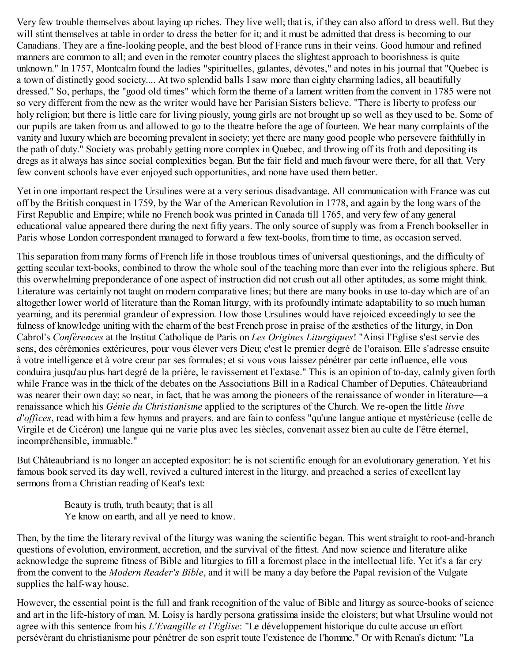Very few trouble themselves about laying up riches. They live well; that is, if they can also afford to dress well. But they will stint themselves at table in order to dress the better for it; and it must be admitted that dress is becoming to our Canadians. They are a fine-looking people, and the best blood of France runs in their veins. Good humour and refined manners are common to all; and even in the remoter country places the slightest approach to boorishness is quite unknown." In 1757, Montcalm found the ladies "spirituelles, galantes, dévotes," and notes in his journal that "Quebec is a town of distinctly good society.... At two splendid balls I saw more than eighty charming ladies, all beautifully dressed." So, perhaps, the "good old times" which form the theme of a lament written from the convent in 1785 were not so very different from the new as the writer would have her Parisian Sisters believe. "There is liberty to profess our holy religion; but there is little care for living piously, young girls are not brought up so well as they used to be. Some of our pupils are taken from us and allowed to go to the theatre before the age of fourteen. We hear many complaints of the vanity and luxury which are becoming prevalent in society; yet there are many good people who persevere faithfully in the path of duty." Society was probably getting more complex in Quebec, and throwing off its froth and depositing its dregs as it always has since social complexities began. But the fair field and much favour were there, for all that. Very few convent schools have ever enjoyed such opportunities, and none have used them better.

Yet in one important respect the Ursulines were at a very serious disadvantage. All communication with France was cut off by the British conquest in 1759, by the War of the American Revolution in 1778, and again by the long wars of the First Republic and Empire; while no French book was printed in Canada till 1765, and very few of any general educational value appeared there during the next fifty years. The only source of supply was from a French bookseller in Paris whose London correspondent managed to forward a few text-books, from time to time, as occasion served.

This separation from many forms of French life in those troublous times of universal questionings, and the difficulty of getting secular text-books, combined to throw the whole soul of the teaching more than ever into the religious sphere. But this overwhelming preponderance of one aspect of instruction did not crush out all other aptitudes, as some might think. Literature was certainly not taught on modern comparative lines; but there are many books in use to-day which are of an altogether lower world of literature than the Roman liturgy, with its profoundly intimate adaptability to so much human yearning, and its perennial grandeur of expression. How those Ursulines would have rejoiced exceedingly to see the fulness of knowledge uniting with the charm of the best French prose in praise of the æsthetics of the liturgy, in Don Cabrol's *Confèrences* at the Institut Catholique de Paris on *Les Origines Liturgiques*! "Ainsi l'Eglise s'est servie des sens, des cérémonies extérieures, pour vous élever vers Dieu; c'est le premier degré de l'oraison. Elle s'adresse ensuite à votre intelligence et à votre cœur par ses formules; et si vous vous laissez pénétrer par cette influence, elle vous conduira jusqu'au plus hart degré de la prière, le ravissement et l'extase." This is an opinion of to-day, calmly given forth while France was in the thick of the debates on the Associations Bill in a Radical Chamber of Deputies. Châteaubriand was nearer their own day; so near, in fact, that he was among the pioneers of the renaissance of wonder in literature—a renaissance which his *Génie du Christianisme* applied to the scriptures of the Church. We re-open the little *livre d'of ices*, read with him a few hymns and prayers, and are fain to confess "qu'une langue antique et mystérieuse (celle de Virgile et de Cicéron) une langue qui ne varie plus avec les siècles, convenait assez bien au culte de l'être éternel, incompréhensible, immuable."

But Châteaubriand is no longer an accepted expositor: he is not scientific enough for an evolutionary generation. Yet his famous book served its day well, revived a cultured interest in the liturgy, and preached a series of excellent lay sermons from a Christian reading of Keat's text:

Beauty is truth, truth beauty; that is all Ye know on earth, and all ye need to know.

Then, by the time the literary revival of the liturgy was waning the scientific began. This went straight to root-and-branch questions of evolution, environment, accretion, and the survival of the fittest. And now science and literature alike acknowledge the supreme fitness of Bible and liturgies to fill a foremost place in the intellectual life. Yet it's a far cry from the convent to the *Modern Reader's Bible*, and it will be many a day before the Papal revision of the Vulgate supplies the half-way house.

However, the essential point is the full and frank recognition of the value of Bible and liturgy as source-books of science and art in the life-history of man. M. Loisy is hardly persona gratissima inside the cloisters; but what Ursuline would not agree with this sentence from his *L'Evangille et l'Eglise*: "Le développement historique du culte accuse un effort persévérant du christianisme pour pénétrer de son esprit toute l'existence de l'homme." Or with Renan's dictum: "La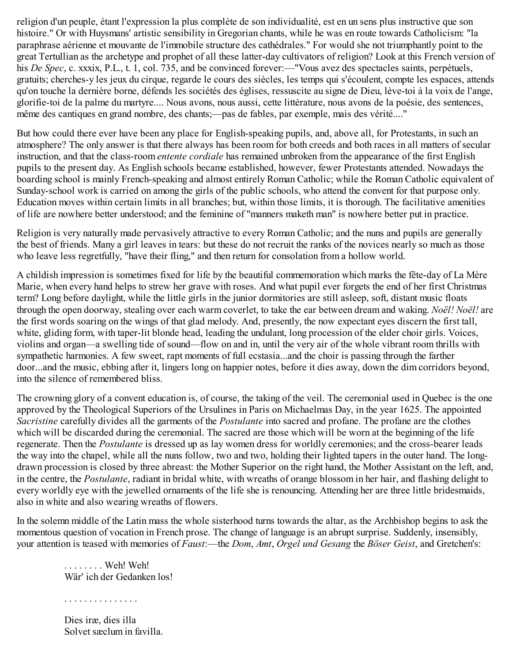religion d'un peuple, étant l'expression la plus complète de son individualité, est en un sens plus instructive que son histoire." Or with Huysmans' artistic sensibility in Gregorian chants, while he was en route towards Catholicism: "la paraphrase aérienne et mouvante de l'immobile structure des cathédrales." For would she not triumphantly point to the great Tertullian as the archetype and prophet of all these latter-day cultivators of religion? Look at this French version of his *De Spec*, c. xxxix, P.L., t. 1, col. 735, and be convinced forever:—"Vous avez des spectacles saints, perpétuels, gratuits; cherches-y les jeux du cirque, regarde le cours des siècles, les temps qui s'écoulent, compte les espaces, attends qu'on touche la dernière borne, défends les sociétés des églises, ressuscite au signe de Dieu, lève-toi à la voix de l'ange, glorifie-toi de la palme du martyre.... Nous avons, nous aussi, cette littérature, nous avons de la poésie, des sentences, même des cantiques en grand nombre, des chants;—pas de fables, par exemple, mais des vérité...."

But how could there ever have been any place for English-speaking pupils, and, above all, for Protestants, in such an atmosphere? The only answer is that there always has been room for both creeds and both races in all matters of secular instruction, and that the class-room *entente cordiale* has remained unbroken from the appearance of the first English pupils to the present day. As English schools became established, however, fewer Protestants attended. Nowadays the boarding school is mainly French-speaking and almost entirely Roman Catholic; while the Roman Catholic equivalent of Sunday-school work is carried on among the girls of the public schools, who attend the convent for that purpose only. Education moves within certain limits in all branches; but, within those limits, it is thorough. The facilitative amenities of life are nowhere better understood; and the feminine of "manners maketh man" is nowhere better put in practice.

Religion is very naturally made pervasively attractive to every Roman Catholic; and the nuns and pupils are generally the best of friends. Many a girl leaves in tears: but these do not recruit the ranks of the novices nearly so much as those who leave less regretfully, "have their fling," and then return for consolation from a hollow world.

A childish impression is sometimes fixed for life by the beautiful commemoration which marks the fête-day of La Mère Marie, when every hand helps to strew her grave with roses. And what pupil ever forgets the end of her first Christmas term? Long before daylight, while the little girls in the junior dormitories are still asleep, soft, distant music floats through the open doorway, stealing over each warm coverlet, to take the ear between dream and waking. *Noël! Noël!* are the first words soaring on the wings of that glad melody. And, presently, the now expectant eyes discern the first tall, white, gliding form, with taper-lit blonde head, leading the undulant, long procession of the elder choir girls. Voices, violins and organ—a swelling tide of sound—flow on and in, until the very air of the whole vibrant room thrills with sympathetic harmonies. A few sweet, rapt moments of full ecstasia...and the choir is passing through the farther door...and the music, ebbing after it, lingers long on happier notes, before it dies away, down the dim corridors beyond, into the silence of remembered bliss.

The crowning glory of a convent education is, of course, the taking of the veil. The ceremonial used in Quebec is the one approved by the Theological Superiors of the Ursulines in Paris on Michaelmas Day, in the year 1625. The appointed *Sacristine* carefully divides all the garments of the *Postulante* into sacred and profane. The profane are the clothes which will be discarded during the ceremonial. The sacred are those which will be worn at the beginning of the life regenerate. Then the *Postulante* is dressed up as lay women dress for worldly ceremonies; and the cross-bearer leads the way into the chapel, while all the nuns follow, two and two, holding their lighted tapers in the outer hand. The longdrawn procession is closed by three abreast: the Mother Superior on the right hand, the Mother Assistant on the left, and, in the centre, the *Postulante*, radiant in bridal white, with wreaths of orange blossom in her hair, and flashing delight to every worldly eye with the jewelled ornaments of the life she is renouncing. Attending her are three little bridesmaids, also in white and also wearing wreaths of flowers.

In the solemn middle of the Latin mass the whole sisterhood turns towards the altar, as the Archbishop begins to ask the momentous question of vocation in French prose. The change of language is an abrupt surprise. Suddenly, insensibly, your attention is teased with memories of *Faust*:—the *Dom*, *Amt*, *Orgel und Gesang* the *Böser Geist*, and Gretchen's:

. . . . . . . . Weh! Weh! Wär' ich der Gedanken los!

. . . . . . . . . . . . . . .

Dies iræ, dies illa Solvet sæclum in favilla.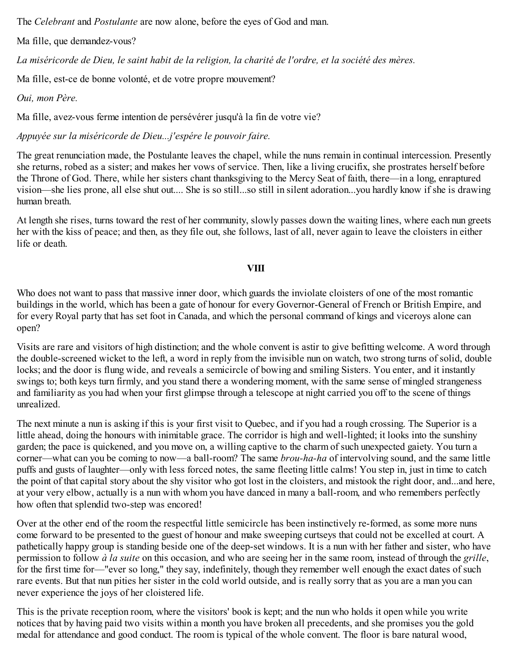The *Celebrant* and *Postulante* are now alone, before the eyes of God and man.

Ma fille, que demandez-vous?

La miséricorde de Dieu, le saint habit de la religion, la charité de l'ordre, et la société des mères.

Ma fille, est-ce de bonne volonté, et de votre propre mouvement?

*Oui, mon Père.*

Ma fille, avez-vous ferme intention de persévérer jusqu'à la fin de votre vie?

*Appuyée sur la miséricorde de Dieu...j'espére le pouvoir faire.*

The great renunciation made, the Postulante leaves the chapel, while the nuns remain in continual intercession. Presently she returns, robed as a sister; and makes her vows of service. Then, like a living crucifix, she prostrates herself before the Throne of God. There, while her sisters chant thanksgiving to the Mercy Seat of faith, there—in a long, enraptured vision—she lies prone, all else shut out.... She is so still...so still in silent adoration...you hardly know if she is drawing human breath.

At length she rises, turns toward the rest of her community, slowly passes down the waiting lines, where each nun greets her with the kiss of peace; and then, as they file out, she follows, last of all, never again to leave the cloisters in either life or death.

## **VIII**

Who does not want to pass that massive inner door, which guards the inviolate cloisters of one of the most romantic buildings in the world, which has been a gate of honour for every Governor-General of French or British Empire, and for every Royal party that has set foot in Canada, and which the personal command of kings and viceroys alone can open?

Visits are rare and visitors of high distinction; and the whole convent is astir to give befitting welcome. A word through the double-screened wicket to the left, a word in reply from the invisible nun on watch, two strong turns of solid, double locks; and the door is flung wide, and reveals a semicircle of bowing and smiling Sisters. You enter, and it instantly swings to; both keys turn firmly, and you stand there a wondering moment, with the same sense of mingled strangeness and familiarity as you had when your first glimpse through a telescope at night carried you off to the scene of things unrealized.

The next minute a nun is asking if this is your first visit to Quebec, and if you had a rough crossing. The Superior is a little ahead, doing the honours with inimitable grace. The corridor is high and well-lighted; it looks into the sunshiny garden; the pace is quickened, and you move on, a willing captive to the charm of such unexpected gaiety. You turn a corner—what can you be coming to now—a ball-room? The same *brou-ha-ha* of intervolving sound, and the same little puffs and gusts of laughter—only with less forced notes, the same fleeting little calms! You step in, just in time to catch the point of that capital story about the shy visitor who got lost in the cloisters, and mistook the right door, and...and here, at your very elbow, actually is a nun with whom you have danced in many a ball-room, and who remembers perfectly how often that splendid two-step was encored!

Over at the other end of the room the respectful little semicircle has been instinctively re-formed, as some more nuns come forward to be presented to the guest of honour and make sweeping curtseys that could not be excelled at court. A pathetically happy group is standing beside one of the deep-set windows. It is a nun with her father and sister, who have permission to follow *à la suite* on this occasion, and who are seeing her in the same room, instead of through the *grille*, for the first time for—"ever so long," they say, indefinitely, though they remember well enough the exact dates of such rare events. But that nun pities her sister in the cold world outside, and is really sorry that as you are a man you can never experience the joys of her cloistered life.

This is the private reception room, where the visitors' book is kept; and the nun who holds it open while you write notices that by having paid two visits within a month you have broken all precedents, and she promises you the gold medal for attendance and good conduct. The room is typical of the whole convent. The floor is bare natural wood,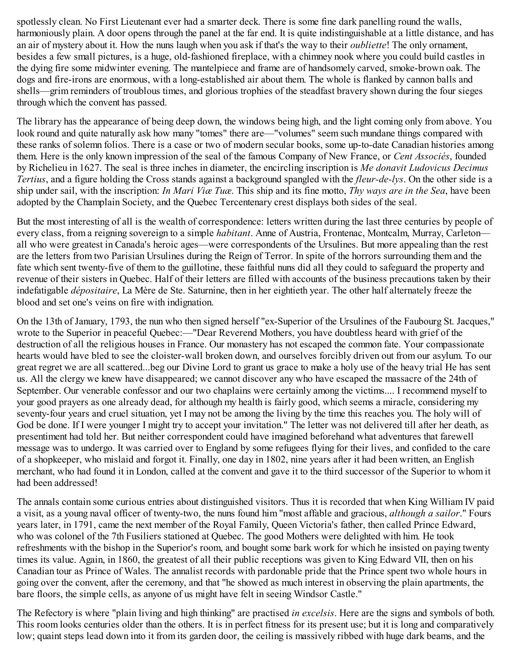spotlessly clean. No First Lieutenant ever had a smarter deck. There is some fine dark panelling round the walls, harmoniously plain. A door opens through the panel at the far end. It is quite indistinguishable at a little distance, and has an air of mystery about it. How the nuns laugh when you ask if that's the way to their *oubliette*! The only ornament, besides a few small pictures, is a huge, old-fashioned fireplace, with a chimney nook where you could build castles in the dying fire some midwinter evening. The mantelpiece and frame are of handsomely carved, smoke-brown oak. The dogs and fire-irons are enormous, with a long-established air about them. The whole is flanked by cannon balls and shells—grim reminders of troublous times, and glorious trophies of the steadfast bravery shown during the four sieges through which the convent has passed.

The library has the appearance of being deep down, the windows being high, and the light coming only from above. You look round and quite naturally ask how many "tomes" there are—"volumes" seem such mundane things compared with these ranks of solemn folios. There is a case or two of modern secular books, some up-to-date Canadian histories among them. Here is the only known impression of the seal of the famous Company of New France, or *Cent Associés*, founded by Richelieu in 1627. The seal is three inches in diameter, the encircling inscription is *Me donavit Ludovicus Decimus Tertius*, and a figure holding the Cross stands against a background spangled with the *fleur-de-lys*. On the other side is a ship under sail, with the inscription: *In Mari Viæ Tuæ*. This ship and its fine motto, *Thy ways are in the Sea*, have been adopted by the Champlain Society, and the Quebec Tercentenary crest displays both sides of the seal.

But the most interesting of all is the wealth of correspondence: letters written during the last three centuries by people of every class, from a reigning sovereign to a simple *habitant*. Anne of Austria, Frontenac, Montcalm, Murray, Carleton all who were greatest in Canada's heroic ages—were correspondents of the Ursulines. But more appealing than the rest are the letters from two Parisian Ursulines during the Reign of Terror. In spite of the horrors surrounding them and the fate which sent twenty-five of them to the guillotine, these faithful nuns did all they could to safeguard the property and revenue of their sisters in Quebec. Half of their letters are filled with accounts of the business precautions taken by their indefatigable *dépositaire*, La Mère de Ste. Saturnine, then in her eightieth year. The other half alternately freeze the blood and set one's veins on fire with indignation.

On the 13th of January, 1793, the nun who then signed herself "ex-Superior of the Ursulines of the Faubourg St. Jacques," wrote to the Superior in peaceful Quebec:—"Dear Reverend Mothers, you have doubtless heard with grief of the destruction of all the religious houses in France. Our monastery has not escaped the common fate. Your compassionate hearts would have bled to see the cloister-wall broken down, and ourselves forcibly driven out from our asylum. To our great regret we are all scattered...beg our Divine Lord to grant us grace to make a holy use of the heavy trial He has sent us. All the clergy we knew have disappeared; we cannot discover any who have escaped the massacre of the 24th of September. Our venerable confessor and our two chaplains were certainly among the victims.... I recommend myself to your good prayers as one already dead, for although my health is fairly good, which seems a miracle, considering my seventy-four years and cruel situation, yet I may not be among the living by the time this reaches you. The holy will of God be done. If I were younger I might try to accept your invitation." The letter was not delivered till after her death, as presentiment had told her. But neither correspondent could have imagined beforehand what adventures that farewell message was to undergo. It was carried over to England by some refugees flying for their lives, and confided to the care of a shopkeeper, who mislaid and forgot it. Finally, one day in 1802, nine years after it had been written, an English merchant, who had found it in London, called at the convent and gave it to the third successor of the Superior to whom it had been addressed!

The annals contain some curious entries about distinguished visitors. Thus it is recorded that when King William IV paid a visit, as a young naval officer of twenty-two, the nuns found him "most affable and gracious, *although a sailor*." Fours years later, in 1791, came the next member of the Royal Family, Queen Victoria's father, then called Prince Edward, who was colonel of the 7th Fusiliers stationed at Quebec. The good Mothers were delighted with him. He took refreshments with the bishop in the Superior's room, and bought some bark work for which he insisted on paying twenty times its value. Again, in 1860, the greatest of all their public receptions was given to King Edward VII, then on his Canadian tour as Prince of Wales. The annalist records with pardonable pride that the Prince spent two whole hours in going over the convent, after the ceremony, and that "he showed as much interest in observing the plain apartments, the bare floors, the simple cells, as anyone of us might have felt in seeing Windsor Castle."

The Refectory is where "plain living and high thinking" are practised *in excelsis*. Here are the signs and symbols of both. This room looks centuries older than the others. It is in perfect fitness for its present use; but it is long and comparatively low; quaint steps lead down into it from its garden door, the ceiling is massively ribbed with huge dark beams, and the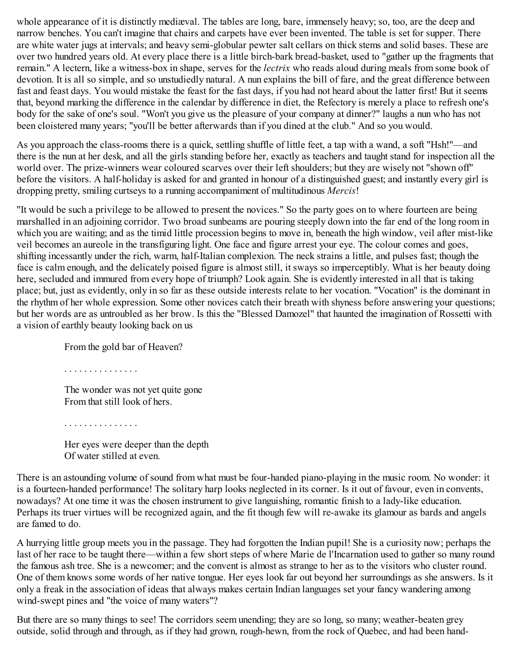whole appearance of it is distinctly mediæval. The tables are long, bare, immensely heavy; so, too, are the deep and narrow benches. You can't imagine that chairs and carpets have ever been invented. The table is set for supper. There are white water jugs at intervals; and heavy semi-globular pewter salt cellars on thick stems and solid bases. These are over two hundred years old. At every place there is a little birch-bark bread-basket, used to "gather up the fragments that remain." A lectern, like a witness-box in shape, serves for the *lectrix* who reads aloud during meals from some book of devotion. It is all so simple, and so unstudiedly natural. A nun explains the bill of fare, and the great difference between fast and feast days. You would mistake the feast for the fast days, if you had not heard about the latter first! But it seems that, beyond marking the difference in the calendar by difference in diet, the Refectory is merely a place to refresh one's body for the sake of one's soul. "Won't you give us the pleasure of your company at dinner?" laughs a nun who has not been cloistered many years; "you'll be better afterwards than if you dined at the club." And so you would.

As you approach the class-rooms there is a quick, settling shuffle of little feet, a tap with a wand, a soft "Hsh!"—and there is the nun at her desk, and all the girls standing before her, exactly as teachers and taught stand for inspection all the world over. The prize-winners wear coloured scarves over their left shoulders; but they are wisely not "shown off" before the visitors. A half-holiday is asked for and granted in honour of a distinguished guest; and instantly every girl is dropping pretty, smiling curtseys to a running accompaniment of multitudinous *Mercis*!

"It would be such a privilege to be allowed to present the novices." So the party goes on to where fourteen are being marshalled in an adjoining corridor. Two broad sunbeams are pouring steeply down into the far end of the long room in which you are waiting; and as the timid little procession begins to move in, beneath the high window, veil after mist-like veil becomes an aureole in the transfiguring light. One face and figure arrest your eye. The colour comes and goes, shifting incessantly under the rich, warm, half-Italian complexion. The neck strains a little, and pulses fast; though the face is calm enough, and the delicately poised figure is almost still, it sways so imperceptibly. What is her beauty doing here, secluded and immured from every hope of triumph? Look again. She is evidently interested in all that is taking place; but, just as evidently, only in so far as these outside interests relate to her vocation. "Vocation" is the dominant in the rhythm of her whole expression. Some other novices catch their breath with shyness before answering your questions; but her words are as untroubled as her brow. Is this the "Blessed Damozel" that haunted the imagination of Rossetti with a vision of earthly beauty looking back on us

From the gold bar of Heaven?

. . . . . . . . . . . . . . .

. . . . . . . . . . . . . . .

The wonder was not yet quite gone From that still look of hers.

Her eyes were deeper than the depth Of water stilled at even.

There is an astounding volume of sound from what must be four-handed piano-playing in the music room. No wonder: it is a fourteen-handed performance! The solitary harp looks neglected in its corner. Is it out of favour, even in convents, nowadays? At one time it was the chosen instrument to give languishing, romantic finish to a lady-like education. Perhaps its truer virtues will be recognized again, and the fit though few will re-awake its glamour as bards and angels are famed to do.

A hurrying little group meets you in the passage. They had forgotten the Indian pupil! She is a curiosity now; perhaps the last of her race to be taught there—within a few short steps of where Marie de l'Incarnation used to gather so many round the famous ash tree. She is a newcomer; and the convent is almost as strange to her as to the visitors who cluster round. One of them knows some words of her native tongue. Her eyes look far out beyond her surroundings as she answers. Is it only a freak in the association of ideas that always makes certain Indian languages set your fancy wandering among wind-swept pines and "the voice of many waters"?

But there are so many things to see! The corridors seem unending; they are so long, so many; weather-beaten grey outside, solid through and through, as if they had grown, rough-hewn, from the rock of Quebec, and had been hand-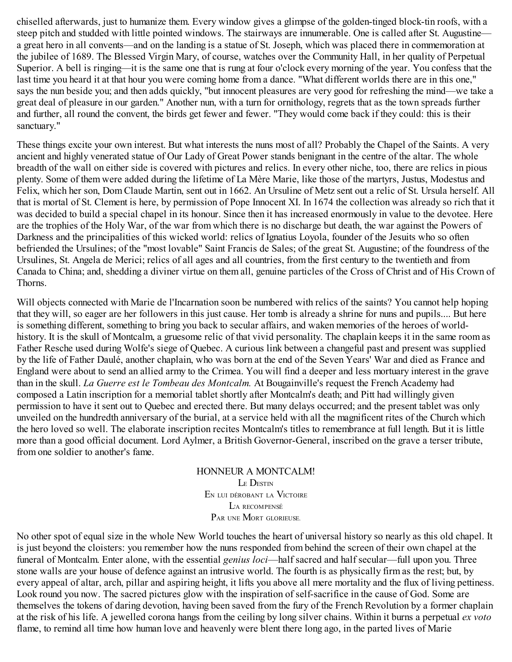chiselled afterwards, just to humanize them. Every window gives a glimpse of the golden-tinged block-tin roofs, with a steep pitch and studded with little pointed windows. The stairways are innumerable. One is called after St. Augustine a great hero in all convents—and on the landing is a statue of St. Joseph, which was placed there in commemoration at the jubilee of 1689. The Blessed Virgin Mary, of course, watches over the Community Hall, in her quality of Perpetual Superior. A bell is ringing—it is the same one that is rung at four o'clock every morning of the year. You confess that the last time you heard it at that hour you were coming home from a dance. "What different worlds there are in this one," says the nun beside you; and then adds quickly, "but innocent pleasures are very good for refreshing the mind—we take a great deal of pleasure in our garden." Another nun, with a turn for ornithology, regrets that as the town spreads further and further, all round the convent, the birds get fewer and fewer. "They would come back if they could: this is their sanctuary."

These things excite your own interest. But what interests the nuns most of all? Probably the Chapel of the Saints. A very ancient and highly venerated statue of Our Lady of Great Power stands benignant in the centre of the altar. The whole breadth of the wall on either side is covered with pictures and relics. In every other niche, too, there are relics in pious plenty. Some of them were added during the lifetime of La Mère Marie, like those of the martyrs, Justus, Modestus and Felix, which her son, Dom Claude Martin, sent out in 1662. An Ursuline of Metz sent out a relic of St. Ursula herself. All that is mortal of St. Clement is here, by permission of Pope Innocent XI. In 1674 the collection was already so rich that it was decided to build a special chapel in its honour. Since then it has increased enormously in value to the devotee. Here are the trophies of the Holy War, of the war from which there is no discharge but death, the war against the Powers of Darkness and the principalities of this wicked world: relics of Ignatius Loyola, founder of the Jesuits who so often befriended the Ursulines; of the "most lovable" Saint Francis de Sales; of the great St. Augustine; of the foundress of the Ursulines, St. Angela de Merici; relics of all ages and all countries, from the first century to the twentieth and from Canada to China; and, shedding a diviner virtue on them all, genuine particles of the Cross of Christ and of His Crown of Thorns.

Will objects connected with Marie de l'Incarnation soon be numbered with relics of the saints? You cannot help hoping that they will, so eager are her followers in this just cause. Her tomb is already a shrine for nuns and pupils.... But here is something different, something to bring you back to secular affairs, and waken memories of the heroes of worldhistory. It is the skull of Montcalm, a gruesome relic of that vivid personality. The chaplain keeps it in the same room as Father Resche used during Wolfe's siege of Quebec. A curious link between a changeful past and present was supplied by the life of Father Daulé, another chaplain, who was born at the end of the Seven Years' War and died as France and England were about to send an allied army to the Crimea. You will find a deeper and less mortuary interest in the grave than in the skull. *La Guerre est le Tombeau des Montcalm.* At Bougainville's request the French Academy had composed a Latin inscription for a memorial tablet shortly after Montcalm's death; and Pitt had willingly given permission to have it sent out to Quebec and erected there. But many delays occurred; and the present tablet was only unveiled on the hundredth anniversary of the burial, at a service held with all the magnificent rites of the Church which the hero loved so well. The elaborate inscription recites Montcalm's titles to remembrance at full length. But it is little more than a good official document. Lord Aylmer, a British Governor-General, inscribed on the grave a terser tribute, from one soldier to another's fame.

> HONNEUR A MONTCALM! LE DESTIN E<sup>N</sup> LUI DÉROBANT LA VICTOIRE L'A RECOMPENSÉ PAR UNE MORT GLORIEUSE.

No other spot of equal size in the whole New World touches the heart of universal history so nearly as this old chapel. It is just beyond the cloisters: you remember how the nuns responded from behind the screen of their own chapel at the funeral of Montcalm. Enter alone, with the essential *genius loci*—half sacred and half secular—full upon you. Three stone walls are your house of defence against an intrusive world. The fourth is as physically firm as the rest; but, by every appeal of altar, arch, pillar and aspiring height, it lifts you above all mere mortality and the flux of living pettiness. Look round you now. The sacred pictures glow with the inspiration of self-sacrifice in the cause of God. Some are themselves the tokens of daring devotion, having been saved from the fury of the French Revolution by a former chaplain at the risk of his life. A jewelled corona hangs from the ceiling by long silver chains. Within it burns a perpetual *ex voto* flame, to remind all time how human love and heavenly were blent there long ago, in the parted lives of Marie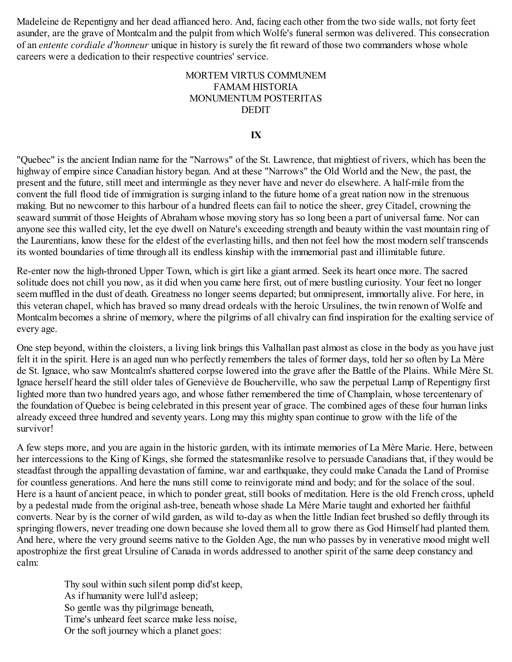Madeleine de Repentigny and her dead affianced hero. And, facing each other from the two side walls, not forty feet asunder, are the grave of Montcalm and the pulpit from which Wolfe's funeral sermon was delivered. This consecration of an *entente cordiale d'honneur* unique in history is surely the fit reward of those two commanders whose whole careers were a dedication to their respective countries' service.

#### MORTEM VIRTUS COMMUNEM FAMAM HISTORIA MONUMENTUM POSTERITAS DEDIT

#### **IX**

"Quebec" is the ancient Indian name for the "Narrows" of the St. Lawrence, that mightiest of rivers, which has been the highway of empire since Canadian history began. And at these "Narrows" the Old World and the New, the past, the present and the future, still meet and intermingle as they never have and never do elsewhere. A half-mile from the convent the full flood tide of immigration is surging inland to the future home of a great nation now in the strenuous making. But no newcomer to this harbour of a hundred fleets can fail to notice the sheer, grey Citadel, crowning the seaward summit of those Heights of Abraham whose moving story has so long been a part of universal fame. Nor can anyone see this walled city, let the eye dwell on Nature's exceeding strength and beauty within the vast mountain ring of the Laurentians, know these for the eldest of the everlasting hills, and then not feel how the most modern self transcends its wonted boundaries of time through all its endless kinship with the immemorial past and illimitable future.

Re-enter now the high-throned Upper Town, which is girt like a giant armed. Seek its heart once more. The sacred solitude does not chill you now, as it did when you came here first, out of mere bustling curiosity. Your feet no longer seem muffled in the dust of death. Greatness no longer seems departed; but omnipresent, immortally alive. For here, in this veteran chapel, which has braved so many dread ordeals with the heroic Ursulines, the twin renown of Wolfe and Montcalm becomes a shrine of memory, where the pilgrims of all chivalry can find inspiration for the exalting service of every age.

One step beyond, within the cloisters, a living link brings this Valhallan past almost as close in the body as you have just felt it in the spirit. Here is an aged nun who perfectly remembers the tales of former days, told her so often by La Mère de St. Ignace, who saw Montcalm's shattered corpse lowered into the grave after the Battle of the Plains. While Mère St. Ignace herself heard the still older tales of Geneviève de Boucherville, who saw the perpetual Lamp of Repentigny first lighted more than two hundred years ago, and whose father remembered the time of Champlain, whose tercentenary of the foundation of Quebec is being celebrated in this present year of grace. The combined ages of these four human links already exceed three hundred and seventy years. Long may this mighty span continue to grow with the life of the survivor!

A few steps more, and you are again in the historic garden, with its intimate memories of La Mère Marie. Here, between her intercessions to the King of Kings, she formed the statesmanlike resolve to persuade Canadians that, if they would be steadfast through the appalling devastation of famine, war and earthquake, they could make Canada the Land of Promise for countless generations. And here the nuns still come to reinvigorate mind and body; and for the solace of the soul. Here is a haunt of ancient peace, in which to ponder great, still books of meditation. Here is the old French cross, upheld by a pedestal made from the original ash-tree, beneath whose shade La Mère Marie taught and exhorted her faithful converts. Near by is the corner of wild garden, as wild to-day as when the little Indian feet brushed so deftly through its springing flowers, never treading one down because she loved them all to grow there as God Himself had planted them. And here, where the very ground seems native to the Golden Age, the nun who passes by in venerative mood might well apostrophize the first great Ursuline of Canada in words addressed to another spirit of the same deep constancy and calm:

Thy soul within such silent pomp did'st keep, As if humanity were lull'd asleep; So gentle was thy pilgrimage beneath, Time's unheard feet scarce make less noise, Or the soft journey which a planet goes: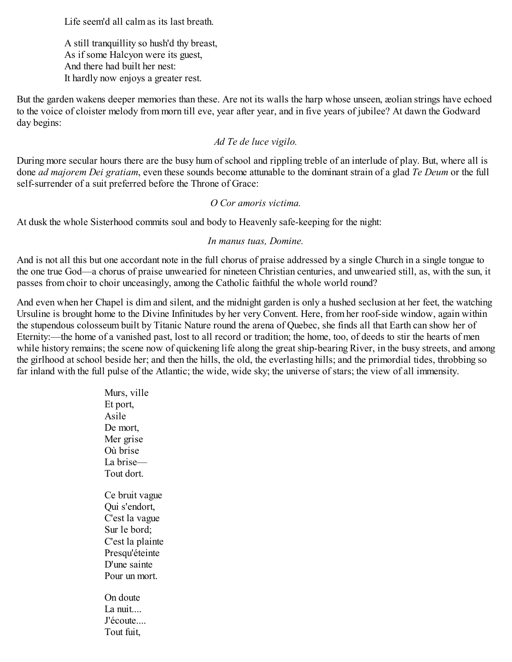Life seem'd all calm as its last breath.

A still tranquillity so hush'd thy breast, As if some Halcyon were its guest, And there had built her nest: It hardly now enjoys a greater rest.

But the garden wakens deeper memories than these. Are not its walls the harp whose unseen, æolian strings have echoed to the voice of cloister melody from morn till eve, year after year, and in five years of jubilee? At dawn the Godward day begins:

#### *Ad Te de luce vigilo.*

During more secular hours there are the busy hum of school and rippling treble of an interlude of play. But, where all is done *ad majorem Dei gratiam*, even these sounds become attunable to the dominant strain of a glad *Te Deum* or the full self-surrender of a suit preferred before the Throne of Grace:

#### *O Cor amoris victima.*

At dusk the whole Sisterhood commits soul and body to Heavenly safe-keeping for the night:

#### *In manus tuas, Domine.*

And is not all this but one accordant note in the full chorus of praise addressed by a single Church in a single tongue to the one true God—a chorus of praise unwearied for nineteen Christian centuries, and unwearied still, as, with the sun, it passes from choir to choir unceasingly, among the Catholic faithful the whole world round?

And even when her Chapel is dim and silent, and the midnight garden is only a hushed seclusion at her feet, the watching Ursuline is brought home to the Divine Infinitudes by her very Convent. Here, from her roof-side window, again within the stupendous colosseum built by Titanic Nature round the arena of Quebec, she finds all that Earth can show her of Eternity:—the home of a vanished past, lost to all record or tradition; the home, too, of deeds to stir the hearts of men while history remains; the scene now of quickening life along the great ship-bearing River, in the busy streets, and among the girlhood at school beside her; and then the hills, the old, the everlasting hills; and the primordial tides, throbbing so far inland with the full pulse of the Atlantic; the wide, wide sky; the universe of stars; the view of all immensity.

> Murs, ville Et port, Asile De mort, Mer grise Où brise La brise— Tout dort. Ce bruit vague Qui s'endort, C'est la vague Sur le bord; C'est la plainte Presqu'éteinte D'une sainte Pour un mort. On doute La nuit.... J'écoute.... Tout fuit,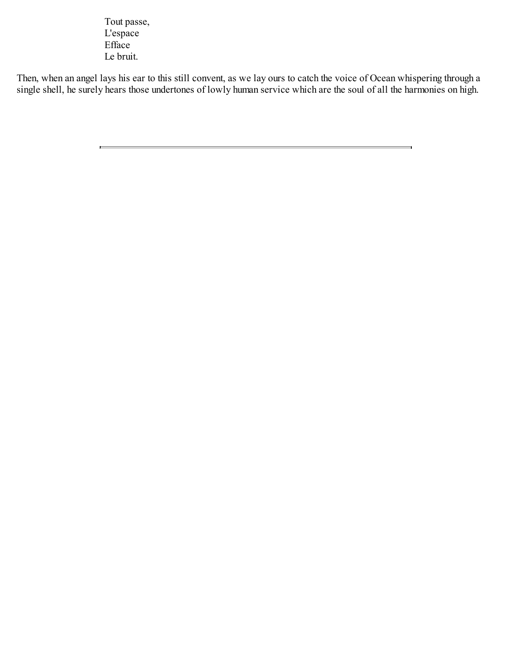Tout passe, L'espace Efface Le bruit.

Then, when an angel lays his ear to this still convent, as we lay ours to catch the voice of Ocean whispering through a single shell, he surely hears those undertones of lowly human service which are the soul of all the harmonies on high.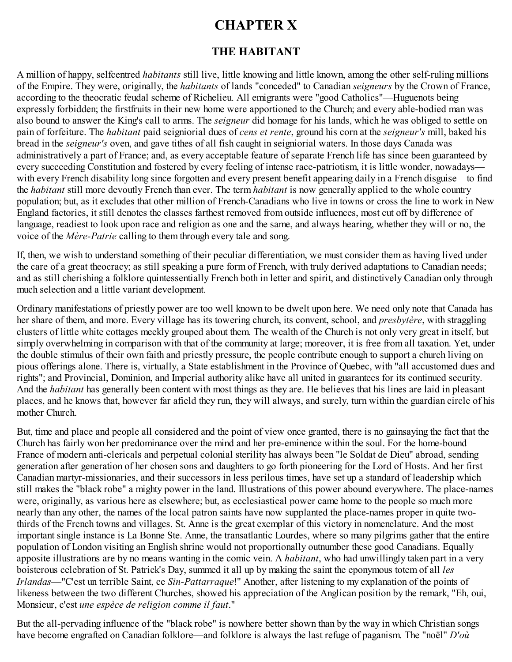# **CHAPTER X**

## **THE HABITANT**

A million of happy, selfcentred *habitants* still live, little knowing and little known, among the other self-ruling millions of the Empire. They were, originally, the *habitants* of lands "conceded" to Canadian *seigneurs* by the Crown of France, according to the theocratic feudal scheme of Richelieu. All emigrants were "good Catholics"—Huguenots being expressly forbidden; the firstfruits in their new home were apportioned to the Church; and every able-bodied man was also bound to answer the King's call to arms. The *seigneur* did homage for his lands, which he was obliged to settle on pain of forfeiture. The *habitant* paid seigniorial dues of *cens et rente*, ground his corn at the *seigneur's* mill, baked his bread in the *seigneur's* oven, and gave tithes of all fish caught in seigniorial waters. In those days Canada was administratively a part of France; and, as every acceptable feature of separate French life has since been guaranteed by every succeeding Constitution and fostered by every feeling of intense race-patriotism, it is little wonder, nowadays with every French disability long since forgotten and every present benefit appearing daily in a French disguise—to find the *habitant* still more devoutly French than ever. The term *habitant* is now generally applied to the whole country population; but, as it excludes that other million of French-Canadians who live in towns or cross the line to work in New England factories, it still denotes the classes farthest removed from outside influences, most cut off by difference of language, readiest to look upon race and religion as one and the same, and always hearing, whether they will or no, the voice of the *Mère-Patrie* calling to them through every tale and song.

If, then, we wish to understand something of their peculiar differentiation, we must consider them as having lived under the care of a great theocracy; as still speaking a pure form of French, with truly derived adaptations to Canadian needs; and as still cherishing a folklore quintessentially French both in letter and spirit, and distinctively Canadian only through much selection and a little variant development.

Ordinary manifestations of priestly power are too well known to be dwelt upon here. We need only note that Canada has her share of them, and more. Every village has its towering church, its convent, school, and *presbytère*, with straggling clusters of little white cottages meekly grouped about them. The wealth of the Church is not only very great in itself, but simply overwhelming in comparison with that of the community at large; moreover, it is free from all taxation. Yet, under the double stimulus of their own faith and priestly pressure, the people contribute enough to support a church living on pious offerings alone. There is, virtually, a State establishment in the Province of Quebec, with "all accustomed dues and rights"; and Provincial, Dominion, and Imperial authority alike have all united in guarantees for its continued security. And the *habitant* has generally been content with most things as they are. He believes that his lines are laid in pleasant places, and he knows that, however far afield they run, they will always, and surely, turn within the guardian circle of his mother Church.

But, time and place and people all considered and the point of view once granted, there is no gainsaying the fact that the Church has fairly won her predominance over the mind and her pre-eminence within the soul. For the home-bound France of modern anti-clericals and perpetual colonial sterility has always been "le Soldat de Dieu" abroad, sending generation after generation of her chosen sons and daughters to go forth pioneering for the Lord of Hosts. And her first Canadian martyr-missionaries, and their successors in less perilous times, have set up a standard of leadership which still makes the "black robe" a mighty power in the land. Illustrations of this power abound everywhere. The place-names were, originally, as various here as elsewhere; but, as ecclesiastical power came home to the people so much more nearly than any other, the names of the local patron saints have now supplanted the place-names proper in quite twothirds of the French towns and villages. St. Anne is the great exemplar of this victory in nomenclature. And the most important single instance is La Bonne Ste. Anne, the transatlantic Lourdes, where so many pilgrims gather that the entire population of London visiting an English shrine would not proportionally outnumber these good Canadians. Equally apposite illustrations are by no means wanting in the comic vein. A *habitant*, who had unwillingly taken part in a very boisterous celebration of St. Patrick's Day, summed it all up by making the saint the eponymous totem of all *les Irlandas*—"C'est un terrible Saint, ce *Sin-Pattarraque*!" Another, after listening to my explanation of the points of likeness between the two different Churches, showed his appreciation of the Anglican position by the remark, "Eh, oui, Monsieur, c'est *une espèce de religion comme il faut*."

But the all-pervading influence of the "black robe" is nowhere better shown than by the way in which Christian songs have become engrafted on Canadian folklore—and folklore is always the last refuge of paganism. The "noël" *D'où*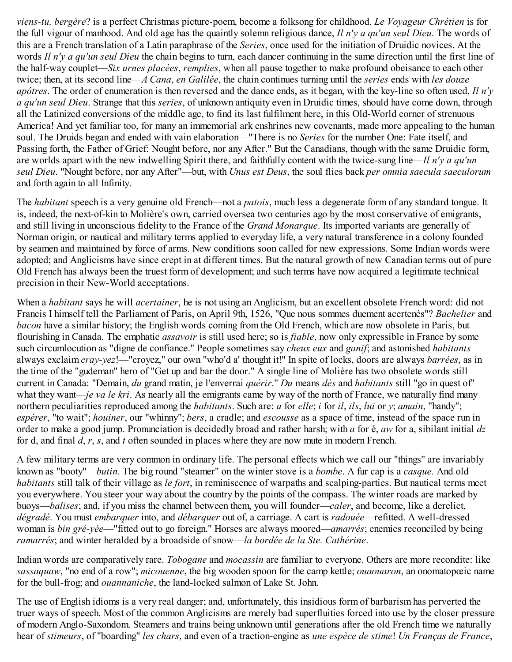*viens-tu, bergère*? is a perfect Christmas picture-poem, become a folksong for childhood. *Le Voyageur Chrétien* is for the full vigour of manhood. And old age has the quaintly solemn religious dance, *Il n'y a qu'un seul Dieu*. The words of this are a French translation of a Latin paraphrase of the *Series*, once used for the initiation of Druidic novices. At the words *Il n'y a qu'un seul Dieu* the chain begins to turn, each dancer continuing in the same direction until the first line of the half-way couplet—*Six urnes placées*, *remplies*, when all pause together to make profound obeisance to each other twice; then, at its second line—*A Cana*, *en Galilée*, the chain continues turning until the *series* ends with *les douze apôtres*. The order of enumeration is then reversed and the dance ends, as it began, with the key-line so often used, *Il n'y a qu'un seul Dieu*. Strange that this *series*, of unknown antiquity even in Druidic times, should have come down, through all the Latinized conversions of the middle age, to find its last fulfilment here, in this Old-World corner of strenuous America! And yet familiar too, for many an immemorial ark enshrines new covenants, made more appealing to the human soul. The Druids began and ended with vain elaboration—"There is no *Series* for the number One: Fate itself, and Passing forth, the Father of Grief: Nought before, nor any After." But the Canadians, though with the same Druidic form, are worlds apart with the new indwelling Spirit there, and faithfully content with the twice-sung line—*Il n'y a qu'un seul Dieu*. "Nought before, nor any After"—but, with *Unus est Deus*, the soul flies back *per omnia saecula saeculorum* and forth again to all Infinity.

The *habitant* speech is a very genuine old French—not a *patois*, much less a degenerate form of any standard tongue. It is, indeed, the next-of-kin to Molière's own, carried oversea two centuries ago by the most conservative of emigrants, and still living in unconscious fidelity to the France of the *Grand Monarque*. Its imported variants are generally of Norman origin, or nautical and military terms applied to everyday life, a very natural transference in a colony founded by seamen and maintained by force of arms. New conditions soon called for new expressions. Some Indian words were adopted; and Anglicisms have since crept in at different times. But the natural growth of new Canadian terms out of pure Old French has always been the truest form of development; and such terms have now acquired a legitimate technical precision in their New-World acceptations.

When a *habitant* says he will *acertainer*, he is not using an Anglicism, but an excellent obsolete French word: did not Francis I himself tell the Parliament of Paris, on April 9th, 1526, "Que nous sommes duement acertenés"? *Bachelier* and *bacon* have a similar history; the English words coming from the Old French, which are now obsolete in Paris, but flourishing in Canada. The emphatic *assavoir* is still used here; so is *fiable*, now only expressible in France by some such circumlocution as "digne de confiance." People sometimes say *cheux eux* and *ganif*; and astonished *habitants* always exclaim *cray-yez*!—"croyez," our own "who'd a' thought it!" In spite of locks, doors are always *barrées*, as in the time of the "gudeman" hero of "Get up and bar the door." A single line of Molière has two obsolete words still current in Canada: "Demain, *du* grand matin, je l'enverrai *quérir*." *Du* means *dès* and *habitants* still "go in quest of" what they want—*je va le kri*. As nearly all the emigrants came by way of the north of France, we naturally find many northern peculiarities reproduced among the *habitants*. Such are: *a* for *elle*; *i* for *il*, *ils*, *lui* or *y*; *amain*, "handy"; *espérer*, "to wait"; *houiner*, our "whinny"; *bers*, a cradle; and *escousse* as a space of time, instead of the space run in order to make a good jump. Pronunciation is decidedly broad and rather harsh; with *a* for é, *aw* for a, sibilant initial *dz* for d, and final *d*, *r*, *s*, and *t* often sounded in places where they are now mute in modern French.

A few military terms are very common in ordinary life. The personal effects which we call our "things" are invariably known as "booty"—*butin*. The big round "steamer" on the winter stove is a *bombe*. A fur cap is a *casque*. And old *habitants* still talk of their village as *le fort*, in reminiscence of warpaths and scalping-parties. But nautical terms meet you everywhere. You steer your way about the country by the points of the compass. The winter roads are marked by buoys—*balises*; and, if you miss the channel between them, you will founder—*caler*, and become, like a derelict, *dégradé*. You must *embarquer* into, and *débarquer* out of, a carriage. A cart is *radouée*—refitted. A well-dressed woman is *bin gré-yée*—"fitted out to go foreign." Horses are always moored—*amarrés*; enemies reconciled by being *ramarrés*; and winter heralded by a broadside of snow—*la bordée de la Ste. Cathérine*.

Indian words are comparatively rare. *Tobogane* and *mocassin* are familiar to everyone. Others are more recondite: like *sassaquaw*, "no end of a row"; *micouenne*, the big wooden spoon for the camp kettle; *ouaouaron*, an onomatopœic name for the bull-frog; and *ouannaniche*, the land-locked salmon of Lake St. John.

The use of English idioms is a very real danger; and, unfortunately, this insidious form of barbarism has perverted the truer ways of speech. Most of the common Anglicisms are merely bad superfluities forced into use by the closer pressure of modern Anglo-Saxondom. Steamers and trains being unknown until generations after the old French time we naturally hear of *stimeurs*, of "boarding" *les chars*, and even of a traction-engine as *une espèce de stime*! *Un Franças de France*,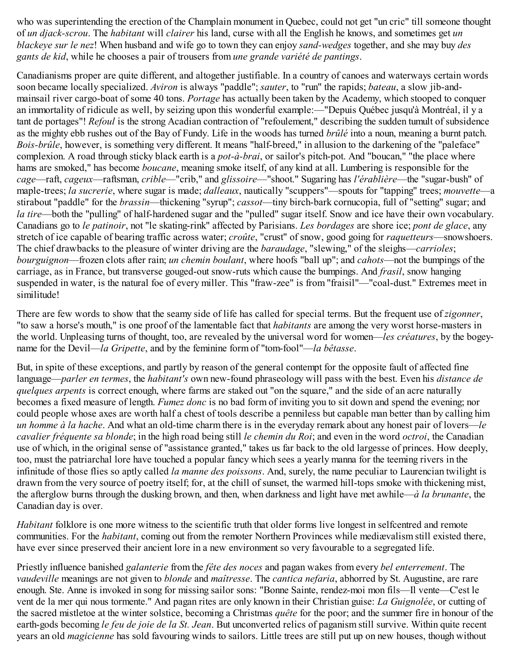who was superintending the erection of the Champlain monument in Quebec, could not get "un cric" till someone thought of *un djack-scrou*. The *habitant* will *clairer* his land, curse with all the English he knows, and sometimes get *un blackeye sur le nez*! When husband and wife go to town they can enjoy *sand-wedges* together, and she may buy *des gants de kid*, while he chooses a pair of trousers from *une grande variété de pantings*.

Canadianisms proper are quite different, and altogether justifiable. In a country of canoes and waterways certain words soon became locally specialized. *Aviron* is always "paddle"; *sauter*, to "run" the rapids; *bateau*, a slow jib-andmainsail river cargo-boat of some 40 tons. *Portage* has actually been taken by the Academy, which stooped to conquer an immortality of ridicule as well, by seizing upon this wonderful example:—"Depuis Québec jusqu'à Montréal, il y a tant de portages"! *Refoul* is the strong Acadian contraction of "refoulement," describing the sudden tumult of subsidence as the mighty ebb rushes out of the Bay of Fundy. Life in the woods has turned *brûlé* into a noun, meaning a burnt patch. *Bois-brûle*, however, is something very different. It means "half-breed," in allusion to the darkening of the "paleface" complexion. A road through sticky black earth is a *pot-à-brai*, or sailor's pitch-pot. And "boucan," "the place where hams are smoked," has become *boucane*, meaning smoke itself, of any kind at all. Lumbering is responsible for the *cage*—raft, *cageux*—raftsman, *crible*—"crib," and *glissoire*—"shoot." Sugaring has *l'érablière*—the "sugar-bush" of maple-trees; *la sucrerie*, where sugar is made; *dalleaux*, nautically "scuppers"—spouts for "tapping" trees; *mouvette*—a stirabout "paddle" for the *brassin*—thickening "syrup"; *cassot*—tiny birch-bark cornucopia, full of "setting" sugar; and *la tire*—both the "pulling" of half-hardened sugar and the "pulled" sugar itself. Snow and ice have their own vocabulary. Canadians go to *le patinoir*, not "le skating-rink" affected by Parisians. *Les bordages* are shore ice; *pont de glace*, any stretch of ice capable of bearing traffic across water; *croûte*, "crust" of snow, good going for *raquetteurs*—snowshoers. The chief drawbacks to the pleasure of winter driving are the *baraudage*, "slewing," of the sleighs—*carrioles*; *bourguignon*—frozen clots after rain; *un chemin boulant*, where hoofs "ball up"; and *cahots*—not the bumpings of the carriage, as in France, but transverse gouged-out snow-ruts which cause the bumpings. And *frasil*, snow hanging suspended in water, is the natural foe of every miller. This "fraw-zee" is from "fraisil"—"coal-dust." Extremes meet in similitude!

There are few words to show that the seamy side of life has called for special terms. But the frequent use of *zigonner*, "to saw a horse's mouth," is one proof of the lamentable fact that *habitants* are among the very worst horse-masters in the world. Unpleasing turns of thought, too, are revealed by the universal word for women—*les créatures*, by the bogeyname for the Devil—*la Gripette*, and by the feminine form of "tom-fool"—*la bêtasse*.

But, in spite of these exceptions, and partly by reason of the general contempt for the opposite fault of affected fine language—*parler en termes*, the *habitant's* own new-found phraseology will pass with the best. Even his *distance de quelques arpents* is correct enough, where farms are staked out "on the square," and the side of an acre naturally becomes a fixed measure of length. *Fumez donc* is no bad form of inviting you to sit down and spend the evening; nor could people whose axes are worth half a chest of tools describe a penniless but capable man better than by calling him *un homme à la hache*. And what an old-time charm there is in the everyday remark about any honest pair of lovers—*le cavalier fréquente sa blonde*; in the high road being still *le chemin du Roi*; and even in the word *octroi*, the Canadian use of which, in the original sense of "assistance granted," takes us far back to the old largesse of princes. How deeply, too, must the patriarchal lore have touched a popular fancy which sees a yearly manna for the teeming rivers in the infinitude of those flies so aptly called *la manne des poissons*. And, surely, the name peculiar to Laurencian twilight is drawn from the very source of poetry itself; for, at the chill of sunset, the warmed hill-tops smoke with thickening mist, the afterglow burns through the dusking brown, and then, when darkness and light have met awhile—*à la brunante*, the Canadian day is over.

*Habitant* folklore is one more witness to the scientific truth that older forms live longest in selfcentred and remote communities. For the *habitant*, coming out from the remoter Northern Provinces while mediævalism still existed there, have ever since preserved their ancient lore in a new environment so very favourable to a segregated life.

Priestly influence banished *galanterie* from the *fête des noces* and pagan wakes from every *bel enterrement*. The *vaudeville* meanings are not given to *blonde* and *maîtresse*. The *cantica nefaria*, abhorred by St. Augustine, are rare enough. Ste. Anne is invoked in song for missing sailor sons: "Bonne Sainte, rendez-moi mon fils—Il vente—C'est le vent de la mer qui nous tormente." And pagan rites are only known in their Christian guise: *La Guignolée*, or cutting of the sacred mistletoe at the winter solstice, becoming a Christmas *quête* for the poor; and the summer fire in honour of the earth-gods becoming *le feu de joie de la St. Jean*. But unconverted relics of paganism still survive. Within quite recent years an old *magicienne* has sold favouring winds to sailors. Little trees are still put up on new houses, though without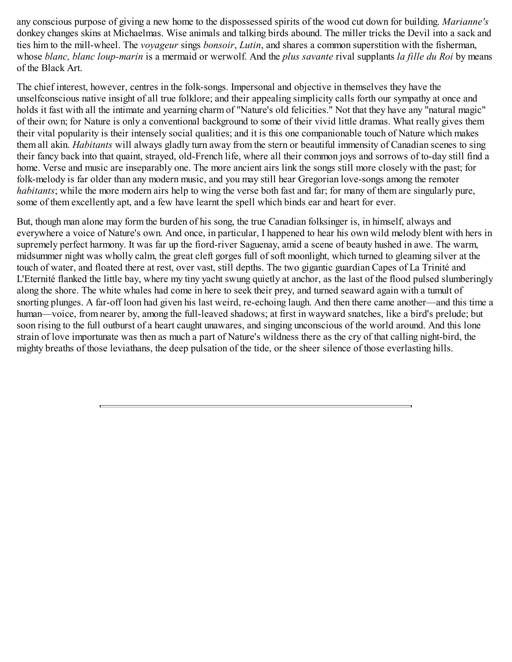any conscious purpose of giving a new home to the dispossessed spirits of the wood cut down for building. *Marianne's* donkey changes skins at Michaelmas. Wise animals and talking birds abound. The miller tricks the Devil into a sack and ties him to the mill-wheel. The *voyageur* sings *bonsoir*, *Lutin*, and shares a common superstition with the fisherman, whose *blanc, blanc loup-marin* is a mermaid or werwolf. And the *plus savante* rival supplants *la fille du Roi* by means of the Black Art.

The chief interest, however, centres in the folk-songs. Impersonal and objective in themselves they have the unselfconscious native insight of all true folklore; and their appealing simplicity calls forth our sympathy at once and holds it fast with all the intimate and yearning charm of "Nature's old felicities." Not that they have any "natural magic" of their own; for Nature is only a conventional background to some of their vivid little dramas. What really gives them their vital popularity is their intensely social qualities; and it is this one companionable touch of Nature which makes them all akin. *Habitants* will always gladly turn away from the stern or beautiful immensity of Canadian scenes to sing their fancy back into that quaint, strayed, old-French life, where all their common joys and sorrows of to-day still find a home. Verse and music are inseparably one. The more ancient airs link the songs still more closely with the past; for folk-melody is far older than any modern music, and you may still hear Gregorian love-songs among the remoter *habitants*; while the more modern airs help to wing the verse both fast and far; for many of them are singularly pure, some of them excellently apt, and a few have learnt the spell which binds ear and heart for ever.

But, though man alone may form the burden of his song, the true Canadian folksinger is, in himself, always and everywhere a voice of Nature's own. And once, in particular, I happened to hear his own wild melody blent with hers in supremely perfect harmony. It was far up the fiord-river Saguenay, amid a scene of beauty hushed in awe. The warm, midsummer night was wholly calm, the great cleft gorges full of soft moonlight, which turned to gleaming silver at the touch of water, and floated there at rest, over vast, still depths. The two gigantic guardian Capes of La Trinité and L'Eternité flanked the little bay, where my tiny yacht swung quietly at anchor, as the last of the flood pulsed slumberingly along the shore. The white whales had come in here to seek their prey, and turned seaward again with a tumult of snorting plunges. A far-off loon had given his last weird, re-echoing laugh. And then there came another—and this time a human—voice, from nearer by, among the full-leaved shadows; at first in wayward snatches, like a bird's prelude; but soon rising to the full outburst of a heart caught unawares, and singing unconscious of the world around. And this lone strain of love importunate was then as much a part of Nature's wildness there as the cry of that calling night-bird, the mighty breaths of those leviathans, the deep pulsation of the tide, or the sheer silence of those everlasting hills.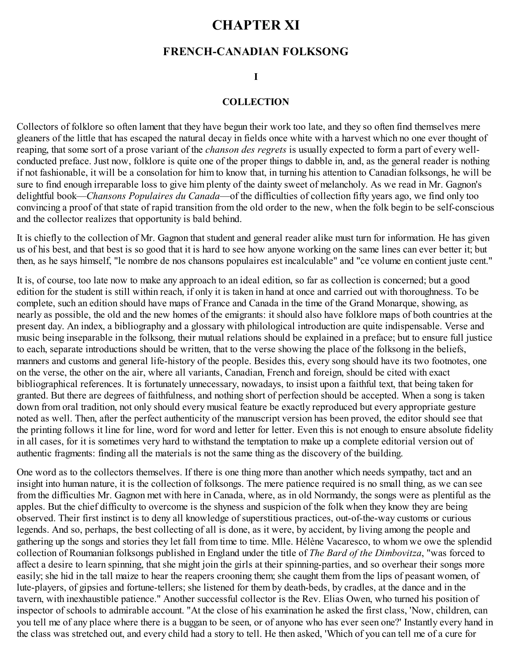## **CHAPTER XI**

## **FRENCH-CANADIAN FOLKSONG**

#### **I**

#### **COLLECTION**

Collectors of folklore so often lament that they have begun their work too late, and they so often find themselves mere gleaners of the little that has escaped the natural decay in fields once white with a harvest which no one ever thought of reaping, that some sort of a prose variant of the *chanson des regrets* is usually expected to form a part of every wellconducted preface. Just now, folklore is quite one of the proper things to dabble in, and, as the general reader is nothing if not fashionable, it will be a consolation for him to know that, in turning his attention to Canadian folksongs, he will be sure to find enough irreparable loss to give him plenty of the dainty sweet of melancholy. As we read in Mr. Gagnon's delightful book—*Chansons Populaires du Canada*—of the difficulties of collection fifty years ago, we find only too convincing a proof of that state of rapid transition from the old order to the new, when the folk begin to be self-conscious and the collector realizes that opportunity is bald behind.

It is chiefly to the collection of Mr. Gagnon that student and general reader alike must turn for information. He has given us of his best, and that best is so good that it is hard to see how anyone working on the same lines can ever better it; but then, as he says himself, "le nombre de nos chansons populaires est incalculable" and "ce volume en contient juste cent."

It is, of course, too late now to make any approach to an ideal edition, so far as collection is concerned; but a good edition for the student is still within reach, if only it is taken in hand at once and carried out with thoroughness. To be complete, such an edition should have maps of France and Canada in the time of the Grand Monarque, showing, as nearly as possible, the old and the new homes of the emigrants: it should also have folklore maps of both countries at the present day. An index, a bibliography and a glossary with philological introduction are quite indispensable. Verse and music being inseparable in the folksong, their mutual relations should be explained in a preface; but to ensure full justice to each, separate introductions should be written, that to the verse showing the place of the folksong in the beliefs, manners and customs and general life-history of the people. Besides this, every song should have its two footnotes, one on the verse, the other on the air, where all variants, Canadian, French and foreign, should be cited with exact bibliographical references. It is fortunately unnecessary, nowadays, to insist upon a faithful text, that being taken for granted. But there are degrees of faithfulness, and nothing short of perfection should be accepted. When a song is taken down from oral tradition, not only should every musical feature be exactly reproduced but every appropriate gesture noted as well. Then, after the perfect authenticity of the manuscript version has been proved, the editor should see that the printing follows it line for line, word for word and letter for letter. Even this is not enough to ensure absolute fidelity in all cases, for it is sometimes very hard to withstand the temptation to make up a complete editorial version out of authentic fragments: finding all the materials is not the same thing as the discovery of the building.

One word as to the collectors themselves. If there is one thing more than another which needs sympathy, tact and an insight into human nature, it is the collection of folksongs. The mere patience required is no small thing, as we can see from the difficulties Mr. Gagnon met with here in Canada, where, as in old Normandy, the songs were as plentiful as the apples. But the chief difficulty to overcome is the shyness and suspicion of the folk when they know they are being observed. Their first instinct is to deny all knowledge of superstitious practices, out-of-the-way customs or curious legends. And so, perhaps, the best collecting of all is done, as it were, by accident, by living among the people and gathering up the songs and stories they let fall from time to time. Mlle. Hélène Vacaresco, to whom we owe the splendid collection of Roumanian folksongs published in England under the title of *The Bard of the Dimbovitza*, "was forced to affect a desire to learn spinning, that she might join the girls at their spinning-parties, and so overhear their songs more easily; she hid in the tall maize to hear the reapers crooning them; she caught them from the lips of peasant women, of lute-players, of gipsies and fortune-tellers; she listened for them by death-beds, by cradles, at the dance and in the tavern, with inexhaustible patience." Another successful collector is the Rev. Elias Owen, who turned his position of inspector of schools to admirable account. "At the close of his examination he asked the first class, 'Now, children, can you tell me of any place where there is a buggan to be seen, or of anyone who has ever seen one?' Instantly every hand in the class was stretched out, and every child had a story to tell. He then asked, 'Which of you can tell me of a cure for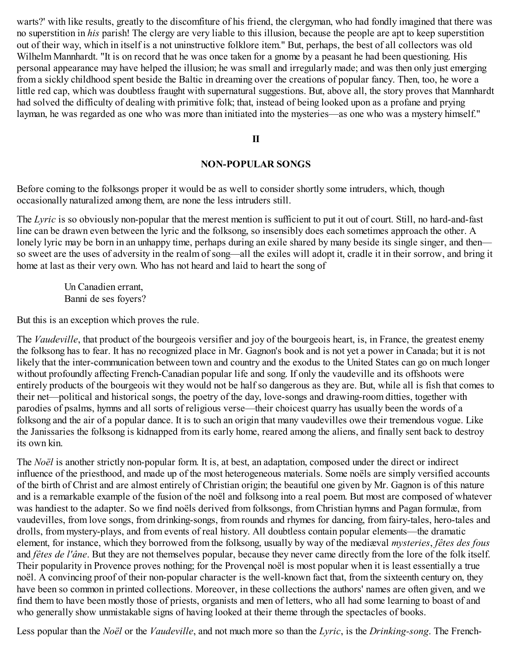warts?' with like results, greatly to the discomfiture of his friend, the clergyman, who had fondly imagined that there was no superstition in *his* parish! The clergy are very liable to this illusion, because the people are apt to keep superstition out of their way, which in itself is a not uninstructive folklore item." But, perhaps, the best of all collectors was old Wilhelm Mannhardt. "It is on record that he was once taken for a gnome by a peasant he had been questioning. His personal appearance may have helped the illusion; he was small and irregularly made; and was then only just emerging from a sickly childhood spent beside the Baltic in dreaming over the creations of popular fancy. Then, too, he wore a little red cap, which was doubtless fraught with supernatural suggestions. But, above all, the story proves that Mannhardt had solved the difficulty of dealing with primitive folk; that, instead of being looked upon as a profane and prying layman, he was regarded as one who was more than initiated into the mysteries—as one who was a mystery himself."

#### **II**

#### **NON-POPULAR SONGS**

Before coming to the folksongs proper it would be as well to consider shortly some intruders, which, though occasionally naturalized among them, are none the less intruders still.

The *Lyric* is so obviously non-popular that the merest mention is sufficient to put it out of court. Still, no hard-and-fast line can be drawn even between the lyric and the folksong, so insensibly does each sometimes approach the other. A lonely lyric may be born in an unhappy time, perhaps during an exile shared by many beside its single singer, and then so sweet are the uses of adversity in the realm of song—all the exiles will adopt it, cradle it in their sorrow, and bring it home at last as their very own. Who has not heard and laid to heart the song of

Un Canadien errant, Banni de ses foyers?

But this is an exception which proves the rule.

The *Vaudeville*, that product of the bourgeois versifier and joy of the bourgeois heart, is, in France, the greatest enemy the folksong has to fear. It has no recognized place in Mr. Gagnon's book and is not yet a power in Canada; but it is not likely that the inter-communication between town and country and the exodus to the United States can go on much longer without profoundly affecting French-Canadian popular life and song. If only the vaudeville and its offshoots were entirely products of the bourgeois wit they would not be half so dangerous as they are. But, while all is fish that comes to their net—political and historical songs, the poetry of the day, love-songs and drawing-room ditties, together with parodies of psalms, hymns and all sorts of religious verse—their choicest quarry has usually been the words of a folksong and the air of a popular dance. It is to such an origin that many vaudevilles owe their tremendous vogue. Like the Janissaries the folksong is kidnapped from its early home, reared among the aliens, and finally sent back to destroy its own kin.

The *Noël* is another strictly non-popular form. It is, at best, an adaptation, composed under the direct or indirect influence of the priesthood, and made up of the most heterogeneous materials. Some noëls are simply versified accounts of the birth of Christ and are almost entirely of Christian origin; the beautiful one given by Mr. Gagnon is of this nature and is a remarkable example of the fusion of the noël and folksong into a real poem. But most are composed of whatever was handiest to the adapter. So we find noëls derived from folksongs, from Christian hymns and Pagan formulæ, from vaudevilles, from love songs, from drinking-songs, from rounds and rhymes for dancing, from fairy-tales, hero-tales and drolls, from mystery-plays, and from events of real history. All doubtless contain popular elements—the dramatic element, for instance, which they borrowed from the folksong, usually by way of the mediæval *mysteries*, *fêtes des fous* and *fêtes de l'âne*. But they are not themselves popular, because they never came directly from the lore of the folk itself. Their popularity in Provence proves nothing; for the Provençal noël is most popular when it is least essentially a true noël. A convincing proof of their non-popular character is the well-known fact that, from the sixteenth century on, they have been so common in printed collections. Moreover, in these collections the authors' names are often given, and we find them to have been mostly those of priests, organists and men of letters, who all had some learning to boast of and who generally show unmistakable signs of having looked at their theme through the spectacles of books.

Less popular than the *Noël* or the *Vaudeville*, and not much more so than the *Lyric*, is the *Drinking-song*. The French-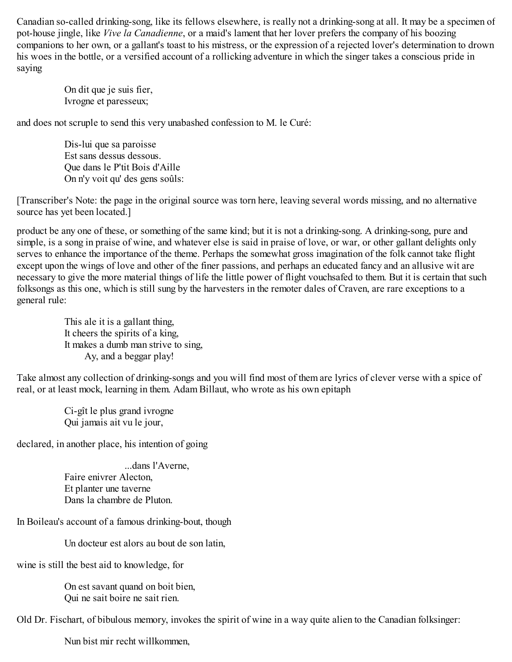Canadian so-called drinking-song, like its fellows elsewhere, is really not a drinking-song at all. It may be a specimen of pot-house jingle, like *Vive la Canadienne*, or a maid's lament that her lover prefers the company of his boozing companions to her own, or a gallant's toast to his mistress, or the expression of a rejected lover's determination to drown his woes in the bottle, or a versified account of a rollicking adventure in which the singer takes a conscious pride in saying

> On dit que je suis fier, Ivrogne et paresseux;

and does not scruple to send this very unabashed confession to M. le Curé:

Dis-lui que sa paroisse Est sans dessus dessous. Que dans le P'tit Bois d'Aille On n'y voit qu' des gens soûls:

[Transcriber's Note: the page in the original source was torn here, leaving several words missing, and no alternative source has yet been located.]

product be any one of these, or something of the same kind; but it is not a drinking-song. A drinking-song, pure and simple, is a song in praise of wine, and whatever else is said in praise of love, or war, or other gallant delights only serves to enhance the importance of the theme. Perhaps the somewhat gross imagination of the folk cannot take flight except upon the wings of love and other of the finer passions, and perhaps an educated fancy and an allusive wit are necessary to give the more material things of life the little power of flight vouchsafed to them. But it is certain that such folksongs as this one, which is still sung by the harvesters in the remoter dales of Craven, are rare exceptions to a general rule:

> This ale it is a gallant thing, It cheers the spirits of a king, It makes a dumb man strive to sing, Ay, and a beggar play!

Take almost any collection of drinking-songs and you will find most of them are lyrics of clever verse with a spice of real, or at least mock, learning in them. Adam Billaut, who wrote as his own epitaph

> Ci-gît le plus grand ivrogne Qui jamais ait vu le jour,

declared, in another place, his intention of going

...dans l'Averne, Faire enivrer Alecton, Et planter une taverne Dans la chambre de Pluton.

In Boileau's account of a famous drinking-bout, though

Un docteur est alors au bout de son latin,

wine is still the best aid to knowledge, for

On est savant quand on boit bien, Qui ne sait boire ne sait rien.

Old Dr. Fischart, of bibulous memory, invokes the spirit of wine in a way quite alien to the Canadian folksinger:

Nun bist mir recht willkommen,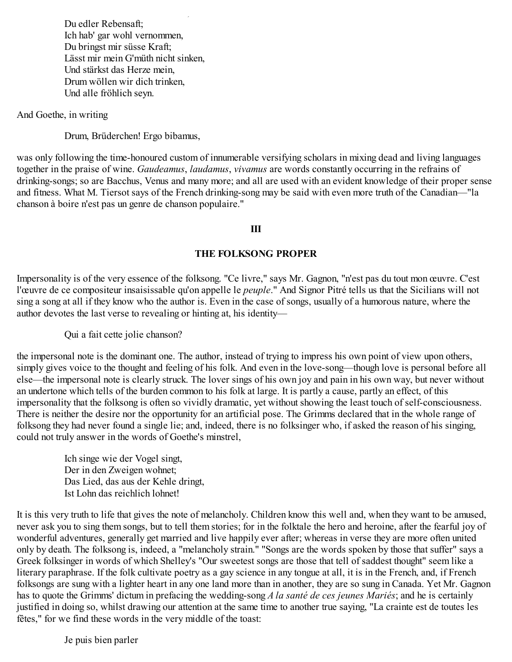Nun bist mir recht willkommen, Du edler Rebensaft; Ich hab' gar wohl vernommen, Du bringst mir süsse Kraft; Lässt mir mein G'müth nicht sinken, Und stärkst das Herze mein, Drum wöllen wir dich trinken, Und alle fröhlich seyn.

And Goethe, in writing

Drum, Brüderchen! Ergo bibamus,

was only following the time-honoured custom of innumerable versifying scholars in mixing dead and living languages together in the praise of wine. *Gaudeamus*, *laudamus*, *vivamus* are words constantly occurring in the refrains of drinking-songs; so are Bacchus, Venus and many more; and all are used with an evident knowledge of their proper sense and fitness. What M. Tiersot says of the French drinking-song may be said with even more truth of the Canadian—"la chanson à boire n'est pas un genre de chanson populaire."

#### **III**

#### **THE FOLKSONG PROPER**

Impersonality is of the very essence of the folksong. "Ce livre," says Mr. Gagnon, "n'est pas du tout mon œuvre. C'est l'œuvre de ce compositeur insaisissable qu'on appelle le *peuple*." And Signor Pitré tells us that the Sicilians will not sing a song at all if they know who the author is. Even in the case of songs, usually of a humorous nature, where the author devotes the last verse to revealing or hinting at, his identity—

Qui a fait cette jolie chanson?

the impersonal note is the dominant one. The author, instead of trying to impress his own point of view upon others, simply gives voice to the thought and feeling of his folk. And even in the love-song—though love is personal before all else—the impersonal note is clearly struck. The lover sings of his own joy and pain in his own way, but never without an undertone which tells of the burden common to his folk at large. It is partly a cause, partly an effect, of this impersonality that the folksong is often so vividly dramatic, yet without showing the least touch of self-consciousness. There is neither the desire nor the opportunity for an artificial pose. The Grimms declared that in the whole range of folksong they had never found a single lie; and, indeed, there is no folksinger who, if asked the reason of his singing, could not truly answer in the words of Goethe's minstrel,

> Ich singe wie der Vogel singt, Der in den Zweigen wohnet; Das Lied, das aus der Kehle dringt, Ist Lohn das reichlich lohnet!

It is this very truth to life that gives the note of melancholy. Children know this well and, when they want to be amused, never ask you to sing them songs, but to tell them stories; for in the folktale the hero and heroine, after the fearful joy of wonderful adventures, generally get married and live happily ever after; whereas in verse they are more often united only by death. The folksong is, indeed, a "melancholy strain." "Songs are the words spoken by those that suffer" says a Greek folksinger in words of which Shelley's "Our sweetest songs are those that tell of saddest thought" seem like a literary paraphrase. If the folk cultivate poetry as a gay science in any tongue at all, it is in the French, and, if French folksongs are sung with a lighter heart in any one land more than in another, they are so sung in Canada. Yet Mr. Gagnon has to quote the Grimms' dictum in prefacing the wedding-song *A la santé de ces jeunes Mariés*; and he is certainly justified in doing so, whilst drawing our attention at the same time to another true saying, "La crainte est de toutes les fêtes," for we find these words in the very middle of the toast:

Je puis bien parler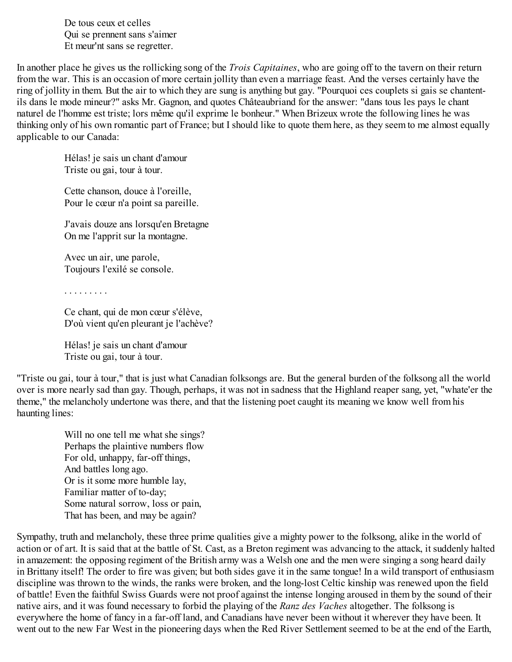Je puis bien parler De tous ceux et celles Qui se prennent sans s'aimer Et meur'nt sans se regretter.

In another place he gives us the rollicking song of the *Trois Capitaines*, who are going off to the tavern on their return from the war. This is an occasion of more certain jollity than even a marriage feast. And the verses certainly have the ring of jollity in them. But the air to which they are sung is anything but gay. "Pourquoi ces couplets si gais se chantentils dans le mode mineur?" asks Mr. Gagnon, and quotes Châteaubriand for the answer: "dans tous les pays le chant naturel de l'homme est triste; lors même qu'il exprime le bonheur." When Brizeux wrote the following lines he was thinking only of his own romantic part of France; but I should like to quote them here, as they seem to me almost equally applicable to our Canada:

> Hélas! je sais un chant d'amour Triste ou gai, tour à tour.

Cette chanson, douce à l'oreille, Pour le cœur n'a point sa pareille.

J'avais douze ans lorsqu'en Bretagne On me l'apprit sur la montagne.

Avec un air, une parole, Toujours l'exilé se console.

. . . . . . . . .

Ce chant, qui de mon cœur s'élève, D'où vient qu'en pleurant je l'achève?

Hélas! je sais un chant d'amour Triste ou gai, tour à tour.

"Triste ou gai, tour à tour," that is just what Canadian folksongs are. But the general burden of the folksong all the world over is more nearly sad than gay. Though, perhaps, it was not in sadness that the Highland reaper sang, yet, "whate'er the theme," the melancholy undertone was there, and that the listening poet caught its meaning we know well from his haunting lines:

Will no one tell me what she sings? Perhaps the plaintive numbers flow For old, unhappy, far-off things, And battles long ago. Or is it some more humble lay, Familiar matter of to-day; Some natural sorrow, loss or pain, That has been, and may be again?

Sympathy, truth and melancholy, these three prime qualities give a mighty power to the folksong, alike in the world of action or of art. It is said that at the battle of St. Cast, as a Breton regiment was advancing to the attack, it suddenly halted in amazement: the opposing regiment of the British army was a Welsh one and the men were singing a song heard daily in Brittany itself! The order to fire was given; but both sides gave it in the same tongue! In a wild transport of enthusiasm discipline was thrown to the winds, the ranks were broken, and the long-lost Celtic kinship was renewed upon the field of battle! Even the faithful Swiss Guards were not proof against the intense longing aroused in them by the sound of their native airs, and it was found necessary to forbid the playing of the *Ranz des Vaches* altogether. The folksong is everywhere the home of fancy in a far-off land, and Canadians have never been without it wherever they have been. It went out to the new Far West in the pioneering days when the Red River Settlement seemed to be at the end of the Earth,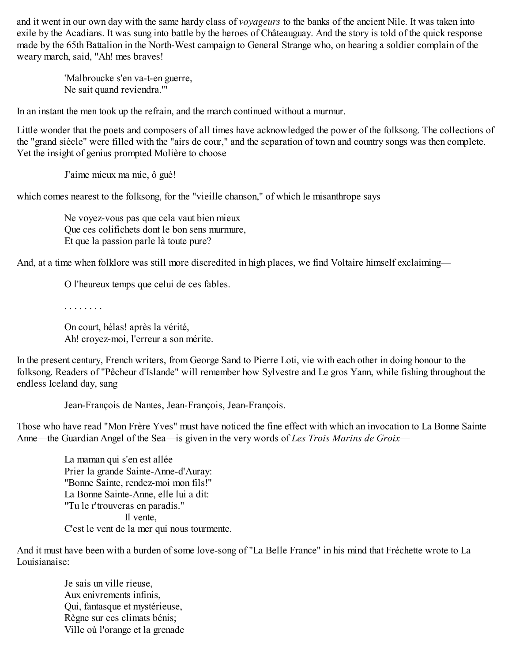and it went in our own day with the same hardy class of *voyageurs* to the banks of the ancient Nile. It was taken into exile by the Acadians. It was sung into battle by the heroes of Châteauguay. And the story is told of the quick response made by the 65th Battalion in the North-West campaign to General Strange who, on hearing a soldier complain of the weary march, said, "Ah! mes braves!

> 'Malbroucke s'en va-t-en guerre, Ne sait quand reviendra.'"

In an instant the men took up the refrain, and the march continued without a murmur.

Little wonder that the poets and composers of all times have acknowledged the power of the folksong. The collections of the "grand siècle" were filled with the "airs de cour," and the separation of town and country songs was then complete. Yet the insight of genius prompted Molière to choose

J'aime mieux ma mie, ô gué!

which comes nearest to the folksong, for the "vieille chanson," of which le misanthrope says—

Ne voyez-vous pas que cela vaut bien mieux Que ces colifichets dont le bon sens murmure, Et que la passion parle là toute pure?

And, at a time when folklore was still more discredited in high places, we find Voltaire himself exclaiming—

O l'heureux temps que celui de ces fables.

. . . . . . . .

On court, hélas! après la vérité, Ah! croyez-moi, l'erreur a son mérite.

In the present century, French writers, from George Sand to Pierre Loti, vie with each other in doing honour to the folksong. Readers of "Pêcheur d'Islande" will remember how Sylvestre and Le gros Yann, while fishing throughout the endless Iceland day, sang

Jean-François de Nantes, Jean-François, Jean-François.

Those who have read "Mon Frère Yves" must have noticed the fine effect with which an invocation to La Bonne Sainte Anne—the Guardian Angel of the Sea—is given in the very words of *Les Trois Marins de Groix*—

La maman qui s'en est allée Prier la grande Sainte-Anne-d'Auray: "Bonne Sainte, rendez-moi mon fils!" La Bonne Sainte-Anne, elle lui a dit: "Tu le r'trouveras en paradis." Il vente, C'est le vent de la mer qui nous tourmente.

And it must have been with a burden of some love-song of "La Belle France" in his mind that Fréchette wrote to La Louisianaise:

> Je sais un ville rieuse, Aux enivrements infinis, Qui, fantasque et mystérieuse, Règne sur ces climats bénis; Ville où l'orange et la grenade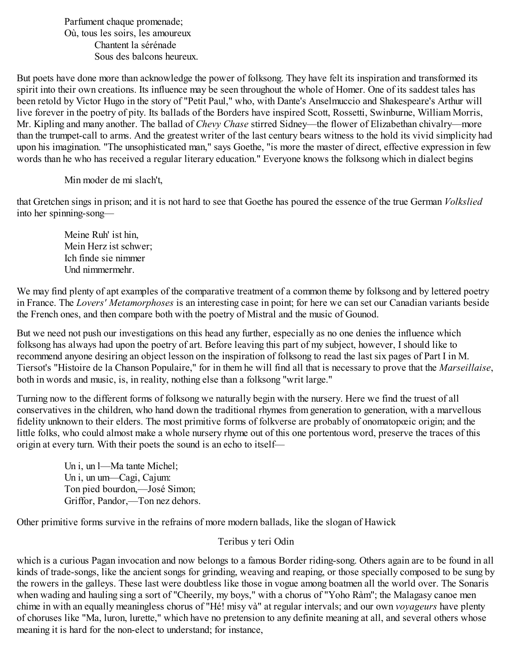Parfument chaque promenade; Où, tous les soirs, les amoureux Chantent la sérénade Sous des balcons heureux.

But poets have done more than acknowledge the power of folksong. They have felt its inspiration and transformed its spirit into their own creations. Its influence may be seen throughout the whole of Homer. One of its saddest tales has been retold by Victor Hugo in the story of "Petit Paul," who, with Dante's Anselmuccio and Shakespeare's Arthur will live forever in the poetry of pity. Its ballads of the Borders have inspired Scott, Rossetti, Swinburne, William Morris, Mr. Kipling and many another. The ballad of *Chevy Chase* stirred Sidney—the flower of Elizabethan chivalry—more than the trumpet-call to arms. And the greatest writer of the last century bears witness to the hold its vivid simplicity had upon his imagination. "The unsophisticated man," says Goethe, "is more the master of direct, effective expression in few words than he who has received a regular literary education." Everyone knows the folksong which in dialect begins

Min moder de mi slach't,

that Gretchen sings in prison; and it is not hard to see that Goethe has poured the essence of the true German *Volkslied* into her spinning-song—

> Meine Ruh' ist hin, Mein Herz ist schwer; Ich finde sie nimmer Und nimmermehr.

We may find plenty of apt examples of the comparative treatment of a common theme by folksong and by lettered poetry in France. The *Lovers' Metamorphoses* is an interesting case in point; for here we can set our Canadian variants beside the French ones, and then compare both with the poetry of Mistral and the music of Gounod.

But we need not push our investigations on this head any further, especially as no one denies the influence which folksong has always had upon the poetry of art. Before leaving this part of my subject, however, I should like to recommend anyone desiring an object lesson on the inspiration of folksong to read the last six pages of Part I in M. Tiersot's "Histoire de la Chanson Populaire," for in them he will find all that is necessary to prove that the *Marseillaise*, both in words and music, is, in reality, nothing else than a folksong "writ large."

Turning now to the different forms of folksong we naturally begin with the nursery. Here we find the truest of all conservatives in the children, who hand down the traditional rhymes from generation to generation, with a marvellous fidelity unknown to their elders. The most primitive forms of folkverse are probably of onomatopœic origin; and the little folks, who could almost make a whole nursery rhyme out of this one portentous word, preserve the traces of this origin at every turn. With their poets the sound is an echo to itself—

> Un i, un l—Ma tante Michel; Un i, un um—Cagi, Cajum: Ton pied bourdon,—José Simon; Griffor, Pandor,—Ton nez dehors.

Other primitive forms survive in the refrains of more modern ballads, like the slogan of Hawick

#### Teribus y teri Odin

which is a curious Pagan invocation and now belongs to a famous Border riding-song. Others again are to be found in all kinds of trade-songs, like the ancient songs for grinding, weaving and reaping, or those specially composed to be sung by the rowers in the galleys. These last were doubtless like those in vogue among boatmen all the world over. The Sonaris when wading and hauling sing a sort of "Cheerily, my boys," with a chorus of "Yoho Ràm"; the Malagasy canoe men chime in with an equally meaningless chorus of "Hé! misy và" at regular intervals; and our own *voyageurs* have plenty of choruses like "Ma, luron, lurette," which have no pretension to any definite meaning at all, and several others whose meaning it is hard for the non-elect to understand; for instance,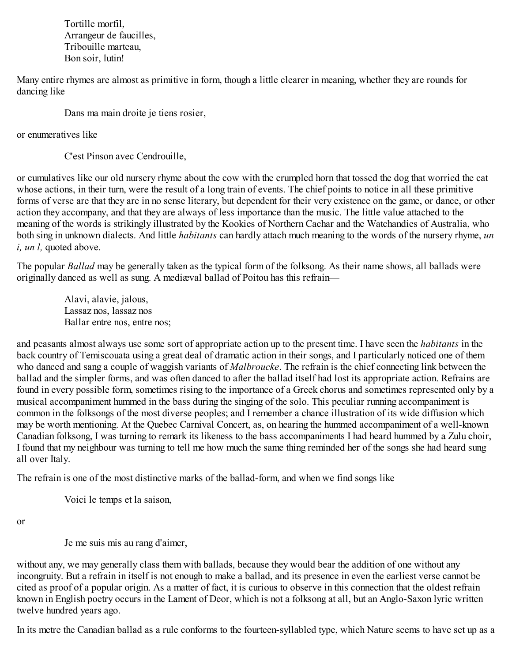Tortille morfil, Arrangeur de faucilles, Tribouille marteau, Bon soir, lutin!

Many entire rhymes are almost as primitive in form, though a little clearer in meaning, whether they are rounds for dancing like

Dans ma main droite je tiens rosier,

or enumeratives like

C'est Pinson avec Cendrouille,

or cumulatives like our old nursery rhyme about the cow with the crumpled horn that tossed the dog that worried the cat whose actions, in their turn, were the result of a long train of events. The chief points to notice in all these primitive forms of verse are that they are in no sense literary, but dependent for their very existence on the game, or dance, or other action they accompany, and that they are always of less importance than the music. The little value attached to the meaning of the words is strikingly illustrated by the Kookies of Northern Cachar and the Watchandies of Australia, who both sing in unknown dialects. And little *habitants* can hardly attach much meaning to the words of the nursery rhyme, *un i, un l,* quoted above.

The popular *Ballad* may be generally taken as the typical form of the folksong. As their name shows, all ballads were originally danced as well as sung. A mediæval ballad of Poitou has this refrain—

> Alavi, alavie, jalous, Lassaz nos, lassaz nos Ballar entre nos, entre nos;

and peasants almost always use some sort of appropriate action up to the present time. I have seen the *habitants* in the back country of Temiscouata using a great deal of dramatic action in their songs, and I particularly noticed one of them who danced and sang a couple of waggish variants of *Malbroucke*. The refrain is the chief connecting link between the ballad and the simpler forms, and was often danced to after the ballad itself had lost its appropriate action. Refrains are found in every possible form, sometimes rising to the importance of a Greek chorus and sometimes represented only by a musical accompaniment hummed in the bass during the singing of the solo. This peculiar running accompaniment is common in the folksongs of the most diverse peoples; and I remember a chance illustration of its wide diffusion which may be worth mentioning. At the Quebec Carnival Concert, as, on hearing the hummed accompaniment of a well-known Canadian folksong, I was turning to remark its likeness to the bass accompaniments I had heard hummed by a Zulu choir, I found that my neighbour was turning to tell me how much the same thing reminded her of the songs she had heard sung all over Italy.

The refrain is one of the most distinctive marks of the ballad-form, and when we find songs like

Voici le temps et la saison,

or

Je me suis mis au rang d'aimer,

without any, we may generally class them with ballads, because they would bear the addition of one without any incongruity. But a refrain in itself is not enough to make a ballad, and its presence in even the earliest verse cannot be cited as proof of a popular origin. As a matter of fact, it is curious to observe in this connection that the oldest refrain known in English poetry occurs in the Lament of Deor, which is not a folksong at all, but an Anglo-Saxon lyric written twelve hundred years ago.

In its metre the Canadian ballad as a rule conforms to the fourteen-syllabled type, which Nature seems to have set up as a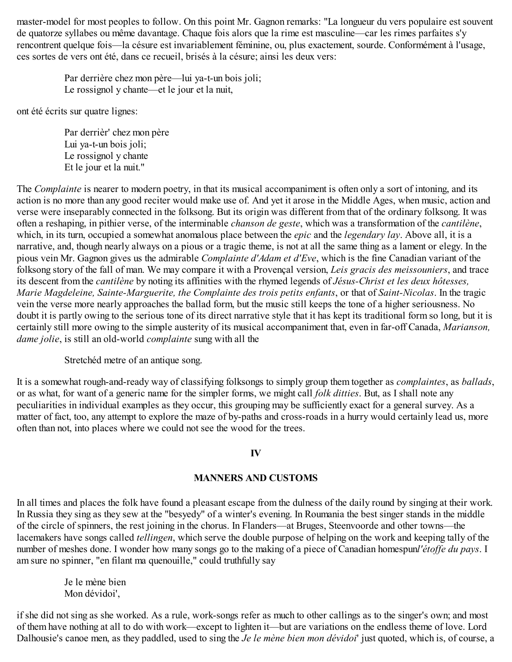master-model for most peoples to follow. On this point Mr. Gagnon remarks: "La longueur du vers populaire est souvent de quatorze syllabes ou même davantage. Chaque fois alors que la rime est masculine—car les rimes parfaites s'y rencontrent quelque fois—la césure est invariablement féminine, ou, plus exactement, sourde. Conformément à l'usage, ces sortes de vers ont été, dans ce recueil, brisés à la césure; ainsi les deux vers:

Par derrière chez mon père—lui ya-t-un bois joli; Le rossignol y chante—et le jour et la nuit,

ont été écrits sur quatre lignes:

Par derrièr' chez mon père Lui ya-t-un bois joli; Le rossignol y chante Et le jour et la nuit."

The *Complainte* is nearer to modern poetry, in that its musical accompaniment is often only a sort of intoning, and its action is no more than any good reciter would make use of. And yet it arose in the Middle Ages, when music, action and verse were inseparably connected in the folksong. But its origin was different from that of the ordinary folksong. It was often a reshaping, in pithier verse, of the interminable *chanson de geste*, which was a transformation of the *cantilène*, which, in its turn, occupied a somewhat anomalous place between the *epic* and the *legendary lay*. Above all, it is a narrative, and, though nearly always on a pious or a tragic theme, is not at all the same thing as a lament or elegy. In the pious vein Mr. Gagnon gives us the admirable *Complainte d'Adam et d'Eve*, which is the fine Canadian variant of the folksong story of the fall of man. We may compare it with a Provençal version, *Leis gracis des meissouniers*, and trace its descent from the *cantilène* by noting its affinities with the rhymed legends of *Jésus-Christ et les deux hôtesses, Marie Magdeleine, Sainte-Marguerite, the Complainte des trois petits enfants*, or that of *Saint-Nicolas*. In the tragic vein the verse more nearly approaches the ballad form, but the music still keeps the tone of a higher seriousness. No doubt it is partly owing to the serious tone of its direct narrative style that it has kept its traditional form so long, but it is certainly still more owing to the simple austerity of its musical accompaniment that, even in far-off Canada, *Marianson, dame jolie*, is still an old-world *complainte* sung with all the

Stretchéd metre of an antique song.

It is a somewhat rough-and-ready way of classifying folksongs to simply group them together as *complaintes*, as *ballads*, or as what, for want of a generic name for the simpler forms, we might call *folk ditties*. But, as I shall note any peculiarities in individual examples as they occur, this grouping may be sufficiently exact for a general survey. As a matter of fact, too, any attempt to explore the maze of by-paths and cross-roads in a hurry would certainly lead us, more often than not, into places where we could not see the wood for the trees.

## **IV**

## **MANNERS AND CUSTOMS**

In all times and places the folk have found a pleasant escape from the dulness of the daily round by singing at their work. In Russia they sing as they sew at the "besyedy" of a winter's evening. In Roumania the best singer stands in the middle of the circle of spinners, the rest joining in the chorus. In Flanders—at Bruges, Steenvoorde and other towns—the lacemakers have songs called *tellingen*, which serve the double purpose of helping on the work and keeping tally of the number of meshes done. I wonder how many songs go to the making of a piece of Canadian homespunl'étoffe du pays. I am sure no spinner, "en filant ma quenouille," could truthfully say

Je le mène bien Mon dévidoi',

if she did not sing as she worked. As a rule, work-songs refer as much to other callings as to the singer's own; and most of them have nothing at all to do with work—except to lighten it—but are variations on the endless theme of love. Lord Dalhousie's canoe men, as they paddled, used to sing the *Je le mène bien mon dévidoi*' just quoted, which is, of course, a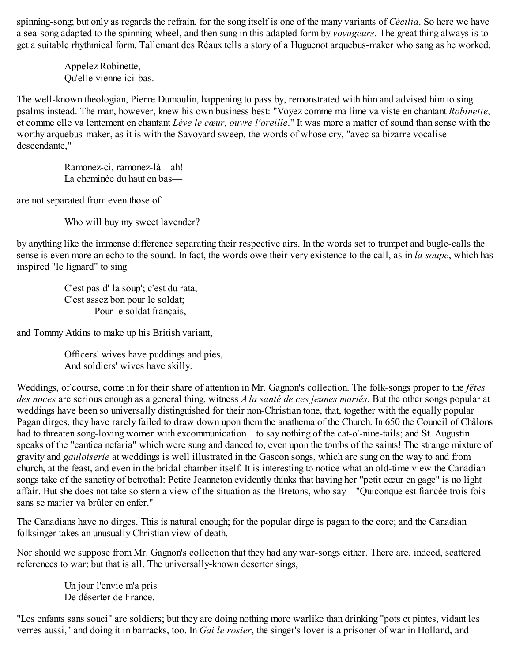spinning-song; but only as regards the refrain, for the song itself is one of the many variants of *Cécilia*. So here we have a sea-song adapted to the spinning-wheel, and then sung in this adapted form by *voyageurs*. The great thing always is to get a suitable rhythmical form. Tallemant des Réaux tells a story of a Huguenot arquebus-maker who sang as he worked,

> Appelez Robinette, Qu'elle vienne ici-bas.

The well-known theologian, Pierre Dumoulin, happening to pass by, remonstrated with him and advised him to sing psalms instead. The man, however, knew his own business best: "Voyez comme ma lime va viste en chantant *Robinette*, et comme elle va lentement en chantant *Lève le cœur, ouvre l'oreille*." It was more a matter of sound than sense with the worthy arquebus-maker, as it is with the Savoyard sweep, the words of whose cry, "avec sa bizarre vocalise descendante,"

Ramonez-ci, ramonez-là—ah! La cheminée du haut en bas—

are not separated from even those of

Who will buy my sweet lavender?

by anything like the immense difference separating their respective airs. In the words set to trumpet and bugle-calls the sense is even more an echo to the sound. In fact, the words owe their very existence to the call, as in *la soupe*, which has inspired "le lignard" to sing

C'est pas d' la soup'; c'est du rata, C'est assez bon pour le soldat; Pour le soldat français,

and Tommy Atkins to make up his British variant,

Officers' wives have puddings and pies, And soldiers' wives have skilly.

Weddings, of course, come in for their share of attention in Mr. Gagnon's collection. The folk-songs proper to the *fêtes des noces* are serious enough as a general thing, witness *A la santé de ces jeunes mariés*. But the other songs popular at weddings have been so universally distinguished for their non-Christian tone, that, together with the equally popular Pagan dirges, they have rarely failed to draw down upon them the anathema of the Church. In 650 the Council of Châlons had to threaten song-loving women with excommunication—to say nothing of the cat-o'-nine-tails; and St. Augustin speaks of the "cantica nefaria" which were sung and danced to, even upon the tombs of the saints! The strange mixture of gravity and *gauloiserie* at weddings is well illustrated in the Gascon songs, which are sung on the way to and from church, at the feast, and even in the bridal chamber itself. It is interesting to notice what an old-time view the Canadian songs take of the sanctity of betrothal: Petite Jeanneton evidently thinks that having her "petit cœur en gage" is no light affair. But she does not take so stern a view of the situation as the Bretons, who say—"Quiconque est fiancée trois fois sans se marier va brûler en enfer."

The Canadians have no dirges. This is natural enough; for the popular dirge is pagan to the core; and the Canadian folksinger takes an unusually Christian view of death.

Nor should we suppose from Mr. Gagnon's collection that they had any war-songs either. There are, indeed, scattered references to war; but that is all. The universally-known deserter sings,

> Un jour l'envie m'a pris De déserter de France.

"Les enfants sans souci" are soldiers; but they are doing nothing more warlike than drinking "pots et pintes, vidant les verres aussi," and doing it in barracks, too. In *Gai le rosier*, the singer's lover is a prisoner of war in Holland, and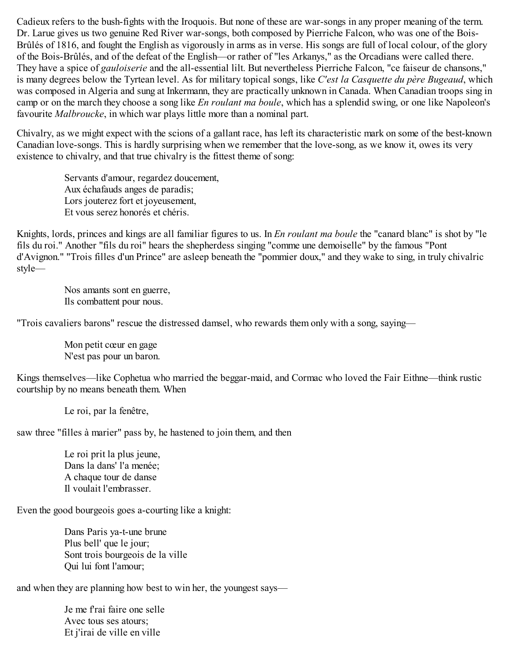Cadieux refers to the bush-fights with the Iroquois. But none of these are war-songs in any proper meaning of the term. Dr. Larue gives us two genuine Red River war-songs, both composed by Pierriche Falcon, who was one of the Bois-Brûlés of 1816, and fought the English as vigorously in arms as in verse. His songs are full of local colour, of the glory of the Bois-Brûlés, and of the defeat of the English—or rather of "les Arkanys," as the Orcadians were called there. They have a spice of *gauloiserie* and the all-essential lilt. But nevertheless Pierriche Falcon, "ce faiseur de chansons," is many degrees below the Tyrtean level. As for military topical songs, like *C'est la Casquette du père Bugeaud*, which was composed in Algeria and sung at Inkermann, they are practically unknown in Canada. When Canadian troops sing in camp or on the march they choose a song like *En roulant ma boule*, which has a splendid swing, or one like Napoleon's favourite *Malbroucke*, in which war plays little more than a nominal part.

Chivalry, as we might expect with the scions of a gallant race, has left its characteristic mark on some of the best-known Canadian love-songs. This is hardly surprising when we remember that the love-song, as we know it, owes its very existence to chivalry, and that true chivalry is the fittest theme of song:

Servants d'amour, regardez doucement, Aux échafauds anges de paradis; Lors jouterez fort et joyeusement, Et vous serez honorés et chéris.

Knights, lords, princes and kings are all familiar figures to us. In *En roulant ma boule* the "canard blanc" is shot by "le fils du roi." Another "fils du roi" hears the shepherdess singing "comme une demoiselle" by the famous "Pont d'Avignon." "Trois filles d'un Prince" are asleep beneath the "pommier doux," and they wake to sing, in truly chivalric style—

> Nos amants sont en guerre, Ils combattent pour nous.

"Trois cavaliers barons" rescue the distressed damsel, who rewards them only with a song, saying—

Mon petit cœur en gage N'est pas pour un baron.

Kings themselves—like Cophetua who married the beggar-maid, and Cormac who loved the Fair Eithne—think rustic courtship by no means beneath them. When

Le roi, par la fenêtre,

saw three "filles à marier" pass by, he hastened to join them, and then

Le roi prit la plus jeune, Dans la dans' l'a menée; A chaque tour de danse Il voulait l'embrasser.

Even the good bourgeois goes a-courting like a knight:

Dans Paris ya-t-une brune Plus bell' que le jour; Sont trois bourgeois de la ville Qui lui font l'amour;

and when they are planning how best to win her, the youngest says—

Je me f'rai faire one selle Avec tous ses atours; Et j'irai de ville en ville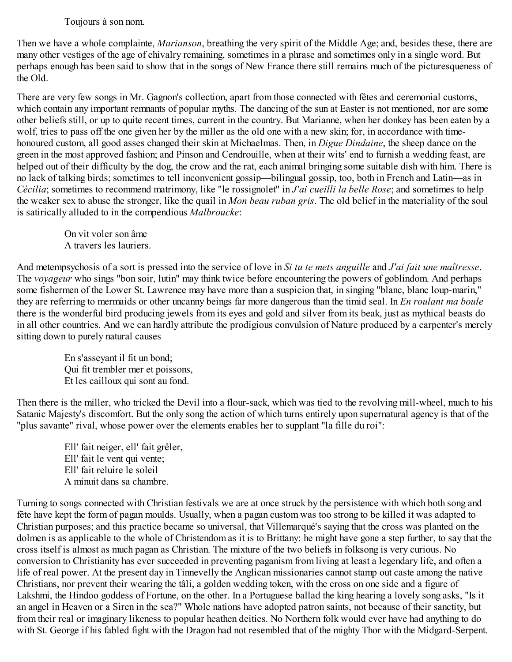## Toujours à son nom.

Then we have a whole complainte, *Marianson*, breathing the very spirit of the Middle Age; and, besides these, there are many other vestiges of the age of chivalry remaining, sometimes in a phrase and sometimes only in a single word. But perhaps enough has been said to show that in the songs of New France there still remains much of the picturesqueness of the Old.

There are very few songs in Mr. Gagnon's collection, apart from those connected with fêtes and ceremonial customs, which contain any important remnants of popular myths. The dancing of the sun at Easter is not mentioned, nor are some other beliefs still, or up to quite recent times, current in the country. But Marianne, when her donkey has been eaten by a wolf, tries to pass off the one given her by the miller as the old one with a new skin; for, in accordance with timehonoured custom, all good asses changed their skin at Michaelmas. Then, in *Digue Dindaine*, the sheep dance on the green in the most approved fashion; and Pinson and Cendrouille, when at their wits' end to furnish a wedding feast, are helped out of their difficulty by the dog, the crow and the rat, each animal bringing some suitable dish with him. There is no lack of talking birds; sometimes to tell inconvenient gossip—bilingual gossip, too, both in French and Latin—as in *Cécilia*; sometimes to recommend matrimony, like "le rossignolet" in *J'ai cueilli la belle Rose*; and sometimes to help the weaker sex to abuse the stronger, like the quail in *Mon beau ruban gris*. The old belief in the materiality of the soul is satirically alluded to in the compendious *Malbroucke*:

> On vit voler son âme A travers les lauriers.

And metempsychosis of a sort is pressed into the service of love in *Si tu te mets anguille* and *J'ai fait une maîtresse*. The *voyageur* who sings "bon soir, lutin" may think twice before encountering the powers of goblindom. And perhaps some fishermen of the Lower St. Lawrence may have more than a suspicion that, in singing "blanc, blanc loup-marin," they are referring to mermaids or other uncanny beings far more dangerous than the timid seal. In *En roulant ma boule* there is the wonderful bird producing jewels from its eyes and gold and silver from its beak, just as mythical beasts do in all other countries. And we can hardly attribute the prodigious convulsion of Nature produced by a carpenter's merely sitting down to purely natural causes—

En s'asseyant il fit un bond; Qui fit trembler mer et poissons, Et les cailloux qui sont au fond.

Then there is the miller, who tricked the Devil into a flour-sack, which was tied to the revolving mill-wheel, much to his Satanic Majesty's discomfort. But the only song the action of which turns entirely upon supernatural agency is that of the "plus savante" rival, whose power over the elements enables her to supplant "la fille du roi":

Ell' fait neiger, ell' fait grêler, Ell' fait le vent qui vente; Ell' fait reluire le soleil A minuit dans sa chambre.

Turning to songs connected with Christian festivals we are at once struck by the persistence with which both song and fête have kept the form of pagan moulds. Usually, when a pagan custom was too strong to be killed it was adapted to Christian purposes; and this practice became so universal, that Villemarqué's saying that the cross was planted on the dolmen is as applicable to the whole of Christendom as it is to Brittany: he might have gone a step further, to say that the cross itself is almost as much pagan as Christian. The mixture of the two beliefs in folksong is very curious. No conversion to Christianity has ever succeeded in preventing paganism from living at least a legendary life, and often a life of real power. At the present day in Tinnevelly the Anglican missionaries cannot stamp out caste among the native Christians, nor prevent their wearing the tâli, a golden wedding token, with the cross on one side and a figure of Lakshmi, the Hindoo goddess of Fortune, on the other. In a Portuguese ballad the king hearing a lovely song asks, "Is it an angel in Heaven or a Siren in the sea?" Whole nations have adopted patron saints, not because of their sanctity, but from their real or imaginary likeness to popular heathen deities. No Northern folk would ever have had anything to do with St. George if his fabled fight with the Dragon had not resembled that of the mighty Thor with the Midgard-Serpent.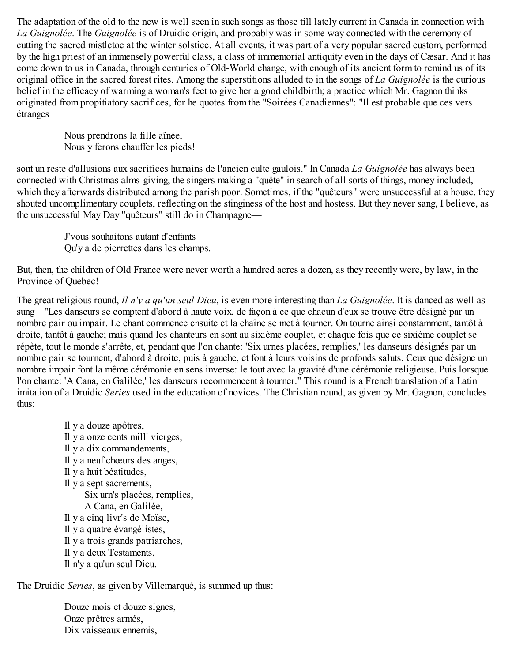The adaptation of the old to the new is well seen in such songs as those till lately current in Canada in connection with *La Guignolée*. The *Guignolée* is of Druidic origin, and probably was in some way connected with the ceremony of cutting the sacred mistletoe at the winter solstice. At all events, it was part of a very popular sacred custom, performed by the high priest of an immensely powerful class, a class of immemorial antiquity even in the days of Cæsar. And it has come down to us in Canada, through centuries of Old-World change, with enough of its ancient form to remind us of its original office in the sacred forest rites. Among the superstitions alluded to in the songs of *La Guignolée* is the curious belief in the efficacy of warming a woman's feet to give her a good childbirth; a practice which Mr. Gagnon thinks originated from propitiatory sacrifices, for he quotes from the "Soirées Canadiennes": "Il est probable que ces vers étranges

Nous prendrons la fille aînée, Nous y ferons chauffer les pieds!

sont un reste d'allusions aux sacrifices humains de l'ancien culte gaulois." In Canada *La Guignolée* has always been connected with Christmas alms-giving, the singers making a "quête" in search of all sorts of things, money included, which they afterwards distributed among the parish poor. Sometimes, if the "quêteurs" were unsuccessful at a house, they shouted uncomplimentary couplets, reflecting on the stinginess of the host and hostess. But they never sang, I believe, as the unsuccessful May Day "quêteurs" still do in Champagne—

> J'vous souhaitons autant d'enfants Qu'y a de pierrettes dans les champs.

But, then, the children of Old France were never worth a hundred acres a dozen, as they recently were, by law, in the Province of Quebec!

The great religious round, *Il n'y a qu'un seul Dieu*, is even more interesting than *La Guignolée*. It is danced as well as sung—"Les danseurs se comptent d'abord à haute voix, de façon à ce que chacun d'eux se trouve être désigné par un nombre pair ou impair. Le chant commence ensuite et la chaîne se met à tourner. On tourne ainsi constamment, tantôt à droite, tantôt à gauche; mais quand les chanteurs en sont au sixième couplet, et chaque fois que ce sixième couplet se répète, tout le monde s'arrête, et, pendant que l'on chante: 'Six urnes placées, remplies,' les danseurs désignés par un nombre pair se tournent, d'abord à droite, puis à gauche, et font à leurs voisins de profonds saluts. Ceux que désigne un nombre impair font la même cérémonie en sens inverse: le tout avec la gravité d'une cérémonie religieuse. Puis lorsque l'on chante: 'A Cana, en Galilée,' les danseurs recommencent à tourner." This round is a French translation of a Latin imitation of a Druidic *Series* used in the education of novices. The Christian round, as given by Mr. Gagnon, concludes thus:

> Il y a douze apôtres, Il y a onze cents mill' vierges, Il y a dix commandements, Il y a neuf chœurs des anges, Il y a huit béatitudes, Il y a sept sacrements, Six urn's placées, remplies, A Cana, en Galilée, Il y a cinq livr's de Moïse, Il y a quatre évangélistes, Il y a trois grands patriarches, Il y a deux Testaments, Il n'y a qu'un seul Dieu.

The Druidic *Series*, as given by Villemarqué, is summed up thus:

Douze mois et douze signes, Onze prêtres armés, Dix vaisseaux ennemis,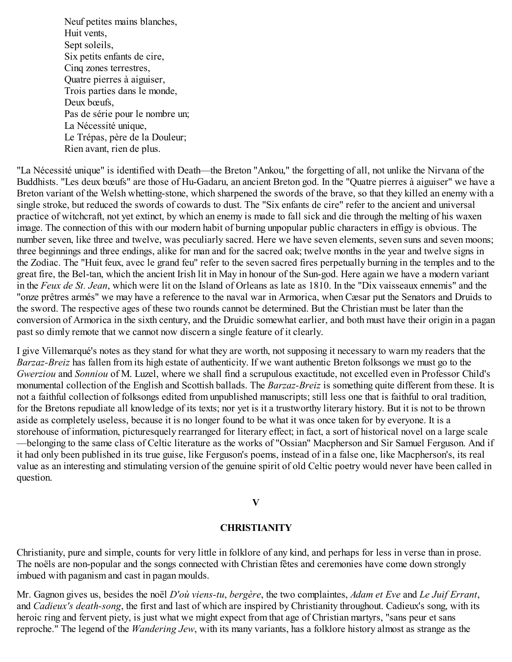Neuf petites mains blanches, Huit vents, Sept soleils, Six petits enfants de cire, Cinq zones terrestres, Quatre pierres à aiguiser, Trois parties dans le monde, Deux bœufs, Pas de série pour le nombre un; La Nécessité unique, Le Trépas, père de la Douleur; Rien avant, rien de plus.

"La Nécessité unique" is identified with Death—the Breton "Ankou," the forgetting of all, not unlike the Nirvana of the Buddhists. "Les deux bœufs" are those of Hu-Gadaru, an ancient Breton god. In the "Quatre pierres à aiguiser" we have a Breton variant of the Welsh whetting-stone, which sharpened the swords of the brave, so that they killed an enemy with a single stroke, but reduced the swords of cowards to dust. The "Six enfants de cire" refer to the ancient and universal practice of witchcraft, not yet extinct, by which an enemy is made to fall sick and die through the melting of his waxen image. The connection of this with our modern habit of burning unpopular public characters in effigy is obvious. The number seven, like three and twelve, was peculiarly sacred. Here we have seven elements, seven suns and seven moons; three beginnings and three endings, alike for man and for the sacred oak; twelve months in the year and twelve signs in the Zodiac. The "Huit feux, avec le grand feu" refer to the seven sacred fires perpetually burning in the temples and to the great fire, the Bel-tan, which the ancient Irish lit in May in honour of the Sun-god. Here again we have a modern variant in the *Feux de St. Jean*, which were lit on the Island of Orleans as late as 1810. In the "Dix vaisseaux ennemis" and the "onze prêtres armés" we may have a reference to the naval war in Armorica, when Cæsar put the Senators and Druids to the sword. The respective ages of these two rounds cannot be determined. But the Christian must be later than the conversion of Armorica in the sixth century, and the Druidic somewhat earlier, and both must have their origin in a pagan past so dimly remote that we cannot now discern a single feature of it clearly.

I give Villemarqué's notes as they stand for what they are worth, not supposing it necessary to warn my readers that the *Barzaz-Breiz* has fallen from its high estate of authenticity. If we want authentic Breton folksongs we must go to the *Gwerziou* and *Sonniou* of M. Luzel, where we shall find a scrupulous exactitude, not excelled even in Professor Child's monumental collection of the English and Scottish ballads. The *Barzaz-Breiz* is something quite different from these. It is not a faithful collection of folksongs edited from unpublished manuscripts; still less one that is faithful to oral tradition, for the Bretons repudiate all knowledge of its texts; nor yet is it a trustworthy literary history. But it is not to be thrown aside as completely useless, because it is no longer found to be what it was once taken for by everyone. It is a storehouse of information, picturesquely rearranged for literary effect; in fact, a sort of historical novel on a large scale —belonging to the same class of Celtic literature as the works of "Ossian" Macpherson and Sir Samuel Ferguson. And if it had only been published in its true guise, like Ferguson's poems, instead of in a false one, like Macpherson's, its real value as an interesting and stimulating version of the genuine spirit of old Celtic poetry would never have been called in question.

#### **V**

#### **CHRISTIANITY**

Christianity, pure and simple, counts for very little in folklore of any kind, and perhaps for less in verse than in prose. The noëls are non-popular and the songs connected with Christian fêtes and ceremonies have come down strongly imbued with paganism and cast in pagan moulds.

Mr. Gagnon gives us, besides the noël *D'où viens-tu*, *bergère*, the two complaintes, *Adam et Eve* and *Le Juif Errant*, and *Cadieux's death-song*, the first and last of which are inspired by Christianity throughout. Cadieux's song, with its heroic ring and fervent piety, is just what we might expect from that age of Christian martyrs, "sans peur et sans reproche." The legend of the *Wandering Jew*, with its many variants, has a folklore history almost as strange as the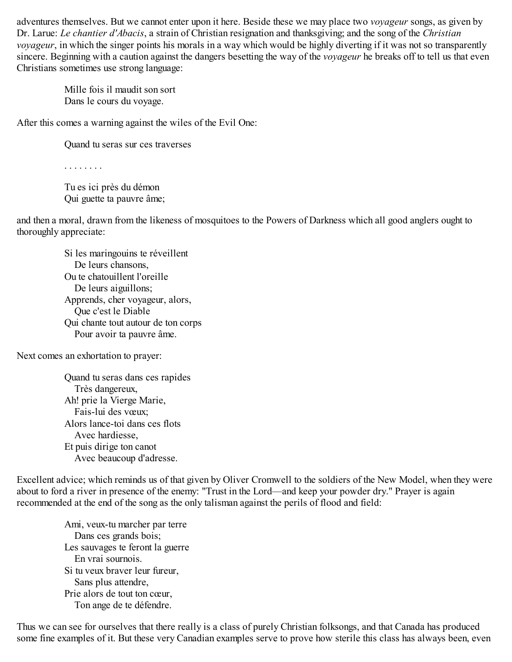adventures themselves. But we cannot enter upon it here. Beside these we may place two *voyageur* songs, as given by Dr. Larue: *Le chantier d'Abacis*, a strain of Christian resignation and thanksgiving; and the song of the *Christian voyageur*, in which the singer points his morals in a way which would be highly diverting if it was not so transparently sincere. Beginning with a caution against the dangers besetting the way of the *voyageur* he breaks off to tell us that even Christians sometimes use strong language:

Mille fois il maudit son sort Dans le cours du voyage.

After this comes a warning against the wiles of the Evil One:

Quand tu seras sur ces traverses

. . . . . . . .

Tu es ici près du démon Qui guette ta pauvre âme;

and then a moral, drawn from the likeness of mosquitoes to the Powers of Darkness which all good anglers ought to thoroughly appreciate:

> Si les maringouins te réveillent De leurs chansons, Ou te chatouillent l'oreille De leurs aiguillons; Apprends, cher voyageur, alors, Que c'est le Diable Qui chante tout autour de ton corps Pour avoir ta pauvre âme.

Next comes an exhortation to prayer:

Quand tu seras dans ces rapides Très dangereux, Ah! prie la Vierge Marie, Fais-lui des vœux; Alors lance-toi dans ces flots Avec hardiesse, Et puis dirige ton canot Avec beaucoup d'adresse.

Excellent advice; which reminds us of that given by Oliver Cromwell to the soldiers of the New Model, when they were about to ford a river in presence of the enemy: "Trust in the Lord—and keep your powder dry." Prayer is again recommended at the end of the song as the only talisman against the perils of flood and field:

Ami, veux-tu marcher par terre Dans ces grands bois; Les sauvages te feront la guerre En vrai sournois. Si tu veux braver leur fureur, Sans plus attendre, Prie alors de tout ton cœur, Ton ange de te défendre.

Thus we can see for ourselves that there really is a class of purely Christian folksongs, and that Canada has produced some fine examples of it. But these very Canadian examples serve to prove how sterile this class has always been, even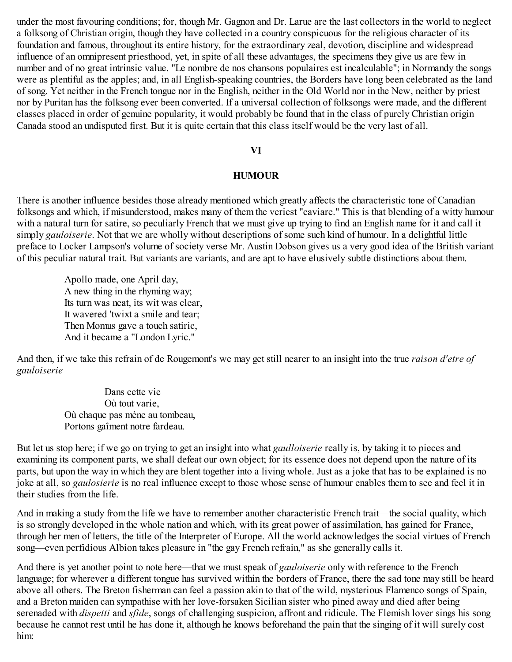under the most favouring conditions; for, though Mr. Gagnon and Dr. Larue are the last collectors in the world to neglect a folksong of Christian origin, though they have collected in a country conspicuous for the religious character of its foundation and famous, throughout its entire history, for the extraordinary zeal, devotion, discipline and widespread influence of an omnipresent priesthood, yet, in spite of all these advantages, the specimens they give us are few in number and of no great intrinsic value. "Le nombre de nos chansons populaires est incalculable"; in Normandy the songs were as plentiful as the apples; and, in all English-speaking countries, the Borders have long been celebrated as the land of song. Yet neither in the French tongue nor in the English, neither in the Old World nor in the New, neither by priest nor by Puritan has the folksong ever been converted. If a universal collection of folksongs were made, and the different classes placed in order of genuine popularity, it would probably be found that in the class of purely Christian origin Canada stood an undisputed first. But it is quite certain that this class itself would be the very last of all.

#### **VI**

#### **HUMOUR**

There is another influence besides those already mentioned which greatly affects the characteristic tone of Canadian folksongs and which, if misunderstood, makes many of them the veriest "caviare." This is that blending of a witty humour with a natural turn for satire, so peculiarly French that we must give up trying to find an English name for it and call it simply *gauloiserie*. Not that we are wholly without descriptions of some such kind of humour. In a delightful little preface to Locker Lampson's volume of society verse Mr. Austin Dobson gives us a very good idea of the British variant of this peculiar natural trait. But variants are variants, and are apt to have elusively subtle distinctions about them.

Apollo made, one April day, A new thing in the rhyming way; Its turn was neat, its wit was clear, It wavered 'twixt a smile and tear; Then Momus gave a touch satiric, And it became a "London Lyric."

And then, if we take this refrain of de Rougemont's we may get still nearer to an insight into the true *raison d'etre of gauloiserie*—

> Dans cette vie Où tout varie, Où chaque pas mène au tombeau, Portons gaîment notre fardeau.

But let us stop here; if we go on trying to get an insight into what *gaulloiserie* really is, by taking it to pieces and examining its component parts, we shall defeat our own object; for its essence does not depend upon the nature of its parts, but upon the way in which they are blent together into a living whole. Just as a joke that has to be explained is no joke at all, so *gaulosierie* is no real influence except to those whose sense of humour enables them to see and feel it in their studies from the life.

And in making a study from the life we have to remember another characteristic French trait—the social quality, which is so strongly developed in the whole nation and which, with its great power of assimilation, has gained for France, through her men of letters, the title of the Interpreter of Europe. All the world acknowledges the social virtues of French song—even perfidious Albion takes pleasure in "the gay French refrain," as she generally calls it.

And there is yet another point to note here—that we must speak of *gauloiserie* only with reference to the French language; for wherever a different tongue has survived within the borders of France, there the sad tone may still be heard above all others. The Breton fisherman can feel a passion akin to that of the wild, mysterious Flamenco songs of Spain, and a Breton maiden can sympathise with her love-forsaken Sicilian sister who pined away and died after being serenaded with *dispetti* and *sfide*, songs of challenging suspicion, affront and ridicule. The Flemish lover sings his song because he cannot rest until he has done it, although he knows beforehand the pain that the singing of it will surely cost him: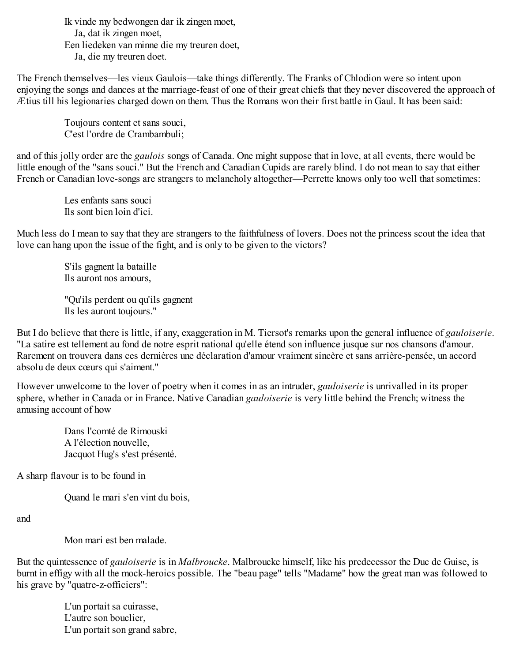Ik vinde my bedwongen dar ik zingen moet, Ja, dat ik zingen moet, Een liedeken van minne die my treuren doet, Ja, die my treuren doet.

The French themselves—les vieux Gaulois—take things differently. The Franks of Chlodion were so intent upon enjoying the songs and dances at the marriage-feast of one of their great chiefs that they never discovered the approach of Ætius till his legionaries charged down on them. Thus the Romans won their first battle in Gaul. It has been said:

Toujours content et sans souci, C'est l'ordre de Crambambuli;

and of this jolly order are the *gaulois* songs of Canada. One might suppose that in love, at all events, there would be little enough of the "sans souci." But the French and Canadian Cupids are rarely blind. I do not mean to say that either French or Canadian love-songs are strangers to melancholy altogether—Perrette knows only too well that sometimes:

> Les enfants sans souci Ils sont bien loin d'ici.

Much less do I mean to say that they are strangers to the faithfulness of lovers. Does not the princess scout the idea that love can hang upon the issue of the fight, and is only to be given to the victors?

S'ils gagnent la bataille Ils auront nos amours,

"Qu'ils perdent ou qu'ils gagnent Ils les auront toujours."

But I do believe that there is little, if any, exaggeration in M. Tiersot's remarks upon the general influence of *gauloiserie*. "La satire est tellement au fond de notre esprit national qu'elle étend son influence jusque sur nos chansons d'amour. Rarement on trouvera dans ces dernières une déclaration d'amour vraiment sincère et sans arrière-pensée, un accord absolu de deux cœurs qui s'aiment."

However unwelcome to the lover of poetry when it comes in as an intruder, *gauloiserie* is unrivalled in its proper sphere, whether in Canada or in France. Native Canadian *gauloiserie* is very little behind the French; witness the amusing account of how

> Dans l'comté de Rimouski A l'élection nouvelle, Jacquot Hug's s'est présenté.

A sharp flavour is to be found in

Quand le mari s'en vint du bois,

and

Mon mari est ben malade.

But the quintessence of *gauloiserie* is in *Malbroucke*. Malbroucke himself, like his predecessor the Duc de Guise, is burnt in effigy with all the mock-heroics possible. The "beau page" tells "Madame" how the great man was followed to his grave by "quatre-z-officiers":

L'un portait sa cuirasse, L'autre son bouclier, L'un portait son grand sabre,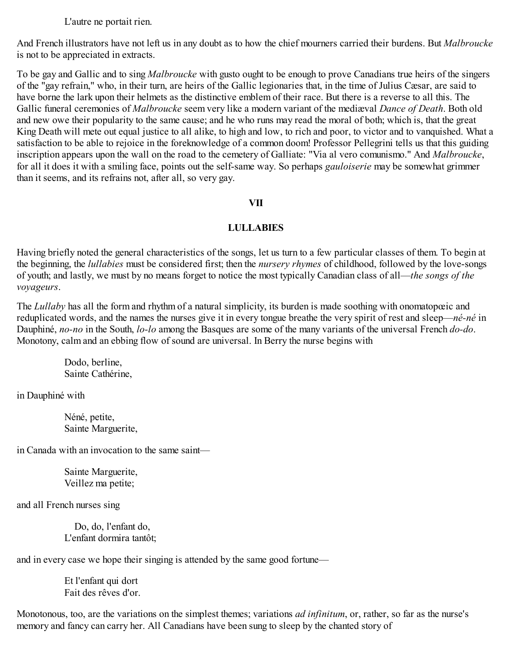L'autre ne portait rien.

And French illustrators have not left us in any doubt as to how the chief mourners carried their burdens. But *Malbroucke* is not to be appreciated in extracts.

To be gay and Gallic and to sing *Malbroucke* with gusto ought to be enough to prove Canadians true heirs of the singers of the "gay refrain," who, in their turn, are heirs of the Gallic legionaries that, in the time of Julius Cæsar, are said to have borne the lark upon their helmets as the distinctive emblem of their race. But there is a reverse to all this. The Gallic funeral ceremonies of *Malbroucke* seem very like a modern variant of the mediæval *Dance of Death*. Both old and new owe their popularity to the same cause; and he who runs may read the moral of both; which is, that the great King Death will mete out equal justice to all alike, to high and low, to rich and poor, to victor and to vanquished. What a satisfaction to be able to rejoice in the foreknowledge of a common doom! Professor Pellegrini tells us that this guiding inscription appears upon the wall on the road to the cemetery of Galliate: "Via al vero comunismo." And *Malbroucke*, for all it does it with a smiling face, points out the self-same way. So perhaps *gauloiserie* may be somewhat grimmer than it seems, and its refrains not, after all, so very gay.

#### **VII**

## **LULLABIES**

Having briefly noted the general characteristics of the songs, let us turn to a few particular classes of them. To begin at the beginning, the *lullabies* must be considered first; then the *nursery rhymes* of childhood, followed by the love-songs of youth; and lastly, we must by no means forget to notice the most typically Canadian class of all—*the songs of the voyageurs*.

The *Lullaby* has all the form and rhythm of a natural simplicity, its burden is made soothing with onomatopœic and reduplicated words, and the names the nurses give it in every tongue breathe the very spirit of rest and sleep—*né-né* in Dauphiné, *no-no* in the South, *lo-lo* among the Basques are some of the many variants of the universal French *do-do*. Monotony, calm and an ebbing flow of sound are universal. In Berry the nurse begins with

> Dodo, berline, Sainte Cathérine,

in Dauphiné with

Néné, petite, Sainte Marguerite,

in Canada with an invocation to the same saint—

Sainte Marguerite, Veillez ma petite;

and all French nurses sing

Do, do, l'enfant do, L'enfant dormira tantôt;

and in every case we hope their singing is attended by the same good fortune—

Et l'enfant qui dort Fait des rêves d'or.

Monotonous, too, are the variations on the simplest themes; variations *ad infinitum*, or, rather, so far as the nurse's memory and fancy can carry her. All Canadians have been sung to sleep by the chanted story of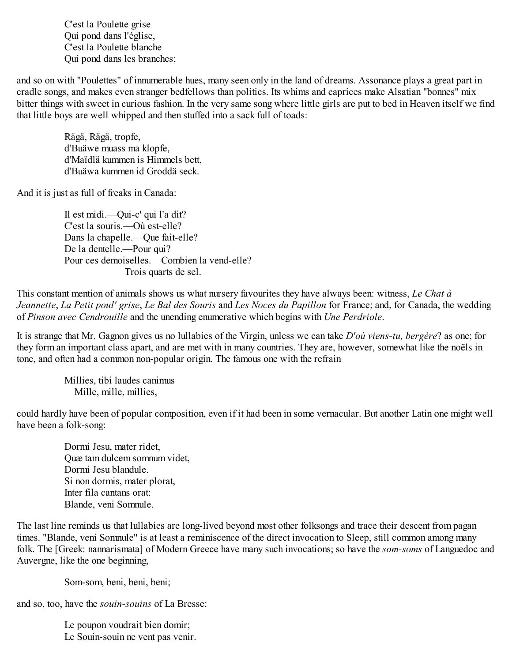C'est la Poulette grise Qui pond dans l'église, C'est la Poulette blanche Qui pond dans les branches;

and so on with "Poulettes" of innumerable hues, many seen only in the land of dreams. Assonance plays a great part in cradle songs, and makes even stranger bedfellows than politics. Its whims and caprices make Alsatian "bonnes" mix bitter things with sweet in curious fashion. In the very same song where little girls are put to bed in Heaven itself we find that little boys are well whipped and then stuffed into a sack full of toads:

Rägä, Rägä, tropfe, d'Buäwe muass ma klopfe, d'Maïdlä kummen is Himmels bett, d'Buäwa kummen id Groddä seck.

And it is just as full of freaks in Canada:

Il est midi.—Qui-c' qui l'a dit? C'est la souris.—Où est-elle? Dans la chapelle.—Que fait-elle? De la dentelle.—Pour qui? Pour ces demoiselles.—Combien la vend-elle? Trois quarts de sel.

This constant mention of animals shows us what nursery favourites they have always been: witness, *Le Chat à Jeannette*, *La Petit poul' grise*, *Le Bal des Souris* and *Les Noces du Papillon* for France; and, for Canada, the wedding of *Pinson avec Cendrouille* and the unending enumerative which begins with *Une Perdriole*.

It is strange that Mr. Gagnon gives us no lullabies of the Virgin, unless we can take *D'où viens-tu, bergère*? as one; for they form an important class apart, and are met with in many countries. They are, however, somewhat like the noëls in tone, and often had a common non-popular origin. The famous one with the refrain

> Millies, tibi laudes canimus Mille, mille, millies,

could hardly have been of popular composition, even if it had been in some vernacular. But another Latin one might well have been a folk-song:

Dormi Jesu, mater ridet, Quæ tam dulcem somnum videt, Dormi Jesu blandule. Si non dormis, mater plorat, Inter fila cantans orat: Blande, veni Somnule.

The last line reminds us that lullabies are long-lived beyond most other folksongs and trace their descent from pagan times. "Blande, veni Somnule" is at least a reminiscence of the direct invocation to Sleep, still common among many folk. The [Greek: nannarismata] of Modern Greece have many such invocations; so have the *som-soms* of Languedoc and Auvergne, like the one beginning,

Som-som, beni, beni, beni;

and so, too, have the *souin-souins* of La Bresse:

Le poupon voudrait bien domir; Le Souin-souin ne vent pas venir.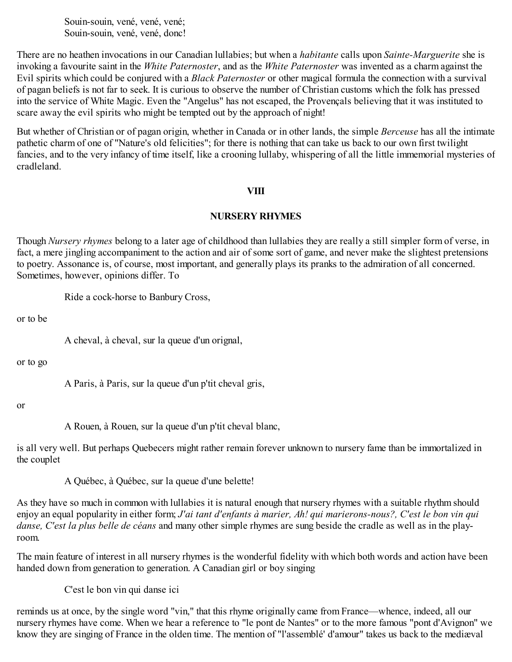Souin-souin, vené, vené, vené; Souin-souin, vené, vené, donc!

There are no heathen invocations in our Canadian lullabies; but when a *habitante* calls upon *Sainte-Marguerite* she is invoking a favourite saint in the *White Paternoster*, and as the *White Paternoster* was invented as a charm against the Evil spirits which could be conjured with a *Black Paternoster* or other magical formula the connection with a survival of pagan beliefs is not far to seek. It is curious to observe the number of Christian customs which the folk has pressed into the service of White Magic. Even the "Angelus" has not escaped, the Provençals believing that it was instituted to scare away the evil spirits who might be tempted out by the approach of night!

But whether of Christian or of pagan origin, whether in Canada or in other lands, the simple *Berceuse* has all the intimate pathetic charm of one of "Nature's old felicities"; for there is nothing that can take us back to our own first twilight fancies, and to the very infancy of time itself, like a crooning lullaby, whispering of all the little immemorial mysteries of cradleland.

#### **VIII**

#### **NURSERY RHYMES**

Though *Nursery rhymes* belong to a later age of childhood than lullabies they are really a still simpler form of verse, in fact, a mere jingling accompaniment to the action and air of some sort of game, and never make the slightest pretensions to poetry. Assonance is, of course, most important, and generally plays its pranks to the admiration of all concerned. Sometimes, however, opinions differ. To

Ride a cock-horse to Banbury Cross,

or to be

A cheval, à cheval, sur la queue d'un orignal,

or to go

A Paris, à Paris, sur la queue d'un p'tit cheval gris,

or

A Rouen, à Rouen, sur la queue d'un p'tit cheval blanc,

is all very well. But perhaps Quebecers might rather remain forever unknown to nursery fame than be immortalized in the couplet

A Québec, à Québec, sur la queue d'une belette!

As they have so much in common with lullabies it is natural enough that nursery rhymes with a suitable rhythm should enjoy an equal popularity in either form; *J'ai tant d'enfants à marier, Ah! qui marierons-nous?, C'est le bon vin qui danse, C'est la plus belle de céans* and many other simple rhymes are sung beside the cradle as well as in the playroom.

The main feature of interest in all nursery rhymes is the wonderful fidelity with which both words and action have been handed down from generation to generation. A Canadian girl or boy singing

C'est le bon vin qui danse ici

reminds us at once, by the single word "vin," that this rhyme originally came from France—whence, indeed, all our nursery rhymes have come. When we hear a reference to "le pont de Nantes" or to the more famous "pont d'Avignon" we know they are singing of France in the olden time. The mention of "l'assemblé' d'amour" takes us back to the mediæval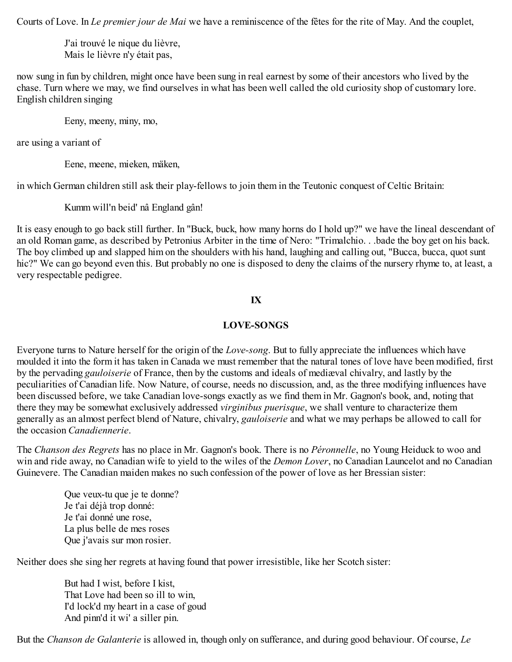Courts of Love. In *Le premier jour de Mai* we have a reminiscence of the fêtes for the rite of May. And the couplet,

J'ai trouvé le nique du lièvre, Mais le lièvre n'y était pas,

now sung in fun by children, might once have been sung in real earnest by some of their ancestors who lived by the chase. Turn where we may, we find ourselves in what has been well called the old curiosity shop of customary lore. English children singing

Eeny, meeny, miny, mo,

are using a variant of

Eene, meene, mieken, mäken,

in which German children still ask their play-fellows to join them in the Teutonic conquest of Celtic Britain:

Kumm will'n beid' nâ England gân!

It is easy enough to go back still further. In "Buck, buck, how many horns do I hold up?" we have the lineal descendant of an old Roman game, as described by Petronius Arbiter in the time of Nero: "Trimalchio. . .bade the boy get on his back. The boy climbed up and slapped him on the shoulders with his hand, laughing and calling out, "Bucca, bucca, quot sunt hic?" We can go beyond even this. But probably no one is disposed to deny the claims of the nursery rhyme to, at least, a very respectable pedigree.

## **IX**

## **LOVE-SONGS**

Everyone turns to Nature herself for the origin of the *Love-song*. But to fully appreciate the influences which have moulded it into the form it has taken in Canada we must remember that the natural tones of love have been modified, first by the pervading *gauloiserie* of France, then by the customs and ideals of mediæval chivalry, and lastly by the peculiarities of Canadian life. Now Nature, of course, needs no discussion, and, as the three modifying influences have been discussed before, we take Canadian love-songs exactly as we find them in Mr. Gagnon's book, and, noting that there they may be somewhat exclusively addressed *virginibus puerisque*, we shall venture to characterize them generally as an almost perfect blend of Nature, chivalry, *gauloiserie* and what we may perhaps be allowed to call for the occasion *Canadiennerie*.

The *Chanson des Regrets* has no place in Mr. Gagnon's book. There is no *Péronnelle*, no Young Heiduck to woo and win and ride away, no Canadian wife to yield to the wiles of the *Demon Lover*, no Canadian Launcelot and no Canadian Guinevere. The Canadian maiden makes no such confession of the power of love as her Bressian sister:

Que veux-tu que je te donne? Je t'ai déjà trop donné: Je t'ai donné une rose, La plus belle de mes roses Que j'avais sur mon rosier.

Neither does she sing her regrets at having found that power irresistible, like her Scotch sister:

But had I wist, before I kist, That Love had been so ill to win, I'd lock'd my heart in a case of goud And pinn'd it wi' a siller pin.

But the *Chanson de Galanterie* is allowed in, though only on sufferance, and during good behaviour. Of course, *Le*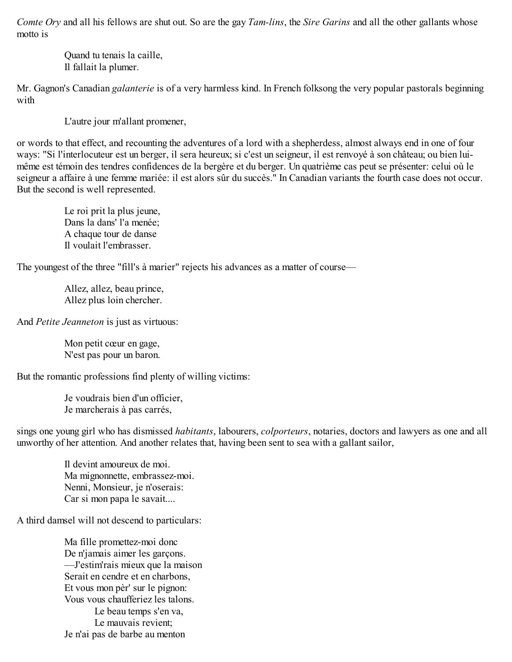*Comte Ory* and all his fellows are shut out. So are the gay *Tam-lins*, the *Sire Garins* and all the other gallants whose motto is

> Quand tu tenais la caille, Il fallait la plumer.

Mr. Gagnon's Canadian *galanterie* is of a very harmless kind. In French folksong the very popular pastorals beginning with

L'autre jour m'allant promener,

or words to that effect, and recounting the adventures of a lord with a shepherdess, almost always end in one of four ways: "Si l'interlocuteur est un berger, il sera heureux; si c'est un seigneur, il est renvoyé à son château; ou bien luimême est témoin des tendres confidences de la bergère et du berger. Un quatrième cas peut se présenter: celui où le seigneur a affaire à une femme mariée: il est alors sûr du succès." In Canadian variants the fourth case does not occur. But the second is well represented.

> Le roi prit la plus jeune, Dans la dans' l'a menée; A chaque tour de danse Il voulait l'embrasser.

The youngest of the three "fill's à marier" rejects his advances as a matter of course—

Allez, allez, beau prince, Allez plus loin chercher.

And *Petite Jeanneton* is just as virtuous:

Mon petit cœur en gage, N'est pas pour un baron.

But the romantic professions find plenty of willing victims:

Je voudrais bien d'un officier, Je marcherais à pas carrés,

sings one young girl who has dismissed *habitants*, labourers, *colporteurs*, notaries, doctors and lawyers as one and all unworthy of her attention. And another relates that, having been sent to sea with a gallant sailor,

> Il devint amoureux de moi. Ma mignonnette, embrassez-moi. Nenni, Monsieur, je n'oserais: Car si mon papa le savait....

A third damsel will not descend to particulars:

Ma fille promettez-moi donc De n'jamais aimer les garçons. —J'estim'rais mieux que la maison Serait en cendre et en charbons, Et vous mon pèr' sur le pignon: Vous vous chaufferiez les talons. Le beau temps s'en va, Le mauvais revient; Je n'ai pas de barbe au menton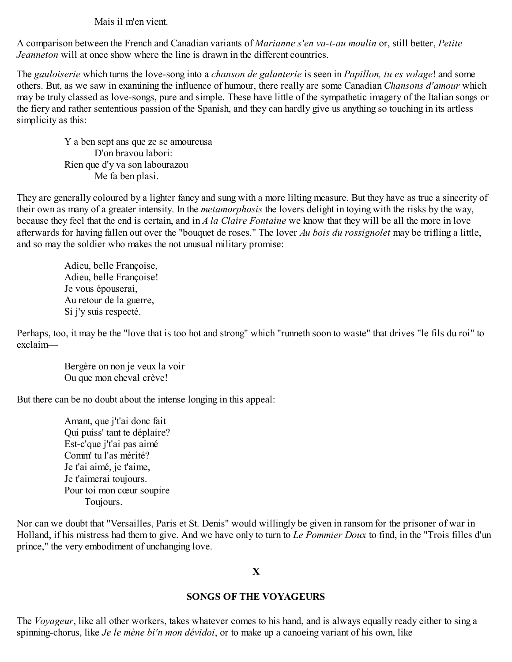Mais il m'en vient.

A comparison between the French and Canadian variants of *Marianne s'en va-t-au moulin* or, still better, *Petite Jeanneton* will at once show where the line is drawn in the different countries.

The *gauloiserie* which turns the love-song into a *chanson de galanterie* is seen in *Papillon, tu es volage*! and some others. But, as we saw in examining the influence of humour, there really are some Canadian *Chansons d'amour* which may be truly classed as love-songs, pure and simple. These have little of the sympathetic imagery of the Italian songs or the fiery and rather sententious passion of the Spanish, and they can hardly give us anything so touching in its artless simplicity as this:

Y a ben sept ans que ze se amoureusa D'on bravou labori: Rien que d'y va son labourazou Me fa ben plasi.

They are generally coloured by a lighter fancy and sung with a more lilting measure. But they have as true a sincerity of their own as many of a greater intensity. In the *metamorphosis* the lovers delight in toying with the risks by the way, because they feel that the end is certain, and in *A la Claire Fontaine* we know that they will be all the more in love afterwards for having fallen out over the "bouquet de roses." The lover *Au bois du rossignolet* may be trifling a little, and so may the soldier who makes the not unusual military promise:

> Adieu, belle Françoise, Adieu, belle Françoise! Je vous épouserai, Au retour de la guerre, Si j'y suis respecté.

Perhaps, too, it may be the "love that is too hot and strong" which "runneth soon to waste" that drives "le fils du roi" to exclaim—

> Bergère on non je veux la voir Ou que mon cheval crève!

But there can be no doubt about the intense longing in this appeal:

Amant, que j't'ai donc fait Qui puiss' tant te déplaire? Est-c'que j't'ai pas aimé Comm' tu l'as mérité? Je t'ai aimé, je t'aime, Je t'aimerai toujours. Pour toi mon cœur soupire Toujours.

Nor can we doubt that "Versailles, Paris et St. Denis" would willingly be given in ransom for the prisoner of war in Holland, if his mistress had them to give. And we have only to turn to *Le Pommier Doux* to find, in the "Trois filles d'un prince," the very embodiment of unchanging love.

## **X**

## **SONGS OF THE VOYAGEURS**

The *Voyageur*, like all other workers, takes whatever comes to his hand, and is always equally ready either to sing a spinning-chorus, like *Je le mène bi'n mon dévidoi*, or to make up a canoeing variant of his own, like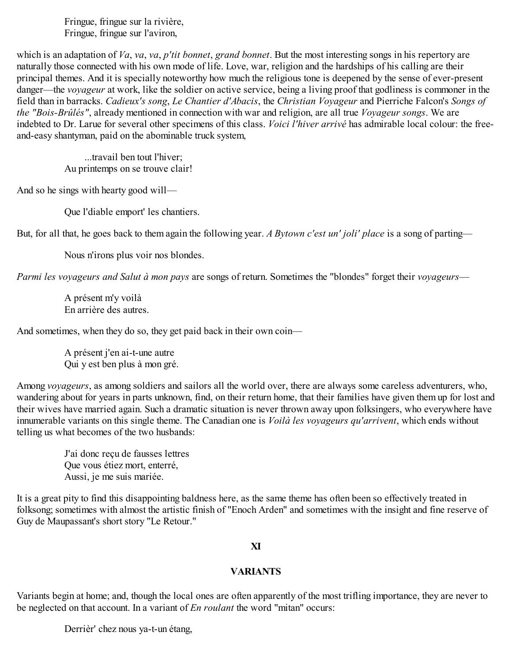Fringue, fringue sur la rivière, Fringue, fringue sur l'aviron,

which is an adaptation of *Va*, *va*, *va*, *p'tit bonnet*, *grand bonnet*. But the most interesting songs in his repertory are naturally those connected with his own mode of life. Love, war, religion and the hardships of his calling are their principal themes. And it is specially noteworthy how much the religious tone is deepened by the sense of ever-present danger—the *voyageur* at work, like the soldier on active service, being a living proof that godliness is commoner in the field than in barracks. *Cadieux's song*, *Le Chantier d'Abacis*, the *Christian Voyageur* and Pierriche Falcon's *Songs of the "Bois-Brûlés"*, already mentioned in connection with war and religion, are all true *Voyageur songs*. We are indebted to Dr. Larue for several other specimens of this class. *Voici l'hiver arrivé* has admirable local colour: the freeand-easy shantyman, paid on the abominable truck system,

> ...travail ben tout l'hiver; Au printemps on se trouve clair!

And so he sings with hearty good will—

Que l'diable emport' les chantiers.

But, for all that, he goes back to them again the following year. *A Bytown c'est un' joli' place* is a song of parting—

Nous n'irons plus voir nos blondes.

*Parmi les voyageurs and Salut à mon pays* are songs of return. Sometimes the "blondes" forget their *voyageurs*—

A présent m'y voilà En arrière des autres.

And sometimes, when they do so, they get paid back in their own coin—

A présent j'en ai-t-une autre Qui y est ben plus à mon gré.

Among *voyageurs*, as among soldiers and sailors all the world over, there are always some careless adventurers, who, wandering about for years in parts unknown, find, on their return home, that their families have given them up for lost and their wives have married again. Such a dramatic situation is never thrown away upon folksingers, who everywhere have innumerable variants on this single theme. The Canadian one is *Voilà les voyageurs qu'arrivent*, which ends without telling us what becomes of the two husbands:

J'ai donc reçu de fausses lettres Que vous étiez mort, enterré, Aussi, je me suis mariée.

It is a great pity to find this disappointing baldness here, as the same theme has often been so effectively treated in folksong; sometimes with almost the artistic finish of "Enoch Arden" and sometimes with the insight and fine reserve of Guy de Maupassant's short story "Le Retour."

#### **XI**

## **VARIANTS**

Variants begin at home; and, though the local ones are often apparently of the most trifling importance, they are never to be neglected on that account. In a variant of *En roulant* the word "mitan" occurs:

Derrièr' chez nous ya-t-un étang,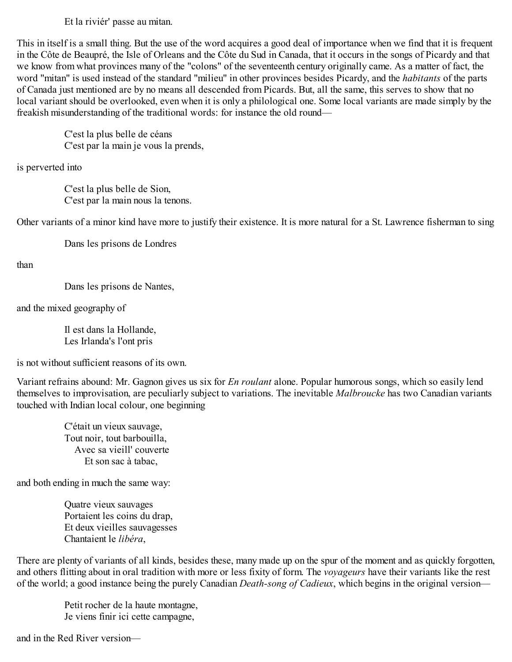Et la riviér' passe au mitan.

This in itself is a small thing. But the use of the word acquires a good deal of importance when we find that it is frequent in the Côte de Beaupré, the Isle of Orleans and the Côte du Sud in Canada, that it occurs in the songs of Picardy and that we know from what provinces many of the "colons" of the seventeenth century originally came. As a matter of fact, the word "mitan" is used instead of the standard "milieu" in other provinces besides Picardy, and the *habitants* of the parts of Canada just mentioned are by no means all descended from Picards. But, all the same, this serves to show that no local variant should be overlooked, even when it is only a philological one. Some local variants are made simply by the freakish misunderstanding of the traditional words: for instance the old round—

C'est la plus belle de céans C'est par la main je vous la prends,

is perverted into

C'est la plus belle de Sion, C'est par la main nous la tenons.

Other variants of a minor kind have more to justify their existence. It is more natural for a St. Lawrence fisherman to sing

Dans les prisons de Londres

than

Dans les prisons de Nantes,

and the mixed geography of

Il est dans la Hollande, Les Irlanda's l'ont pris

is not without sufficient reasons of its own.

Variant refrains abound: Mr. Gagnon gives us six for *En roulant* alone. Popular humorous songs, which so easily lend themselves to improvisation, are peculiarly subject to variations. The inevitable *Malbroucke* has two Canadian variants touched with Indian local colour, one beginning

C'était un vieux sauvage, Tout noir, tout barbouilla, Avec sa vieill' couverte Et son sac à tabac,

and both ending in much the same way:

Quatre vieux sauvages Portaient les coins du drap, Et deux vieilles sauvagesses Chantaient le *libéra*,

There are plenty of variants of all kinds, besides these, many made up on the spur of the moment and as quickly forgotten, and others flitting about in oral tradition with more or less fixity of form. The *voyageurs* have their variants like the rest of the world; a good instance being the purely Canadian *Death-song of Cadieux*, which begins in the original version—

Petit rocher de la haute montagne, Je viens finir ici cette campagne,

and in the Red River version—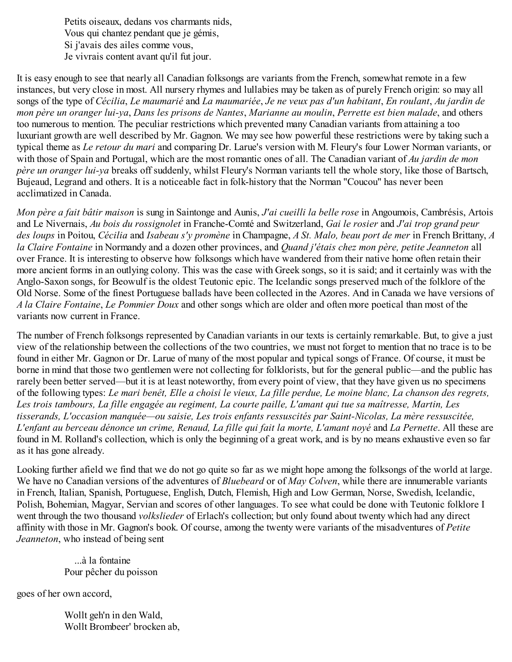Petits oiseaux, dedans vos charmants nids, Vous qui chantez pendant que je gémis, Si j'avais des ailes comme vous, Je vivrais content avant qu'il fut jour.

It is easy enough to see that nearly all Canadian folksongs are variants from the French, somewhat remote in a few instances, but very close in most. All nursery rhymes and lullabies may be taken as of purely French origin: so may all songs of the type of Cécilia, Le maumarié and La maumariée, Je ne veux pas d'un habitant, En roulant, Au jardin de mon père un oranger lui-va, Dans les prisons de Nantes, Marianne au moulin, Perrette est bien malade, and others too numerous to mention. The peculiar restrictions which prevented many Canadian variants from attaining a too luxuriant growth are well described by Mr. Gagnon. We may see how powerful these restrictions were by taking such a typical theme as *Le retour du mari* and comparing Dr. Larue's version with M. Fleury's four Lower Norman variants, or with those of Spain and Portugal, which are the most romantic ones of all. The Canadian variant of *Au jardin de mon père un oranger lui-ya* breaks off suddenly, whilst Fleury's Norman variants tell the whole story, like those of Bartsch, Bujeaud, Legrand and others. It is a noticeable fact in folk-history that the Norman "Coucou" has never been acclimatized in Canada.

*Mon père a fait bâtir maison* is sung in Saintonge and Aunis, *J'ai cueilli la belle rose* in Angoumois, Cambrésis, Artois and Le Nivernais, *Au bois du rossignolet* in Franche-Comté and Switzerland, *Gai le rosier* and *J'ai trop grand peur des loups* in Poitou, *Cécilia* and *Isabeau s'y promène* in Champagne, *A St. Malo, beau port de mer* in French Brittany, *A la Claire Fontaine* in Normandy and a dozen other provinces, and *Quand j'étais chez mon père, petite Jeanneton* all over France. It is interesting to observe how folksongs which have wandered from their native home often retain their more ancient forms in an outlying colony. This was the case with Greek songs, so it is said; and it certainly was with the Anglo-Saxon songs, for Beowulf is the oldest Teutonic epic. The Icelandic songs preserved much of the folklore of the Old Norse. Some of the finest Portuguese ballads have been collected in the Azores. And in Canada we have versions of *A la Claire Fontaine*, *Le Pommier Doux* and other songs which are older and often more poetical than most of the variants now current in France.

The number of French folksongs represented by Canadian variants in our texts is certainly remarkable. But, to give a just view of the relationship between the collections of the two countries, we must not forget to mention that no trace is to be found in either Mr. Gagnon or Dr. Larue of many of the most popular and typical songs of France. Of course, it must be borne in mind that those two gentlemen were not collecting for folklorists, but for the general public—and the public has rarely been better served—but it is at least noteworthy, from every point of view, that they have given us no specimens of the following types: Le mari benêt, Elle a choisi le vieux, La fille perdue, Le moine blanc, La chanson des regrets, Les trois tambours, La fille engagée au regiment, La courte paille, L'amant qui tue sa maîtresse, Martin, Les *tisserands, L'occasion manquée—ou saisie, Les trois enfants ressuscités par Saint-Nicolas, La mère ressuscitée,* L'enfant au berceau dénonce un crime, Renaud, La fille qui fait la morte, L'amant noyé and La Pernette. All these are found in M. Rolland's collection, which is only the beginning of a great work, and is by no means exhaustive even so far as it has gone already.

Looking further afield we find that we do not go quite so far as we might hope among the folksongs of the world at large. We have no Canadian versions of the adventures of *Bluebeard* or of *May Colven*, while there are innumerable variants in French, Italian, Spanish, Portuguese, English, Dutch, Flemish, High and Low German, Norse, Swedish, Icelandic, Polish, Bohemian, Magyar, Servian and scores of other languages. To see what could be done with Teutonic folklore I went through the two thousand *volkslieder* of Erlach's collection; but only found about twenty which had any direct affinity with those in Mr. Gagnon's book. Of course, among the twenty were variants of the misadventures of *Petite Jeanneton*, who instead of being sent

...à la fontaine Pour pêcher du poisson

goes of her own accord,

Wollt geh'n in den Wald, Wollt Brombeer' brocken ab,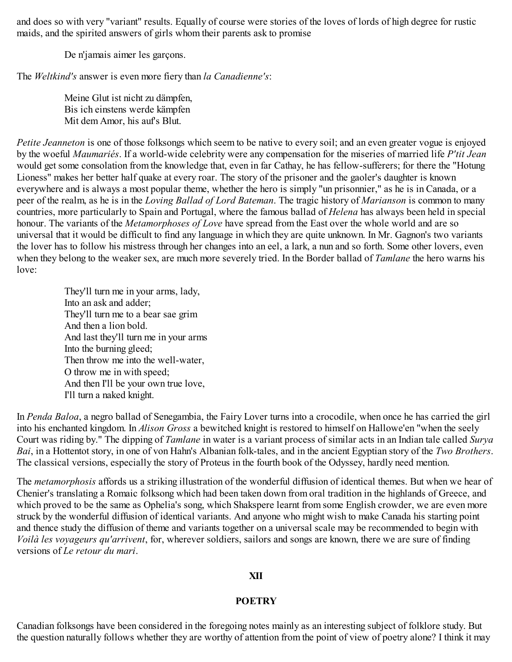and does so with very "variant" results. Equally of course were stories of the loves of lords of high degree for rustic maids, and the spirited answers of girls whom their parents ask to promise

De n'jamais aimer les garçons.

The *Weltkind's* answer is even more fiery than *la Canadienne's*:

Meine Glut ist nicht zu dämpfen, Bis ich einstens werde kämpfen Mit dem Amor, his auf's Blut.

*Petite Jeanneton* is one of those folksongs which seem to be native to every soil; and an even greater vogue is enjoyed by the woeful *Maumariés*. If a world-wide celebrity were any compensation for the miseries of married life *P'tit Jean* would get some consolation from the knowledge that, even in far Cathay, he has fellow-sufferers; for there the "Hotung Lioness" makes her better half quake at every roar. The story of the prisoner and the gaoler's daughter is known everywhere and is always a most popular theme, whether the hero is simply "un prisonnier," as he is in Canada, or a peer of the realm, as he is in the *Loving Ballad of Lord Bateman*. The tragic history of *Marianson* is common to many countries, more particularly to Spain and Portugal, where the famous ballad of *Helena* has always been held in special honour. The variants of the *Metamorphoses of Love* have spread from the East over the whole world and are so universal that it would be difficult to find any language in which they are quite unknown. In Mr. Gagnon's two variants the lover has to follow his mistress through her changes into an eel, a lark, a nun and so forth. Some other lovers, even when they belong to the weaker sex, are much more severely tried. In the Border ballad of *Tamlane* the hero warns his love:

> They'll turn me in your arms, lady, Into an ask and adder; They'll turn me to a bear sae grim And then a lion bold. And last they'll turn me in your arms Into the burning gleed; Then throw me into the well-water, O throw me in with speed; And then I'll be your own true love, I'll turn a naked knight.

In *Penda Baloa*, a negro ballad of Senegambia, the Fairy Lover turns into a crocodile, when once he has carried the girl into his enchanted kingdom. In *Alison Gross* a bewitched knight is restored to himself on Hallowe'en "when the seely Court was riding by." The dipping of *Tamlane* in water is a variant process of similar acts in an Indian tale called *Surya Bai*, in a Hottentot story, in one of von Hahn's Albanian folk-tales, and in the ancient Egyptian story of the *Two Brothers*. The classical versions, especially the story of Proteus in the fourth book of the Odyssey, hardly need mention.

The *metamorphosis* affords us a striking illustration of the wonderful diffusion of identical themes. But when we hear of Chenier's translating a Romaic folksong which had been taken down from oral tradition in the highlands of Greece, and which proved to be the same as Ophelia's song, which Shakspere learnt from some English crowder, we are even more struck by the wonderful diffusion of identical variants. And anyone who might wish to make Canada his starting point and thence study the diffusion of theme and variants together on a universal scale may be recommended to begin with *Voilà les voyageurs qu'arrivent*, for, wherever soldiers, sailors and songs are known, there we are sure of finding versions of *Le retour du mari*.

#### **XII**

#### **POETRY**

Canadian folksongs have been considered in the foregoing notes mainly as an interesting subject of folklore study. But the question naturally follows whether they are worthy of attention from the point of view of poetry alone? I think it may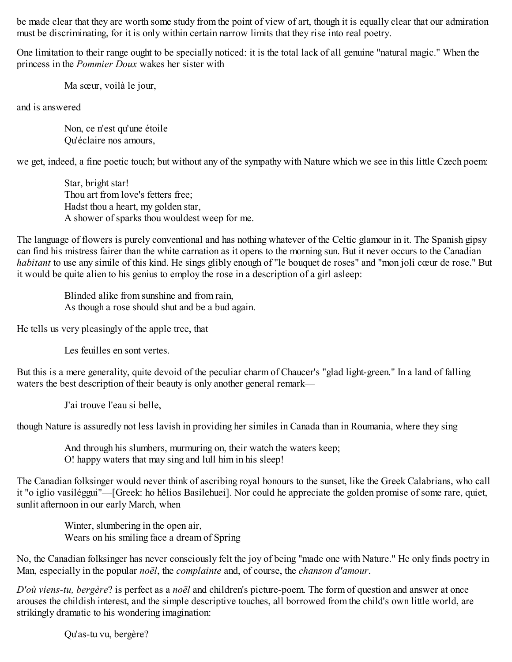be made clear that they are worth some study from the point of view of art, though it is equally clear that our admiration must be discriminating, for it is only within certain narrow limits that they rise into real poetry.

One limitation to their range ought to be specially noticed: it is the total lack of all genuine "natural magic." When the princess in the *Pommier Doux* wakes her sister with

Ma sœur, voilà le jour,

and is answered

Non, ce n'est qu'une étoile Qu'éclaire nos amours,

we get, indeed, a fine poetic touch; but without any of the sympathy with Nature which we see in this little Czech poem:

Star, bright star! Thou art from love's fetters free; Hadst thou a heart, my golden star, A shower of sparks thou wouldest weep for me.

The language of flowers is purely conventional and has nothing whatever of the Celtic glamour in it. The Spanish gipsy can find his mistress fairer than the white carnation as it opens to the morning sun. But it never occurs to the Canadian *habitant* to use any simile of this kind. He sings glibly enough of "le bouquet de roses" and "mon joli cœur de rose." But it would be quite alien to his genius to employ the rose in a description of a girl asleep:

Blinded alike from sunshine and from rain, As though a rose should shut and be a bud again.

He tells us very pleasingly of the apple tree, that

Les feuilles en sont vertes.

But this is a mere generality, quite devoid of the peculiar charm of Chaucer's "glad light-green." In a land of falling waters the best description of their beauty is only another general remark—

J'ai trouve l'eau si belle,

though Nature is assuredly not less lavish in providing her similes in Canada than in Roumania, where they sing—

And through his slumbers, murmuring on, their watch the waters keep; O! happy waters that may sing and lull him in his sleep!

The Canadian folksinger would never think of ascribing royal honours to the sunset, like the Greek Calabrians, who call it "o iglio vasiléggui"—[Greek: ho hêlios Basilehuei]. Nor could he appreciate the golden promise of some rare, quiet, sunlit afternoon in our early March, when

> Winter, slumbering in the open air, Wears on his smiling face a dream of Spring

No, the Canadian folksinger has never consciously felt the joy of being "made one with Nature." He only finds poetry in Man, especially in the popular *noël*, the *complainte* and, of course, the *chanson d'amour*.

*D'où viens-tu, bergère*? is perfect as a *noël* and children's picture-poem. The form of question and answer at once arouses the childish interest, and the simple descriptive touches, all borrowed from the child's own little world, are strikingly dramatic to his wondering imagination:

Qu'as-tu vu, bergère?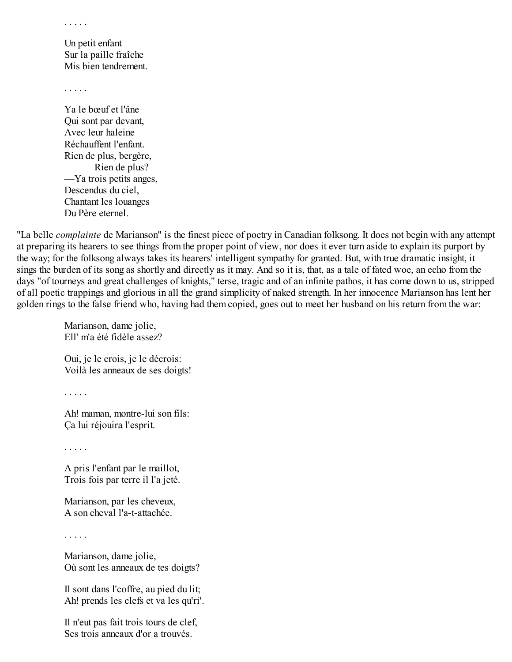. . . . .

Un petit enfant Sur la paille fraîche Mis bien tendrement.

. . . . .

Ya le bœuf et l'âne Qui sont par devant, Avec leur haleine Réchauffent l'enfant. Rien de plus, bergère, Rien de plus? —Ya trois petits anges, Descendus du ciel, Chantant les louanges Du Père eternel.

"La belle *complainte* de Marianson" is the finest piece of poetry in Canadian folksong. It does not begin with any attempt at preparing its hearers to see things from the proper point of view, nor does it ever turn aside to explain its purport by the way; for the folksong always takes its hearers' intelligent sympathy for granted. But, with true dramatic insight, it sings the burden of its song as shortly and directly as it may. And so it is, that, as a tale of fated woe, an echo from the days "of tourneys and great challenges of knights," terse, tragic and of an infinite pathos, it has come down to us, stripped of all poetic trappings and glorious in all the grand simplicity of naked strength. In her innocence Marianson has lent her golden rings to the false friend who, having had them copied, goes out to meet her husband on his return from the war:

Marianson, dame jolie, Ell' m'a été fidèle assez?

Oui, je le crois, je le décrois: Voilà les anneaux de ses doigts!

. . . . .

Ah! maman, montre-lui son fils: Ça lui réjouira l'esprit.

. . . . .

A pris l'enfant par le maillot, Trois fois par terre il l'a jeté.

Marianson, par les cheveux, A son cheval l'a-t-attachée.

. . . . .

Marianson, dame jolie, Où sont les anneaux de tes doigts?

Il sont dans l'coffre, au pied du lit; Ah! prends les clefs et va les qu'ri'.

Il n'eut pas fait trois tours de clef, Ses trois anneaux d'or a trouvés.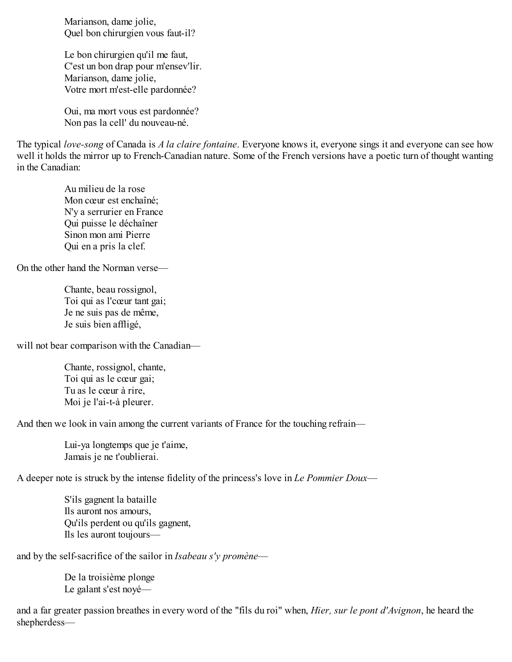Marianson, dame jolie, Quel bon chirurgien vous faut-il?

Le bon chirurgien qu'il me faut, C'est un bon drap pour m'ensev'lir. Marianson, dame jolie, Votre mort m'est-elle pardonnée?

Oui, ma mort vous est pardonnée? Non pas la cell' du nouveau-né.

The typical *love-song* of Canada is *A la claire fontaine*. Everyone knows it, everyone sings it and everyone can see how well it holds the mirror up to French-Canadian nature. Some of the French versions have a poetic turn of thought wanting in the Canadian:

Au milieu de la rose Mon cœur est enchaîné; N'y a serrurier en France Qui puisse le déchaîner Sinon mon ami Pierre Qui en a pris la clef.

On the other hand the Norman verse—

Chante, beau rossignol, Toi qui as l'cœur tant gai; Je ne suis pas de même, Je suis bien affligé,

will not bear comparison with the Canadian—

Chante, rossignol, chante, Toi qui as le cœur gai; Tu as le cœur à rire, Moi je l'ai-t-à pleurer.

And then we look in vain among the current variants of France for the touching refrain—

Lui-ya longtemps que je t'aime, Jamais je ne t'oublierai.

A deeper note is struck by the intense fidelity of the princess's love in *Le Pommier Doux*—

S'ils gagnent la bataille Ils auront nos amours, Qu'ils perdent ou qu'ils gagnent, Ils les auront toujours—

and by the self-sacrifice of the sailor in *Isabeau s'y promène*—

De la troisième plonge Le galant s'est noyé—

and a far greater passion breathes in every word of the "fils du roi" when, *Hier, sur le pont d'Avignon*, he heard the shepherdess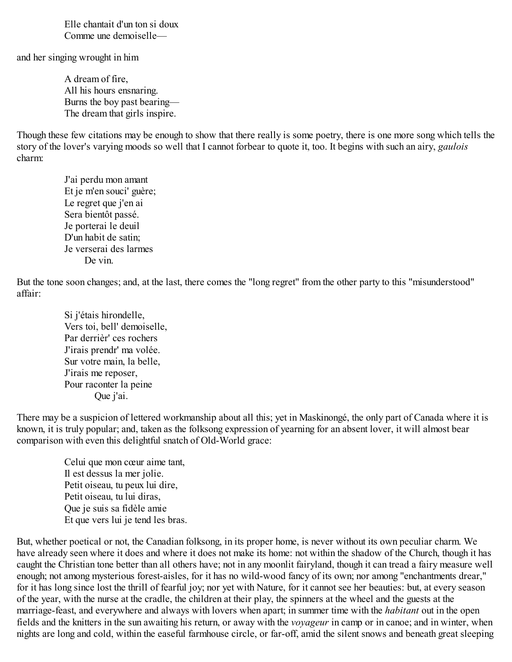Elle chantait d'un ton si doux Comme une demoiselle—

and her singing wrought in him

A dream of fire, All his hours ensnaring. Burns the boy past bearing— The dream that girls inspire.

Though these few citations may be enough to show that there really is some poetry, there is one more song which tells the story of the lover's varying moods so well that I cannot forbear to quote it, too. It begins with such an airy, *gaulois* charm:

J'ai perdu mon amant Et je m'en souci' guère; Le regret que j'en ai Sera bientôt passé. Je porterai le deuil D'un habit de satin; Je verserai des larmes De vin.

But the tone soon changes; and, at the last, there comes the "long regret" from the other party to this "misunderstood" affair:

> Si j'étais hirondelle, Vers toi, bell' demoiselle, Par derrièr' ces rochers J'irais prendr' ma volée. Sur votre main, la belle, J'irais me reposer, Pour raconter la peine Que j'ai.

There may be a suspicion of lettered workmanship about all this; yet in Maskinongé, the only part of Canada where it is known, it is truly popular; and, taken as the folksong expression of yearning for an absent lover, it will almost bear comparison with even this delightful snatch of Old-World grace:

> Celui que mon cœur aime tant, Il est dessus la mer jolie. Petit oiseau, tu peux lui dire, Petit oiseau, tu lui diras, Que je suis sa fidèle amie Et que vers lui je tend les bras.

But, whether poetical or not, the Canadian folksong, in its proper home, is never without its own peculiar charm. We have already seen where it does and where it does not make its home: not within the shadow of the Church, though it has caught the Christian tone better than all others have; not in any moonlit fairyland, though it can tread a fairy measure well enough; not among mysterious forest-aisles, for it has no wild-wood fancy of its own; nor among "enchantments drear," for it has long since lost the thrill of fearful joy; nor yet with Nature, for it cannot see her beauties: but, at every season of the year, with the nurse at the cradle, the children at their play, the spinners at the wheel and the guests at the marriage-feast, and everywhere and always with lovers when apart; in summer time with the *habitant* out in the open fields and the knitters in the sun awaiting his return, or away with the *voyageur* in camp or in canoe; and in winter, when nights are long and cold, within the easeful farmhouse circle, or far-off, amid the silent snows and beneath great sleeping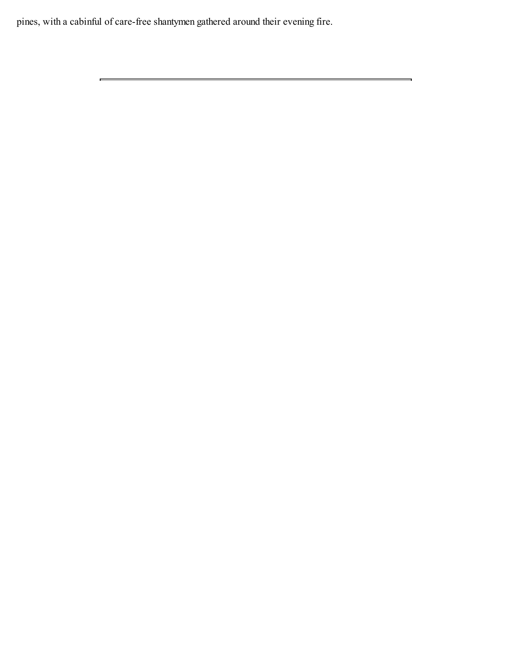pines, with a cabinful of care-free shantymen gathered around their evening fire.

 $\equiv$ 

<u> 1989 - Andrea Barbara, Amerikaansk politiker (d. 1989)</u>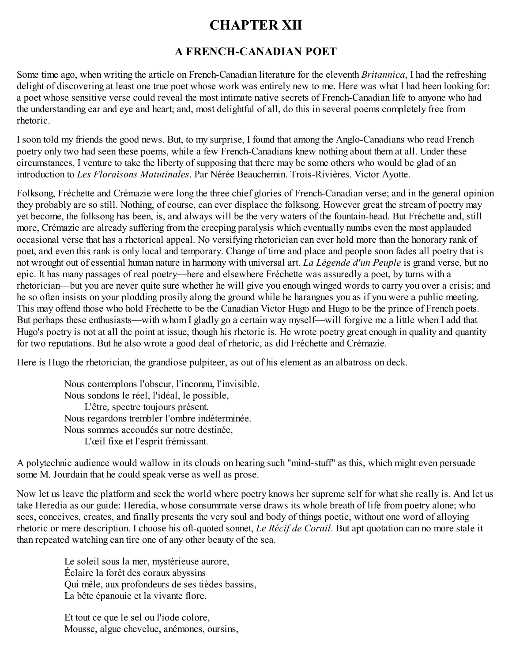# **CHAPTER XII**

## **A FRENCH-CANADIAN POET**

Some time ago, when writing the article on French-Canadian literature for the eleventh *Britannica*, I had the refreshing delight of discovering at least one true poet whose work was entirely new to me. Here was what I had been looking for: a poet whose sensitive verse could reveal the most intimate native secrets of French-Canadian life to anyone who had the understanding ear and eye and heart; and, most delightful of all, do this in several poems completely free from rhetoric.

I soon told my friends the good news. But, to my surprise, I found that among the Anglo-Canadians who read French poetry only two had seen these poems, while a few French-Canadians knew nothing about them at all. Under these circumstances, I venture to take the liberty of supposing that there may be some others who would be glad of an introduction to *Les Floraisons Matutinales*. Par Nérée Beauchemin. Trois-Rivières. Victor Ayotte.

Folksong, Fréchette and Crémazie were long the three chief glories of French-Canadian verse; and in the general opinion they probably are so still. Nothing, of course, can ever displace the folksong. However great the stream of poetry may yet become, the folksong has been, is, and always will be the very waters of the fountain-head. But Fréchette and, still more, Crémazie are already suffering from the creeping paralysis which eventually numbs even the most applauded occasional verse that has a rhetorical appeal. No versifying rhetorician can ever hold more than the honorary rank of poet, and even this rank is only local and temporary. Change of time and place and people soon fades all poetry that is not wrought out of essential human nature in harmony with universal art. *La Légende d'un Peuple* is grand verse, but no epic. It has many passages of real poetry—here and elsewhere Fréchette was assuredly a poet, by turns with a rhetorician—but you are never quite sure whether he will give you enough winged words to carry you over a crisis; and he so often insists on your plodding prosily along the ground while he harangues you as if you were a public meeting. This may offend those who hold Fréchette to be the Canadian Victor Hugo and Hugo to be the prince of French poets. But perhaps these enthusiasts—with whom I gladly go a certain way myself—will forgive me a little when I add that Hugo's poetry is not at all the point at issue, though his rhetoric is. He wrote poetry great enough in quality and quantity for two reputations. But he also wrote a good deal of rhetoric, as did Fréchette and Crémazie.

Here is Hugo the rhetorician, the grandiose pulpiteer, as out of his element as an albatross on deck.

Nous contemplons l'obscur, l'inconnu, l'invisible. Nous sondons le réel, l'idéal, le possible, L'être, spectre toujours présent. Nous regardons trembler l'ombre indéterminée. Nous sommes accoudés sur notre destinée, L'œil fixe et l'esprit frémissant.

A polytechnic audience would wallow in its clouds on hearing such "mind-stuff" as this, which might even persuade some M. Jourdain that he could speak verse as well as prose.

Now let us leave the platform and seek the world where poetry knows her supreme self for what she really is. And let us take Heredia as our guide: Heredia, whose consummate verse draws its whole breath of life from poetry alone; who sees, conceives, creates, and finally presents the very soul and body of things poetic, without one word of alloying rhetoric or mere description. I choose his oft-quoted sonnet, *Le Récif de Corail*. But apt quotation can no more stale it than repeated watching can tire one of any other beauty of the sea.

Le soleil sous la mer, mystérieuse aurore, Éclaire la forêt des coraux abyssins Qui mêle, aux profondeurs de ses tièdes bassins, La bête épanouie et la vivante flore.

Et tout ce que le sel ou l'iode colore, Mousse, algue chevelue, anémones, oursins,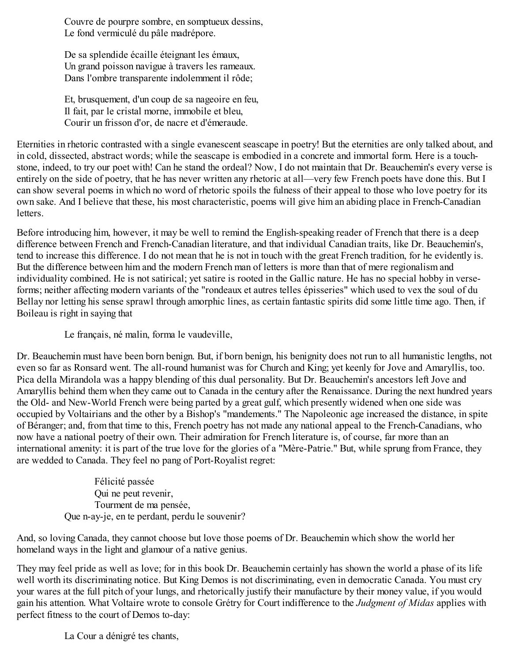Couvre de pourpre sombre, en somptueux dessins, Le fond vermiculé du pâle madrépore.

De sa splendide écaille éteignant les émaux, Un grand poisson navigue à travers les rameaux. Dans l'ombre transparente indolemment il rôde;

Et, brusquement, d'un coup de sa nageoire en feu, Il fait, par le cristal morne, immobile et bleu, Courir un frisson d'or, de nacre et d'émeraude.

Eternities in rhetoric contrasted with a single evanescent seascape in poetry! But the eternities are only talked about, and in cold, dissected, abstract words; while the seascape is embodied in a concrete and immortal form. Here is a touchstone, indeed, to try our poet with! Can he stand the ordeal? Now, I do not maintain that Dr. Beauchemin's every verse is entirely on the side of poetry, that he has never written any rhetoric at all—very few French poets have done this. But I can show several poems in which no word of rhetoric spoils the fulness of their appeal to those who love poetry for its own sake. And I believe that these, his most characteristic, poems will give him an abiding place in French-Canadian letters.

Before introducing him, however, it may be well to remind the English-speaking reader of French that there is a deep difference between French and French-Canadian literature, and that individual Canadian traits, like Dr. Beauchemin's, tend to increase this difference. I do not mean that he is not in touch with the great French tradition, for he evidently is. But the difference between him and the modern French man of letters is more than that of mere regionalism and individuality combined. He is not satirical; yet satire is rooted in the Gallic nature. He has no special hobby in verseforms; neither affecting modern variants of the "rondeaux et autres telles épisseries" which used to vex the soul of du Bellay nor letting his sense sprawl through amorphic lines, as certain fantastic spirits did some little time ago. Then, if Boileau is right in saying that

Le français, né malin, forma le vaudeville,

Dr. Beauchemin must have been born benign. But, if born benign, his benignity does not run to all humanistic lengths, not even so far as Ronsard went. The all-round humanist was for Church and King; yet keenly for Jove and Amaryllis, too. Pica della Mirandola was a happy blending of this dual personality. But Dr. Beauchemin's ancestors left Jove and Amaryllis behind them when they came out to Canada in the century after the Renaissance. During the next hundred years the Old- and New-World French were being parted by a great gulf, which presently widened when one side was occupied by Voltairians and the other by a Bishop's "mandements." The Napoleonic age increased the distance, in spite of Béranger; and, from that time to this, French poetry has not made any national appeal to the French-Canadians, who now have a national poetry of their own. Their admiration for French literature is, of course, far more than an international amenity: it is part of the true love for the glories of a "Mère-Patrie." But, while sprung from France, they are wedded to Canada. They feel no pang of Port-Royalist regret:

> Félicité passée Qui ne peut revenir, Tourment de ma pensée, Que n-ay-je, en te perdant, perdu le souvenir?

And, so loving Canada, they cannot choose but love those poems of Dr. Beauchemin which show the world her homeland ways in the light and glamour of a native genius.

They may feel pride as well as love; for in this book Dr. Beauchemin certainly has shown the world a phase of its life well worth its discriminating notice. But King Demos is not discriminating, even in democratic Canada. You must cry your wares at the full pitch of your lungs, and rhetorically justify their manufacture by their money value, if you would gain his attention. What Voltaire wrote to console Grétry for Court indifference to the *Judgment of Midas* applies with perfect fitness to the court of Demos to-day:

La Cour a dénigré tes chants,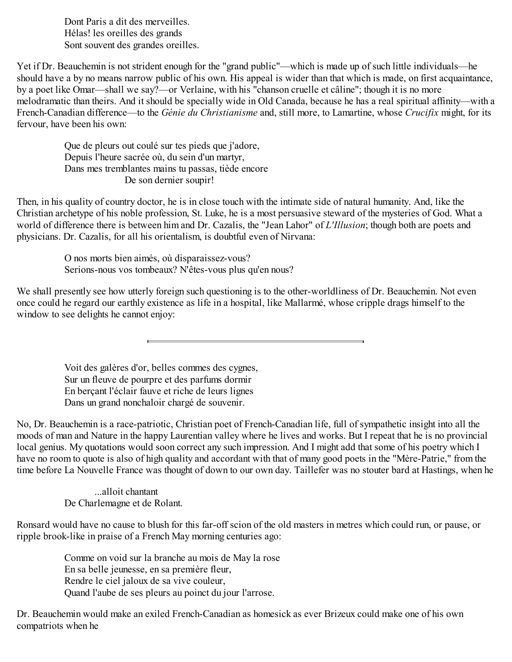Dont Paris a dit des merveilles. Hélas! les oreilles des grands Sont souvent des grandes oreilles.

Yet if Dr. Beauchemin is not strident enough for the "grand public"—which is made up of such little individuals—he should have a by no means narrow public of his own. His appeal is wider than that which is made, on first acquaintance, by a poet like Omar—shall we say?—or Verlaine, with his "chanson cruelle et câline"; though it is no more melodramatic than theirs. And it should be specially wide in Old Canada, because he has a real spiritual affinity—with a French-Canadian difference—to the *Génie du Christianisme* and, still more, to Lamartine, whose *Crucifix* might, for its fervour, have been his own:

Que de pleurs out coulé sur tes pieds que j'adore, Depuis l'heure sacrée où, du sein d'un martyr, Dans mes tremblantes mains tu passas, tiède encore De son dernier soupir!

Then, in his quality of country doctor, he is in close touch with the intimate side of natural humanity. And, like the Christian archetype of his noble profession, St. Luke, he is a most persuasive steward of the mysteries of God. What a world of difference there is between him and Dr. Cazalis, the "Jean Lahor" of *L'Illusion*; though both are poets and physicians. Dr. Cazalis, for all his orientalism, is doubtful even of Nirvana:

> O nos morts bien aimés, où disparaissez-vous? Serions-nous vos tombeaux? N'êtes-vous plus qu'en nous?

We shall presently see how utterly foreign such questioning is to the other-worldliness of Dr. Beauchemin. Not even once could he regard our earthly existence as life in a hospital, like Mallarmé, whose cripple drags himself to the window to see delights he cannot enjoy:

> Voit des galères d'or, belles commes des cygnes, Sur un fleuve de pourpre et des parfums dormir En berçant l'éclair fauve et riche de leurs lignes Dans un grand nonchaloir chargé de souvenir.

No, Dr. Beauchemin is a race-patriotic, Christian poet of French-Canadian life, full of sympathetic insight into all the moods of man and Nature in the happy Laurentian valley where he lives and works. But I repeat that he is no provincial local genius. My quotations would soon correct any such impression. And I might add that some of his poetry which I have no room to quote is also of high quality and accordant with that of many good poets in the "Mère-Patrie," from the time before La Nouvelle France was thought of down to our own day. Taillefer was no stouter bard at Hastings, when he

...alloit chantant De Charlemagne et de Rolant.

Ronsard would have no cause to blush for this far-off scion of the old masters in metres which could run, or pause, or ripple brook-like in praise of a French May morning centuries ago:

> Comme on void sur la branche au mois de May la rose En sa belle jeunesse, en sa première fleur, Rendre le ciel jaloux de sa vive couleur, Quand l'aube de ses pleurs au poinct du jour l'arrose.

Dr. Beauchemin would make an exiled French-Canadian as homesick as ever Brizeux could make one of his own compatriots when he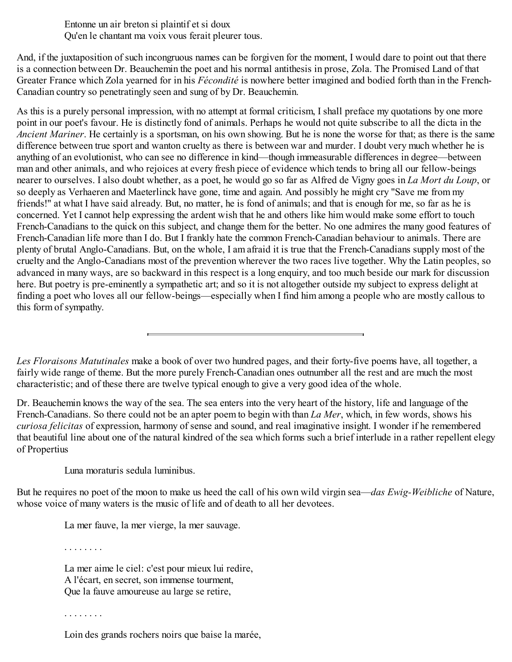Entonne un air breton si plaintif et si doux Qu'en le chantant ma voix vous ferait pleurer tous.

And, if the juxtaposition of such incongruous names can be forgiven for the moment, I would dare to point out that there is a connection between Dr. Beauchemin the poet and his normal antithesis in prose, Zola. The Promised Land of that Greater France which Zola yearned for in his *Fécondité* is nowhere better imagined and bodied forth than in the French-Canadian country so penetratingly seen and sung of by Dr. Beauchemin.

As this is a purely personal impression, with no attempt at formal criticism, I shall preface my quotations by one more point in our poet's favour. He is distinctly fond of animals. Perhaps he would not quite subscribe to all the dicta in the *Ancient Mariner*. He certainly is a sportsman, on his own showing. But he is none the worse for that; as there is the same difference between true sport and wanton cruelty as there is between war and murder. I doubt very much whether he is anything of an evolutionist, who can see no difference in kind—though immeasurable differences in degree—between man and other animals, and who rejoices at every fresh piece of evidence which tends to bring all our fellow-beings nearer to ourselves. I also doubt whether, as a poet, he would go so far as Alfred de Vigny goes in *La Mort du Loup*, or so deeply as Verhaeren and Maeterlinck have gone, time and again. And possibly he might cry "Save me from my friends!" at what I have said already. But, no matter, he is fond of animals; and that is enough for me, so far as he is concerned. Yet I cannot help expressing the ardent wish that he and others like him would make some effort to touch French-Canadians to the quick on this subject, and change them for the better. No one admires the many good features of French-Canadian life more than I do. But I frankly hate the common French-Canadian behaviour to animals. There are plenty of brutal Anglo-Canadians. But, on the whole, I am afraid it is true that the French-Canadians supply most of the cruelty and the Anglo-Canadians most of the prevention wherever the two races live together. Why the Latin peoples, so advanced in many ways, are so backward in this respect is a long enquiry, and too much beside our mark for discussion here. But poetry is pre-eminently a sympathetic art; and so it is not altogether outside my subject to express delight at finding a poet who loves all our fellow-beings—especially when I find him among a people who are mostly callous to this form of sympathy.

*Les Floraisons Matutinales* make a book of over two hundred pages, and their forty-five poems have, all together, a fairly wide range of theme. But the more purely French-Canadian ones outnumber all the rest and are much the most characteristic; and of these there are twelve typical enough to give a very good idea of the whole.

Dr. Beauchemin knows the way of the sea. The sea enters into the very heart of the history, life and language of the French-Canadians. So there could not be an apter poem to begin with than *La Mer*, which, in few words, shows his *curiosa felicitas* of expression, harmony of sense and sound, and real imaginative insight. I wonder if he remembered that beautiful line about one of the natural kindred of the sea which forms such a brief interlude in a rather repellent elegy of Propertius

Luna moraturis sedula luminibus.

But he requires no poet of the moon to make us heed the call of his own wild virgin sea—*das Ewig-Weibliche* of Nature, whose voice of many waters is the music of life and of death to all her devotees.

La mer fauve, la mer vierge, la mer sauvage.

. . . . . . . .

La mer aime le ciel: c'est pour mieux lui redire, A l'écart, en secret, son immense tourment, Que la fauve amoureuse au large se retire,

Loin des grands rochers noirs que baise la marée,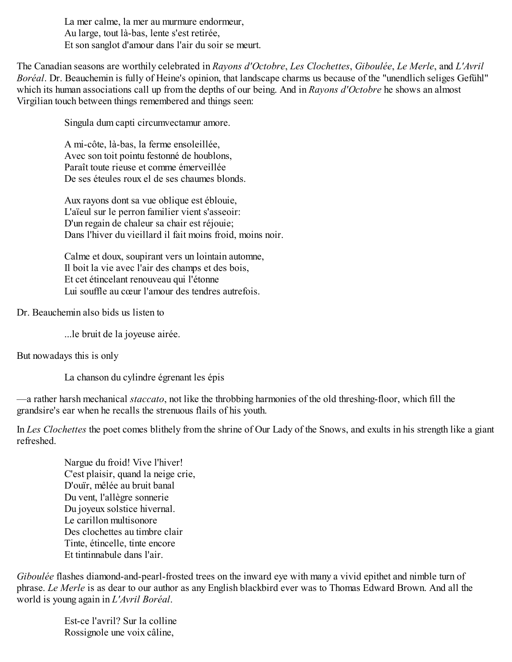La mer calme, la mer au murmure endormeur, Au large, tout là-bas, lente s'est retirée, Et son sanglot d'amour dans l'air du soir se meurt.

The Canadian seasons are worthily celebrated in *Rayons d'Octobre*, *Les Clochettes*, *Giboulée*, *Le Merle*, and *L'Avril Boréal*. Dr. Beauchemin is fully of Heine's opinion, that landscape charms us because of the "unendlich seliges Gefühl" which its human associations call up from the depths of our being. And in *Rayons d'Octobre* he shows an almost Virgilian touch between things remembered and things seen:

Singula dum capti circumvectamur amore.

A mi-côte, là-bas, la ferme ensoleillée, Avec son toit pointu festonné de houblons, Paraît toute rieuse et comme émerveillée De ses éteules roux el de ses chaumes blonds.

Aux rayons dont sa vue oblique est éblouie, L'aïeul sur le perron familier vient s'asseoir: D'un regain de chaleur sa chair est réjouie; Dans l'hiver du vieillard il fait moins froid, moins noir.

Calme et doux, soupirant vers un lointain automne, Il boit la vie avec l'air des champs et des bois, Et cet étincelant renouveau qui l'étonne Lui souffle au cœur l'amour des tendres autrefois.

Dr. Beauchemin also bids us listen to

...le bruit de la joyeuse airée.

But nowadays this is only

La chanson du cylindre égrenant les épis

—a rather harsh mechanical *staccato*, not like the throbbing harmonies of the old threshing-floor, which fill the grandsire's ear when he recalls the strenuous flails of his youth.

In *Les Clochettes* the poet comes blithely from the shrine of Our Lady of the Snows, and exults in his strength like a giant refreshed.

Nargue du froid! Vive l'hiver! C'est plaisir, quand la neige crie, D'ouïr, mêlée au bruit banal Du vent, l'allègre sonnerie Du joyeux solstice hivernal. Le carillon multisonore Des clochettes au timbre clair Tinte, étincelle, tinte encore Et tintinnabule dans l'air.

*Giboulée* flashes diamond-and-pearl-frosted trees on the inward eye with many a vivid epithet and nimble turn of phrase. *Le Merle* is as dear to our author as any English blackbird ever was to Thomas Edward Brown. And all the world is young again in *L'Avril Boréal*.

> Est-ce l'avril? Sur la colline Rossignole une voix câline,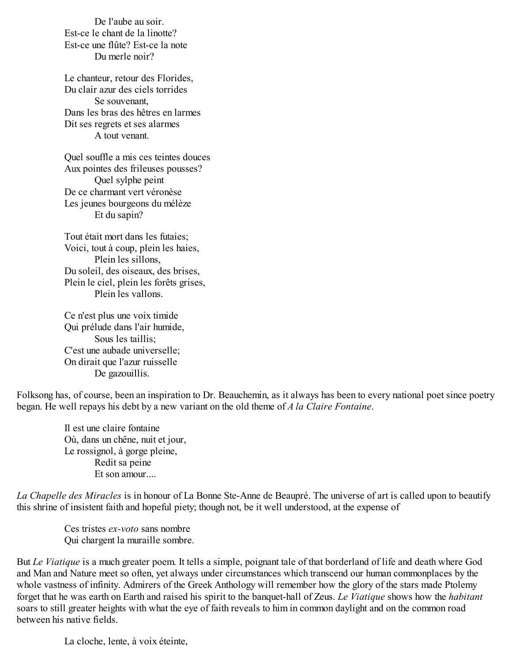De l'aube au soir. Est-ce le chant de la linotte? Est-ce une flûte? Est-ce la note Du merle noir?

Le chanteur, retour des Florides, Du clair azur des ciels torrides Se souvenant, Dans les bras des hêtres en larmes Dit ses regrets et ses alarmes A tout venant.

Quel souffle a mis ces teintes douces Aux pointes des frileuses pousses? Quel sylphe peint De ce charmant vert véronèse Les jeunes bourgeons du mélèze Et du sapin?

Tout était mort dans les futaies; Voici, tout à coup, plein les haies, Plein les sillons, Du soleil, des oiseaux, des brises, Plein le ciel, plein les forêts grises, Plein les vallons.

Ce n'est plus une voix timide Qui prélude dans l'air humide, Sous les taillis; C'est une aubade universelle; On dirait que l'azur ruisselle De gazouillis.

Folksong has, of course, been an inspiration to Dr. Beauchemin, as it always has been to every national poet since poetry began. He well repays his debt by a new variant on the old theme of *A la Claire Fontaine*.

Il est une claire fontaine Où, dans un chêne, nuit et jour, Le rossignol, à gorge pleine, Redit sa peine Et son amour....

*La Chapelle des Miracles* is in honour of La Bonne Ste-Anne de Beaupré. The universe of art is called upon to beautify this shrine of insistent faith and hopeful piety; though not, be it well understood, at the expense of

Ces tristes *ex-voto* sans nombre Qui chargent la muraille sombre.

But *Le Viatique* is a much greater poem. It tells a simple, poignant tale of that borderland of life and death where God and Man and Nature meet so often, yet always under circumstances which transcend our human commonplaces by the whole vastness of infinity. Admirers of the Greek Anthology will remember how the glory of the stars made Ptolemy forget that he was earth on Earth and raised his spirit to the banquet-hall of Zeus. *Le Viatique* shows how the *habitant* soars to still greater heights with what the eye of faith reveals to him in common daylight and on the common road between his native fields.

La cloche, lente, à voix éteinte,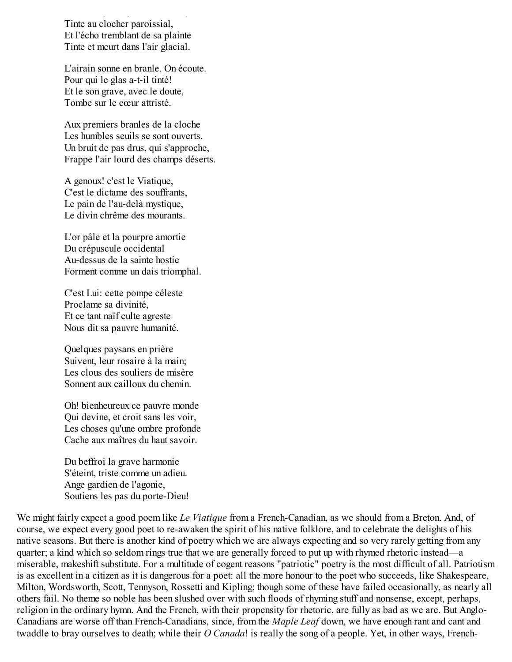La cloche, lente, à voix éteinte, Tinte au clocher paroissial, Et l'écho tremblant de sa plainte Tinte et meurt dans l'air glacial.

L'airain sonne en branle. On écoute. Pour qui le glas a-t-il tinté! Et le son grave, avec le doute, Tombe sur le cœur attristé.

Aux premiers branles de la cloche Les humbles seuils se sont ouverts. Un bruit de pas drus, qui s'approche, Frappe l'air lourd des champs déserts.

A genoux! c'est le Viatique, C'est le dictame des souffrants, Le pain de l'au-delà mystique, Le divin chrême des mourants.

L'or pâle et la pourpre amortie Du crépuscule occidental Au-dessus de la sainte hostie Forment comme un dais triomphal.

C'est Lui: cette pompe céleste Proclame sa divinité, Et ce tant naïf culte agreste Nous dit sa pauvre humanité.

Quelques paysans en prière Suivent, leur rosaire à la main; Les clous des souliers de misère Sonnent aux cailloux du chemin.

Oh! bienheureux ce pauvre monde Qui devine, et croit sans les voir, Les choses qu'une ombre profonde Cache aux maîtres du haut savoir.

Du beffroi la grave harmonie S'éteint, triste comme un adieu. Ange gardien de l'agonie, Soutiens les pas du porte-Dieu!

We might fairly expect a good poem like *Le Viatique* from a French-Canadian, as we should from a Breton. And, of course, we expect every good poet to re-awaken the spirit of his native folklore, and to celebrate the delights of his native seasons. But there is another kind of poetry which we are always expecting and so very rarely getting from any quarter; a kind which so seldom rings true that we are generally forced to put up with rhymed rhetoric instead—a miserable, makeshift substitute. For a multitude of cogent reasons "patriotic" poetry is the most difficult of all. Patriotism is as excellent in a citizen as it is dangerous for a poet: all the more honour to the poet who succeeds, like Shakespeare, Milton, Wordsworth, Scott, Tennyson, Rossetti and Kipling; though some of these have failed occasionally, as nearly all others fail. No theme so noble has been slushed over with such floods of rhyming stuff and nonsense, except, perhaps, religion in the ordinary hymn. And the French, with their propensity for rhetoric, are fully as bad as we are. But Anglo-Canadians are worse off than French-Canadians, since, from the *Maple Leaf* down, we have enough rant and cant and twaddle to bray ourselves to death; while their *O Canada*! is really the song of a people. Yet, in other ways, French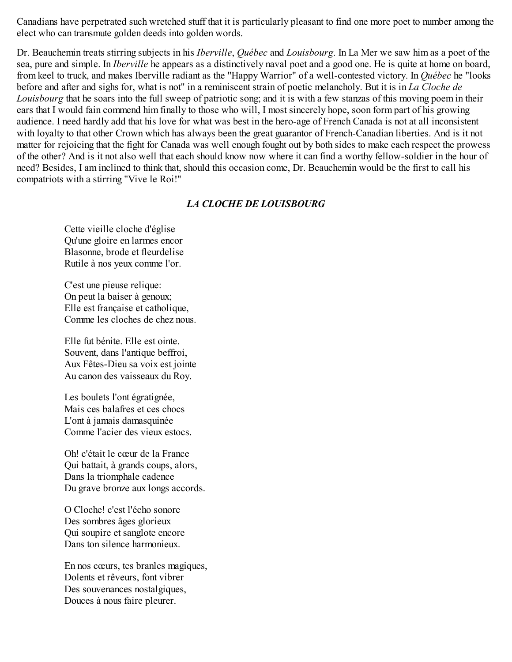Canadians have perpetrated such wretched stuff that it is particularly pleasant to find one more poet to number among the elect who can transmute golden deeds into golden words.

Dr. Beauchemin treats stirring subjects in his *Iberville*, *Québec* and *Louisbourg*. In La Mer we saw him as a poet of the sea, pure and simple. In *Iberville* he appears as a distinctively naval poet and a good one. He is quite at home on board, from keel to truck, and makes Iberville radiant as the "Happy Warrior" of a well-contested victory. In *Québec* he "looks before and after and sighs for, what is not" in a reminiscent strain of poetic melancholy. But it is in *La Cloche de Louisbourg* that he soars into the full sweep of patriotic song; and it is with a few stanzas of this moving poem in their ears that I would fain commend him finally to those who will, I most sincerely hope, soon form part of his growing audience. I need hardly add that his love for what was best in the hero-age of French Canada is not at all inconsistent with loyalty to that other Crown which has always been the great guarantor of French-Canadian liberties. And is it not matter for rejoicing that the fight for Canada was well enough fought out by both sides to make each respect the prowess of the other? And is it not also well that each should know now where it can find a worthy fellow-soldier in the hour of need? Besides, I am inclined to think that, should this occasion come, Dr. Beauchemin would be the first to call his compatriots with a stirring "Vive le Roi!"

### *LA CLOCHE DE LOUISBOURG*

Cette vieille cloche d'église Qu'une gloire en larmes encor Blasonne, brode et fleurdelise Rutile à nos yeux comme l'or.

C'est une pieuse relique: On peut la baiser à genoux; Elle est française et catholique, Comme les cloches de chez nous.

Elle fut bénite. Elle est ointe. Souvent, dans l'antique beffroi, Aux Fêtes-Dieu sa voix est jointe Au canon des vaisseaux du Roy.

Les boulets l'ont égratignée, Mais ces balafres et ces chocs L'ont à jamais damasquinée Comme l'acier des vieux estocs.

Oh! c'était le cœur de la France Qui battait, à grands coups, alors, Dans la triomphale cadence Du grave bronze aux longs accords.

O Cloche! c'est l'écho sonore Des sombres âges glorieux Qui soupire et sanglote encore Dans ton silence harmonieux.

En nos cœurs, tes branles magiques, Dolents et rêveurs, font vibrer Des souvenances nostalgiques, Douces à nous faire pleurer.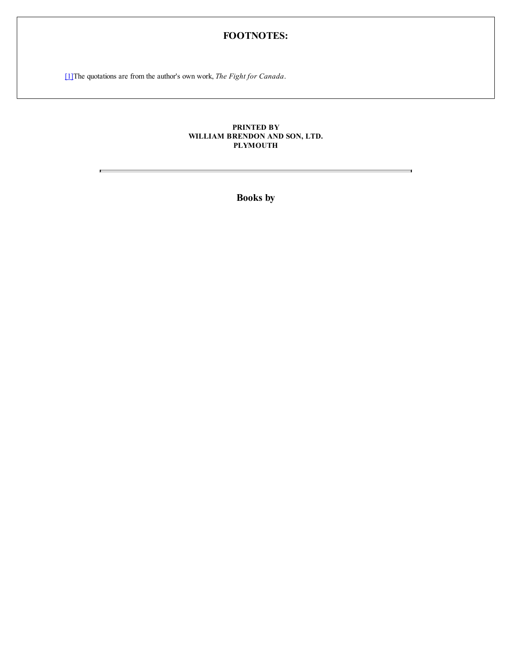## **FOOTNOTES:**

[1] The quotations are from the author's own work, *The Fight for Canada*.

E

#### **PRINTED BY WILLIAM BRENDON AND SON, LTD. PLYMOUTH**

**Books by**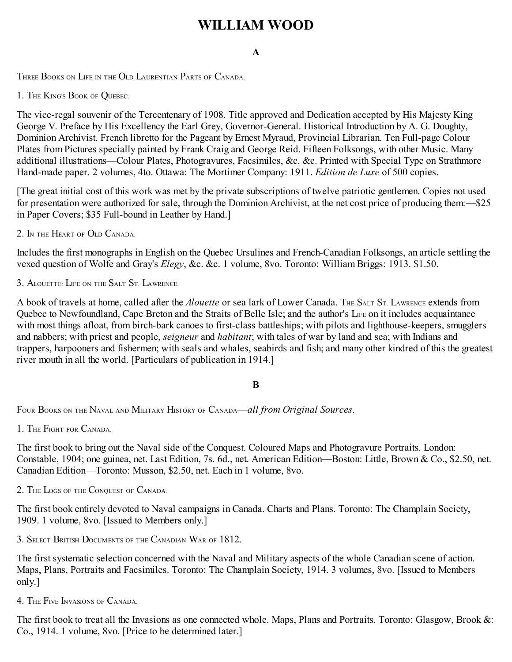# **WILLIAM WOOD**

## **A**

THREE BOOKS ON LIFE IN THE OLD LAURENTIAN PARTS OF CANADA.

1. THE KING'S BOOK OF QUEBEC.

The vice-regal souvenir of the Tercentenary of 1908. Title approved and Dedication accepted by His Majesty King George V. Preface by His Excellency the Earl Grey, Governor-General. Historical Introduction by A. G. Doughty, Dominion Archivist. French libretto for the Pageant by Ernest Myraud, Provincial Librarian. Ten Full-page Colour Plates from Pictures specially painted by Frank Craig and George Reid. Fifteen Folksongs, with other Music. Many additional illustrations—Colour Plates, Photogravures, Facsimiles, &c. &c. Printed with Special Type on Strathmore Hand-made paper. 2 volumes, 4to. Ottawa: The Mortimer Company: 1911. *Edition de Luxe* of 500 copies.

[The great initial cost of this work was met by the private subscriptions of twelve patriotic gentlemen. Copies not used for presentation were authorized for sale, through the Dominion Archivist, at the net cost price of producing them:—\$25 in Paper Covers; \$35 Full-bound in Leather by Hand.]

2. I<sup>N</sup> THE HEART OF OLD CANADA.

Includes the first monographs in English on the Quebec Ursulines and French-Canadian Folksongs, an article settling the vexed question of Wolfe and Gray's *Elegy*, &c. &c. 1 volume, 8vo. Toronto: William Briggs: 1913. \$1.50.

3. ALOUETTE: LIFE ON THE SALT ST. LAWRENCE

A book of travels at home, called after the *Alouette* or sea lark of Lower Canada. THE SALT ST. LAWRENCE extends from Quebec to Newfoundland, Cape Breton and the Straits of Belle Isle; and the author's L<sub>IFE</sub> on it includes acquaintance with most things afloat, from birch-bark canoes to first-class battleships; with pilots and lighthouse-keepers, smugglers and nabbers; with priest and people, *seigneur* and *habitant*; with tales of war by land and sea; with Indians and trappers, harpooners and fishermen; with seals and whales, seabirds and fish; and many other kindred of this the greatest river mouth in all the world. [Particulars of publication in 1914.]

## **B**

FOUR BOOKS ON THE NAVAL AND MILITARY HISTORY OF CANADA—*all from Original Sources*.

1. THE FIGHT FOR CANADA.

The first book to bring out the Naval side of the Conquest. Coloured Maps and Photogravure Portraits. London: Constable, 1904; one guinea, net. Last Edition, 7s. 6d., net. American Edition—Boston: Little, Brown & Co., \$2.50, net. Canadian Edition—Toronto: Musson, \$2.50, net. Each in 1 volume, 8vo.

2. THE LOGS OF THE CONQUEST OF CANADA.

The first book entirely devoted to Naval campaigns in Canada. Charts and Plans. Toronto: The Champlain Society, 1909. 1 volume, 8vo. [Issued to Members only.]

3. SELECT BRITISH DOCUMENTS OF THE CANADIAN WAR OF 1812.

The first systematic selection concerned with the Naval and Military aspects of the whole Canadian scene of action. Maps, Plans, Portraits and Facsimiles. Toronto: The Champlain Society, 1914. 3 volumes, 8vo. [Issued to Members only.]

4. THE FIVE INVASIONS OF CANADA.

The first book to treat all the Invasions as one connected whole. Maps, Plans and Portraits. Toronto: Glasgow, Brook &: Co., 1914. 1 volume, 8vo. [Price to be determined later.]